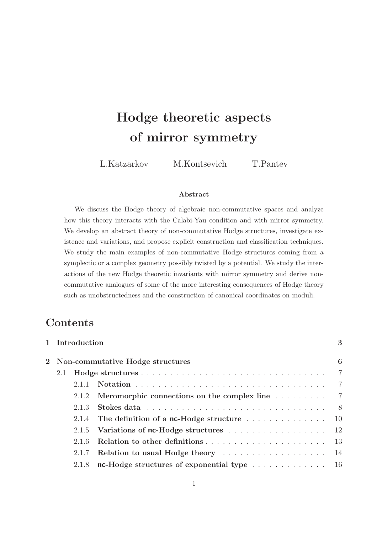# Hodge theoretic aspects of mirror symmetry

L.Katzarkov M.Kontsevich T.Pantev

#### Abstract

We discuss the Hodge theory of algebraic non-commutative spaces and analyze how this theory interacts with the Calabi-Yau condition and with mirror symmetry. We develop an abstract theory of non-commutative Hodge structures, investigate existence and variations, and propose explicit construction and classification techniques. We study the main examples of non-commutative Hodge structures coming from a symplectic or a complex geometry possibly twisted by a potential. We study the interactions of the new Hodge theoretic invariants with mirror symmetry and derive noncommutative analogues of some of the more interesting consequences of Hodge theory such as unobstructedness and the construction of canonical coordinates on moduli.

# **Contents**

|                                    | 1 Introduction |                                                                                                                                                                                                                                | 3              |  |  |  |
|------------------------------------|----------------|--------------------------------------------------------------------------------------------------------------------------------------------------------------------------------------------------------------------------------|----------------|--|--|--|
| 2 Non-commutative Hodge structures |                |                                                                                                                                                                                                                                |                |  |  |  |
| 2.1                                |                |                                                                                                                                                                                                                                | 7              |  |  |  |
|                                    | 2.1.1          |                                                                                                                                                                                                                                | $\overline{7}$ |  |  |  |
|                                    | 2.1.2          | Meromorphic connections on the complex line 7                                                                                                                                                                                  |                |  |  |  |
|                                    | 2.1.3          | Stokes data response in the service of the state of the state of the state of the state of the state of the state of the state of the state of the state of the state of the state of the state of the state of the state of t | - 8            |  |  |  |
|                                    |                | 2.1.4 The definition of a nc-Hodge structure $\dots \dots \dots \dots$                                                                                                                                                         | -10            |  |  |  |
|                                    |                | 2.1.5 Variations of nc-Hodge structures 12                                                                                                                                                                                     |                |  |  |  |
|                                    | 2.1.6          |                                                                                                                                                                                                                                | -13            |  |  |  |
|                                    | 2.1.7          | Relation to usual Hodge theory entertainment is not all the Relation to usual Hodge theory entertainment is not                                                                                                                | -14            |  |  |  |
|                                    | 2.1.8          | nc-Hodge structures of exponential type $\dots \dots \dots \dots \dots \dots$ 16                                                                                                                                               |                |  |  |  |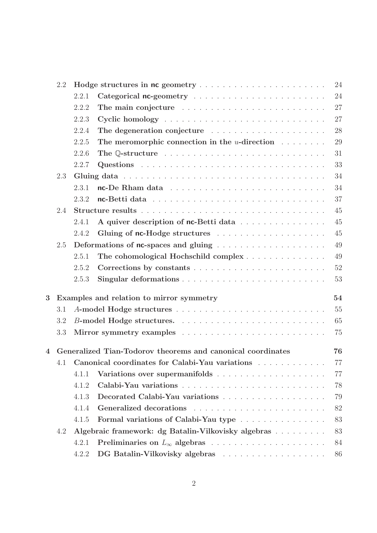|                         | 2.2 |                                                |                                                                | 24 |  |  |  |
|-------------------------|-----|------------------------------------------------|----------------------------------------------------------------|----|--|--|--|
|                         |     | 2.2.1                                          |                                                                | 24 |  |  |  |
|                         |     | 2.2.2                                          |                                                                | 27 |  |  |  |
|                         |     | 2.2.3                                          |                                                                | 27 |  |  |  |
|                         |     | 2.2.4                                          |                                                                | 28 |  |  |  |
|                         |     | 2.2.5                                          | The meromorphic connection in the $u$ -direction $\dots \dots$ | 29 |  |  |  |
|                         |     | 2.2.6                                          |                                                                | 31 |  |  |  |
|                         |     | 2.2.7                                          |                                                                | 33 |  |  |  |
|                         | 2.3 |                                                |                                                                | 34 |  |  |  |
|                         |     | 2.3.1                                          |                                                                | 34 |  |  |  |
|                         |     | 2.3.2                                          |                                                                | 37 |  |  |  |
|                         | 2.4 |                                                |                                                                | 45 |  |  |  |
|                         |     | 2.4.1                                          | A quiver description of nc-Betti data                          | 45 |  |  |  |
|                         |     | 2.4.2                                          |                                                                | 45 |  |  |  |
|                         | 2.5 |                                                |                                                                | 49 |  |  |  |
|                         |     | 2.5.1                                          | The cohomological Hochschild complex                           | 49 |  |  |  |
|                         |     | 2.5.2                                          |                                                                | 52 |  |  |  |
|                         |     | 2.5.3                                          |                                                                | 53 |  |  |  |
| $\overline{\mathbf{3}}$ |     | 54<br>Examples and relation to mirror symmetry |                                                                |    |  |  |  |
|                         | 3.1 |                                                |                                                                | 55 |  |  |  |
|                         | 3.2 | 65                                             |                                                                |    |  |  |  |
|                         | 3.3 |                                                |                                                                | 75 |  |  |  |
| $\overline{\mathbf{4}}$ |     |                                                | Generalized Tian-Todorov theorems and canonical coordinates    | 76 |  |  |  |
|                         |     |                                                | 4.1 Canonical coordinates for Calabi-Yau variations            | 77 |  |  |  |
|                         |     | 4.1.1                                          |                                                                | 77 |  |  |  |
|                         |     | 4.1.2                                          |                                                                | 78 |  |  |  |
|                         |     | 4.1.3                                          |                                                                | 79 |  |  |  |
|                         |     | 4.1.4                                          |                                                                | 82 |  |  |  |
|                         |     | 4.1.5                                          | Formal variations of Calabi-Yau type                           | 83 |  |  |  |
|                         | 4.2 |                                                | Algebraic framework: dg Batalin-Vilkovisky algebras            | 83 |  |  |  |
|                         |     | 4.2.1                                          |                                                                | 84 |  |  |  |
|                         |     | 4.2.2                                          |                                                                | 86 |  |  |  |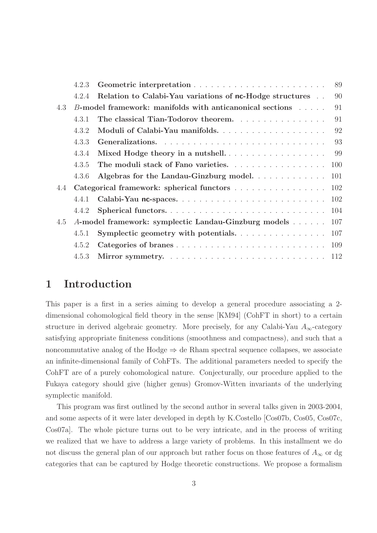|     | 4.2.3                                     |                                                          | 89  |
|-----|-------------------------------------------|----------------------------------------------------------|-----|
|     | 4.2.4                                     | Relation to Calabi-Yau variations of nc-Hodge structures | 90  |
| 4.3 |                                           | B-model framework: manifolds with anticanonical sections | 91  |
|     | 4.3.1                                     | The classical Tian-Todorov theorem.                      | 91  |
|     | 4.3.2                                     |                                                          | 92  |
|     | 4.3.3                                     |                                                          | 93  |
|     | 4.3.4                                     |                                                          | 99  |
|     | 4.3.5                                     | The moduli stack of Fano varieties.                      | 100 |
|     | 4.3.6                                     | Algebras for the Landau-Ginzburg model.                  | 101 |
| 4.4 | Categorical framework: spherical functors |                                                          | 102 |
|     | 4.4.1                                     |                                                          | 102 |
|     | 4.4.2                                     |                                                          | 104 |
| 4.5 |                                           | A-model framework: symplectic Landau-Ginzburg models     | 107 |
|     | 4.5.1                                     |                                                          | 107 |
|     | 4.5.2                                     | Categories of branes                                     | 109 |
|     | 4.5.3                                     |                                                          |     |
|     |                                           |                                                          |     |

## 1 Introduction

This paper is a first in a series aiming to develop a general procedure associating a 2 dimensional cohomological field theory in the sense [KM94] (CohFT in short) to a certain structure in derived algebraic geometry. More precisely, for any Calabi-Yau  $A_{\infty}$ -category satisfying appropriate finiteness conditions (smoothness and compactness), and such that a noncommutative analog of the Hodge  $\Rightarrow$  de Rham spectral sequence collapses, we associate an infinite-dimensional family of CohFTs. The additional parameters needed to specify the CohFT are of a purely cohomological nature. Conjecturally, our procedure applied to the Fukaya category should give (higher genus) Gromov-Witten invariants of the underlying symplectic manifold.

This program was first outlined by the second author in several talks given in 2003-2004, and some aspects of it were later developed in depth by K.Costello [Cos07b, Cos05, Cos07c, Cos07a]. The whole picture turns out to be very intricate, and in the process of writing we realized that we have to address a large variety of problems. In this installment we do not discuss the general plan of our approach but rather focus on those features of  $A_{\infty}$  or dg categories that can be captured by Hodge theoretic constructions. We propose a formalism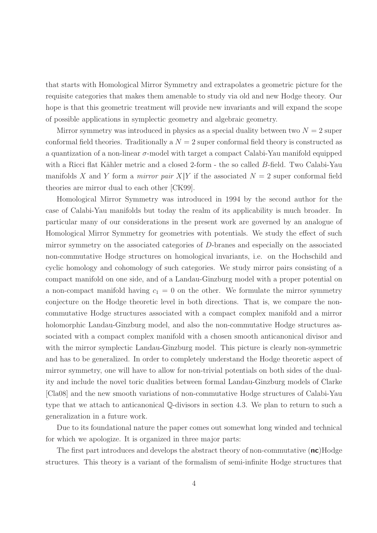that starts with Homological Mirror Symmetry and extrapolates a geometric picture for the requisite categories that makes them amenable to study via old and new Hodge theory. Our hope is that this geometric treatment will provide new invariants and will expand the scope of possible applications in symplectic geometry and algebraic geometry.

Mirror symmetry was introduced in physics as a special duality between two  $N = 2$  super conformal field theories. Traditionally a  $N = 2$  super conformal field theory is constructed as a quantization of a non-linear  $\sigma$ -model with target a compact Calabi-Yau manifold equipped with a Ricci flat Kähler metric and a closed 2-form  $\overline{\ }$ - the so called B-field. Two Calabi-Yau manifolds X and Y form a *mirror pair*  $X|Y$  if the associated  $N = 2$  super conformal field theories are mirror dual to each other [CK99].

Homological Mirror Symmetry was introduced in 1994 by the second author for the case of Calabi-Yau manifolds but today the realm of its applicability is much broader. In particular many of our considerations in the present work are governed by an analogue of Homological Mirror Symmetry for geometries with potentials. We study the effect of such mirror symmetry on the associated categories of D-branes and especially on the associated non-commutative Hodge structures on homological invariants, i.e. on the Hochschild and cyclic homology and cohomology of such categories. We study mirror pairs consisting of a compact manifold on one side, and of a Landau-Ginzburg model with a proper potential on a non-compact manifold having  $c_1 = 0$  on the other. We formulate the mirror symmetry conjecture on the Hodge theoretic level in both directions. That is, we compare the noncommutative Hodge structures associated with a compact complex manifold and a mirror holomorphic Landau-Ginzburg model, and also the non-commutative Hodge structures associated with a compact complex manifold with a chosen smooth anticanonical divisor and with the mirror symplectic Landau-Ginzburg model. This picture is clearly non-symmetric and has to be generalized. In order to completely understand the Hodge theoretic aspect of mirror symmetry, one will have to allow for non-trivial potentials on both sides of the duality and include the novel toric dualities between formal Landau-Ginzburg models of Clarke [Cla08] and the new smooth variations of non-commutative Hodge structures of Calabi-Yau type that we attach to anticanonical Q-divisors in section 4.3. We plan to return to such a generalization in a future work.

Due to its foundational nature the paper comes out somewhat long winded and technical for which we apologize. It is organized in three major parts:

The first part introduces and develops the abstract theory of non-commutative  $(\mathsf{nc})$ Hodge structures. This theory is a variant of the formalism of semi-infinite Hodge structures that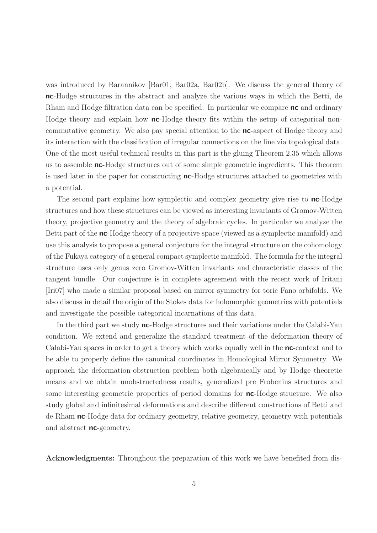was introduced by Barannikov [Bar01, Bar02a, Bar02b]. We discuss the general theory of nc-Hodge structures in the abstract and analyze the various ways in which the Betti, de Rham and Hodge filtration data can be specified. In particular we compare **nc** and ordinary Hodge theory and explain how **nc**-Hodge theory fits within the setup of categorical noncommutative geometry. We also pay special attention to the nc-aspect of Hodge theory and its interaction with the classification of irregular connections on the line via topological data. One of the most useful technical results in this part is the gluing Theorem 2.35 which allows us to assemble nc-Hodge structures out of some simple geometric ingredients. This theorem is used later in the paper for constructing nc-Hodge structures attached to geometries with a potential.

The second part explains how symplectic and complex geometry give rise to **nc**-Hodge structures and how these structures can be viewed as interesting invariants of Gromov-Witten theory, projective geometry and the theory of algebraic cycles. In particular we analyze the Betti part of the **nc**-Hodge theory of a projective space (viewed as a symplectic manifold) and use this analysis to propose a general conjecture for the integral structure on the cohomology of the Fukaya category of a general compact symplectic manifold. The formula for the integral structure uses only genus zero Gromov-Witten invariants and characteristic classes of the tangent bundle. Our conjecture is in complete agreement with the recent work of Iritani [Iri07] who made a similar proposal based on mirror symmetry for toric Fano orbifolds. We also discuss in detail the origin of the Stokes data for holomorphic geometries with potentials and investigate the possible categorical incarnations of this data.

In the third part we study **nc**-Hodge structures and their variations under the Calabi-Yau condition. We extend and generalize the standard treatment of the deformation theory of Calabi-Yau spaces in order to get a theory which works equally well in the **nc**-context and to be able to properly define the canonical coordinates in Homological Mirror Symmetry. We approach the deformation-obstruction problem both algebraically and by Hodge theoretic means and we obtain unobstructedness results, generalized pre Frobenius structures and some interesting geometric properties of period domains for **nc**-Hodge structure. We also study global and infinitesimal deformations and describe different constructions of Betti and de Rham nc-Hodge data for ordinary geometry, relative geometry, geometry with potentials and abstract **nc**-geometry.

Acknowledgments: Throughout the preparation of this work we have benefited from dis-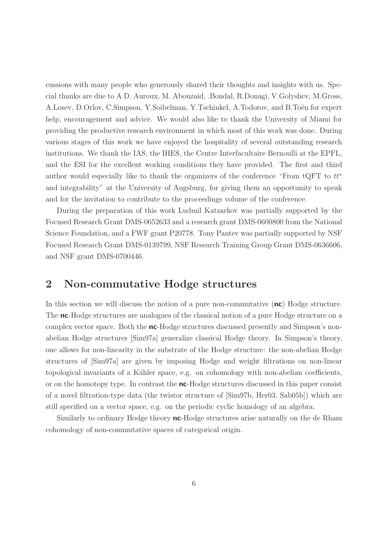cussions with many people who generously shared their thoughts and insights with us. Special thanks are due to A D. Auroux, M. Abouzaid, .Bondal, R.Donagi, V.Golyshev, M.Gross, A.Losev, D.Orlov, C.Simpson, Y.Soibelman, Y.Tschinkel, A.Todorov, and B.Toën for expert help, encouragement and advice. We would also like to thank the University of Miami for providing the productive research environment in which most of this work was done. During various stages of this work we have enjoyed the hospitality of several outstanding research institutions. We thank the IAS, the IHES, the Centre Interfacultaire Bernoulli at the EPFL, and the ESI for the excellent working conditions they have provided. The first and third author would especially like to thank the organizers of the conference "From tQFT to  $tt^*$ and integrability" at the University of Augsburg, for giving them an opportunity to speak and for the invitation to contribute to the proceedings volume of the conference.

During the preparation of this work Ludmil Katzarkov was partially supported by the Focused Research Grant DMS-0652633 and a research grant DMS-0600800 from the National Science Foundation, and a FWF grant P20778. Tony Pantev was partially supported by NSF Focused Research Grant DMS-0139799, NSF Research Training Group Grant DMS-0636606, and NSF grant DMS-0700446.

# 2 Non-commutative Hodge structures

In this section we will discuss the notion of a pure non-commutative (nc) Hodge structure. The **nc**-Hodge structures are analogues of the classical notion of a pure Hodge structure on a complex vector space. Both the **nc**-Hodge structures discussed presently and Simpson's nonabelian Hodge structures [Sim97a] generalize classical Hodge theory. In Simpson's theory, one allows for non-linearity in the substrate of the Hodge structure: the non-abelian Hodge structures of [Sim97a] are given by imposing Hodge and weight filtrations on non-linear topological invariants of a Kähler space, e.g. on cohomology with non-abelian coefficients, or on the homotopy type. In contrast the **nc**-Hodge structures discussed in this paper consist of a novel filtration-type data (the twistor structure of [Sim97b, Her03, Sab05b]) which are still specified on a vector space, e.g. on the periodic cyclic homology of an algebra.

Similarly to ordinary Hodge theory **nc**-Hodge structures arise naturally on the de Rham cohomology of non-commutative spaces of categorical origin.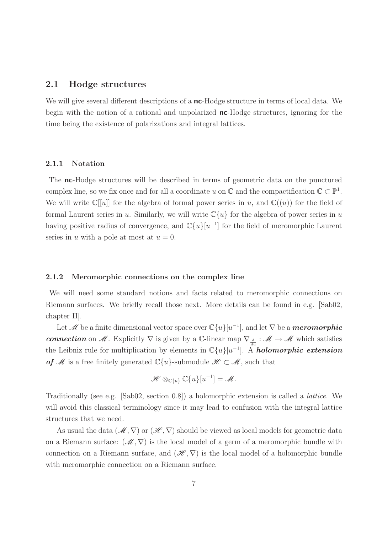#### 2.1 Hodge structures

We will give several different descriptions of a **nc**-Hodge structure in terms of local data. We begin with the notion of a rational and unpolarized **nc**-Hodge structures, ignoring for the time being the existence of polarizations and integral lattices.

#### 2.1.1 Notation

The nc-Hodge structures will be described in terms of geometric data on the punctured complex line, so we fix once and for all a coordinate u on  $\mathbb{C}$  and the compactification  $\mathbb{C} \subset \mathbb{P}^1$ . We will write  $\mathbb{C}[[u]]$  for the algebra of formal power series in u, and  $\mathbb{C}((u))$  for the field of formal Laurent series in u. Similarly, we will write  $\mathbb{C}\{u\}$  for the algebra of power series in u having positive radius of convergence, and  $\mathbb{C}\{u\}[u^{-1}]$  for the field of meromorphic Laurent series in u with a pole at most at  $u = 0$ .

#### 2.1.2 Meromorphic connections on the complex line

We will need some standard notions and facts related to meromorphic connections on Riemann surfaces. We briefly recall those next. More details can be found in e.g. [Sab02, chapter II].

Let  $\mathscr M$  be a finite dimensional vector space over  $\mathbb{C}\{u\}[u^{-1}]$ , and let  $\nabla$  be a *meromorphic* connection on M. Explicitly  $\nabla$  is given by a C-linear map  $\nabla_{\frac{d}{du}} : \mathcal{M} \to \mathcal{M}$  which satisfies the Leibniz rule for multiplication by elements in  $\mathbb{C}\{u\}[u^{-1}]$ . A **holomorphic extension** of *M* is a free finitely generated  $\mathbb{C}\{u\}$ -submodule  $\mathcal{H} \subset \mathcal{M}$ , such that

$$
\mathscr{H} \otimes_{\mathbb{C}\{u\}} \mathbb{C}\{u\}[u^{-1}] = \mathscr{M}.
$$

Traditionally (see e.g. [Sab02, section 0.8]) a holomorphic extension is called a lattice. We will avoid this classical terminology since it may lead to confusion with the integral lattice structures that we need.

As usual the data  $(\mathcal{M}, \nabla)$  or  $(\mathcal{H}, \nabla)$  should be viewed as local models for geometric data on a Riemann surface:  $(\mathcal{M}, \nabla)$  is the local model of a germ of a meromorphic bundle with connection on a Riemann surface, and  $(\mathscr{H}, \nabla)$  is the local model of a holomorphic bundle with meromorphic connection on a Riemann surface.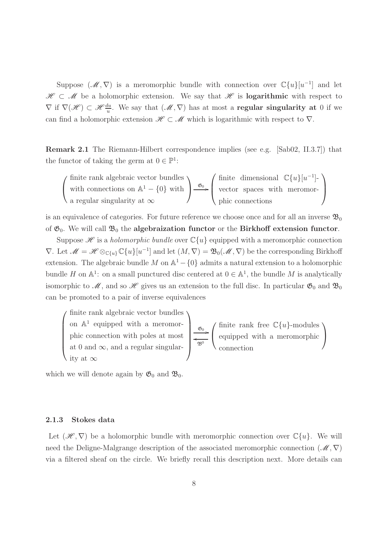Suppose  $(\mathcal{M}, \nabla)$  is a meromorphic bundle with connection over  $\mathbb{C}\{u\}[u^{-1}]$  and let  $\mathscr{H} \subset \mathscr{M}$  be a holomorphic extension. We say that  $\mathscr{H}$  is **logarithmic** with respect to  $\nabla$  if  $\nabla(\mathscr{H}) \subset \mathscr{H}\frac{du}{u}$ . We say that  $(\mathscr{M}, \nabla)$  has at most a **regular singularity at** 0 if we can find a holomorphic extension  $\mathscr{H} \subset \mathscr{M}$  which is logarithmic with respect to  $\nabla$ .

Remark 2.1 The Riemann-Hilbert correspondence implies (see e.g. [Sab02, II.3.7]) that the functor of taking the germ at  $0 \in \mathbb{P}^1$ :

$$
\left(\begin{array}{c}\n\text{finite rank algebraic vector bundles} \\
\text{with connections on } \mathbb{A}^1 - \{0\} \text{ with }\n\end{array}\right) \xrightarrow{\mathfrak{G}_0} \left(\begin{array}{c}\n\text{finite dimensional } \mathbb{C}\{u\}[u^{-1}] - \\
\text{vector spaces with meromor-}\\
\text{phic connections}\n\end{array}\right)
$$

is an equivalence of categories. For future reference we choose once and for all an inverse  $\mathfrak{B}_0$ of  $\mathfrak{G}_0$ . We will call  $\mathfrak{B}_0$  the **algebraization functor** or the **Birkhoff extension functor**.

Suppose  $\mathscr H$  is a *holomorphic bundle* over  $\mathbb C\{u\}$  equipped with a meromorphic connection  $\nabla$ . Let  $\mathcal{M} = \mathcal{H} \otimes_{\mathbb{C}\{u\}} \mathbb{C}\{u\}[u^{-1}]$  and let  $(M, \nabla) = \mathfrak{B}_0(\mathcal{M}, \nabla)$  be the corresponding Birkhoff extension. The algebraic bundle  $M$  on  $\mathbb{A}^1 - \{0\}$  admits a natural extension to a holomorphic bundle H on  $\mathbb{A}^1$ : on a small punctured disc centered at  $0 \in \mathbb{A}^1$ , the bundle M is analytically isomorphic to  $\mathcal{M}$ , and so  $\mathcal{H}$  gives us an extension to the full disc. In particular  $\mathfrak{G}_0$  and  $\mathfrak{B}_0$ can be promoted to a pair of inverse equivalences



which we will denote again by  $\mathfrak{G}_0$  and  $\mathfrak{B}_0$ .

#### 2.1.3 Stokes data

Let  $(\mathscr{H}, \nabla)$  be a holomorphic bundle with meromorphic connection over  $\mathbb{C}\{u\}$ . We will need the Deligne-Malgrange description of the associated meromorphic connection  $(\mathscr{M}, \nabla)$ via a filtered sheaf on the circle. We briefly recall this description next. More details can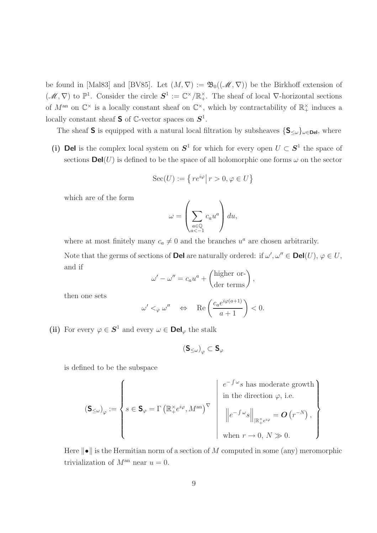be found in [Mal83] and [BV85]. Let  $(M, \nabla) := \mathfrak{B}_0((\mathcal{M}, \nabla))$  be the Birkhoff extension of  $(\mathscr{M}, \nabla)$  to  $\mathbb{P}^1$ . Consider the circle  $\mathbf{S}^1 := \mathbb{C}^\times / \mathbb{R}^\times_+$ . The sheaf of local  $\nabla$ -horizontal sections of  $M^{\text{an}}$  on  $\mathbb{C}^{\times}$  is a locally constant sheaf on  $\mathbb{C}^{\times}$ , which by contractability of  $\mathbb{R}_{+}^{\times}$  induces a locally constant sheaf **S** of  $\mathbb{C}$ -vector spaces on  $S^1$ .

The sheaf S is equipped with a natural local filtration by subsheaves  $\{S_{\leq \omega}\}_{{\omega \in \mathsf{Del}}}$ , where

(i) Del is the complex local system on  $S^1$  for which for every open  $U \subset S^1$  the space of sections  $\text{Del}(U)$  is defined to be the space of all holomorphic one forms  $\omega$  on the sector

$$
\mathrm{Sec}(U):=\left\{\left. re^{i\varphi}\right| r>0,\varphi\in U\right\}
$$

which are of the form

$$
\omega = \left(\sum_{\substack{a \in \mathbb{Q} \\ a < -1}} c_a u^a \right) du,
$$

where at most finitely many  $c_a \neq 0$  and the branches  $u^a$  are chosen arbitrarily. Note that the germs of sections of **Del** are naturally ordered: if  $\omega', \omega'' \in \text{Del}(U)$ ,  $\varphi \in U$ ,

$$
\omega' - \omega'' = c_a u^a + \begin{pmatrix} \text{higher or} \\ \text{der terms} \end{pmatrix},
$$

then one sets

and if

$$
\omega' <_{\varphi} \omega'' \quad \Leftrightarrow \quad \operatorname{Re} \left( \frac{c_a e^{i \varphi(a+1)}}{a+1} \right) < 0.
$$

(ii) For every  $\varphi \in S^1$  and every  $\omega \in \mathbf{Del}_\varphi$  the stalk

$$
(\mathbf{S}_{\leq\omega})_\varphi\subset\mathbf{S}_\varphi
$$

is defined to be the subspace

$$
\left(\mathbf{S}_{\leq\omega}\right)_{\varphi} := \left\{ s \in \mathbf{S}_{\varphi} = \Gamma\left(\mathbb{R}^{\times}_{+}e^{i\varphi}, M^{\text{an}}\right)^{\nabla} \middle| \begin{array}{c} e^{-\int\omega_{\mathcal{S}}}\text{ has moderate growth} \\ \text{in the direction }\varphi, \text{ i.e.} \\ \left\|e^{-\int\omega_{\mathcal{S}}}\right\|_{\mathbb{R}^{\times}_{+}e^{i\varphi}} = \mathbf{O}\left(r^{-N}\right), \\ \text{when } r \to 0, N \gg 0. \end{array}\right\}
$$

Here  $\|\bullet\|$  is the Hermitian norm of a section of M computed in some (any) meromorphic trivialization of  $M^{\text{an}}$  near  $u = 0$ .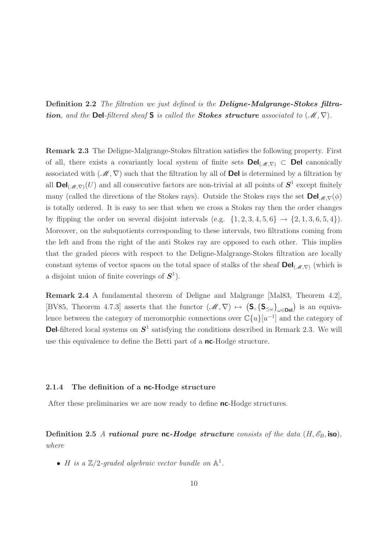Definition 2.2 The filtration we just defined is the Deligne-Malgrange-Stokes filtration, and the Del-filtered sheaf S is called the Stokes structure associated to  $(\mathcal{M}, \nabla)$ .

Remark 2.3 The Deligne-Malgrange-Stokes filtration satisfies the following property. First of all, there exists a covariantly local system of finite sets  $\text{Del}_{(\mathcal{M},\nabla)} \subset \text{Del}$  canonically associated with  $(\mathcal{M}, \nabla)$  such that the filtration by all of **Del** is determined by a filtration by all  $\textsf{Del}_{(\mathscr{M},\nabla)}(U)$  and all consecutive factors are non-trivial at all points of  $\mathbf{S}^1$  except finitely many (called the directions of the Stokes rays). Outside the Stokes rays the set  $\text{Del}_{\mathscr{M},\nabla}(\phi)$ is totally ordered. It is easy to see that when we cross a Stokes ray then the order changes by flipping the order on several disjoint intervals (e.g.  $\{1, 2, 3, 4, 5, 6\} \rightarrow \{2, 1, 3, 6, 5, 4\}$ ). Moreover, on the subquotients corresponding to these intervals, two filtrations coming from the left and from the right of the anti Stokes ray are opposed to each other. This implies that the graded pieces with respect to the Deligne-Malgrange-Stokes filtration are locally constant sytems of vector spaces on the total space of stalks of the sheaf  $\text{Del}_{(\mathcal{M},\nabla)}$  (which is a disjoint union of finite coverings of  $S^1$ ).

Remark 2.4 A fundamental theorem of Deligne and Malgrange [Mal83, Theorem 4.2], [BV85, Theorem 4.7.3] asserts that the functor  $(M, \nabla) \mapsto (\mathsf{S}, {\{\mathsf{S}_{\leq \omega}\}}_{\omega \in \mathsf{Del}})$  is an equivalence between the category of meromorphic connections over  $\mathbb{C}\{u\}[u^{-1}]$  and the category of **Del**-filtered local systems on  $S^1$  satisfying the conditions described in Remark 2.3. We will use this equivalence to define the Betti part of a **nc**-Hodge structure.

#### 2.1.4 The definition of a nc-Hodge structure

After these preliminaries we are now ready to define nc-Hodge structures.

Definition 2.5 A rational pure nc-Hodge structure consists of the data  $(H, \mathscr{E}_B, \text{iso})$ , where

• *H* is a  $\mathbb{Z}/2$ -graded algebraic vector bundle on  $\mathbb{A}^1$ .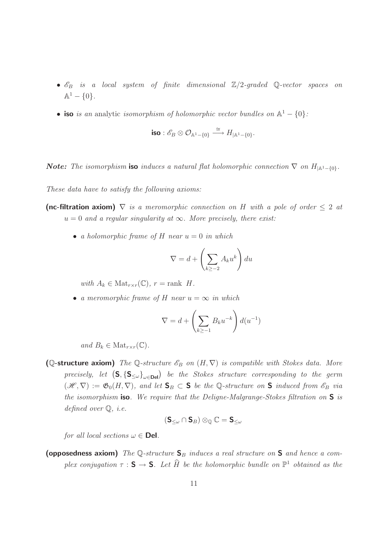- $\mathscr{E}_B$  is a local system of finite dimensional  $\mathbb{Z}/2$ -graded Q-vector spaces on  $\mathbb{A}^1 - \{0\}.$
- iso is an analytic isomorphism of holomorphic vector bundles on  $\mathbb{A}^1 \{0\}$ :

$$
\text{iso}: \mathscr{E}_B \otimes \mathcal{O}_{\mathbb{A}^1 - \{0\}} \stackrel{\cong}{\longrightarrow} H_{|\mathbb{A}^1 - \{0\}}.
$$

**Note:** The isomorphism iso induces a natural flat holomorphic connection  $\nabla$  on  $H_{\vert A^1-\lbrace 0 \rbrace}$ .

These data have to satisfy the following axioms:

- (nc-filtration axiom)  $\nabla$  is a meromorphic connection on H with a pole of order  $\leq 2$  at  $u = 0$  and a regular singularity at  $\infty$ . More precisely, there exist:
	- a holomorphic frame of H near  $u = 0$  in which

$$
\nabla = d + \left(\sum_{k \ge -2} A_k u^k\right) du
$$

with  $A_k \in Mat_{r \times r}(\mathbb{C})$ ,  $r = \text{rank } H$ .

• a meromorphic frame of H near  $u = \infty$  in which

$$
\nabla = d + \left(\sum_{k \ge -1} B_k u^{-k}\right) d(u^{-1})
$$

and  $B_k \in Mat_{r \times r}(\mathbb{C})$ .

(Q-structure axiom) The Q-structure  $\mathscr{E}_B$  on  $(H, \nabla)$  is compatible with Stokes data. More precisely, let  $(S, {S_{\leq \omega}}_{\omega \in \mathbf{Del}})$  be the Stokes structure corresponding to the germ  $(\mathscr{H}, \nabla) := \mathfrak{G}_0(H, \nabla)$ , and let  $\mathsf{S}_B \subset \mathsf{S}$  be the Q-structure on  $\mathsf{S}$  induced from  $\mathscr{E}_B$  via the isomorphism **iso**. We require that the Deligne-Malgrange-Stokes filtration on  $S$  is defined over  $\mathbb{Q}$ , *i.e.* 

$$
(\mathbf{S}_{\leq \omega}\cap \mathbf{S}_B)\otimes_{\mathbb{Q}}\mathbb{C}=\mathbf{S}_{\leq \omega}
$$

for all local sections  $\omega \in \mathbf{Del}$ .

(opposedness axiom) The Q-structure  $S_B$  induces a real structure on S and hence a complex conjugation  $\tau : \mathsf{S} \to \mathsf{S}$ . Let  $\hat{H}$  be the holomorphic bundle on  $\mathbb{P}^1$  obtained as the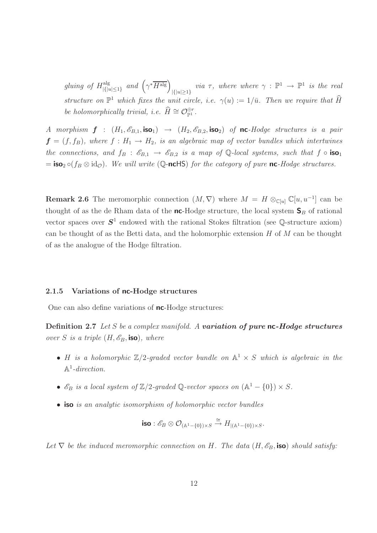gluing of  $H^{\text{alg}}_{\{I\}$  $\lim_{|\{|u|\leq 1\}}$  and  $(\gamma^*\overline{H^{alg}})_{|\{|u|\geq 1\}}$  via  $\tau$ , where where  $\gamma : \mathbb{P}^1 \to \mathbb{P}^1$  is the real structure on  $\mathbb{P}^1$  which fixes the unit circle, i.e.  $\gamma(u) := 1/\bar{u}$ . Then we require that  $\hat{H}$ be holomorphically trivial, i.e.  $\widehat{H} \cong \mathcal{O}_{\mathbb{P}^1}^{\oplus r}$ .

A morphism  $f : (H_1, \mathcal{E}_{B,1}, \text{iso}_1) \rightarrow (H_2, \mathcal{E}_{B,2}, \text{iso}_2)$  of nc-Hodge structures is a pair  $f = (f, f_B)$ , where  $f : H_1 \rightarrow H_2$ , is an algebraic map of vector bundles which intertwines the connections, and  $f_B : \mathscr{E}_{B,1} \to \mathscr{E}_{B,2}$  is a map of Q-local systems, such that  $f \circ \text{iso}_1$  $=$  iso<sub>2</sub>  $\circ$ ( $f_B \otimes id_{\mathcal{O}}$ ). We will write (Q-ncHS) for the category of pure nc-Hodge structures.

**Remark 2.6** The meromorphic connection  $(M, \nabla)$  where  $M = H \otimes_{\mathbb{C}[u]} \mathbb{C}[u, u^{-1}]$  can be thought of as the de Rham data of the **nc**-Hodge structure, the local system  $\mathbf{S}_B$  of rational vector spaces over  $S^1$  endowed with the rational Stokes filtration (see Q-structure axiom) can be thought of as the Betti data, and the holomorphic extension  $H$  of  $M$  can be thought of as the analogue of the Hodge filtration.

#### 2.1.5 Variations of nc-Hodge structures

One can also define variations of **nc**-Hodge structures:

Definition 2.7 Let S be a complex manifold. A variation of pure nc-Hodge structures over S is a triple  $(H, \mathscr{E}_B, \text{iso})$ , where

- H is a holomorphic  $\mathbb{Z}/2$ -graded vector bundle on  $\mathbb{A}^1 \times S$  which is algebraic in the  $\mathbb{A}^1$ -direction.
- $\mathscr{E}_B$  is a local system of  $\mathbb{Z}/2$ -graded Q-vector spaces on  $(\mathbb{A}^1 \{0\}) \times S$ .
- iso is an analytic isomorphism of holomorphic vector bundles

$$
\text{iso}: \mathscr{E}_B \otimes \mathcal{O}_{(\mathbb{A}^1 - \{0\}) \times S} \xrightarrow{\cong} H_{|(\mathbb{A}^1 - \{0\}) \times S}.
$$

Let  $\nabla$  be the induced meromorphic connection on H. The data  $(H, \mathscr{E}_B, \text{iso})$  should satisfy: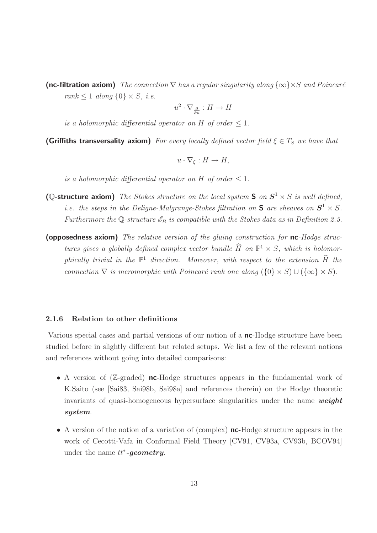(nc-filtration axiom) The connection  $\nabla$  has a regular singularity along  $\{\infty\}\times S$  and Poincaré rank  $\leq 1$  along  $\{0\} \times S$ , *i.e.* 

$$
u^2 \cdot \nabla_{\frac{\partial}{\partial u}} : H \to H
$$

is a holomorphic differential operator on H of order  $\leq 1$ .

(Griffiths transversality axiom) For every locally defined vector field  $\xi \in T_S$  we have that

$$
u\cdot\nabla_{\xi}:H\to H,
$$

is a holomorphic differential operator on H of order  $\leq 1$ .

- (Q-structure axiom) The Stokes structure on the local system S on  $S^1 \times S$  is well defined, *i.e.* the steps in the Deligne-Malgrange-Stokes filtration on **S** are sheaves on  $S^1 \times S$ . Furthermore the Q-structure  $\mathscr{E}_B$  is compatible with the Stokes data as in Definition 2.5.
- (opposedness axiom) The relative version of the gluing construction for nc-Hodge structures gives a globally defined complex vector bundle  $\hat{H}$  on  $\mathbb{P}^1 \times S$ , which is holomorphically trivial in the  $\mathbb{P}^1$  direction. Moreover, with respect to the extension  $\hat{H}$  the connection  $\nabla$  is meromorphic with Poincaré rank one along  $({0} \times S) \cup ({\infty} \times S)$ .

#### 2.1.6 Relation to other definitions

Various special cases and partial versions of our notion of a nc-Hodge structure have been studied before in slightly different but related setups. We list a few of the relevant notions and references without going into detailed comparisons:

- A version of  $(\mathbb{Z}\text{-graded})$  nc-Hodge structures appears in the fundamental work of K.Saito (see [Sai83, Sai98b, Sai98a] and references therein) on the Hodge theoretic invariants of quasi-homogeneous hypersurface singularities under the name  $weight$ system.
- A version of the notion of a variation of (complex) **nc**-Hodge structure appears in the work of Cecotti-Vafa in Conformal Field Theory [CV91, CV93a, CV93b, BCOV94] under the name  $tt^*$ -geometry.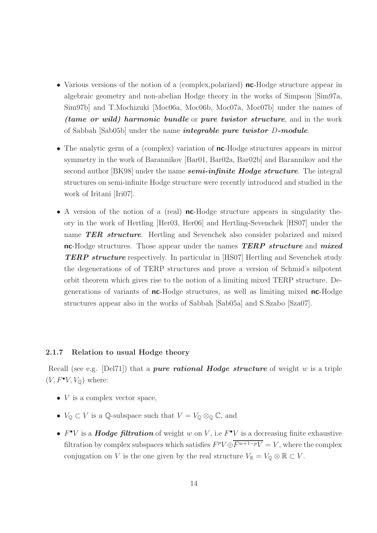- Various versions of the notion of a (complex, polarized) **nc**-Hodge structure appear in algebraic geometry and non-abelian Hodge theory in the works of Simpson [Sim97a, Sim97b] and T.Mochizuki [Moc06a, Moc06b, Moc07a, Moc07b] under the names of (tame or wild) harmonic bundle or pure twistor structure, and in the work of Sabbah  $[Sub05b]$  under the name *integrable pure twistor D-module.*
- The analytic germ of a (complex) variation of **nc**-Hodge structures appears in mirror symmetry in the work of Barannikov [Bar01, Bar02a, Bar02b] and Barannikov and the second author [BK98] under the name **semi-infinite Hodge structure**. The integral structures on semi-infinite Hodge structure were recently introduced and studied in the work of Iritani [Iri07].
- A version of the notion of a (real) **nc**-Hodge structure appears in singularity theory in the work of Hertling [Her03, Her06] and Hertling-Sevenchek [HS07] under the name TER structure. Hertling and Sevenchek also consider polarized and mixed nc-Hodge structures. Those appear under the names **TERP** structure and mixed **TERP structure** respectively. In particular in [HS07] Hertling and Sevenchek study the degenerations of of TERP structures and prove a version of Schmid's nilpotent orbit theorem which gives rise to the notion of a limiting mixed TERP structure. Degenerations of variants of nc-Hodge structures, as well as limiting mixed nc-Hodge structures appear also in the works of Sabbah [Sab05a] and S.Szabo [Sza07].

#### 2.1.7 Relation to usual Hodge theory

Recall (see e.g. [Del71]) that a *pure rational Hodge structure* of weight w is a triple  $(V, F^{\bullet}V, V_{\mathbb{Q}})$  where:

- $V$  is a complex vector space,
- $V_{\mathbb{Q}} \subset V$  is a  $\mathbb{Q}$ -subspace such that  $V = V_{\mathbb{Q}} \otimes_{\mathbb{Q}} \mathbb{C}$ , and
- $F^{\bullet}V$  is a **Hodge filtration** of weight w on V, i.e  $F^{\bullet}V$  is a decreasing finite exhaustive filtration by complex subspaces which satisfies  $F^pV \oplus \overline{F^{w+1-p}V} = V$ , where the complex conjugation on V is the one given by the real structure  $V_{\mathbb{R}} = V_{\mathbb{Q}} \otimes \mathbb{R} \subset V$ .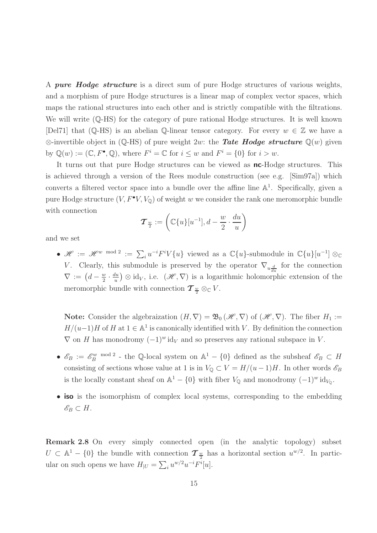A *pure Hodge structure* is a direct sum of pure Hodge structures of various weights, and a morphism of pure Hodge structures is a linear map of complex vector spaces, which maps the rational structures into each other and is strictly compatible with the filtrations. We will write  $(Q$ -HS) for the category of pure rational Hodge structures. It is well known [Del71] that (Q-HS) is an abelian Q-linear tensor category. For every  $w \in \mathbb{Z}$  we have a  $\otimes$ -invertible object in ( $\mathbb{Q}$ -HS) of pure weight 2w: the **Tate Hodge structure**  $\mathbb{Q}(w)$  given by  $\mathbb{Q}(w) := (\mathbb{C}, F^{\bullet}, \mathbb{Q})$ , where  $F^i = \mathbb{C}$  for  $i \leq w$  and  $F^i = \{0\}$  for  $i > w$ .

It turns out that pure Hodge structures can be viewed as **nc**-Hodge structures. This is achieved through a version of the Rees module construction (see e.g. [Sim97a]) which converts a filtered vector space into a bundle over the affine line  $\mathbb{A}^1$ . Specifically, given a pure Hodge structure  $(V, F^{\bullet}V, V_{\mathbb{Q}})$  of weight w we consider the rank one meromorphic bundle with connection

$$
\boldsymbol{\mathcal{T}}_{\frac{w}{2}}:=\left(\mathbb{C}\{u\}[u^{-1}],d-\frac{w}{2}\cdot\frac{du}{u}\right)
$$

and we set

•  $\mathscr{H} := \mathscr{H}^w$  mod 2 :=  $\sum_i u^{-i} F^i V{u}$  viewed as a  $\mathbb{C}{u}$ -submodule in  $\mathbb{C}{u}[u^{-1}] \otimes_{\mathbb{C}{u}}$ V. Clearly, this submodule is preserved by the operator  $\nabla_{u\frac{d}{du}}$  for the connection  $\nabla := \left(d - \frac{w}{2} \cdot \frac{du}{u}\right) \otimes id_V$ , i.e.  $(\mathscr{H}, \nabla)$  is a logarithmic holomorp  $rac{w}{2} \cdot \frac{du}{u}$  $\frac{du}{du}$   $\otimes$  id<sub>V</sub>, i.e.  $(\mathscr{H}, \nabla)$  is a logarithmic holomorphic extension of the meromorphic bundle with connection  $\mathcal{T}_{\frac{w}{2}} \otimes_{\mathbb{C}} V$ .

**Note:** Consider the algebraization  $(H, \nabla) = \mathfrak{B}_0(\mathcal{H}, \nabla)$  of  $(\mathcal{H}, \nabla)$ . The fiber  $H_1 :=$  $H/(u-1)H$  of H at  $1 \in \mathbb{A}^1$  is canonically identified with V. By definition the connection  $\nabla$  on H has monodromy  $(-1)^{w}$  id<sub>V</sub> and so preserves any rational subspace in V.

- $\mathscr{E}_B := \mathscr{E}_B^w$  mod 2 the Q-local system on  $\mathbb{A}^1 \{0\}$  defined as the subsheaf  $\mathscr{E}_B \subset H$ consisting of sections whose value at 1 is in  $V_{\mathbb{Q}} \subset V = H/(u-1)H$ . In other words  $\mathscr{E}_B$ is the locally constant sheaf on  $\mathbb{A}^1 - \{0\}$  with fiber  $V_{\mathbb{Q}}$  and monodromy  $(-1)^w \mathrm{id}_{V_{\mathbb{Q}}}$ .
- iso is the isomorphism of complex local systems, corresponding to the embedding  $\mathscr{E}_B \subset H$ .

Remark 2.8 On every simply connected open (in the analytic topology) subset  $U \subset \mathbb{A}^1 - \{0\}$  the bundle with connection  $\mathcal{T}_{\frac{w}{2}}$  has a horizontal section  $u^{w/2}$ . In particular on such opens we have  $H_{|U} = \sum_i u^{w/2} u^{-i} F^i[u].$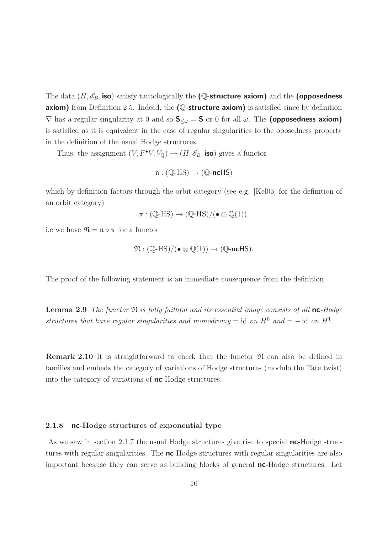The data  $(H, \mathscr{E}_B$ , iso) satisfy tautologically the (Q-structure axiom) and the (opposedness **axiom)** from Definition 2.5. Indeed, the  $(Q$ -structure axiom) is satisfied since by definition  $\nabla$  has a regular singularity at 0 and so  $S_{\leq \omega} = S$  or 0 for all  $\omega$ . The (opposedness axiom) is satisfied as it is equivalent in the case of regular singularities to the oposedness property in the definition of the usual Hodge structures.

Thus, the assignment  $(V, F^{\bullet}V, V_{\mathbb Q}) \to (H, \mathscr{E}_B, \text{iso})$  gives a functor

$$
\mathfrak{n}: (\mathbb{Q}\text{-HS}) \to (\mathbb{Q}\text{-ncHS})
$$

which by definition factors through the orbit category (see e.g. [Kel05] for the definition of an orbit category)

$$
\pi: (\mathbb{Q}\text{-HS}) \to (\mathbb{Q}\text{-HS})/(\bullet \otimes \mathbb{Q}(1)),
$$

i.e we have  $\mathfrak{N} = \mathfrak{n} \circ \pi$  for a functor

$$
\mathfrak{N} : (\mathbb{Q}\text{-HS})/(\bullet \otimes \mathbb{Q}(1)) \to (\mathbb{Q}\text{-ncHS}).
$$

The proof of the following statement is an immediate consequence from the definition.

**Lemma 2.9** The functor  $\mathfrak{N}$  is fully faithful and its essential image consists of all nc-Hodge structures that have regular singularities and monodromy = id on  $H^0$  and = - id on  $H^1$ .

**Remark 2.10** It is straightforward to check that the functor  $\mathfrak{N}$  can also be defined in families and embeds the category of variations of Hodge structures (modulo the Tate twist) into the category of variations of **nc**-Hodge structures.

#### 2.1.8 nc-Hodge structures of exponential type

As we saw in section 2.1.7 the usual Hodge structures give rise to special **nc**-Hodge structures with regular singularities. The **nc**-Hodge structures with regular singularities are also important because they can serve as building blocks of general **nc**-Hodge structures. Let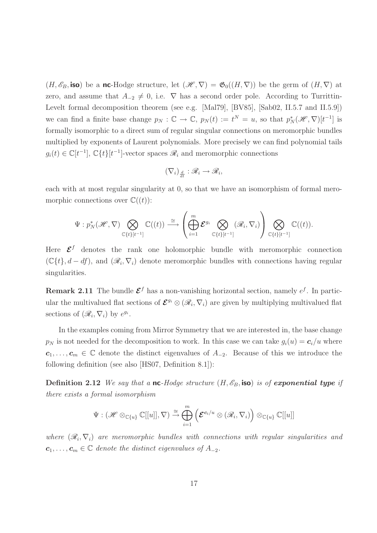$(H, \mathscr{E}_B$ , iso) be a nc-Hodge structure, let  $(\mathscr{H}, \nabla) = \mathfrak{G}_0((H, \nabla))$  be the germ of  $(H, \nabla)$  at zero, and assume that  $A_{-2} \neq 0$ , i.e.  $\nabla$  has a second order pole. According to Turrittin-Levelt formal decomposition theorem (see e.g. [Mal79], [BV85], [Sab02, II.5.7 and II.5.9]) we can find a finite base change  $p_N : \mathbb{C} \to \mathbb{C}$ ,  $p_N(t) := t^N = u$ , so that  $p_N^*(\mathcal{H}, \nabla)[t^{-1}]$  is formally isomorphic to a direct sum of regular singular connections on meromorphic bundles multiplied by exponents of Laurent polynomials. More precisely we can find polynomial tails  $g_i(t) \in \mathbb{C}[t^{-1}], \mathbb{C}{t}[t^{-1}]$ -vector spaces  $\mathcal{R}_i$  and meromorphic connections

$$
(\nabla_i)_{\frac{d}{dt}} : \mathscr{R}_i \to \mathscr{R}_i,
$$

each with at most regular singularity at 0, so that we have an isomorphism of formal meromorphic connections over  $\mathbb{C}((t))$ :

$$
\Psi: p_N^*(\mathscr{H}, \nabla) \bigotimes_{\mathbb{C}\{t\}[t^{-1}]} \mathbb{C}((t)) \stackrel{\cong}{\longrightarrow} \left(\bigoplus_{i=1}^m \mathcal{E}^{g_i} \bigotimes_{\mathbb{C}\{t\}[t^{-1}]} (\mathscr{R}_i, \nabla_i) \right) \bigotimes_{\mathbb{C}\{t\}[t^{-1}]} \mathbb{C}((t)).
$$

Here  $\mathcal{E}^f$  denotes the rank one holomorphic bundle with meromorphic connection  $(\mathbb{C}{t}, d - df)$ , and  $(\mathscr{R}_i, \nabla_i)$  denote meromorphic bundles with connections having regular singularities.

**Remark 2.11** The bundle  $\mathcal{E}^f$  has a non-vanishing horizontal section, namely  $e^f$ . In particular the multivalued flat sections of  $\mathcal{E}^{g_i} \otimes (\mathscr{R}_i, \nabla_i)$  are given by multiplying multivalued flat sections of  $(\mathcal{R}_i, \nabla_i)$  by  $e^{g_i}$ .

In the examples coming from Mirror Symmetry that we are interested in, the base change  $p_N$  is not needed for the decomposition to work. In this case we can take  $g_i(u) = c_i/u$  where  $c_1, \ldots, c_m \in \mathbb{C}$  denote the distinct eigenvalues of  $A_{-2}$ . Because of this we introduce the following definition (see also [HS07, Definition 8.1]):

**Definition 2.12** We say that a nc-Hodge structure  $(H, \mathscr{E}_B$ , iso) is of exponential type if there exists a formal isomorphism

$$
\Psi: (\mathscr{H} \otimes_{\mathbb{C}\{u\}} \mathbb{C}[[u]], \nabla) \stackrel{\cong}{\to} \bigoplus_{i=1}^{m} \left( \mathcal{E}^{\mathbf{c}_i/u} \otimes (\mathscr{R}_i, \nabla_i) \right) \otimes_{\mathbb{C}\{u\}} \mathbb{C}[[u]]
$$

where  $(\mathscr{R}_i, \nabla_i)$  are meromorphic bundles with connections with regular singularities and  $c_1, \ldots, c_m \in \mathbb{C}$  denote the distinct eigenvalues of  $A_{-2}$ .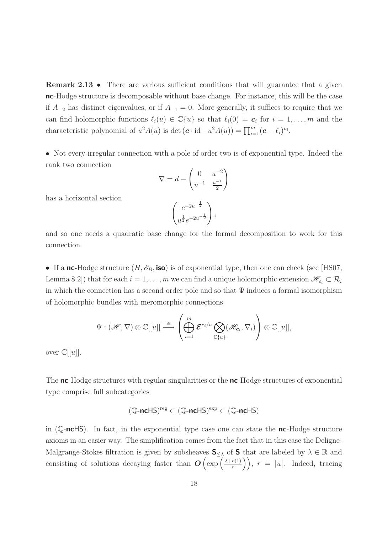Remark 2.13 • There are various sufficient conditions that will guarantee that a given nc-Hodge structure is decomposable without base change. For instance, this will be the case if  $A_{-2}$  has distinct eigenvalues, or if  $A_{-1} = 0$ . More generally, it suffices to require that we can find holomorphic functions  $\ell_i(u) \in \mathbb{C}\{u\}$  so that  $\ell_i(0) = \mathbf{c}_i$  for  $i = 1, \ldots, m$  and the characteristic polynomial of  $u^2A(u)$  is det  $(c \cdot id - u^2A(u)) = \prod_{i=1}^m (c - \ell_i)^{\nu_i}$ .

• Not every irregular connection with a pole of order two is of exponential type. Indeed the rank two connection

$$
\nabla = d - \begin{pmatrix} 0 & u^{-2} \\ u^{-1} & \frac{u^{-1}}{2} \end{pmatrix}
$$

$$
\begin{pmatrix} e^{-2u^{-\frac{1}{2}}} \\ u^{\frac{1}{2}} e^{-2u^{-\frac{1}{2}}} \end{pmatrix},
$$

has a horizontal section

and so one needs a quadratic base change for the formal decomposition to work for this connection.

• If a nc-Hodge structure  $(H, \mathscr{E}_B, \text{iso})$  is of exponential type, then one can check (see [HS07, Lemma 8.2]) that for each  $i = 1, \ldots, m$  we can find a unique holomorphic extension  $\mathscr{H}_{c_i} \subset \mathcal{R}_i$ in which the connection has a second order pole and so that  $\Psi$  induces a formal isomorphism of holomorphic bundles with meromorphic connections

$$
\Psi: (\mathscr{H}, \nabla) \otimes \mathbb{C}[[u]] \stackrel{\cong}{\longrightarrow} \left( \bigoplus_{i=1}^m \mathcal{E}^{\boldsymbol{c}_i/u} \bigotimes_{\mathbb{C}\{u\}} (\mathscr{H}_{\boldsymbol{c}_i}, \nabla_i) \right) \otimes \mathbb{C}[[u]],
$$

over  $\mathbb{C}[[u]].$ 

The **nc**-Hodge structures with regular singularities or the **nc**-Hodge structures of exponential type comprise full subcategories

$$
(\mathbb{Q}\text{-nclS})^{\mathrm{reg}}\subset (\mathbb{Q}\text{-nclS})^{\mathrm{exp}}\subset (\mathbb{Q}\text{-nclS})
$$

in  $(\mathbb{Q}\text{-nclS})$ . In fact, in the exponential type case one can state the **nc**-Hodge structure axioms in an easier way. The simplification comes from the fact that in this case the Deligne-Malgrange-Stokes filtration is given by subsheaves  $S_{\leq \lambda}$  of S that are labeled by  $\lambda \in \mathbb{R}$  and consisting of solutions decaying faster than  $O\left(\exp\left(\frac{\lambda+o(1)}{r}\right)\right)$  $\binom{o(1)}{r}$ ,  $r = |u|$ . Indeed, tracing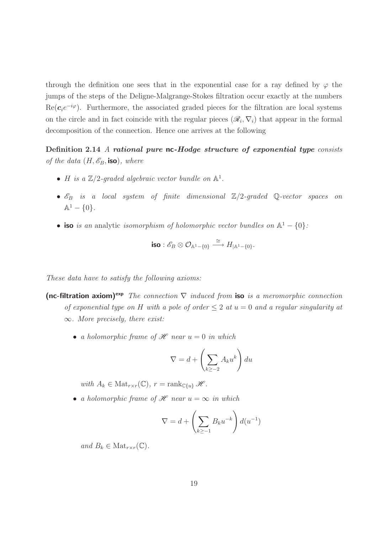through the definition one sees that in the exponential case for a ray defined by  $\varphi$  the jumps of the steps of the Deligne-Malgrange-Stokes filtration occur exactly at the numbers  $\text{Re}(\mathbf{c}_i e^{-i\varphi})$ . Furthermore, the associated graded pieces for the filtration are local systems on the circle and in fact coincide with the regular pieces  $(\mathcal{R}_i, \nabla_i)$  that appear in the formal decomposition of the connection. Hence one arrives at the following

Definition 2.14 A rational pure nc-Hodge structure of exponential type consists of the data  $(H, \mathscr{E}_B$ , iso), where

- *H* is a  $\mathbb{Z}/2$ -graded algebraic vector bundle on  $\mathbb{A}^1$ .
- $\mathscr{E}_B$  is a local system of finite dimensional  $\mathbb{Z}/2$ -graded Q-vector spaces on  $\mathbb{A}^1 - \{0\}.$
- iso is an analytic isomorphism of holomorphic vector bundles on  $\mathbb{A}^1 \{0\}$ :

$$
\text{iso}:\mathscr{E}_B\otimes\mathcal{O}_{\mathbb{A}^1-\{0\}}\stackrel{\cong}{\longrightarrow} H_{|\mathbb{A}^1-\{0\}}.
$$

These data have to satisfy the following axioms:

- (nc-filtration axiom)<sup>exp</sup> The connection  $\nabla$  induced from iso is a meromorphic connection of exponential type on H with a pole of order  $\leq 2$  at  $u = 0$  and a regular singularity at  $\infty$ . More precisely, there exist:
	- a holomorphic frame of  $\mathscr H$  near  $u = 0$  in which

$$
\nabla = d + \left(\sum_{k \ge -2} A_k u^k\right) du
$$

with  $A_k \in Mat_{r \times r}(\mathbb{C}), r = \operatorname{rank}_{\mathbb{C}\{u\}} \mathcal{H}.$ 

• a holomorphic frame of  $\mathscr H$  near  $u = \infty$  in which

$$
\nabla = d + \left(\sum_{k \ge -1} B_k u^{-k}\right) d(u^{-1})
$$

and  $B_k \in Mat_{r \times r}(\mathbb{C})$ .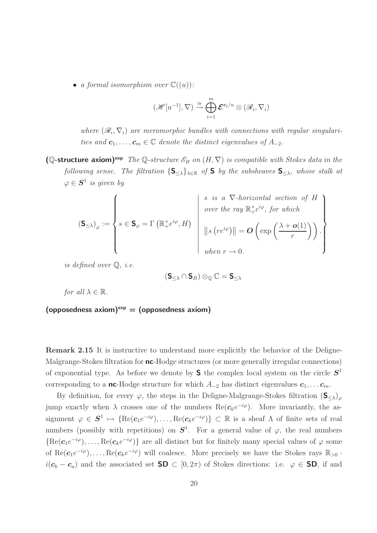• a formal isomorphism over  $\mathbb{C}((u))$ :

$$
(\mathscr{H}[u^{-1}], \nabla) \stackrel{\cong}{\rightarrow} \bigoplus_{i=1}^{m} \mathcal{E}^{\mathbf{c}_i/u} \otimes (\mathscr{R}_i, \nabla_i)
$$

where  $(\mathcal{R}_i, \nabla_i)$  are meromorphic bundles with connections with regular singularities and  $c_1, \ldots, c_m \in \mathbb{C}$  denote the distinct eigenvalues of  $A_{-2}$ .

(Q-structure axiom)<sup>exp</sup> The Q-structure  $\mathscr{E}_B$  on  $(H, \nabla)$  is compatible with Stokes data in the following sense. The filtration  $\{S_{\leq \lambda}\}_{{\lambda \in \mathbb{R}}}$  of S by the subsheaves  $S_{\leq \lambda}$ , whose stalk at  $\varphi \in \mathcal{S}^1$  is given by

$$
\left(\mathbf{S}_{\leq \lambda}\right)_{\varphi} := \left\{ s \in \mathbf{S}_{\varphi} = \Gamma\left(\mathbb{R}^{\times}e^{i\varphi}, H\right) \quad \middle| \quad \begin{array}{l} s \text{ is a } \nabla\text{-horizontal section of } H \\ over the ray  $\mathbb{R}^{\times}e^{i\varphi}, \text{ for which} \\ \quad \left\| s\left(re^{i\varphi}\right) \right\| = \mathbf{O}\left(\exp\left(\frac{\lambda + \mathbf{o}(1)}{r}\right)\right). \\ \quad \left\| \text{when } r \to 0. \end{array} \right\}$
$$

is defined over Q, i.e.

$$
(\mathbf{S}_{\leq \lambda} \cap \mathbf{S}_B) \otimes_{\mathbb{Q}} \mathbb{C} = \mathbf{S}_{\leq \lambda}
$$

for all  $\lambda \in \mathbb{R}$ .

(opposedness axiom)<sup> $exp$ </sup> = (opposedness axiom)

Remark 2.15 It is instructive to understand more explicitly the behavior of the Deligne-Malgrange-Stokes filtration for **nc**-Hodge structures (or more generally irregular connections) of exponential type. As before we denote by **S** the complex local system on the circle  $S<sup>1</sup>$ corresponding to a nc-Hodge structure for which  $A_{-2}$  has distinct eigenvalues  $c_1, \ldots c_m$ .

By definition, for every  $\varphi$ , the steps in the Deligne-Malgrange-Stokes filtration  $(\mathbf{S}_{\leq \lambda})_{\varphi}$ jump exactly when  $\lambda$  crosses one of the numbers  $\text{Re}(\mathbf{c}_k e^{-i\varphi})$ . More invariantly, the assignment  $\varphi \in \mathbf{S}^1 \mapsto \{ \text{Re}(\mathbf{c}_1 e^{-i\varphi}), \dots, \text{Re}(\mathbf{c}_k e^{-i\varphi}) \} \subset \mathbb{R}$  is a sheaf  $\Lambda$  of finite sets of real numbers (possibly with repetitions) on  $S^1$ . For a general value of  $\varphi$ , the real numbers  ${Re(c_1e^{-i\varphi}), \ldots, Re(c_ke^{-i\varphi})}$  are all distinct but for finitely many special values of  $\varphi$  some of Re $(c_1e^{-i\varphi}), \ldots, \text{Re}(c_ke^{-i\varphi})$  will coalesce. More precisely we have the Stokes rays  $\mathbb{R}_{>0}$ .  $i(c_b - c_a)$  and the associated set **SD**  $\subset$  [0, 2 $\pi$ ) of Stokes directions: i.e.  $\varphi \in$  **SD**, if and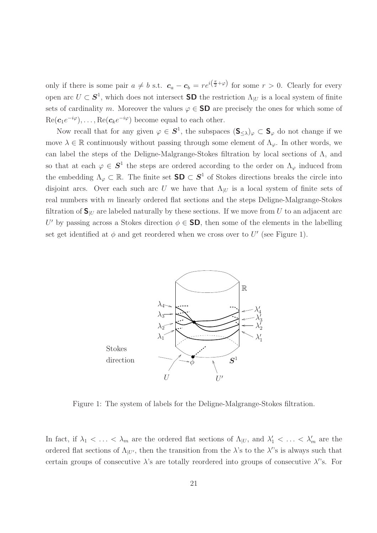only if there is some pair  $a \neq b$  s.t.  $c_a - c_b = re^{i(\frac{\pi}{2} + \varphi)}$  for some  $r > 0$ . Clearly for every open arc  $U \subset \mathbf{S}^1$ , which does not intersect **SD** the restriction  $\Lambda_{|U}$  is a local system of finite sets of cardinality m. Moreover the values  $\varphi \in SD$  are precisely the ones for which some of  $\text{Re}(\boldsymbol{c}_1 e^{-i\varphi}), \ldots, \text{Re}(\boldsymbol{c}_k e^{-i\varphi})$  become equal to each other.

Now recall that for any given  $\varphi \in S^1$ , the subspaces  $(\mathbf{S}_{\leq \lambda})_{\varphi} \subset \mathbf{S}_{\varphi}$  do not change if we move  $\lambda \in \mathbb{R}$  continuously without passing through some element of  $\Lambda_{\varphi}$ . In other words, we can label the steps of the Deligne-Malgrange-Stokes filtration by local sections of Λ, and so that at each  $\varphi \in S^1$  the steps are ordered according to the order on  $\Lambda_{\varphi}$  induced from the embedding  $\Lambda_{\varphi} \subset \mathbb{R}$ . The finite set  $\mathsf{SD} \subset \mathbf{S}^1$  of Stokes directions breaks the circle into disjoint arcs. Over each such arc U we have that  $\Lambda_{|U}$  is a local system of finite sets of real numbers with m linearly ordered flat sections and the steps Deligne-Malgrange-Stokes filtration of  $S_{\text{U}}$  are labeled naturally by these sections. If we move from U to an adjacent arc U' by passing across a Stokes direction  $\phi \in SD$ , then some of the elements in the labelling set get identified at  $\phi$  and get reordered when we cross over to U' (see Figure 1).



Figure 1: The system of labels for the Deligne-Malgrange-Stokes filtration.

In fact, if  $\lambda_1 < \ldots < \lambda_m$  are the ordered flat sections of  $\Lambda_{|U}$ , and  $\lambda'_1 < \ldots < \lambda'_m$  are the ordered flat sections of  $\Lambda_{|U'}$ , then the transition from the  $\lambda$ 's to the  $\lambda$ 's is always such that certain groups of consecutive  $\lambda$ 's are totally reordered into groups of consecutive  $\lambda$ 's. For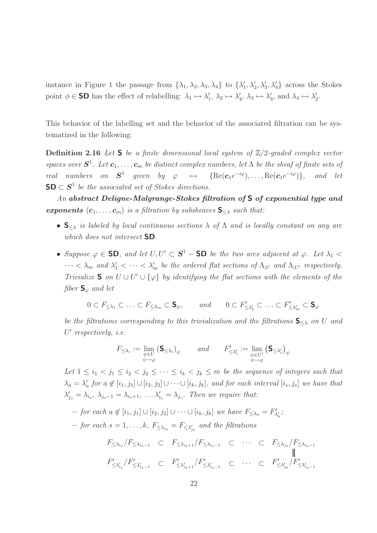instance in Figure 1 the passage from  $\{\lambda_1, \lambda_2, \lambda_3, \lambda_4\}$  to  $\{\lambda'_1, \lambda'_2, \lambda'_3, \lambda'_4\}$  across the Stokes point  $\phi \in$  SD has the effect of relabelling:  $\lambda_1 \mapsto \lambda'_1$ ,  $\lambda_2 \mapsto \lambda'_4$ ,  $\lambda_3 \mapsto \lambda'_3$ , and  $\lambda_4 \mapsto \lambda'_2$ .

This behavior of the labelling set and the behavior of the associated filtration can be systematized in the following:

**Definition 2.16** Let **S** be a finite dimensional local system of  $\mathbb{Z}/2$ -graded complex vector spaces over  $S^1$ . Let  $c_1, \ldots, c_m$  be distinct complex numbers, let  $\Lambda$  be the sheaf of finite sets of real numbers on  $S^1$  given by  $\varphi \mapsto {\rm \{Re}(\mathbf{c}_1e^{-i\varphi}), \dots, Re(\mathbf{c}_1e^{-i\varphi})\}}$  $and$  let  $SD \subset S<sup>1</sup>$  be the associated set of Stokes directions.

An abstract Deligne-Malgrange-Stokes filtration of S of exponential type and **exponents**  $(c_1, \ldots, c_m)$  is a filtration by subsheaves  $S_{\leq \lambda}$  such that:

- $S_{\leq \lambda}$  is labeled by local continuous sections  $\lambda$  of  $\Lambda$  and is locally constant on any arc which does not intersect **SD**.
- Suppose  $\varphi \in$  **SD**, and let  $U, U' \subset S^1$  **SD** be the two arcs adjacent at  $\varphi$ . Let  $\lambda_1$  <  $\cdots < \lambda_m$  and  $\lambda'_1 < \cdots < \lambda'_m$  be the ordered flat sections of  $\Lambda_{|U|}$  and  $\Lambda_{|U'}$  respectively. Trivialize S on  $U \cup U' \cup \{\varphi\}$  by identifying the flat sections with the elements of the fiber  $S_{\varphi}$  and let

 $0 \subset F_{\leq \lambda_1} \subset \ldots \subset F_{\leq \lambda_m} \subset \mathbf{S}_{\varphi}, \quad \text{and} \quad 0 \subset F'_{\leq \lambda_1}$  $C'_{\leq \lambda_1'} \subset \ldots \subset F'_{\leq \lambda_m'} \subset {\sf S}_{\varphi}$ 

be the filtrations corresponding to this trivialization and the filtrations  $S_{\leq \lambda}$  on U and U ′ respectively, i.e.

$$
F_{\leq \lambda_i} := \lim_{\substack{\psi \in U \\ \psi \to \varphi}} (\mathbf{S}_{\leq \lambda_i})_{\psi} \qquad and \qquad F'_{\leq \lambda'_i} := \lim_{\substack{\psi \in U' \\ \psi \to \varphi}} (\mathbf{S}_{\leq \lambda'_i})_{\psi}
$$

Let  $1 \leq i_1 < j_1 \leq i_2 < j_2 \leq \cdots \leq i_k < j_k \leq m$  be the sequence of integers such that  $\lambda_a = \lambda'_a$  for  $a \notin [i_1, j_1] \cup [i_2, j_2] \cup \cdots \cup [i_k, j_k]$ , and for each interval  $[i_s, j_s]$  we have that  $\lambda'_{j_s} = \lambda_{i_s}, \lambda_{j_s-1} = \lambda_{i_s+1}, \ldots \lambda'_{i_s} = \lambda_{j_s}.$  Then we require that:

 $-$  for each  $a \notin [i_1, j_1] \cup [i_2, j_2] \cup \cdots \cup [i_k, j_k]$  we have  $F_{\leq \lambda_a} = F'_{\lambda'_a}$ ;

 $-$  for each  $s = 1, \ldots, k$ ,  $F_{\leq \lambda_{j_s}} = F_{\leq \lambda'_{j_s}}$  and the filtrations

$$
F_{\leq \lambda_{i_s}}/F_{\leq \lambda_{i_s-1}} \subset F_{\leq \lambda_{i_s+1}}/F_{\leq \lambda_{i_s-1}} \subset \cdots \subset F_{\leq \lambda_{j_s}}/F_{\leq \lambda_{i_s-1}}
$$
\n
$$
F'_{\leq \lambda'_{i_s}}/F'_{\leq \lambda'_{i_s-1}} \subset F'_{\leq \lambda'_{i_s+1}}/F'_{\leq \lambda'_{i_s-1}} \subset \cdots \subset F'_{\leq \lambda'_{j_s}}/F'_{\leq \lambda'_{i_s-1}}
$$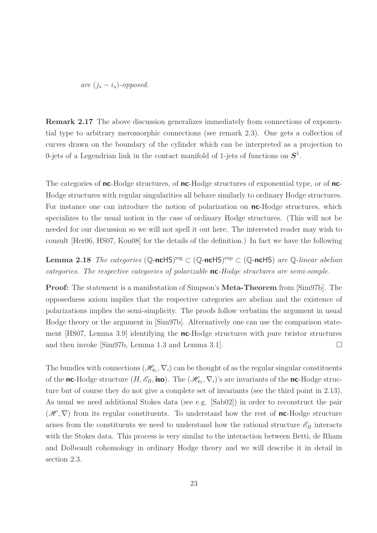are  $(j_s - i_s)$ -opposed.

Remark 2.17 The above discussion generalizes immediately from connections of exponential type to arbitrary meromorphic connections (see remark 2.3). One gets a collection of curves drawn on the boundary of the cylinder which can be interpreted as a projection to 0-jets of a Legendrian link in the contact manifold of 1-jets of functions on  $S^1$ .

The categories of nc-Hodge structures, of nc-Hodge structures of exponential type, or of nc-Hodge structures with regular singularities all behave similarly to ordinary Hodge structures. For instance one can introduce the notion of polarization on **nc**-Hodge structures, which specializes to the usual notion in the case of ordinary Hodge structures. (This will not be needed for our discussion so we will not spell it out here. The interested reader may wish to consult [Her06, HS07, Kon08] for the details of the definition.) In fact we have the following

Lemma 2.18 The categories (Q-ncHS) reg ⊂ (Q-ncHS) exp ⊂ (Q-ncHS) are Q-linear abelian categories. The respective categories of polarizable  $nc$ -Hodge structures are semi-simple.

Proof: The statement is a manifestation of Simpson's Meta-Theorem from [Sim97b]. The opposedness axiom implies that the respective categories are abelian and the existence of polarizations implies the semi-simplicity. The proofs follow verbatim the argument in usual Hodge theory or the argument in [Sim97b]. Alternatively one can use the comparison statement [HS07, Lemma 3.9] identifying the nc-Hodge structures with pure twistor structures and then invoke  $[\text{Sim97b}, \text{ Lemma 1.3 and Lemma 3.1}].$ 

The bundles with connections  $(\mathscr{H}_{c_i}, \nabla_i)$  can be thought of as the regular singular constituents of the **nc**-Hodge structure  $(H, \mathscr{E}_B, \text{iso})$ . The  $(\mathscr{H}_{c_i}, \nabla_i)$ 's are invariants of the **nc**-Hodge structure but of course they do not give a complete set of invariants (see the third point in 2.13). As usual we need additional Stokes data (see e.g. [Sab02]) in order to reconstruct the pair  $(\mathscr{H}, \nabla)$  from its regular constituents. To understand how the rest of **nc**-Hodge structure arises from the constituents we need to understand how the rational structure  $\mathscr{E}_B$  interacts with the Stokes data. This process is very similar to the interaction between Betti, de Rham and Dolbeault cohomology in ordinary Hodge theory and we will describe it in detail in section 2.3.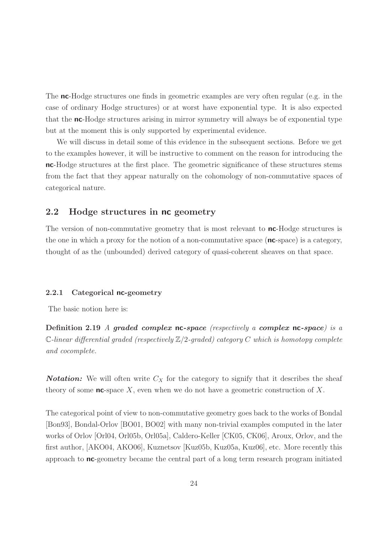The nc-Hodge structures one finds in geometric examples are very often regular (e.g. in the case of ordinary Hodge structures) or at worst have exponential type. It is also expected that the nc-Hodge structures arising in mirror symmetry will always be of exponential type but at the moment this is only supported by experimental evidence.

We will discuss in detail some of this evidence in the subsequent sections. Before we get to the examples however, it will be instructive to comment on the reason for introducing the nc-Hodge structures at the first place. The geometric significance of these structures stems from the fact that they appear naturally on the cohomology of non-commutative spaces of categorical nature.

### 2.2 Hodge structures in nc geometry

The version of non-commutative geometry that is most relevant to **nc**-Hodge structures is the one in which a proxy for the notion of a non-commutative space  $(nc\text{-space})$  is a category, thought of as the (unbounded) derived category of quasi-coherent sheaves on that space.

#### 2.2.1 Categorical nc-geometry

The basic notion here is:

Definition 2.19 A graded complex  $nc$ -space (respectively a complex  $nc$ -space) is a C-linear differential graded (respectively  $\mathbb{Z}/2$ -graded) category C which is homotopy complete and cocomplete.

**Notation:** We will often write  $C_X$  for the category to signify that it describes the sheaf theory of some  $nc$ -space X, even when we do not have a geometric construction of X.

The categorical point of view to non-commutative geometry goes back to the works of Bondal [Bon93], Bondal-Orlov [BO01, BO02] with many non-trivial examples computed in the later works of Orlov [Orl04, Orl05b, Orl05a], Caldero-Keller [CK05, CK06], Aroux, Orlov, and the first author, [AKO04, AKO06], Kuznetsov [Kuz05b, Kuz05a, Kuz06], etc. More recently this approach to nc-geometry became the central part of a long term research program initiated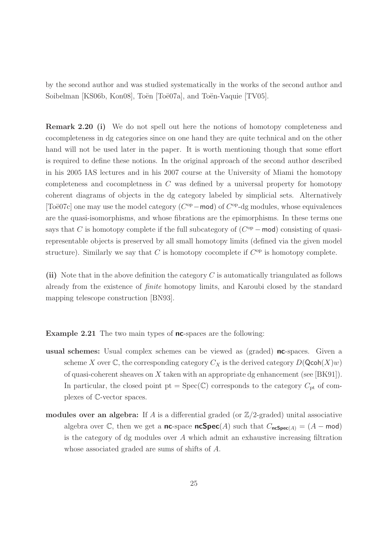by the second author and was studied systematically in the works of the second author and Soibelman [KS06b, Kon08], Toën [Toë07a], and Toën-Vaquie [TV05].

Remark 2.20 (i) We do not spell out here the notions of homotopy completeness and cocompleteness in dg categories since on one hand they are quite technical and on the other hand will not be used later in the paper. It is worth mentioning though that some effort is required to define these notions. In the original approach of the second author described in his 2005 IAS lectures and in his 2007 course at the University of Miami the homotopy completeness and cocompletness in  $C$  was defined by a universal property for homotopy coherent diagrams of objects in the dg category labeled by simplicial sets. Alternatively [Toë07c] one may use the model category  $(C^{op} - \text{mod})$  of  $C^{op}$ -dg modules, whose equivalences are the quasi-isomorphisms, and whose fibrations are the epimorphisms. In these terms one says that C is homotopy complete if the full subcategory of  $(C^{op} - \text{mod})$  consisting of quasirepresentable objects is preserved by all small homotopy limits (defined via the given model structure). Similarly we say that  $C$  is homotopy cocomplete if  $C^{op}$  is homotopy complete.

(ii) Note that in the above definition the category  $C$  is automatically triangulated as follows already from the existence of finite homotopy limits, and Karoubi closed by the standard mapping telescope construction [BN93].

**Example 2.21** The two main types of **nc**-spaces are the following:

- usual schemes: Usual complex schemes can be viewed as (graded) nc-spaces. Given a scheme X over  $\mathbb C$ , the corresponding category  $C_X$  is the derived category  $D(\mathsf{Qcoh}(X)w)$ of quasi-coherent sheaves on X taken with an appropriate dg enhancement (see  $[BK91]$ ). In particular, the closed point  $pt = Spec(\mathbb{C})$  corresponds to the category  $C_{pt}$  of complexes of C-vector spaces.
- modules over an algebra: If A is a differential graded (or  $\mathbb{Z}/2$ -graded) unital associative algebra over C, then we get a nc-space ncSpec(A) such that  $C_{ncSpec(A)} = (A - \text{mod})$ is the category of dg modules over A which admit an exhaustive increasing filtration whose associated graded are sums of shifts of A.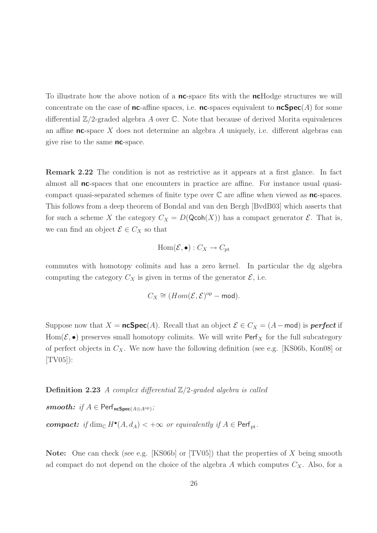To illustrate how the above notion of a **nc**-space fits with the **nc**Hodge structures we will concentrate on the case of **nc**-affine spaces, i.e. **nc**-spaces equivalent to **ncSpec**(A) for some differential  $\mathbb{Z}/2$ -graded algebra A over C. Note that because of derived Morita equivalences an affine nc-space X does not determine an algebra A uniquely, i.e. different algebras can give rise to the same nc-space.

Remark 2.22 The condition is not as restrictive as it appears at a first glance. In fact almost all **nc**-spaces that one encounters in practice are affine. For instance usual quasicompact quasi-separated schemes of finite type over  $\mathbb C$  are affine when viewed as **nc**-spaces. This follows from a deep theorem of Bondal and van den Bergh [BvdB03] which asserts that for such a scheme X the category  $C_X = D(\mathsf{Qcoh}(X))$  has a compact generator  $\mathcal{E}$ . That is, we can find an object  $\mathcal{E} \in C_X$  so that

$$
\operatorname{Hom}(\mathcal{E}, \bullet): C_X \to C_{\text{pt}}
$$

commutes with homotopy colimits and has a zero kernel. In particular the dg algebra computing the category  $C_X$  is given in terms of the generator  $\mathcal{E}$ , i.e.

$$
C_X \cong (Hom(\mathcal{E}, \mathcal{E})^{\mathrm{op}} - \mathsf{mod}).
$$

Suppose now that  $X = \mathsf{ncSpec}(A)$ . Recall that an object  $\mathcal{E} \in C_X = (A - \mathsf{mod})$  is **perfect** if Hom( $\mathcal{E}, \bullet$ ) preserves small homotopy colimits. We will write Perf<sub>X</sub> for the full subcategory of perfect objects in  $C_X$ . We now have the following definition (see e.g. [KS06b, Kon08] or [TV05]):

**Definition 2.23** A complex differential  $\mathbb{Z}/2$ -graded algebra is called

smooth: if  $A \in \mathsf{Perf}_{\mathsf{ncSpec}(A \otimes A^{\mathrm{op}})}$ ;

**compact:** if  $\dim_{\mathbb{C}} H^{\bullet}(A, d_A) < +\infty$  or equivalently if  $A \in \text{Perf}_{\text{pt}}$ .

**Note:** One can check (see e.g. [KS06b] or  $[TV05]$ ) that the properties of X being smooth ad compact do not depend on the choice of the algebra  $A$  which computes  $C_X$ . Also, for a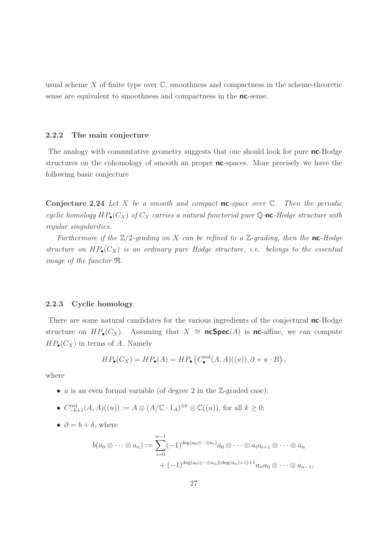usual scheme X of finite type over  $\mathbb{C}$ , smoothness and compactness in the scheme-theoretic sense are equivalent to smoothness and compactness in the **nc**-sense.

#### 2.2.2 The main conjecture

The analogy with commutative geometry suggests that one should look for pure **nc**-Hodge structures on the cohomology of smooth an proper **nc**-spaces. More precisely we have the following basic conjecture

**Conjecture 2.24** Let X be a smooth and compact **nc**-space over  $\mathbb{C}$ . Then the periodic cyclic homology  $HP_{\bullet}(C_X)$  of  $C_X$  carries a natural functorial pure Q-nc-Hodge structure with regular singularities.

Furthermore if the  $\mathbb{Z}/2$ -grading on X can be refined to a  $\mathbb{Z}$ -grading, then the nc-Hodge structure on  $HP_{\bullet}(C_X)$  is an ordinary pure Hodge structure, i.e. belongs to the essential image of the functor N.

#### 2.2.3 Cyclic homology

There are some natural candidates for the various ingredients of the conjectural **nc**-Hodge structure on  $HP_{\bullet}(C_X)$ . Assuming that  $X \cong \mathsf{ncSpec}(A)$  is nc-affine, we can compute  $HP_{\bullet}(C_X)$  in terms of A. Namely

$$
HP_{\bullet}(C_X) = HP_{\bullet}(A) = HP_{\bullet}\left(C_{\bullet}^{\text{red}}(A, A)((u)), \partial + u \cdot B\right),
$$

where

- u is an even formal variable (of degree 2 in the  $\mathbb{Z}$ -graded case);
- $C_{-k+1}^{\text{red}}(A, A)((u)) := A \otimes (A/\mathbb{C} \cdot 1_A)^{\otimes k} \otimes \mathbb{C}((u)),$  for all  $k \geq 0$ ;
- $\partial = b + \delta$ , where

$$
b(a_0 \otimes \cdots \otimes a_n) := \sum_{i=0}^{n-1} (-1)^{\deg(a_0 \otimes \cdots \otimes a_i)} a_0 \otimes \cdots \otimes a_i a_{i+1} \otimes \cdots \otimes a_n
$$
  
+  $(-1)^{\deg(a_0 \otimes \cdots \otimes a_n)(\deg(a_n)+1)+1} a_n a_0 \otimes \cdots \otimes a_{n-1},$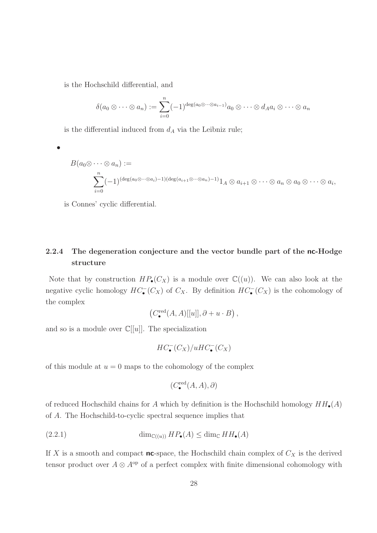is the Hochschild differential, and

$$
\delta(a_0 \otimes \cdots \otimes a_n) := \sum_{i=0}^n (-1)^{\deg(a_0 \otimes \cdots \otimes a_{i-1})} a_0 \otimes \cdots \otimes d_A a_i \otimes \cdots \otimes a_n
$$

is the differential induced from  $d_A$  via the Leibniz rule;

•

$$
B(a_0 \otimes \cdots \otimes a_n) :=
$$
  

$$
\sum_{i=0}^n (-1)^{(\deg(a_0 \otimes \cdots \otimes a_i)-1)(\deg(a_{i+1} \otimes \cdots \otimes a_n)-1)} 1_A \otimes a_{i+1} \otimes \cdots \otimes a_n \otimes a_0 \otimes \cdots \otimes a_i,
$$

is Connes' cyclic differential.

### 2.2.4 The degeneration conjecture and the vector bundle part of the nc-Hodge structure

Note that by construction  $HP_{\bullet}(C_X)$  is a module over  $\mathbb{C}((u))$ . We can also look at the negative cyclic homology  $HC_{\bullet}^-(C_X)$  of  $C_X$ . By definition  $HC_{\bullet}^-(C_X)$  is the cohomology of the complex

$$
\left(C_{\bullet}^{\text{red}}(A, A)[[u]], \partial + u \cdot B\right),\right
$$

and so is a module over  $\mathbb{C}[[u]]$ . The specialization

$$
HC^-_{\bullet}(C_X)/uHC^-_{\bullet}(C_X)
$$

of this module at  $u = 0$  maps to the cohomology of the complex

$$
(C^{\text{red}}_{\bullet}(A, A), \partial)
$$

of reduced Hochschild chains for A which by definition is the Hochschild homology  $HH_{\bullet}(A)$ of A. The Hochschild-to-cyclic spectral sequence implies that

(2.2.1) 
$$
\dim_{\mathbb{C}((u))} HP_{\bullet}(A) \leq \dim_{\mathbb{C}} HH_{\bullet}(A)
$$

If X is a smooth and compact **nc**-space, the Hochschild chain complex of  $C_X$  is the derived tensor product over  $A \otimes A^{\rm op}$  of a perfect complex with finite dimensional cohomology with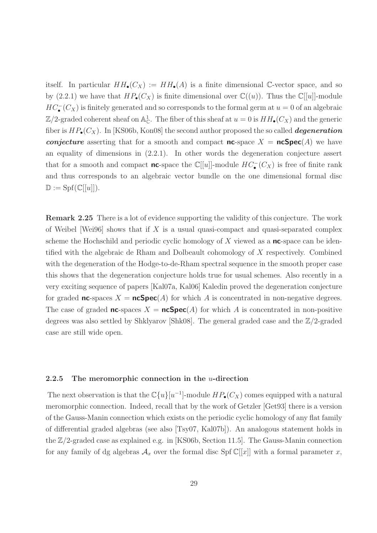itself. In particular  $HH_{\bullet}(C_X) := HH_{\bullet}(A)$  is a finite dimensional C-vector space, and so by (2.2.1) we have that  $HP_{\bullet}(C_X)$  is finite dimensional over  $\mathbb{C}((u))$ . Thus the  $\mathbb{C}[[u]]$ -module  $HC_{\bullet}^{-}(C_X)$  is finitely generated and so corresponds to the formal germ at  $u = 0$  of an algebraic  $\mathbb{Z}/2$ -graded coherent sheaf on  $\mathbb{A}^1_{\mathbb{C}}$ . The fiber of this sheaf at  $u = 0$  is  $HH_{\bullet}(C_X)$  and the generic fiber is  $HP_{\bullet}(C_X)$ . In [KS06b, Kon08] the second author proposed the so called *degeneration conjecture* asserting that for a smooth and compact  $nc$ -space  $X = ncSpec(A)$  we have an equality of dimensions in (2.2.1). In other words the degeneration conjecture assert that for a smooth and compact **nc**-space the  $\mathbb{C}[[u]]$ -module  $HC_{\bullet}^{-}(C_X)$  is free of finite rank and thus corresponds to an algebraic vector bundle on the one dimensional formal disc  $\mathbb{D} := \mathrm{Spf}(\mathbb{C}[[u]]).$ 

Remark 2.25 There is a lot of evidence supporting the validity of this conjecture. The work of Weibel [Wei96] shows that if X is a usual quasi-compact and quasi-separated complex scheme the Hochschild and periodic cyclic homology of  $X$  viewed as a nc-space can be identified with the algebraic de Rham and Dolbeault cohomology of X respectively. Combined with the degeneration of the Hodge-to-de-Rham spectral sequence in the smooth proper case this shows that the degeneration conjecture holds true for usual schemes. Also recently in a very exciting sequence of papers [Kal07a, Kal06] Kaledin proved the degeneration conjecture for graded **nc**-spaces  $X = \text{ncSpec}(A)$  for which A is concentrated in non-negative degrees. The case of graded **nc**-spaces  $X = \text{ncSpec}(A)$  for which A is concentrated in non-positive degrees was also settled by Shklyarov [Shk08]. The general graded case and the Z/2-graded case are still wide open.

#### 2.2.5 The meromorphic connection in the  $u$ -direction

The next observation is that the  $\mathbb{C}\{u\}[u^{-1}]$ -module  $HP_{\bullet}(C_X)$  comes equipped with a natural meromorphic connection. Indeed, recall that by the work of Getzler [Get93] there is a version of the Gauss-Manin connection which exists on the periodic cyclic homology of any flat family of differential graded algebras (see also [Tsy07, Kal07b]). An analogous statement holds in the  $\mathbb{Z}/2$ -graded case as explained e.g. in [KS06b, Section 11.5]. The Gauss-Manin connection for any family of dg algebras  $\mathcal{A}_x$  over the formal disc Spf  $\mathbb{C}[[x]]$  with a formal parameter x,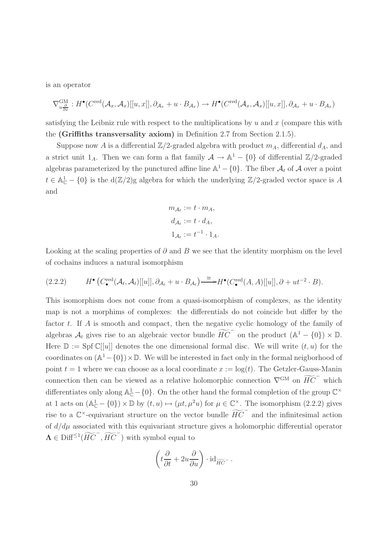is an operator

$$
\nabla_{u\frac{\partial}{\partial x}}^{\text{GM}}: H^{\bullet}(C^{\text{red}}(\mathcal{A}_x, \mathcal{A}_x)[[u, x]], \partial_{\mathcal{A}_x} + u \cdot B_{\mathcal{A}_x}) \to H^{\bullet}(C^{\text{red}}(\mathcal{A}_x, \mathcal{A}_x)[[u, x]], \partial_{\mathcal{A}_x} + u \cdot B_{\mathcal{A}_x})
$$

satisfying the Leibniz rule with respect to the multiplications by  $u$  and  $x$  (compare this with the (Griffiths transversality axiom) in Definition 2.7 from Section 2.1.5).

Suppose now A is a differential  $\mathbb{Z}/2$ -graded algebra with product  $m_A$ , differential  $d_A$ , and a strict unit  $1_A$ . Then we can form a flat family  $A \to \mathbb{A}^1 - \{0\}$  of differential  $\mathbb{Z}/2$ -graded algebras parameterized by the punctured affine line  $\mathbb{A}^1 - \{0\}$ . The fiber  $\mathcal{A}_t$  of  $\mathcal A$  over a point  $t \in \mathbb{A}_{\mathbb{C}}^1 - \{0\}$  is the  $d(\mathbb{Z}/2)$ g algebra for which the underlying  $\mathbb{Z}/2$ -graded vector space is A and

$$
m_{\mathcal{A}_t} := t \cdot m_A,
$$
  
\n
$$
d_{\mathcal{A}_t} := t \cdot d_A,
$$
  
\n
$$
1_{\mathcal{A}_t} := t^{-1} \cdot 1_A.
$$

Looking at the scaling properties of  $\partial$  and B we see that the identity morphism on the level of cochains induces a natural isomorphism

$$
(2.2.2) \tH^{\bullet}\left(C_{\bullet}^{\text{red}}(\mathcal{A}_{t},\mathcal{A}_{t})[[u]],\partial_{\mathcal{A}_{t}}+u\cdot B_{\mathcal{A}_{t}}\right)\stackrel{\cong}{\longrightarrow} H^{\bullet}\left(C_{\bullet}^{\text{red}}(A,A)[[u]],\partial+ut^{-2}\cdot B\right).
$$

This isomorphism does not come from a quasi-isomorphism of complexes, as the identity map is not a morphims of complexes: the differentials do not coincide but differ by the factor t. If A is smooth and compact, then the negative cyclic homology of the family of algebras  $A_t$  gives rise to an algebraic vector bundle  $\widetilde{HC}^-$  on the product  $(A^1 - \{0\}) \times \mathbb{D}$ . Here  $\mathbb{D} := \text{Spf } \mathbb{C}[[u]]$  denotes the one dimensional formal disc. We will write  $(t, u)$  for the coordinates on  $(\mathbb{A}^1 - \{0\}) \times \mathbb{D}$ . We will be interested in fact only in the formal neigborhood of point  $t = 1$  where we can choose as a local coordinate  $x := \log(t)$ . The Getzler-Gauss-Manin connection then can be viewed as a relative holomorphic connection  $\nabla^{GM}$  on  $\widetilde{HC}$ <sup>−</sup> which differentiates only along  $\mathbb{A}_{\mathbb{C}}^1$  - {0}. On the other hand the formal completion of the group  $\mathbb{C}^{\times}$ at 1 acts on  $(\mathbb{A}_{\mathbb{C}}^1 - \{0\}) \times \mathbb{D}$  by  $(t, u) \mapsto (\mu t, \mu^2 u)$  for  $\mu \in \mathbb{C}^{\times}$ . The isomorphism  $(2.2.2)$  gives rise to a  $\mathbb{C}^{\times}$ -equivariant structure on the vector bundle  $\widetilde{HC}^-$  and the infinitesimal action of  $d/d\mu$  associated with this equivariant structure gives a holomorphic differential operator  $\Lambda \in \text{Diff}^{\leq 1}(\widetilde{HC}^-, \widetilde{HC}^-)$  with symbol equal to

$$
\left(t\frac{\partial}{\partial t} + 2u\frac{\partial}{\partial u}\right) \cdot \mathrm{id}_{\widetilde{HC}} \, .
$$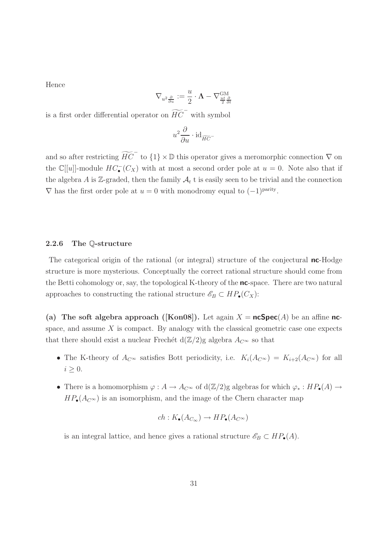Hence

$$
\nabla_{u^2 \frac{\partial}{\partial u}} := \frac{u}{2} \cdot \mathbf{\Lambda} - \nabla^{\mathrm{GM}}_{\frac{ut}{2} \frac{\partial}{\partial t}}
$$

is a first order differential operator on  $\widetilde{HC}^-$  with symbol

$$
u^2\frac{\partial}{\partial u}\cdot\mathrm{id}_{\widetilde{HC}^-}
$$

and so after restricting  $\widetilde{HC}^-$  to  $\{1\} \times \mathbb{D}$  this operator gives a meromorphic connection  $\nabla$  on the  $\mathbb{C}[[u]]$ -module  $HC_{\bullet}^{-}(C_X)$  with at most a second order pole at  $u = 0$ . Note also that if the algebra A is Z-graded, then the family  $A_t$  t is easily seen to be trivial and the connection  $\nabla$  has the first order pole at  $u = 0$  with monodromy equal to  $(-1)^{\text{parity}}$ .

#### 2.2.6 The Q-structure

The categorical origin of the rational (or integral) structure of the conjectural **nc**-Hodge structure is more mysterious. Conceptually the correct rational structure should come from the Betti cohomology or, say, the topological K-theory of the **nc**-space. There are two natural approaches to constructing the rational structure  $\mathscr{E}_B \subset HP_\bullet(C_X)$ :

(a) The soft algebra approach ([Kon08]). Let again  $X = \mathsf{ncSpec}(A)$  be an affine ncspace, and assume  $X$  is compact. By analogy with the classical geometric case one expects that there should exist a nuclear Frechét d $(\mathbb{Z}/2)$ g algebra  $A_{C^{\infty}}$  so that

- The K-theory of  $A_{\mathbb{C}^\infty}$  satisfies Bott periodicity, i.e.  $K_i(A_{\mathbb{C}^\infty}) = K_{i+2}(A_{\mathbb{C}^\infty})$  for all  $i \geq 0$ .
- There is a homomorphism  $\varphi: A \to A_{C^{\infty}}$  of  $d(\mathbb{Z}/2)$ g algebras for which  $\varphi_*: HP_{\bullet}(A) \to$  $HP_{\bullet}(A_{\mathcal{C}^{\infty}})$  is an isomorphism, and the image of the Chern character map

$$
ch: K_{\bullet}(A_{C_{\infty}}) \to HP_{\bullet}(A_{C^{\infty}})
$$

is an integral lattice, and hence gives a rational structure  $\mathscr{E}_B \subset HP_{\bullet}(A)$ .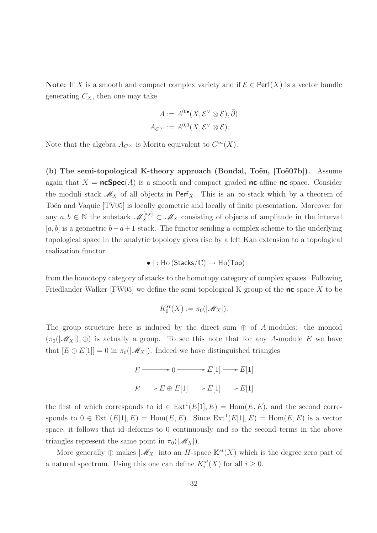Note: If X is a smooth and compact complex variety and if  $\mathcal{E} \in \text{Perf}(X)$  is a vector bundle generating  $C_X$ , then one may take

$$
A := A^{0,\bullet}(X, \mathcal{E}^{\vee} \otimes \mathcal{E}), \bar{\partial})
$$

$$
A_{C^{\infty}} := A^{0,0}(X, \mathcal{E}^{\vee} \otimes \mathcal{E}).
$$

Note that the algebra  $A_{C^{\infty}}$  is Morita equivalent to  $C^{\infty}(X)$ .

(b) The semi-topological K-theory approach (Bondal, Toën,  $[To"e0"7b]$ ). Assume again that  $X = \text{ncSpec}(A)$  is a smooth and compact graded nc-affine nc-space. Consider the moduli stack  $\mathcal{M}_X$  of all objects in Perf<sub>X</sub>. This is an  $\infty$ -stack which by a theorem of Toën and Vaquie [TV05] is locally geometric and locally of finite presentation. Moreover for any  $a, b \in \mathbb{N}$  the substack  $\mathscr{M}_X^{[a,b]} \subset \mathscr{M}_X$  consisting of objects of amplitude in the interval  $[a, b]$  is a geometric  $b - a + 1$ -stack. The functor sending a complex scheme to the underlying topological space in the analytic topology gives rise by a left Kan extension to a topological realization functor

$$
| \bullet | : \text{Ho}(\text{Stacks}/\mathbb{C}) \to \text{Ho}(\text{Top})
$$

from the homotopy category of stacks to the homotopy category of complex spaces. Following Friedlander-Walker [FW05] we define the semi-topological K-group of the  $nc$ -space X to be

$$
K_0^{st}(X):=\pi_0(|\mathscr{M}_X|).
$$

The group structure here is induced by the direct sum  $\oplus$  of A-modules: the monoid  $(\pi_0(|\mathcal{M}_X|), \oplus)$  is actually a group. To see this note that for any A-module E we have that  $[E \oplus E[1]] = 0$  in  $\pi_0(|\mathscr{M}_X|)$ . Indeed we have distinguished triangles

$$
E \longrightarrow 0 \longrightarrow E[1] \longrightarrow E[1]
$$

$$
E \longrightarrow E \oplus E[1] \longrightarrow E[1] \longrightarrow E[1]
$$

the first of which corresponds to id  $\in \text{Ext}^1(E[1], E) = \text{Hom}(E, E)$ , and the second corresponds to  $0 \in \text{Ext}^1(E[1], E) = \text{Hom}(E, E)$ . Since  $\text{Ext}^1(E[1], E) = \text{Hom}(E, E)$  is a vector space, it follows that id deforms to 0 continuously and so the second terms in the above triangles represent the same point in  $\pi_0(|\mathscr{M}_X|)$ .

More generally  $\oplus$  makes  $|\mathscr{M}_X|$  into an H-space  $\mathbb{K}^{st}(X)$  which is the degree zero part of a natural spectrum. Using this one can define  $K_i^{st}(X)$  for all  $i \geq 0$ .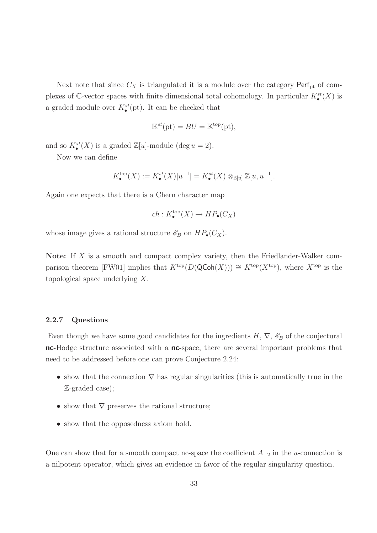Next note that since  $C_X$  is triangulated it is a module over the category Perf<sub>pt</sub> of complexes of C-vector spaces with finite dimensional total cohomology. In particular  $K^{st}_{\bullet}(X)$  is a graded module over  $K^{st}_{\bullet}(\text{pt})$ . It can be checked that

$$
\mathbb{K}^{st}(\text{pt}) = BU = \mathbb{K}^{\text{top}}(\text{pt}),
$$

and so  $K_{\bullet}^{st}(X)$  is a graded  $\mathbb{Z}[u]$ -module (deg  $u = 2$ ).

Now we can define

$$
K_{\bullet}^{\text{top}}(X) := K_{\bullet}^{st}(X)[u^{-1}] = K_{\bullet}^{st}(X) \otimes_{\mathbb{Z}[u]} \mathbb{Z}[u, u^{-1}].
$$

Again one expects that there is a Chern character map

$$
ch: K^{\mathrm{top}}_{\bullet}(X) \to HP_{\bullet}(C_X)
$$

whose image gives a rational structure  $\mathscr{E}_B$  on  $HP_\bullet(C_X)$ .

Note: If  $X$  is a smooth and compact complex variety, then the Friedlander-Walker comparison theorem [FW01] implies that  $K^{top}(D(QCoh(X))) \cong K^{top}(X^{top})$ , where  $X^{top}$  is the topological space underlying X.

#### 2.2.7 Questions

Even though we have some good candidates for the ingredients  $H, \nabla, \mathscr{E}_B$  of the conjectural nc-Hodge structure associated with a nc-space, there are several important problems that need to be addressed before one can prove Conjecture 2.24:

- show that the connection  $\nabla$  has regular singularities (this is automatically true in the Z-graded case);
- show that  $\nabla$  preserves the rational structure;
- show that the opposedness axiom hold.

One can show that for a smooth compact nc-space the coefficient  $A_{-2}$  in the u-connection is a nilpotent operator, which gives an evidence in favor of the regular singularity question.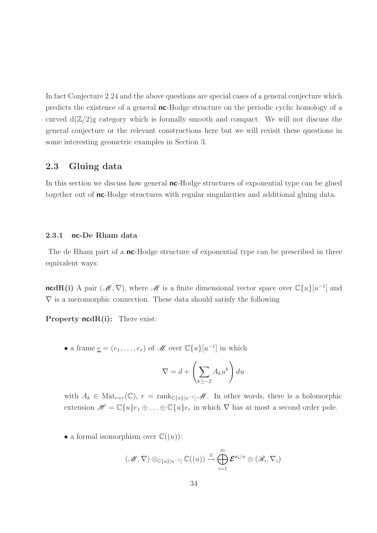In fact Conjecture 2.24 and the above questions are special cases of a general conjecture which predicts the existence of a general nc-Hodge structure on the periodic cyclic homology of a curved  $d(\mathbb{Z}/2)$ g category which is formally smooth and compact. We will not discuss the general conjecture or the relevant constructions here but we will revisit these questions in some interesting geometric examples in Section 3.

### 2.3 Gluing data

In this section we discuss how general **nc**-Hodge structures of exponential type can be glued together out of nc-Hodge structures with regular singularities and additional gluing data.

#### 2.3.1 nc-De Rham data

The de Rham part of a **nc**-Hodge structure of exponential type can be prescribed in three equivalent ways:

ncdR(i) A pair  $(\mathcal{M}, \nabla)$ , where  $\mathcal M$  is a finite dimensional vector space over  $\mathbb C\{u\}[u^{-1}]$  and  $\nabla$  is a meromorphic connection. These data should satisfy the following

Property  $ncdR(i)$ : There exist:

• a frame  $\underline{e} = (e_1, \ldots, e_r)$  of  $\mathcal M$  over  $\mathbb C\{u\}[u^{-1}]$  in which

$$
\nabla = d + \left(\sum_{k \geq -2} A_k u^k\right) du
$$

with  $A_k \in Mat_{r \times r}(\mathbb{C}), r = \text{rank}_{\mathbb{C}\lbrace u \rbrace}[u^{-1}] \mathcal{M}.$  In other words, there is a holomorphic extension  $\mathscr{H} = \mathbb{C}\{u\}e_1 \oplus \ldots \oplus \mathbb{C}\{u\}e_r$  in which  $\nabla$  has at most a second order pole.

• a formal isomorphism over  $\mathbb{C}((u))$ :

$$
(\mathscr{M}, \nabla) \otimes_{\mathbb{C}\{u\}[u^{-1}]} \mathbb{C}((u)) \stackrel{\cong}{\to} \bigoplus_{i=1}^{m} \mathcal{E}^{\mathbf{c}_i/u} \otimes (\mathscr{R}_i, \nabla_i)
$$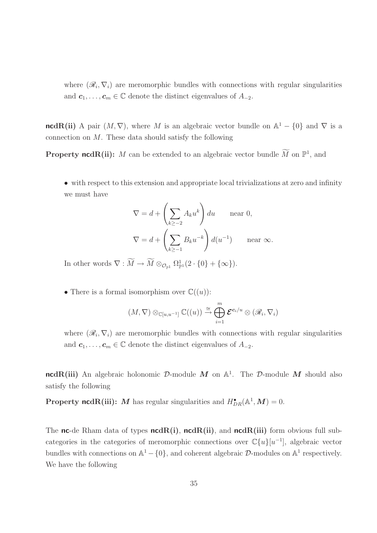where  $(\mathscr{R}_i, \nabla_i)$  are meromorphic bundles with connections with regular singularities and  $c_1, \ldots, c_m \in \mathbb{C}$  denote the distinct eigenvalues of  $A_{-2}$ .

**ncdR(ii)** A pair  $(M, \nabla)$ , where M is an algebraic vector bundle on  $\mathbb{A}^1 - \{0\}$  and  $\nabla$  is a connection on  $M$ . These data should satisfy the following

**Property ncdR(ii):** M can be extended to an algebraic vector bundle M on  $\mathbb{P}^1$ , and

• with respect to this extension and appropriate local trivializations at zero and infinity we must have

$$
\nabla = d + \left(\sum_{k \ge -2} A_k u^k\right) du \quad \text{near } 0,
$$
  

$$
\nabla = d + \left(\sum_{k \ge -1} B_k u^{-k}\right) d(u^{-1}) \quad \text{near } \infty.
$$

In other words  $\nabla: M \to M \otimes_{\mathcal{O}_{\mathbb{P}^1}} \Omega^1_{\mathbb{P}^1}(2 \cdot \{0\} + {\infty\}).$ 

• There is a formal isomorphism over  $\mathbb{C}((u))$ :

$$
(M,\nabla)\otimes_{\mathbb{C}[u,u^{-1}]}\mathbb{C}((u))\stackrel{\cong}\to \bigoplus_{i=1}^m \mathcal{E}^{\mathbf{c}_i/u}\otimes (\mathscr{R}_i,\nabla_i)
$$

where  $(\mathscr{R}_i, \nabla_i)$  are meromorphic bundles with connections with regular singularities and  $c_1, \ldots, c_m \in \mathbb{C}$  denote the distinct eigenvalues of  $A_{-2}$ .

 $\mathsf{ncdR(iii)}$  An algebraic holonomic  $\mathcal D\text{-module } \bm M$  on  $\mathbb A^1$ . The  $\mathcal D\text{-module } \bm M$  should also satisfy the following

**Property ncdR(iii):** M has regular singularities and  $H^{\bullet}_{DR}(\mathbb{A}^1, M) = 0$ .

The nc-de Rham data of types  $ncdR(i)$ ,  $ncdR(ii)$ , and  $ncdR(iii)$  form obvious full subcategories in the categories of meromorphic connections over  $\mathbb{C}\{u\}[u^{-1}]$ , algebraic vector bundles with connections on  $\mathbb{A}^1 - \{0\}$ , and coherent algebraic  $\mathcal{D}$ -modules on  $\mathbb{A}^1$  respectively. We have the following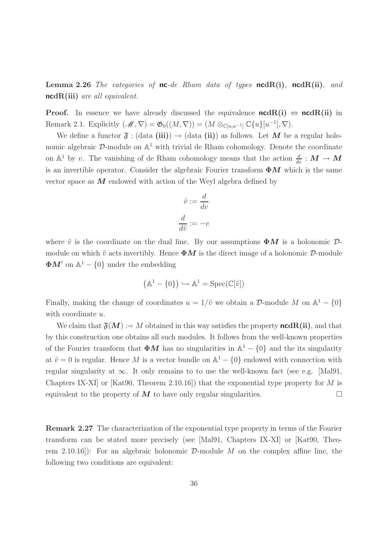**Lemma 2.26** The categories of **nc**-de Rham data of types **ncdR(i)**, **ncdR(ii)**, and ncdR(iii) are all equivalent.

**Proof.** In essence we have already discussed the equivalence  $ncdR(i) \Leftrightarrow ncdR(ii)$  in Remark 2.1. Explicitly  $(\mathscr{M}, \nabla) = \mathfrak{G}_0((M, \nabla)) = (M \otimes_{\mathbb{C}[u, u^{-1}]} \mathbb{C}\{u\}[u^{-1}], \nabla).$ 

We define a functor  $\mathfrak{F}$  : (data (iii))  $\rightarrow$  (data (ii)) as follows. Let M be a regular holonomic algebraic  $D$ -module on  $\mathbb{A}^1$  with trivial de Rham cohomology. Denote the coordinate on  $\mathbb{A}^1$  by v. The vanishing of de Rham cohomology means that the action  $\frac{d}{dv} : M \to M$ is an invertible operator. Consider the algebraic Fourier transform  $\Phi M$  which is the same vector space as  $M$  endowed with action of the Weyl algebra defined by

$$
\tilde{v} := \frac{d}{dv}
$$

$$
\frac{d}{d\tilde{v}} := -v
$$

where  $\tilde{v}$  is the coordinate on the dual line. By our assumptions  $\Phi M$  is a holonomic  $\mathcal{D}$ module on which  $\tilde{v}$  acts invertibly. Hence  $\Phi M$  is the direct image of a holonomic D-module  $\Phi M'$  on  $\mathbb{A}^1 - \{0\}$  under the embedding

$$
\left(\mathbb{A}^1-\{0\}\right)\hookrightarrow \mathbb{A}^1=\mathrm{Spec}(\mathbb{C}[\tilde{v}])
$$

Finally, making the change of coordinates  $u = 1/\tilde{v}$  we obtain a D-module M on  $\mathbb{A}^1 - \{0\}$ with coordinate  $u$ .

We claim that  $\mathfrak{F}(M) := M$  obtained in this way satisfies the property **ncdR(ii)**, and that by this construction one obtains all such modules. It follows from the well-known properties of the Fourier transform that  $\Phi M$  has no singularities in  $\mathbb{A}^1 - \{0\}$  and the its singularity at  $\tilde{v} = 0$  is regular. Hence M is a vector bundle on  $\mathbb{A}^1 - \{0\}$  endowed with connection with regular singularity at  $\infty$ . It only remains to to use the well-known fact (see e.g. [Mal91, Chapters IX-XI] or [Kat90, Theorem 2.10.16]) that the exponential type property for M is equivalent to the property of  $\overline{M}$  to have only regular singularities.

Remark 2.27 The characterization of the exponential type property in terms of the Fourier transform can be stated more precisely (see [Mal91, Chapters IX-XI] or [Kat90, Theorem 2.10.16]): For an algebraic holonomic  $\mathcal{D}$ -module M on the complex affine line, the following two conditions are equivalent: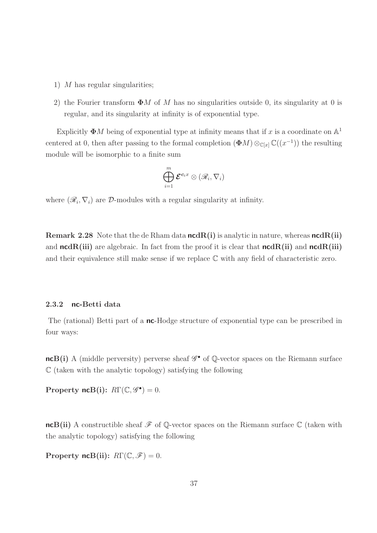- 1)  $M$  has regular singularities;
- 2) the Fourier transform  $\Phi M$  of M has no singularities outside 0, its singularity at 0 is regular, and its singularity at infinity is of exponential type.

Explicitly  $\Phi M$  being of exponential type at infinity means that if x is a coordinate on  $\mathbb{A}^1$ centered at 0, then after passing to the formal completion  $(\Phi M) \otimes_{\mathbb{C}[x]} \mathbb{C}((x^{-1}))$  the resulting module will be isomorphic to a finite sum

$$
\bigoplus_{i=1}^m \mathcal{E}^{\boldsymbol{c}_i x} \otimes (\mathscr{R}_i,\nabla_i)
$$

where  $(\mathcal{R}_i, \nabla_i)$  are  $\mathcal{D}$ -modules with a regular singularity at infinity.

Remark 2.28 Note that the de Rham data  $ncdR(i)$  is analytic in nature, whereas  $ncdR(ii)$ and  $ncdR(iii)$  are algebraic. In fact from the proof it is clear that  $ncdR(ii)$  and  $ncdR(iii)$ and their equivalence still make sense if we replace  $\mathbb C$  with any field of characteristic zero.

#### 2.3.2 nc-Betti data

The (rational) Betti part of a **nc**-Hodge structure of exponential type can be prescribed in four ways:

 $ncB(i)$  A (middle perversity) perverse sheaf  $\mathscr{G}^{\bullet}$  of Q-vector spaces on the Riemann surface  $\mathbb C$  (taken with the analytic topology) satisfying the following

Property  $\operatorname{ncB}(i)$ :  $R\Gamma(\mathbb{C}, \mathscr{G}^{\bullet}) = 0$ .

ncB(ii) A constructible sheaf  $\mathscr F$  of Q-vector spaces on the Riemann surface  $\mathbb C$  (taken with the analytic topology) satisfying the following

Property ncB(ii):  $R\Gamma(\mathbb{C}, \mathscr{F}) = 0$ .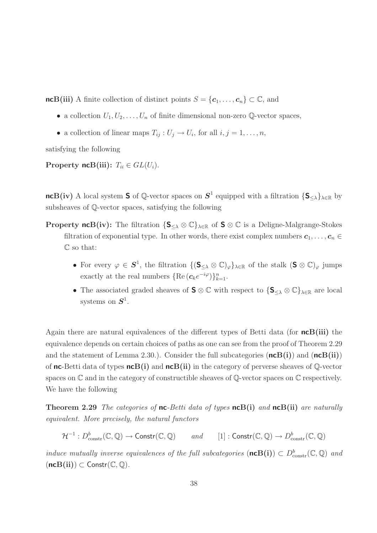ncB(iii) A finite collection of distinct points  $S = {\bf{c}_1, \ldots, c_n} \subset \mathbb{C}$ , and

- a collection  $U_1, U_2, \ldots, U_n$  of finite dimensional non-zero Q-vector spaces,
- a collection of linear maps  $T_{ij}: U_j \to U_i$ , for all  $i, j = 1, \ldots, n$ ,

satisfying the following

Property ncB(iii):  $T_{ii} \in GL(U_i)$ .

 $ncB(iv)$  A local system S of Q-vector spaces on  $S^1$  equipped with a filtration  $\{S_{\leq \lambda}\}_{{\lambda \in \mathbb{R}}}$  by subsheaves of Q-vector spaces, satisfying the following

**Property ncB(iv):** The filtration  $\{S_{\leq \lambda} \otimes \mathbb{C}\}_{\lambda \in \mathbb{R}}$  of  $S \otimes \mathbb{C}$  is a Deligne-Malgrange-Stokes filtration of exponential type. In other words, there exist complex numbers  $c_1, \ldots, c_n \in$ C so that:

- For every  $\varphi \in S^1$ , the filtration  $\{(\mathsf{S}_{\leq \lambda} \otimes \mathbb{C})_{\varphi}\}_{\lambda \in \mathbb{R}}$  of the stalk  $(\mathsf{S} \otimes \mathbb{C})_{\varphi}$  jumps exactly at the real numbers  $\{\text{Re}(\mathbf{c}_k e^{-i\varphi})\}_{k=1}^n$ .
- The associated graded sheaves of  $S \otimes \mathbb{C}$  with respect to  $\{S_{\leq \lambda} \otimes \mathbb{C}\}_{\lambda \in \mathbb{R}}$  are local systems on  $S^1$ .

Again there are natural equivalences of the different types of Betti data (for  $ncB(iii)$ ) the equivalence depends on certain choices of paths as one can see from the proof of Theorem 2.29 and the statement of Lemma 2.30.). Consider the full subcategories  $(ncB(i))$  and  $(ncB(ii))$ of **nc**-Betti data of types  $n \in B(i)$  and  $n \in B(ii)$  in the category of perverse sheaves of  $\mathbb{Q}$ -vector spaces on  $\mathbb C$  and in the category of constructible sheaves of  $\mathbb Q$ -vector spaces on  $\mathbb C$  respectively. We have the following

**Theorem 2.29** The categories of **nc**-Betti data of types  $ncB(i)$  and  $ncB(ii)$  are naturally equivalent. More precisely, the natural functors

$$
\mathcal{H}^{-1}: D^b_{constr}(\mathbb{C}, \mathbb{Q}) \to \text{Constr}(\mathbb{C}, \mathbb{Q}) \qquad and \qquad [1]: \text{Constr}(\mathbb{C}, \mathbb{Q}) \to D^b_{constr}(\mathbb{C}, \mathbb{Q})
$$

induce mutually inverse equivalences of the full subcategories  $(\textbf{ncB(i)}) \subset D^b_{\text{constr}}(\mathbb{C}, \mathbb{Q})$  and  $(ncB(ii)) \subset$  Constr $(\mathbb{C}, \mathbb{Q})$ .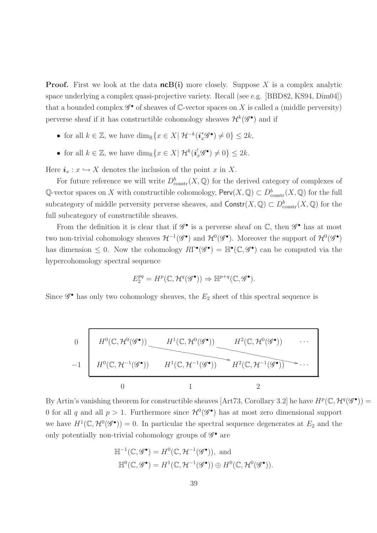**Proof.** First we look at the data  $n \in B(i)$  more closely. Suppose X is a complex analytic space underlying a complex quasi-projective variety. Recall (see e.g. [BBD82, KS94, Dim04]) that a bounded complex  $\mathscr{G}^{\bullet}$  of sheaves of  $\mathbb{C}$ -vector spaces on X is called a (middle perversity) perverse sheaf if it has constructible cohomology sheaves  $\mathcal{H}^{k}(\mathscr{G}^{\bullet})$  and if

- for all  $k \in \mathbb{Z}$ , we have  $\dim_{\mathbb{R}} \{x \in X \mid \mathcal{H}^{-k}(\mathbf{i}_x^*\mathscr{G}^{\bullet}) \neq 0\} \leq 2k$ ,
- for all  $k \in \mathbb{Z}$ , we have  $\dim_{\mathbb{R}} \{x \in X \mid \mathcal{H}^k(\mathbf{i}_x^!\mathscr{G}^{\bullet}) \neq 0\} \leq 2k$ .

Here  $i_x : x \hookrightarrow X$  denotes the inclusion of the point x in X.

For future reference we will write  $D^b_{\text{constr}}(X, \mathbb{Q})$  for the derived category of complexes of Q-vector spaces on X with constructible cohomology,  $\text{Perv}(X, \mathbb{Q}) \subset D^b_{\text{constr}}(X, \mathbb{Q})$  for the full subcategory of middle perversity perverse sheaves, and  $\text{Constr}(X, \mathbb{Q}) \subset D^b_{\text{constr}}(X, \mathbb{Q})$  for the full subcategory of constructible sheaves.

From the definition it is clear that if  $\mathscr{G}^{\bullet}$  is a perverse sheaf on  $\mathbb{C}$ , then  $\mathscr{G}^{\bullet}$  has at most two non-trivial cohomology sheaves  $\mathcal{H}^{-1}(\mathscr{G}^{\bullet})$  and  $\mathcal{H}^{0}(\mathscr{G}^{\bullet})$ . Moreover the support of  $\mathcal{H}^{0}(\mathscr{G}^{\bullet})$ has dimension  $\leq 0$ . Now the cohomology  $R\Gamma^{\bullet}(\mathscr{G}^{\bullet}) = \mathbb{H}^{\bullet}(\mathbb{C}, \mathscr{G}^{\bullet})$  can be computed via the hypercohomology spectral sequence

$$
E_2^{pq} = H^p(\mathbb{C}, \mathcal{H}^q(\mathscr{G}^{\bullet})) \Rightarrow \mathbb{H}^{p+q}(\mathbb{C}, \mathscr{G}^{\bullet}).
$$

Since  $\mathscr{G}^{\bullet}$  has only two cohomology sheaves, the  $E_2$  sheet of this spectral sequence is

$$
\begin{array}{c}\n0 \\
\hline\n\end{array}\n\qquad\n\begin{array}{c}\nH^0(\mathbb{C}, \mathcal{H}^0(\mathscr{G}^{\bullet})) \\
\hline\n\end{array}\n\qquad\n\begin{array}{c}\nH^1(\mathbb{C}, \mathcal{H}^0(\mathscr{G}^{\bullet})) \\
\hline\n\end{array}\n\qquad\n\begin{array}{c}\nH^2(\mathbb{C}, \mathcal{H}^0(\mathscr{G}^{\bullet})) \\
\hline\n\end{array}\n\qquad\n\begin{array}{c}\n\hline\n\end{array}\n\qquad\n\begin{array}{c}\n\hline\n\end{array}\n\end{array}\n\qquad\n\begin{array}{c}\n\hline\n\end{array}\n\qquad\n\begin{array}{c}\n\hline\n\end{array}\n\qquad\n\begin{array}{c}\n\hline\n\end{array}\n\qquad\n\begin{array}{c}\n\hline\n\end{array}\n\qquad\n\begin{array}{c}\n\hline\n\end{array}\n\qquad\n\begin{array}{c}\n\hline\n\end{array}\n\qquad\n\begin{array}{c}\n\hline\n\end{array}\n\qquad\n\begin{array}{c}\n\hline\n\end{array}\n\qquad\n\begin{array}{c}\n\hline\n\end{array}\n\qquad\n\begin{array}{c}\n\hline\n\end{array}\n\qquad\n\begin{array}{c}\n\hline\n\end{array}\n\qquad\n\begin{array}{c}\n\hline\n\end{array}\n\qquad\n\begin{array}{c}\n\hline\n\end{array}\n\qquad\n\begin{array}{c}\n\hline\n\end{array}\n\qquad\n\begin{array}{c}\n\hline\n\end{array}\n\qquad\n\begin{array}{c}\n\hline\n\end{array}\n\qquad\n\begin{array}{c}\n\hline\n\end{array}\n\qquad\n\begin{array}{c}\n\hline\n\end{array}\n\qquad\n\begin{array}{c}\n\hline\n\end{array}\n\qquad\n\begin{array}{c}\n\hline\n\end{array}\n\qquad\n\begin{array}{c}\n\hline\n\end{array}\n\qquad\n\begin{array}{c}\n\hline\n\end{array}\n\qquad\n\begin{array}{c}\n\hline\n\end{array}\n\qquad\n\begin{array}{c}\n\hline\n\end{array}\n\qquad\n\begin{array}{c}
$$

By Artin's vanishing theorem for constructible sheaves [Art73, Corollary 3.2] he have  $H^p(\mathbb{C}, \mathcal{H}^q(\mathscr{G}^{\bullet})) =$ 0 for all q and all  $p > 1$ . Furthermore since  $\mathcal{H}^0(\mathscr{G}^{\bullet})$  has at most zero dimensional support we have  $H^1(\mathbb{C}, \mathcal{H}^0(\mathscr{G}^{\bullet})) = 0$ . In particular the spectral sequence degenerates at  $E_2$  and the only potentially non-trivial cohomology groups of  $\mathscr{G}^{\bullet}$  are

$$
\mathbb{H}^{-1}(\mathbb{C}, \mathscr{G}^{\bullet}) = H^{0}(\mathbb{C}, \mathcal{H}^{-1}(\mathscr{G}^{\bullet})), \text{ and}
$$

$$
\mathbb{H}^{0}(\mathbb{C}, \mathscr{G}^{\bullet}) = H^{1}(\mathbb{C}, \mathcal{H}^{-1}(\mathscr{G}^{\bullet})) \oplus H^{0}(\mathbb{C}, \mathcal{H}^{0}(\mathscr{G}^{\bullet})).
$$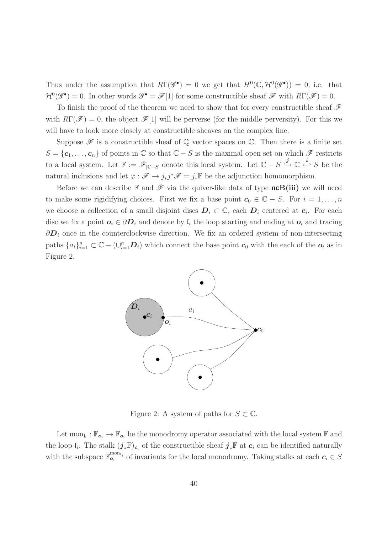Thus under the assumption that  $R\Gamma(\mathscr{G}^{\bullet}) = 0$  we get that  $H^{0}(\mathbb{C}, \mathcal{H}^{0}(\mathscr{G}^{\bullet})) = 0$ , i.e. that  $\mathcal{H}^0(\mathscr{G}^{\bullet}) = 0$ . In other words  $\mathscr{G}^{\bullet} = \mathscr{F}[1]$  for some constructible sheaf  $\mathscr{F}$  with  $R\Gamma(\mathscr{F}) = 0$ .

To finish the proof of the theorem we need to show that for every constructible sheaf  $\mathscr F$ with  $R\Gamma(\mathscr{F})=0$ , the object  $\mathscr{F}[1]$  will be perverse (for the middle perversity). For this we will have to look more closely at constructible sheaves on the complex line.

Suppose  $\mathscr F$  is a constructible sheaf of  $\mathbb Q$  vector spaces on  $\mathbb C$ . Then there is a finite set  $S = {\bf{c}_1, \ldots, \bf{c}_n}$  of points in  $\mathbb C$  so that  $\mathbb C - S$  is the maximal open set on which  $\mathscr F$  restricts to a local system. Let  $\mathbb{F} := \mathscr{F}_{|\mathbb{C}-S}$  denote this local system. Let  $\mathbb{C} - S \stackrel{j}{\hookrightarrow} \mathbb{C} \stackrel{i}{\hookleftarrow} S$  be the natural inclusions and let  $\varphi : \mathscr{F} \to j_*j^* \mathscr{F} = j_* \mathbb{F}$  be the adjunction homomorphism.

Before we can describe  $\mathbb F$  and  $\mathscr F$  via the quiver-like data of type **ncB(iii)** we will need to make some rigidifying choices. First we fix a base point  $c_0 \in \mathbb{C} - S$ . For  $i = 1, ..., n$ we choose a collection of a small disjoint discs  $D_i \subset \mathbb{C}$ , each  $D_i$  centered at  $c_i$ . For each disc we fix a point  $o_i \in \partial D_i$  and denote by  $\mathfrak{l}_i$  the loop starting and ending at  $o_i$  and tracing  $\partial D_i$  once in the counterclockwise direction. We fix an ordered system of non-intersecting paths  $\{a_i\}_{i=1}^n \subset \mathbb{C} - (\cup_{i=1}^n \mathbf{D}_i)$  which connect the base point  $\mathbf{c}_0$  with the each of the  $\mathbf{o}_i$  as in Figure 2.



Figure 2: A system of paths for  $S \subset \mathbb{C}$ .

Let  $\text{mon}_{l_i} : \mathbb{F}_{o_i} \to \mathbb{F}_{o_i}$  be the monodromy operator associated with the local system  $\mathbb{F}$  and the loop  $\mathfrak{l}_i$ . The stalk  $(j_*\mathbb{F})_{c_i}$  of the constructible sheaf  $j_*\mathbb{F}$  at  $c_i$  can be identified naturally with the subspace  $\mathbb{F}_{o_i}^{\text{mon}_{l_i}}$  of invariants for the local monodromy. Taking stalks at each  $c_i \in S$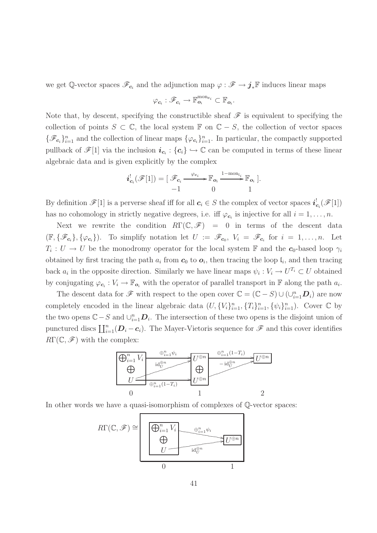we get  $\mathbb{Q}$ -vector spaces  $\mathscr{F}_{c_i}$  and the adjunction map  $\varphi : \mathscr{F} \to j_*\mathbb{F}$  induces linear maps

$$
\varphi_{\boldsymbol{c}_i}:\mathscr{F}_{\boldsymbol{c}_i}\to \mathbb{F}_{\boldsymbol{o}_i}^{\mathrm{mon}_{\boldsymbol{c}_i}}\subset \mathbb{F}_{\boldsymbol{o}_i}.
$$

Note that, by descent, specifying the constructible sheaf  $\mathscr F$  is equivalent to specifying the collection of points  $S \subset \mathbb{C}$ , the local system  $\mathbb{F}$  on  $\mathbb{C} - S$ , the collection of vector spaces  $\{\mathscr{F}_{c_i}\}_{i=1}^n$  and the collection of linear maps  $\{\varphi_{c_i}\}_{i=1}^n$ . In particular, the compactly supported pullback of  $\mathscr{F}[1]$  via the inclusion  $i_{c_i}$ :  $\{c_i\} \hookrightarrow \mathbb{C}$  can be computed in terms of these linear algebraic data and is given explicitly by the complex

$$
\boldsymbol{i}_{\boldsymbol{c}_i}^! (\mathscr{F}[1]) = [\mathscr{F}_{\boldsymbol{c}_i} \xrightarrow{\varphi_{\boldsymbol{c}_i}} \mathbb{F}_{\boldsymbol{o}_i} \xrightarrow{1-\text{mon}_{\mathfrak{l}_i}} \mathbb{F}_{\boldsymbol{o}_i}].
$$
  
-1 0 1

By definition  $\mathscr{F}[1]$  is a perverse sheaf iff for all  $c_i \in S$  the complex of vector spaces  $i_c^!$  $\mathbf{c}_i(\mathscr{F}[1])$ has no cohomology in strictly negative degrees, i.e. if  $\varphi_{c_i}$  is injective for all  $i = 1, \ldots, n$ .

Next we rewrite the condition  $R\Gamma(\mathbb{C},\mathscr{F})=0$  in terms of the descent data  $(\mathbb{F}, {\mathscr{F}_{c_i}}}, {\mathscr{G}_{c_i}})$ . To simplify notation let  $U := \mathscr{F}_{c_0}, V_i = \mathscr{F}_{c_i}$  for  $i = 1, ..., n$ . Let  $T_i: U \to U$  be the monodromy operator for the local system  $\mathbb F$  and the  $c_0$ -based loop  $\gamma_i$ obtained by first tracing the path  $a_i$  from  $c_0$  to  $o_i$ , then tracing the loop  $\mathfrak{l}_i$ , and then tracing back  $a_i$  in the opposite direction. Similarly we have linear maps  $\psi_i : V_i \to U^{T_i} \subset U$  obtained by conjugating  $\varphi_{c_i}: V_i \to \mathbb{F}_{o_i}$  with the operator of parallel transport in  $\mathbb F$  along the path  $a_i$ .

The descent data for  $\mathscr F$  with respect to the open cover  $\mathbb C = (\mathbb C - S) \cup (\cup_{i=1}^n \mathbb D_i)$  are now completely encoded in the linear algebraic data  $(U, \{V_i\}_{i=1}^n, \{T_i\}_{i=1}^n, \{\psi_i\}_{i=1}^n)$ . Cover  $\mathbb C$  by the two opens  $\mathbb{C} - S$  and  $\cup_{i=1}^n \mathbb{D}_i$ . The intersection of these two opens is the disjoint union of punctured discs  $\prod_{i=1}^{n}(D_i-c_i)$ . The Mayer-Vietoris sequence for  $\mathscr F$  and this cover identifies  $R\Gamma(\mathbb{C},\mathscr{F})$  with the complex:



In other words we have a quasi-isomorphism of complexes of Q-vector spaces:

$$
R\Gamma(\mathbb{C},\mathscr{F}) \cong \left[\begin{array}{c}\n\bigoplus_{i=1}^{n} V_i & \xrightarrow{\oplus_{i=1}^{n} \psi_i} \\
\bigoplus_{U \longrightarrow \text{id}_{U}^{\oplus n}} & \xrightarrow{\text{id}_{U}^{\oplus n}} \\
0 & 1\n\end{array}\right]
$$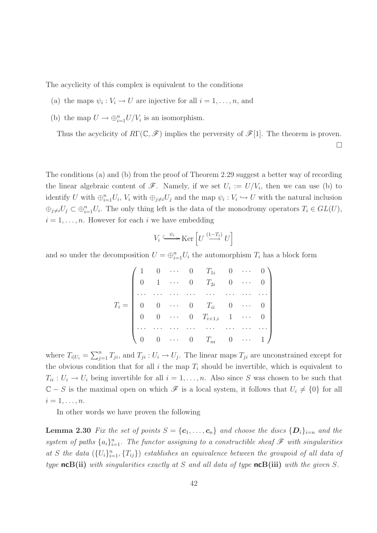The acyclicity of this complex is equivalent to the conditions

- (a) the maps  $\psi_i : V_i \to U$  are injective for all  $i = 1, \ldots, n$ , and
- (b) the map  $U \to \bigoplus_{i=1}^n U/V_i$  is an isomorphism.

Thus the acyclicity of  $R\Gamma(\mathbb{C}, \mathscr{F})$  implies the perversity of  $\mathscr{F}[1]$ . The theorem is proven.

 $\Box$ 

The conditions (a) and (b) from the proof of Theorem 2.29 suggest a better way of recording the linear algebraic content of  $\mathscr{F}$ . Namely, if we set  $U_i := U/V_i$ , then we can use (b) to identify U with  $\oplus_{i=1}^n U_i$ ,  $V_i$  with  $\oplus_{j\neq i} U_j$  and the map  $\psi_i: V_i \hookrightarrow U$  with the natural inclusion  $\oplus_{j\neq i}U_j\subset \oplus_{i=1}^n U_i$ . The only thing left is the data of the monodromy operators  $T_i\in GL(U)$ ,  $i = 1, \ldots, n$ . However for each i we have embedding

$$
V_i \xrightarrow{\psi_i} \text{Ker}\left[U \xrightarrow{(1-T_i)} U\right]
$$

and so under the decomposition  $U = \bigoplus_{i=1}^n U_i$  the automorphism  $T_i$  has a block form

|  |  | $=\left( \begin{array}{llllllll} 1 & 0 & \cdots & 0 & T_{1i} & 0 & \cdots & 0 \ 0 & 1 & \cdots & 0 & T_{2i} & 0 & \cdots & 0 \ \cdots & \cdots & \cdots & \cdots & \cdots & \cdots & \cdots \ 0 & 0 & \cdots & 0 & T_{ii} & 0 & \cdots & 0 \ 0 & 0 & \cdots & 0 & T_{i+1,i} & 1 & \cdots & 0 \ \cdots & \cdots & \cdots & \cdots & \cdots & \cdots & \cdots \ 0 & 0 & \cdots & 0 & T_{ni} & 0 & \cdots & 1 \ \end{array} \$ |  |  |
|--|--|-----------------------------------------------------------------------------------------------------------------------------------------------------------------------------------------------------------------------------------------------------------------------------------------------------------------------------------------------------------------------------------------------------------------------------|--|--|

where  $T_{i|U_i} = \sum_{j=1}^n T_{ji}$ , and  $T_{ji} : U_i \to U_j$ . The linear maps  $T_{ji}$  are unconstrained except for the obvious condition that for all i the map  $T_i$  should be invertible, which is equivalent to  $T_{ii}: U_i \to U_i$  being invertible for all  $i = 1, \ldots, n$ . Also since S was chosen to be such that  $\mathbb{C} - S$  is the maximal open on which  $\mathscr{F}$  is a local system, it follows that  $U_i \neq \{0\}$  for all  $i=1,\ldots,n$ .

In other words we have proven the following

**Lemma 2.30** Fix the set of points  $S = \{c_1, \ldots, c_n\}$  and choose the discs  $\{D_i\}_{i=n}$  and the system of paths  $\{a_i\}_{i=1}^n$ . The functor assigning to a constructible sheaf  $\mathscr F$  with singularities at S the data  $(\{U_i\}_{i=1}^n, \{T_{ij}\})$  establishes an equivalence between the groupoid of all data of type ncB(ii) with singularities exactly at S and all data of type ncB(iii) with the given S.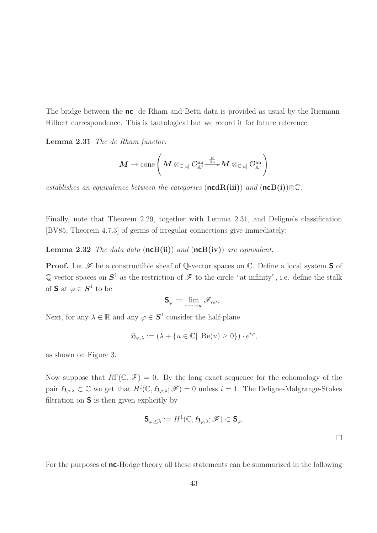The bridge between the **nc**- de Rham and Betti data is provided as usual by the Riemann-Hilbert correspondence. This is tautological but we record it for future reference:

Lemma 2.31 The de Rham functor:

$$
\boldsymbol{M}\rightarrow \text{cone}\left(\boldsymbol{M}\otimes_{\mathbb{C}[u]}\mathcal{O}^{\text{an}}_{\mathbb{A}^1}\overline{\overset{\partial}{\longrightarrow}}\boldsymbol{M}\otimes_{\mathbb{C}[u]}\mathcal{O}^{\text{an}}_{\mathbb{A}^1}\right)
$$

establishes an equivalence between the categories (ncdR(iii)) and (ncB(i)) $\otimes \mathbb{C}$ .

Finally, note that Theorem 2.29, together with Lemma 2.31, and Deligne's classification [BV85, Theorem 4.7.3] of germs of irregular connections give immediately:

**Lemma 2.32** The data data  $(\mathsf{ncB(ii)})$  and  $(\mathsf{ncB(iv)})$  are equivalent.

**Proof.** Let  $\mathcal F$  be a constructible sheaf of Q-vector spaces on  $\mathbb C$ . Define a local system **S** of Q-vector spaces on  $S^1$  as the restriction of  $\mathscr F$  to the circle "at infinity", i.e. define the stalk of **S** at  $\varphi \in \mathbf{S}^1$  to be

$$
\mathbf{S}_{\varphi} := \lim_{r \to +\infty} \mathscr{F}_{r e^{i\varphi}}.
$$

Next, for any  $\lambda \in \mathbb{R}$  and any  $\varphi \in \mathbf{S}^1$  consider the half-plane

$$
\mathfrak{H}_{\varphi,\lambda} := (\lambda + \{ u \in \mathbb{C} | \ \operatorname{Re}(u) \ge 0 \}) \cdot e^{i\varphi},
$$

as shown on Figure 3.

Now suppose that  $R\Gamma(\mathbb{C}, \mathscr{F}) = 0$ . By the long exact sequence for the cohomology of the pair  $\mathfrak{H}_{\varphi,\lambda} \subset \mathbb{C}$  we get that  $H^i(\mathbb{C}, \mathfrak{H}_{\varphi,\lambda}; \mathscr{F}) = 0$  unless  $i = 1$ . The Deligne-Malgrange-Stokes filtration on  $S$  is then given explicitly by

$$
\mathbf{S}_{\varphi,\leq\lambda}:=H^1(\mathbb{C},\mathfrak{H}_{\varphi,\lambda};\mathscr{F})\subset \mathbf{S}_{\varphi}.
$$

For the purposes of nc-Hodge theory all these statements can be summarized in the following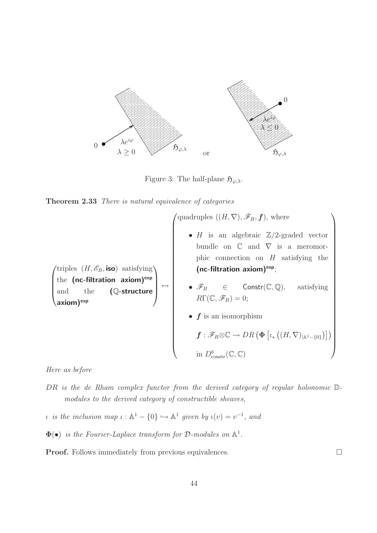

Figure 3: The half-plane  $\mathfrak{H}_{\varphi,\lambda}$ .

| <b>Theorem 2.33</b> There is natural equivalence of categories |  |  |  |  |  |  |  |  |
|----------------------------------------------------------------|--|--|--|--|--|--|--|--|
|----------------------------------------------------------------|--|--|--|--|--|--|--|--|

 $(\text{triples} \ (H, \mathscr{E}_B, \text{iso}) \ \text{satisfying})$ the  $(nc\text{-filtration axiom})^{\text{exp}}$ <br>and the  $(\mathbb{Q}\text{-structure})$ the (nc-filtration axiom)<sup>exp</sup><br>and the (Q-structure) axiom)<sup>exp</sup> ↔  $\sqrt{ }$  quadruples  $((H, \nabla), \mathscr{F}_B, \mathbf{f})$ , where •  $H$  is an algebraic  $\mathbb{Z}/2$ -graded vector bundle on  $\mathbb C$  and  $\nabla$  is a meromorphic connection on  $H$  satisfying the (nc-filtration axiom) $\exp$ ; •  $\mathscr{F}_B$   $\in$  Constr( $\mathbb{C}, \mathbb{Q}$ ), satisfying  $R\Gamma(\mathbb{C},\mathscr{F}_B)=0;$ •  $f$  is an isomorphism  $\boldsymbol{f}:\mathscr{F}_B\otimes\mathbb{C}\to DR\left(\boldsymbol{\Phi}\left[\iota_*\left((H,\nabla)_{|\mathbb{A}^1-\{0\}}\right)\right]\right)$ in  $D^b_{\text{constr}}(\mathbb{C}, \mathbb{C})$  $\setminus$ 

Here as before

- DR is the de Rham complex functor from the derived category of regular holonomic Dmodules to the derived category of constructible sheaves,
- *ι* is the inclusion map  $\iota : \mathbb{A}^1 \{0\} \hookrightarrow \mathbb{A}^1$  given by  $\iota(v) = v^{-1}$ , and
- $\Phi(\bullet)$  is the Fourier-Laplace transform for D-modules on  $\mathbb{A}^1$ .

**Proof.** Follows immediately from previous equivalences.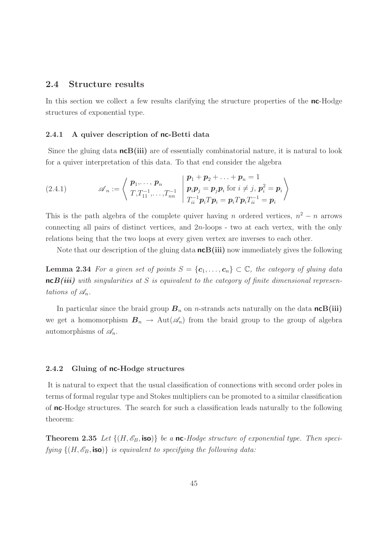## 2.4 Structure results

In this section we collect a few results clarifying the structure properties of the **nc**-Hodge structures of exponential type.

#### 2.4.1 A quiver description of nc-Betti data

Since the gluing data  $n\epsilon B(iii)$  are of essentially combinatorial nature, it is natural to look for a quiver interpretation of this data. To that end consider the algebra

(2.4.1) 
$$
\mathscr{A}_n := \left\langle \begin{array}{c} \boldsymbol{p}_1, \ldots, \boldsymbol{p}_n \\ T, T_{11}^{-1}, \ldots, T_{nn}^{-1} \end{array} \left| \begin{array}{c} \boldsymbol{p}_1 + \boldsymbol{p}_2 + \ldots + \boldsymbol{p}_n = 1 \\ \boldsymbol{p}_i \boldsymbol{p}_j = \boldsymbol{p}_j \boldsymbol{p}_i \text{ for } i \neq j, \, \boldsymbol{p}_i^2 = \boldsymbol{p}_i \\ T_{ii}^{-1} \boldsymbol{p}_i T \boldsymbol{p}_i = \boldsymbol{p}_i T \boldsymbol{p}_i T_{ii}^{-1} = \boldsymbol{p}_i \end{array} \right\rangle
$$

This is the path algebra of the complete quiver having n ordered vertices,  $n^2 - n$  arrows connecting all pairs of distinct vertices, and 2n-loops - two at each vertex, with the only relations being that the two loops at every given vertex are inverses to each other.

Note that our description of the gluing data  $ncB(iii)$  now immediately gives the following

**Lemma 2.34** For a given set of points  $S = \{c_1, \ldots, c_n\} \subset \mathbb{C}$ , the category of gluing data  $n \in B(iii)$  with singularities at S is equivalent to the category of finite dimensional representations of  $\mathscr{A}_n$ .

In particular since the braid group  $B_n$  on *n*-strands acts naturally on the data **ncB(iii)** we get a homomorphism  $B_n \to \text{Aut}(\mathscr{A}_n)$  from the braid group to the group of algebra automorphisms of  $\mathscr{A}_n$ .

#### 2.4.2 Gluing of nc-Hodge structures

It is natural to expect that the usual classification of connections with second order poles in terms of formal regular type and Stokes multipliers can be promoted to a similar classification of nc-Hodge structures. The search for such a classification leads naturally to the following theorem:

**Theorem 2.35** Let  $\{(H, \mathscr{E}_B, \text{iso})\}$  be a nc-Hodge structure of exponential type. Then specifying  $\{(H, \mathscr{E}_B, \text{iso})\}$  is equivalent to specifying the following data: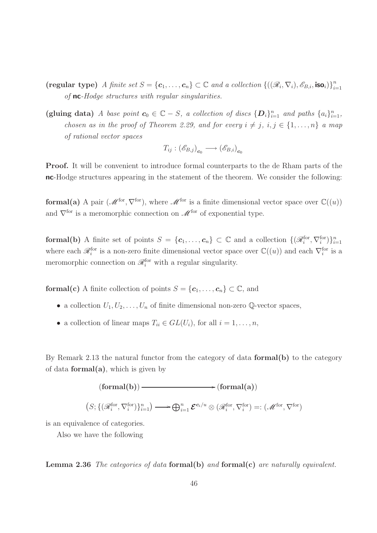- (regular type) A finite set  $S = {\mathbf{c}_1, \ldots, \mathbf{c}_n} \subset \mathbb{C}$  and a collection  $\{((\mathscr{R}_i, \nabla_i), \mathscr{E}_{B,i}, \text{iso}_i)\}_{i=1}^n$  $i=1$ of nc-Hodge structures with regular singularities.
- (gluing data) A base point  $c_0 \in \mathbb{C} S$ , a collection of discs  $\{D_i\}_{i=1}^n$  and paths  $\{a_i\}_{i=1}^n$ , chosen as in the proof of Theorem 2.29, and for every  $i \neq j$ ,  $i, j \in \{1, ..., n\}$  a map of rational vector spaces

$$
T_{ij} : (\mathscr{E}_{B,j})_{\mathbf{c}_0} \longrightarrow (\mathscr{E}_{B,i})_{\mathbf{c}_0}
$$

Proof. It will be convenient to introduce formal counterparts to the de Rham parts of the nc-Hodge structures appearing in the statement of the theorem. We consider the following:

formal(a) A pair  $(M^{for}, \nabla^{for})$ , where  $M^{for}$  is a finite dimensional vector space over  $\mathbb{C}((u))$ and  $\nabla^{\text{for}}$  is a meromorphic connection on  $\mathscr{M}^{\text{for}}$  of exponential type.

**formal(b)** A finite set of points  $S = \{c_1, \ldots, c_n\} \subset \mathbb{C}$  and a collection  $\{(\mathscr{R}_i^{\text{for}}, \nabla_i^{\text{for}})\}_{i=1}^n$ where each  $\mathscr{R}_i^{\text{for}}$  is a non-zero finite dimensional vector space over  $\mathbb{C}((u))$  and each  $\nabla_i^{\text{for}}$  is a meromorphic connection on  $\mathcal{R}_i^{\text{for}}$  with a regular singularity.

**formal(c)** A finite collection of points  $S = \{c_1, \ldots, c_n\} \subset \mathbb{C}$ , and

- a collection  $U_1, U_2, \ldots, U_n$  of finite dimensional non-zero Q-vector spaces,
- a collection of linear maps  $T_{ii} \in GL(U_i)$ , for all  $i = 1, \ldots, n$ ,

By Remark 2.13 the natural functor from the category of data formal(b) to the category of data **formal** $(a)$ , which is given by



is an equivalence of categories.

Also we have the following

**Lemma 2.36** The categories of data formal(b) and formal(c) are naturally equivalent.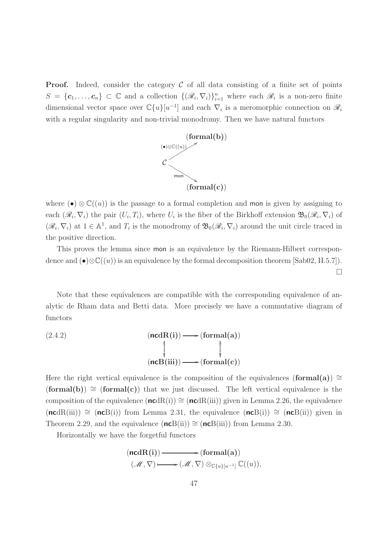**Proof.** Indeed, consider the category  $\mathcal C$  of all data consisting of a finite set of points  $S = \{c_1, \ldots, c_n\} \subset \mathbb{C}$  and a collection  $\{(\mathcal{R}_i, \nabla_i)\}_{i=1}^n$  where each  $\mathcal{R}_i$  is a non-zero finite dimensional vector space over  $\mathbb{C}\{u\}[u^{-1}]$  and each  $\nabla_i$  is a meromorphic connection on  $\mathscr{R}_i$ with a regular singularity and non-trivial monodromy. Then we have natural functors



where (•)  $\otimes \mathbb{C}((u))$  is the passage to a formal completion and mon is given by assigning to each  $(\mathcal{R}_i, \nabla_i)$  the pair  $(U_i, T_i)$ , where  $U_i$  is the fiber of the Birkhoff extension  $\mathfrak{B}_0(\mathcal{R}_i, \nabla_i)$  of  $(\mathscr{R}_i, \nabla_i)$  at  $1 \in \mathbb{A}^1$ , and  $T_i$  is the monodromy of  $\mathfrak{B}_0(\mathscr{R}_i, \nabla_i)$  around the unit circle traced in the positive direction.

This proves the lemma since mon is an equivalence by the Riemann-Hilbert correspondence and  $(\bullet) \otimes \mathbb{C}((u))$  is an equivalence by the formal decomposition theorem [Sab02, II.5.7]).

 $\Box$ 

Note that these equivalences are compatible with the corresponding equivalence of analytic de Rham data and Betti data. More precisely we have a commutative diagram of functors

(2.4.2) 
$$
(\mathbf{ncdR(i)}) \longrightarrow (\mathbf{formal(a)})
$$

$$
(\mathbf{ncB(iii)}) \longrightarrow (\mathbf{formal(c)})
$$

Here the right vertical equivalence is the composition of the equivalences (formal(a))  $\cong$  $(\text{formal(b)}) \cong (\text{formal(c)})$  that we just discussed. The left vertical equivalence is the composition of the equivalence  $(\text{ncdR}(i)) \cong (\text{ncdR}(ii))$  given in Lemma 2.26, the equivalence  $(\text{ncdR(iii)}) \cong (\text{ncB(i)})$  from Lemma 2.31, the equivalence  $(\text{ncB(i)}) \cong (\text{ncB(ii)})$  given in Theorem 2.29, and the equivalence  $(ncB(ii)) \cong (ncB(iii))$  from Lemma 2.30.

Horizontally we have the forgetful functors

$$
(\mathbf{ncdR(i)}) \longrightarrow (\mathbf{formal(a)})
$$
  

$$
(\mathcal{M}, \nabla) \longmapsto (\mathcal{M}, \nabla) \otimes_{\mathbb{C}{u}[u^{1}]}\mathbb{C}((u)),
$$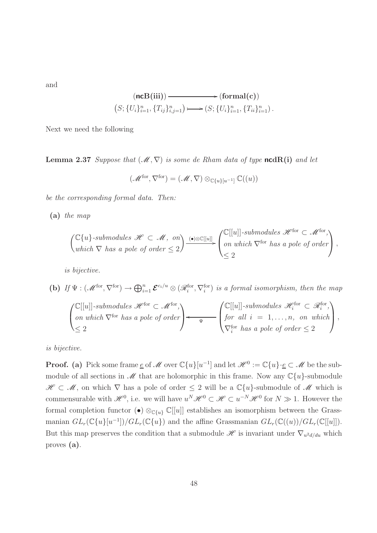and

$$
(\mathbf{ncB(iii)}) \longrightarrow (\mathbf{formal(c)})
$$
  

$$
(S; \{U_i\}_{i=1}^n, \{T_{ij}\}_{i,j=1}^n) \longmapsto (S; \{U_i\}_{i=1}^n, \{T_{ii}\}_{i=1}^n).
$$

Next we need the following

**Lemma 2.37** Suppose that  $(\mathcal{M}, \nabla)$  is some de Rham data of type ncdR(i) and let

$$
(\mathscr{M}^{\text{for}},\nabla^{\text{for}})=(\mathscr{M},\nabla)\otimes_{\mathbb{C}\{u\}[u^{-1}]}\mathbb{C}((u))
$$

be the corresponding formal data. Then:

(a) the map

$$
\begin{pmatrix} \mathbb{C}\{u\}\text{-submodules }\mathscr{H}\subset\mathscr{M},\text{ on }\\ \text{which }\nabla\text{ has a pole of order }\leq 2\end{pmatrix} \xrightarrow{\bullet\otimes\mathbb{C}[[u]]} \begin{pmatrix} \mathbb{C}[[u]]\text{-submodules }\mathscr{H}^{\text{for}}\subset\mathscr{M}^{\text{for}},\\ \text{on which }\nabla^{\text{for}}\text{ has a pole of order}\end{pmatrix},
$$

is bijective.

(b) If 
$$
\Psi : (\mathcal{M}^{\text{for}}, \nabla^{\text{for}}) \to \bigoplus_{i=1}^{n} \mathcal{E}^{c_i/u} \otimes (\mathcal{R}_i^{\text{for}}, \nabla_i^{\text{for}})
$$
 is a formal isomorphism, then the map

$$
\begin{pmatrix}\n\mathbb{C}[[u]]\text{-submodules }\mathcal{H}^{\text{for}} \subset \mathcal{M}^{\text{for}},\\ \text{on which }\nabla^{\text{for}} \text{ has a pole of order}\n\end{pmatrix}\n\leftarrow\n\begin{pmatrix}\n\mathbb{C}[[u]]\text{-submodules }\mathcal{H}^{\text{for}}_i \subset \mathcal{R}^{\text{for}}_i,\\ \text{for all } i = 1,\ldots,n, \text{ on which}\\ \nabla^{\text{for}}_i \text{ has a pole of order} \leq 2\n\end{pmatrix},
$$

is bijective.

**Proof.** (a) Pick some frame  $\underline{e}$  of  $\mathcal M$  over  $\mathbb C\{u\}[u^{-1}]$  and let  $\mathcal H^0 := \mathbb C\{u\} \cdot \underline{e} \subset \mathcal M$  be the submodule of all sections in  $\mathscr M$  that are holomorphic in this frame. Now any  $\mathbb C\{u\}$ -submodule  $\mathscr{H} \subset \mathscr{M}$ , on which  $\nabla$  has a pole of order  $\leq 2$  will be a  $\mathbb{C}\lbrace u \rbrace$ -submodule of  $\mathscr{M}$  which is commensurable with  $\mathscr{H}^0$ , i.e. we will have  $u^N\mathscr{H}^0 \subset \mathscr{H} \subset u^{-N}\mathscr{H}^0$  for  $N \gg 1$ . However the formal completion functor (•)  $\otimes_{\mathbb{C}\{u\}} \mathbb{C}[[u]]$  establishes an isomorphism between the Grassmanian  $GL_r(\mathbb{C}\{u\}|u^{-1}])/GL_r(\mathbb{C}\{u\})$  and the affine Grassmanian  $GL_r(\mathbb{C}((u))/GL_r(\mathbb{C}[[u]])$ . But this map preserves the condition that a submodule  $\mathscr H$  is invariant under  $\nabla_{u^2 d/du}$  which proves (a).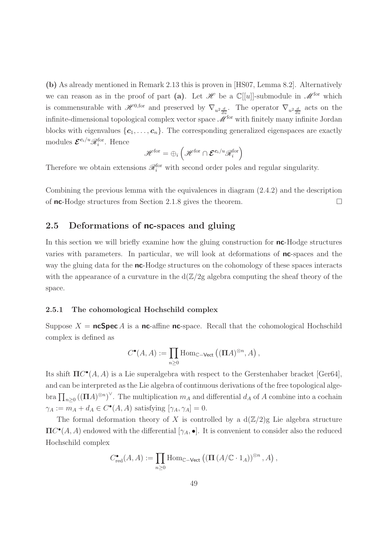(b) As already mentioned in Remark 2.13 this is proven in [HS07, Lemma 8.2]. Alternatively we can reason as in the proof of part (a). Let  $\mathscr H$  be a  $\mathbb C[[u]]$ -submodule in  $\mathscr M^{\text{for}}$  which is commensurable with  $\mathscr{H}^{0,\text{for}}$  and preserved by  $\nabla_{u^2}\frac{d}{du}$ . The operator  $\nabla_{u^2}\frac{d}{du}$  acts on the infinite-dimensional topological complex vector space  $\mathcal{M}^{\text{for}}$  with finitely many infinite Jordan blocks with eigenvalues  $\{c_1, \ldots, c_n\}$ . The corresponding generalized eigenspaces are exactly modules  $\mathcal{E}^{c_i/u}\mathscr{R}_i^{\text{for}}$ . Hence

$$
\mathscr{H}^{\rm for} = \oplus_i \left( \mathscr{H}^{\rm for} \cap \mathcal{E}^{\mathbf{c}_i/u} \mathscr{R}_i^{\rm for} \right)
$$

Therefore we obtain extensions  $\mathcal{R}_i^{\text{for}}$  with second order poles and regular singularity.

Combining the previous lemma with the equivalences in diagram (2.4.2) and the description of **nc**-Hodge structures from Section 2.1.8 gives the theorem.

# 2.5 Deformations of nc-spaces and gluing

In this section we will briefly examine how the gluing construction for **nc**-Hodge structures varies with parameters. In particular, we will look at deformations of nc-spaces and the way the gluing data for the nc-Hodge structures on the cohomology of these spaces interacts with the appearance of a curvature in the  $d(\mathbb{Z}/2)$  algebra computing the sheaf theory of the space.

### 2.5.1 The cohomological Hochschild complex

Suppose  $X = \text{ncSpec } A$  is a nc-affine nc-space. Recall that the cohomological Hochschild complex is defined as

$$
C^{\bullet}(A, A) := \prod_{n \geq 0} \text{Hom}_{\mathbb{C}-\text{Vect}} \left( (\Pi A)^{\otimes n}, A \right),
$$

Its shift  $\Pi C^{\bullet}(A, A)$  is a Lie superalgebra with respect to the Gerstenhaber bracket [Ger64], and can be interpreted as the Lie algebra of continuous derivations of the free topological algebra  $\prod_{n\geq 0} ((\Pi A)^{\otimes n})^{\vee}$ . The multiplication  $m_A$  and differential  $d_A$  of A combine into a cochain  $\gamma_A := m_A + d_A \in C^{\bullet}(A, A)$  satisfying  $[\gamma_A, \gamma_A] = 0$ .

The formal deformation theory of X is controlled by a  $d(\mathbb{Z}/2)$ g Lie algebra structure  $\Pi C^{\bullet}(A, A)$  endowed with the differential  $[\gamma_A, \bullet]$ . It is convenient to consider also the reduced Hochschild complex

$$
C_{\text{red}}^{\bullet}(A, A) := \prod_{n \geq 0} \text{Hom}_{\mathbb{C}-\text{Vect}} \left( \left( \Pi \left( A/\mathbb{C} \cdot 1_A \right) \right)^{\otimes n}, A \right),
$$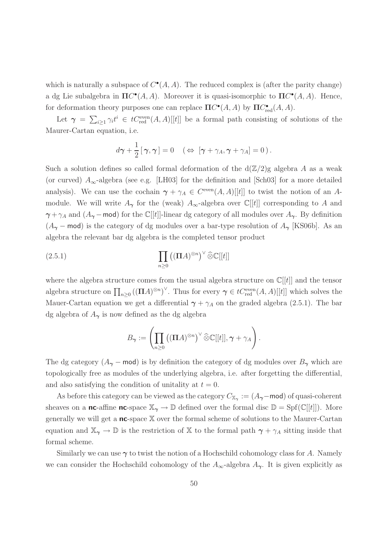which is naturally a subspace of  $C^{\bullet}(A, A)$ . The reduced complex is (after the parity change) a dg Lie subalgebra in  $\Pi C^{\bullet}(A, A)$ . Moreover it is quasi-isomorphic to  $\Pi C^{\bullet}(A, A)$ . Hence, for deformation theory purposes one can replace  $\Pi C^{\bullet}(A, A)$  by  $\Pi C^{\bullet}_{red}(A, A)$ .

Let  $\gamma = \sum_{i\geq 1} \gamma_i t^i \in tC_{\text{red}}^{\text{even}}(A, A)[[t]]$  be a formal path consisting of solutions of the Maurer-Cartan equation, i.e.

$$
d\boldsymbol{\gamma} + \frac{1}{2} [\boldsymbol{\gamma}, \boldsymbol{\gamma}] = 0 \quad (\Leftrightarrow [\boldsymbol{\gamma} + \gamma_A, \boldsymbol{\gamma} + \gamma_A] = 0).
$$

Such a solution defines so called formal deformation of the  $d(\mathbb{Z}/2)$ g algebra A as a weak (or curved)  $A_{\infty}$ -algebra (see e.g. [LH03] for the definition and [Sch03] for a more detailed analysis). We can use the cochain  $\gamma + \gamma_A \in C^{\text{even}}(A, A)[[t]]$  to twist the notion of an Amodule. We will write  $A_{\gamma}$  for the (weak)  $A_{\infty}$ -algebra over  $\mathbb{C}[[t]]$  corresponding to A and  $\gamma + \gamma_A$  and  $(A_{\gamma}$  – mod) for the C[[t]]-linear dg category of all modules over  $A_{\gamma}$ . By definition  $(A_{\gamma}$  – mod) is the category of dg modules over a bar-type resolution of  $A_{\gamma}$  [KS06b]. As an algebra the relevant bar dg algebra is the completed tensor product

(2.5.1) 
$$
\prod_{n\geq 0} ((\Pi A)^{\otimes n})^{\vee} \widehat{\otimes} \mathbb{C}[[t]]
$$

where the algebra structure comes from the usual algebra structure on  $\mathbb{C}[[t]]$  and the tensor algebra structure on  $\prod_{n\geq 0} ((\Pi A)^{\otimes n})^{\vee}$ . Thus for every  $\gamma \in tC_{\text{red}}^{\text{even}}(A, A)[[t]]$  which solves the Mauer-Cartan equation we get a differential  $\gamma + \gamma_A$  on the graded algebra (2.5.1). The bar dg algebra of  $A_{\gamma}$  is now defined as the dg algebra

$$
B_{\boldsymbol{\gamma}} := \left( \prod_{n \geq 0} \left( (\boldsymbol{\Pi} A)^{\otimes n} \right)^{\vee} \widehat{\otimes} \mathbb{C}[[t]], \boldsymbol{\gamma} + \gamma_A \right).
$$

The dg category  $(A_{\gamma}$  – mod) is by definition the category of dg modules over  $B_{\gamma}$  which are topologically free as modules of the underlying algebra, i.e. after forgetting the differential, and also satisfying the condition of unitality at  $t = 0$ .

As before this category can be viewed as the category  $C_{\mathbb{X}_{\gamma}}:=(A_{\pmb{\gamma}}-{\sf mod})$  of quasi-coherent sheaves on a **nc**-affine **nc**-space  $\mathbb{X}_{\gamma} \to \mathbb{D}$  defined over the formal disc  $\mathbb{D} = \text{Spf}(\mathbb{C}[[t]])$ . More generally we will get a  $nc$ -space  $X$  over the formal scheme of solutions to the Maurer-Cartan equation and  $\mathbb{X}_{\gamma} \to \mathbb{D}$  is the restriction of X to the formal path  $\gamma + \gamma_A$  sitting inside that formal scheme.

Similarly we can use  $\gamma$  to twist the notion of a Hochschild cohomology class for A. Namely we can consider the Hochschild cohomology of the  $A_{\infty}$ -algebra  $A_{\gamma}$ . It is given explicitly as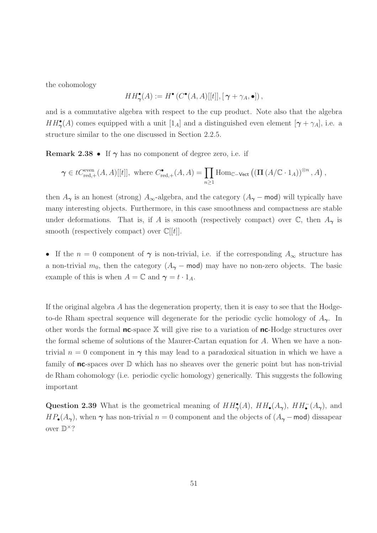the cohomology

$$
HH^{\bullet}_{\gamma}(A) := H^{\bullet}(C^{\bullet}(A,A)[[t]], [\gamma + \gamma_A, \bullet]),
$$

and is a commutative algebra with respect to the cup product. Note also that the algebra  $HH_{\gamma}^{\bullet}(A)$  comes equipped with a unit  $[1_A]$  and a distinguished even element  $[\gamma + \gamma_A]$ , i.e. a structure similar to the one discussed in Section 2.2.5.

**Remark 2.38 •** If  $\gamma$  has no component of degree zero, i.e. if

$$
\gamma \in tC_{\text{red},+}^{\text{even}}(A,A)[[t]], \text{ where } C_{\text{red},+}^{\bullet}(A,A)=\prod_{n\geq 1} \text{Hom}_{\mathbb{C}-\text{Vect}}\left(\left(\prod (A/\mathbb{C} \cdot 1_A)\right)^{\otimes n},A\right),
$$

then  $A_{\gamma}$  is an honest (strong)  $A_{\infty}$ -algebra, and the category ( $A_{\gamma}$  – mod) will typically have many interesting objects. Furthermore, in this case smoothness and compactness are stable under deformations. That is, if A is smooth (respectively compact) over  $\mathbb{C}$ , then  $A_{\gamma}$  is smooth (respectively compact) over  $\mathbb{C}[[t]]$ .

• If the  $n = 0$  component of  $\gamma$  is non-trivial, i.e. if the corresponding  $A_{\infty}$  structure has a non-trivial  $m_0$ , then the category  $(A_\gamma$  – mod) may have no non-zero objects. The basic example of this is when  $A = \mathbb{C}$  and  $\gamma = t \cdot 1_A$ .

If the original algebra  $A$  has the degeneration property, then it is easy to see that the Hodgeto-de Rham spectral sequence will degenerate for the periodic cyclic homology of  $A_{\gamma}$ . In other words the formal  $nc$ -space  $X$  will give rise to a variation of  $nc$ -Hodge structures over the formal scheme of solutions of the Maurer-Cartan equation for A. When we have a nontrivial  $n = 0$  component in  $\gamma$  this may lead to a paradoxical situation in which we have a family of **nc**-spaces over  $\mathbb D$  which has no sheaves over the generic point but has non-trivial de Rham cohomology (i.e. periodic cyclic homology) generically. This suggests the following important

Question 2.39 What is the geometrical meaning of  $HH_{\gamma}^{\bullet}(A)$ ,  $HH_{\bullet}(A_{\gamma})$ ,  $HH_{\bullet}^-(A_{\gamma})$ , and  $HP_{\bullet}(A_{\gamma})$ , when  $\gamma$  has non-trivial  $n = 0$  component and the objects of  $(A_{\gamma}$  – mod) dissapear over  $\mathbb{D}^{\times}$ ?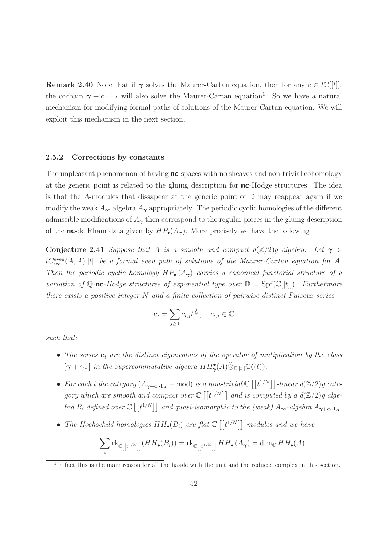**Remark 2.40** Note that if  $\gamma$  solves the Maurer-Cartan equation, then for any  $c \in t\mathbb{C}[[t]]$ , the cochain  $\gamma + c \cdot 1_A$  will also solve the Maurer-Cartan equation<sup>1</sup>. So we have a natural mechanism for modifying formal paths of solutions of the Maurer-Cartan equation. We will exploit this mechanism in the next section.

#### 2.5.2 Corrections by constants

The unpleasant phenomenon of having **nc**-spaces with no sheaves and non-trivial cohomology at the generic point is related to the gluing description for nc-Hodge structures. The idea is that the A-modules that dissapear at the generic point of  $D$  may reappear again if we modify the weak  $A_{\infty}$  algebra  $A_{\gamma}$  appropriately. The periodic cyclic homologies of the different admissible modifications of  $A_{\gamma}$  then correspond to the regular pieces in the gluing description of the nc-de Rham data given by  $HP_{\bullet}(A_{\gamma})$ . More precisely we have the following

Conjecture 2.41 Suppose that A is a smooth and compact  $d(\mathbb{Z}/2)g$  algebra. Let  $\gamma \in$  $tC_{\text{red}}^{\text{even}}(A, A)[[t]]$  be a formal even path of solutions of the Maurer-Cartan equation for A. Then the periodic cyclic homology  $HP_{\bullet}(A_{\gamma})$  carries a canonical functorial structure of a variation of Q-nc-Hodge structures of exponential type over  $\mathbb{D} = \text{Spf}(\mathbb{C}[[t]])$ . Furthermore there exists a positive integer N and a finite collection of pairwise distinct Puiseux series

$$
\boldsymbol{c}_i = \sum_{j \ge 1} c_{i,j} t^{\frac{j}{N}}, \quad c_{i,j} \in \mathbb{C}
$$

such that:

- The series  $c_i$  are the distinct eigenvalues of the operator of mutiplication by the class  $[\gamma + \gamma_A]$  in the supercommutative algebra  $HH^{\bullet}_{\gamma}(A) \widehat{\otimes}_{\mathbb{C}[[t]]} \mathbb{C}((t)).$
- For each i the category  $(A_{\boldsymbol{\gamma}+\boldsymbol{c}_i\cdot 1_A}-\textsf{mod})$  is a non-trivial  $\mathbb{C}\left[\left[t^{1/N}\right]\right]$ -linear  $d(\mathbb{Z}/2)g$  category which are smooth and compact over  $\mathbb{C}\left[\left[t^{1/N}\right]\right]$  and is computed by a  $d(\mathbb{Z}/2)g$  algebra  $B_i$  defined over  $\mathbb{C}([t^{1/N}]]$  and quasi-isomorphic to the (weak)  $A_{\infty}$ -algebra  $A_{\gamma+c_i\cdot 1_A}$ .
- The Hochschild homologies  $HH_{\bullet}(B_i)$  are flat  $\mathbb{C}\left[\left[t^{1/N}\right]\right]$ -modules and we have

$$
\sum_{i} \mathrm{rk}_{\mathbb{C}}[[t^{1/N}]](HH_{\bullet}(B_{i})) = \mathrm{rk}_{\mathbb{C}}[[t^{1/N}]]HH_{\bullet}(A_{\gamma}) = \dim_{\mathbb{C}} HH_{\bullet}(A).
$$

<sup>&</sup>lt;sup>1</sup>In fact this is the main reason for all the hassle with the unit and the reduced complex in this section.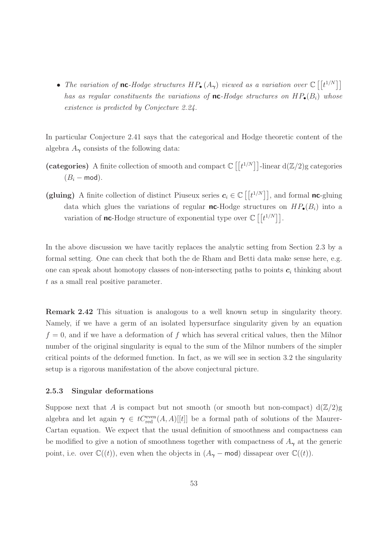• The variation of **nc**-Hodge structures  $HP_{\bullet}(A_{\gamma})$  viewed as a variation over  $\mathbb{C}[[t^{1/N}]]$ has as regular constituents the variations of **nc**-Hodge structures on  $HP_{\bullet}(B_i)$  whose existence is predicted by Conjecture 2.24.

In particular Conjecture 2.41 says that the categorical and Hodge theoretic content of the algebra  $A_{\gamma}$  consists of the following data:

- (categories) A finite collection of smooth and compact  $\mathbb{C}\left[\left[t^{1/N}\right]\right]$ -linear  $d(\mathbb{Z}/2)$ g categories  $(B_i - \text{mod}).$
- (gluing) A finite collection of distinct Piuseux series  $c_i \in \mathbb{C}[[t^{1/N}]]$ , and formal nc-gluing data which glues the variations of regular **nc**-Hodge structures on  $HP_{\bullet}(B_i)$  into a variation of **nc**-Hodge structure of exponential type over  $\mathbb{C} \left[ \left[ t^{1/N} \right] \right]$ .

In the above discussion we have tacitly replaces the analytic setting from Section 2.3 by a formal setting. One can check that both the de Rham and Betti data make sense here, e.g. one can speak about homotopy classes of non-intersecting paths to points  $c_i$  thinking about t as a small real positive parameter.

Remark 2.42 This situation is analogous to a well known setup in singularity theory. Namely, if we have a germ of an isolated hypersurface singularity given by an equation  $f = 0$ , and if we have a deformation of f which has several critical values, then the Milnor number of the original singularity is equal to the sum of the Milnor numbers of the simpler critical points of the deformed function. In fact, as we will see in section 3.2 the singularity setup is a rigorous manifestation of the above conjectural picture.

### 2.5.3 Singular deformations

Suppose next that A is compact but not smooth (or smooth but non-compact)  $d(\mathbb{Z}/2)g$ algebra and let again  $\gamma \in tC_{\text{red}}^{\text{even}}(A, A)[[t]]$  be a formal path of solutions of the Maurer-Cartan equation. We expect that the usual definition of smoothness and compactness can be modified to give a notion of smoothness together with compactness of  $A_{\gamma}$  at the generic point, i.e. over  $\mathbb{C}((t))$ , even when the objects in  $(A_{\gamma}$  – mod) dissapear over  $\mathbb{C}((t))$ .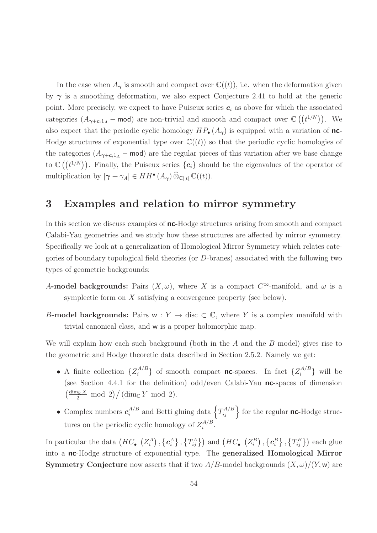In the case when  $A_{\gamma}$  is smooth and compact over  $\mathbb{C}((t))$ , i.e. when the deformation given by  $\gamma$  is a smoothing deformation, we also expect Conjecture 2.41 to hold at the generic point. More precisely, we expect to have Puiseux series  $c_i$  as above for which the associated categories  $(A_{\gamma+c_i1_A} - \text{mod})$  are non-trivial and smooth and compact over  $\mathbb{C}((t^{1/N}))$ . We also expect that the periodic cyclic homology  $HP_{\bullet}(A_{\gamma})$  is equipped with a variation of nc-Hodge structures of exponential type over  $\mathbb{C}((t))$  so that the periodic cyclic homologies of the categories  $(A_{\gamma+c_i1_A} - \text{mod})$  are the regular pieces of this variation after we base change to  $\mathbb{C}\left(\binom{t^{1/N}}{n}\right)$ . Finally, the Puiseux series  $\{\boldsymbol{c}_i\}$  should be the eigenvalues of the operator of multiplication by  $[\gamma + \gamma_A] \in HH^{\bullet}(A_{\gamma}) \widehat{\otimes}_{\mathbb{C}[[t]]} \mathbb{C}((t)).$ 

# 3 Examples and relation to mirror symmetry

In this section we discuss examples of **nc**-Hodge structures arising from smooth and compact Calabi-Yau geometries and we study how these structures are affected by mirror symmetry. Specifically we look at a generalization of Homological Mirror Symmetry which relates categories of boundary topological field theories (or D-branes) associated with the following two types of geometric backgrounds:

- A-model backgrounds: Pairs  $(X, \omega)$ , where X is a compact  $C^{\infty}$ -manifold, and  $\omega$  is a symplectic form on X satisfying a convergence property (see below).
- B-model backgrounds: Pairs w :  $Y \rightarrow$  disc  $\subset \mathbb{C}$ , where Y is a complex manifold with trivial canonical class, and w is a proper holomorphic map.

We will explain how each such background (both in the  $A$  and the  $B$  model) gives rise to the geometric and Hodge theoretic data described in Section 2.5.2. Namely we get:

- A finite collection  $\{Z_i^{A/B}\}$  $\{A/B\}}$  of smooth compact **nc**-spaces. In fact  $\{Z_i^{A/B}\}$  $\{a^{A/B}\}\$  will be (see Section 4.4.1 for the definition) odd/even Calabi-Yau  $nc$ -spaces of dimension  $\left(\frac{\dim\mathbb{R} X}{2}\ \text{mod}\ 2\right) / (\dim_{\mathbb{C}} Y\ \text{mod}\ 2).$
- Complex numbers  $c_i^{A/B}$  $i_i^{A/B}$  and Betti gluing data  $\left\{T_{ij}^{A/B}\right\}$  for the regular **nc**-Hodge structures on the periodic cyclic homology of  $Z_i^{A/B}$  $i^{A/D}$ .

In particular the data  $(HC_{\bullet}^{-}(Z_i^A), \{c_i^A\}, \{T_{ij}^A\})$  and  $(HC_{\bullet}^{-}(Z_i^B), \{c_i^B\}, \{T_{ij}^B\})$  each glue into a nc-Hodge structure of exponential type. The generalized Homological Mirror **Symmetry Conjecture** now asserts that if two  $A/B$ -model backgrounds  $(X, \omega)/(Y, \mathbf{w})$  are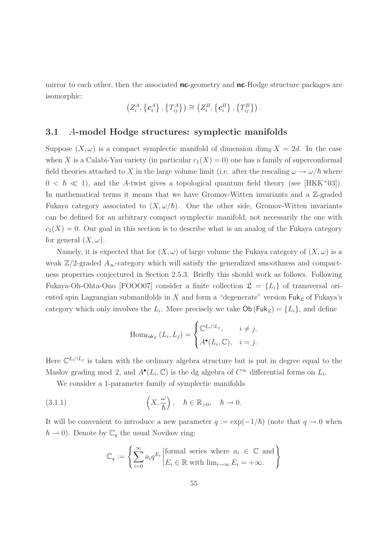mirror to each other, then the associated **nc**-geometry and **nc**-Hodge structure packages are isomorphic:

$$
\left(Z_i^A,\left\{ \mathbf{c}_i^A\right\},\left\{ T_{ij}^A\right\} \right)\cong \left(Z_i^B,\left\{ \mathbf{c}_i^B\right\},\left\{ T_{ij}^B\right\} \right).
$$

# 3.1 A-model Hodge structures: symplectic manifolds

Suppose  $(X, \omega)$  is a compact symplectic manifold of dimension dim<sub>R</sub>  $X = 2d$ . In the case when X is a Calabi-Yau variety (in particular  $c_1(X) = 0$ ) one has a family of superconformal field theories attached to X in the large volume limit (i.e. after the rescaling  $\omega \to \omega/\hbar$  where  $0 < \hbar \ll 1$ , and the A-twist gives a topological quantum field theory (see [HKK<sup>+</sup>03]). In mathematical terms it means that we have Gromov-Witten invariants and a Z-graded Fukaya category associated to  $(X, \omega/\hbar)$ . One the other side, Gromov-Witten invariants can be defined for an arbitrary compact symplectic manifold, not necessarily the one with  $c_1(X) = 0$ . Our goal in this section is to describe what is an analog of the Fukaya category for general  $(X, \omega)$ .

Namely, it is expected that for  $(X, \omega)$  of large volume the Fukaya category of  $(X, \omega)$  is a weak  $\mathbb{Z}/2$ -graded  $A_{\infty}$ -category which will satisfy the generalized smoothness and compactness properties conjectured in Section 2.5.3. Briefly this should work as follows. Following Fukaya-Oh-Ohta-Ono [FOOO07] consider a finite collection  $\mathfrak{L} = \{L_i\}$  of transversal oriented spin Lagrangian submanifolds in  $X$  and form a "degenerate" version  $\mathsf{Fuk}_\mathfrak{L}$  of Fukaya's category which only involves the  $L_i$ . More precisely we take  $\mathsf{Ob}(\mathsf{Fuk}_{\mathcal{L}}) = \{L_i\}$ , and define

$$
\operatorname{Hom}_{\mathsf{Fuk}_{\mathfrak{L}}}(L_i, L_j) = \begin{cases} \mathbb{C}^{L_i \cap L_j}, & i \neq j, \\ A^{\bullet}(L_i, \mathbb{C}), & i = j. \end{cases}
$$

Here  $\mathbb{C}^{L_i \cap L_j}$  is taken with the ordinary algebra structure but is put in degree equal to the Maslov grading mod 2, and  $A^{\bullet}(L_i, \mathbb{C})$  is the dg algebra of  $C^{\infty}$  differential forms on  $L_i$ .

We consider a 1-parameter family of symplectic manifolds

(3.1.1) 
$$
\left(X, \frac{\omega}{\hbar}\right), \quad \hbar \in \mathbb{R}_{>0}, \quad \hbar \to 0.
$$

It will be convenient to introduce a new parameter  $q := \exp(-1/\hbar)$  (note that  $q \to 0$  when  $\hbar \to 0$ ). Denote by  $\mathbb{C}_q$  the usual Novikov ring:

$$
\mathbb{C}_q := \left\{ \sum_{i=0}^{\infty} a_i q^{E_i} \middle| \text{formal series where } a_i \in \mathbb{C} \text{ and } \atop E_i \in \mathbb{R} \text{ with } \lim_{i \to \infty} E_i = +\infty. \right\}
$$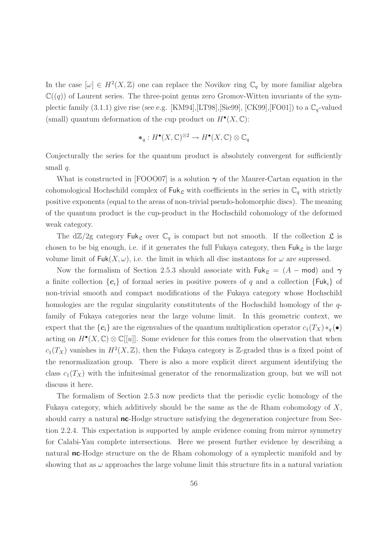In the case  $[\omega] \in H^2(X,\mathbb{Z})$  one can replace the Novikov ring  $\mathbb{C}_q$  by more familiar algebra  $\mathbb{C}((q))$  of Laurent series. The three-point genus zero Gromov-Witten invariants of the symplectic family (3.1.1) give rise (see e.g. [KM94], [LT98], [Sie99], [CK99], [FO01]) to a  $\mathbb{C}_q$ -valued (small) quantum deformation of the cup product on  $H^{\bullet}(X,\mathbb{C})$ :

$$
*_q: H^{\bullet}(X, \mathbb{C})^{\otimes 2} \to H^{\bullet}(X, \mathbb{C}) \otimes \mathbb{C}_q
$$

Conjecturally the series for the quantum product is absolutely convergent for sufficiently small  $q$ .

What is constructed in [FOOO07] is a solution  $\gamma$  of the Maurer-Cartan equation in the cohomological Hochschild complex of  $\mathsf{Fuk}_{\mathcal{L}}$  with coefficients in the series in  $\mathbb{C}_q$  with strictly positive exponents (equal to the areas of non-trivial pseudo-holomorphic discs). The meaning of the quantum product is the cup-product in the Hochschild cohomology of the deformed weak category.

The  $d\mathbb{Z}/2g$  category Fuk<sub>c</sub> over  $\mathbb{C}_q$  is compact but not smooth. If the collection  $\mathfrak{L}$  is chosen to be big enough, i.e. if it generates the full Fukaya category, then  $\mathsf{Fuk}_{\mathcal{L}}$  is the large volume limit of  $Fuk(X, \omega)$ , i.e. the limit in which all disc instantons for  $\omega$  are supressed.

Now the formalism of Section 2.5.3 should associate with  $\mathsf{Fuk}_{\mathfrak{L}} = (A - \mathsf{mod})$  and  $\gamma$ a finite collection  $\{c_i\}$  of formal series in positive powers of q and a collection  $\{Fuk_i\}$  of non-trivial smooth and compact modifications of the Fukaya category whose Hochschild homologies are the regular singularity constitutents of the Hochschild homology of the qfamily of Fukaya categories near the large volume limit. In this geometric context, we expect that the  $\{c_i\}$  are the eigenvalues of the quantum multiplication operator  $c_1(T_X) *_{q}(\bullet)$ acting on  $H^{\bullet}(X,\mathbb{C}) \otimes \mathbb{C}[[u]]$ . Some evidence for this comes from the observation that when  $c_1(T_X)$  vanishes in  $H^2(X,\mathbb{Z})$ , then the Fukaya category is Z-graded thus is a fixed point of the renormalization group. There is also a more explicit direct argument identifying the class  $c_1(T_X)$  with the infnitesimal generator of the renormalization group, but we will not discuss it here.

The formalism of Section 2.5.3 now predicts that the periodic cyclic homology of the Fukaya category, which additively should be the same as the de Rham cohomology of  $X$ , should carry a natural **nc**-Hodge structure satisfying the degeneration conjecture from Section 2.2.4. This expectation is supported by ample evidence coming from mirror symmetry for Calabi-Yau complete intersections. Here we present further evidence by describing a natural **nc**-Hodge structure on the de Rham cohomology of a symplectic manifold and by showing that as  $\omega$  approaches the large volume limit this structure fits in a natural variation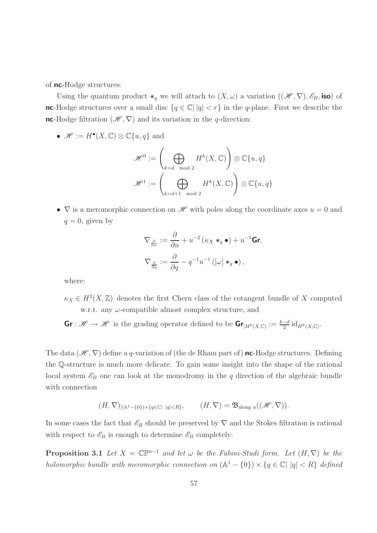of nc-Hodge structures.

Using the quantum product  $*_q$  we will attach to  $(X, \omega)$  a variation  $((\mathscr{H}, \nabla), \mathscr{E}_B, \text{iso})$  of nc-Hodge structures over a small disc  $\{q \in \mathbb{C} \mid |q| < r\}$  in the q-plane. First we describe the nc-Hodge filtration  $(\mathscr{H}, \nabla)$  and its variation in the q-direction:

•  $\mathscr{H} := H^{\bullet}(X, \mathbb{C}) \otimes \mathbb{C}\{u, q\}$  and

$$
\mathscr{H}^0:=\left(\bigoplus_{k=d\mod 2}H^k(X,\mathbb{C})\right)\otimes\mathbb{C}\{u,q\}
$$

$$
\mathscr{H}^1:=\left(\bigoplus_{k=d+1\mod 2}H^k(X,\mathbb{C})\right)\otimes\mathbb{C}\{u,q\}
$$

•  $\nabla$  is a meromorphic connection on  $\mathscr{H}$  with poles along the coordinate axes  $u = 0$  and  $q = 0$ , given by

$$
\nabla_{\frac{\partial}{\partial u}} := \frac{\partial}{\partial u} + u^{-2} (\kappa_X *_{q} \bullet) + u^{-1} \mathbf{Gr},
$$

$$
\nabla_{\frac{\partial}{\partial q}} := \frac{\partial}{\partial q} - q^{-1} u^{-1} ([\omega] *_{q} \bullet),
$$

where:

 $\kappa_X \in H^2(X,\mathbb{Z})$  denotes the first Chern class of the cotangent bundle of X computed w.r.t. any  $\omega$ -compatible almost complex structure, and

 $\mathsf{Gr}: \mathscr{H} \to \mathscr{H}$  is the grading operator defined to be  $\mathsf{Gr}_{|H^k(X,\mathbb{C})} := \frac{k-d}{2} \mathrm{id}_{H^k(X,\mathbb{C})}$ .

The data  $(\mathscr{H}, \nabla)$  define a q-variation of (the de Rham part of) **nc**-Hodge structures. Defining the Q-structure is much more delicate. To gain some insight into the shape of the rational local system  $\mathscr{E}_B$  one can look at the monodromy in the q direction of the algebraic bundle with connection

$$
(H,\nabla)_{|(\mathbb{A}^1-\{0\})\times\{q\in\mathbb{C}|~|q|
$$

In some cases the fact that  $\mathscr{E}_B$  should be preserved by  $\nabla$  and the Stokes filtration is rational with respect to  $\mathscr{E}_B$  is enough to determine  $\mathscr{E}_B$  completely:

**Proposition 3.1** Let  $X = \mathbb{C}\mathbb{P}^{n-1}$  and let  $\omega$  be the Fubini-Studi form. Let  $(H, \nabla)$  be the holomorphic bundle with meromorphic connection on  $(A^1 - \{0\}) \times \{q \in \mathbb{C} | |q| < R \}$  defined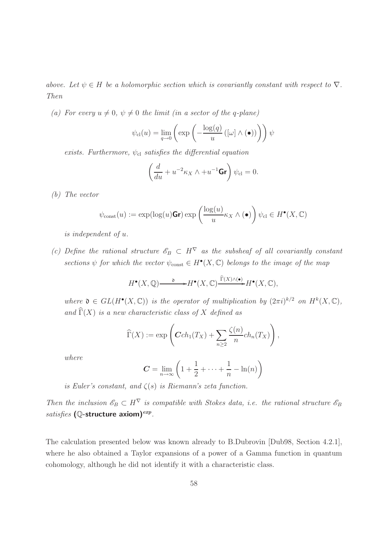above. Let  $\psi \in H$  be a holomorphic section which is covariantly constant with respect to  $\nabla$ . Then

(a) For every  $u \neq 0$ ,  $\psi \neq 0$  the limit (in a sector of the q-plane)

$$
\psi_{\text{cl}}(u) = \lim_{q \to 0} \left( \exp \left( -\frac{\log(q)}{u} \left( [\omega] \wedge (\bullet) \right) \right) \right) \psi
$$

exists. Furthermore,  $\psi_{\text{cl}}$  satisfies the differential equation

$$
\left(\frac{d}{du} + u^{-2}\kappa_X \wedge + u^{-1}\mathbf{Gr}\right)\psi_{\text{cl}} = 0.
$$

(b) The vector

$$
\psi_{\text{const}}(u) := \exp(\log(u) \mathbf{Gr}) \exp\left(\frac{\log(u)}{u} \kappa_X \wedge (\bullet)\right) \psi_{\text{cl}} \in H^{\bullet}(X, \mathbb{C})
$$

is independent of u.

(c) Define the rational structure  $\mathscr{E}_B \subset H^{\nabla}$  as the subsheaf of all covariantly constant sections  $\psi$  for which the vector  $\psi_{\text{const}} \in H^{\bullet}(X, \mathbb{C})$  belongs to the image of the map

$$
H^{\bullet}(X,\mathbb{Q}) \longrightarrow H^{\bullet}(X,\mathbb{C}) \xrightarrow{\widehat{\Gamma}(X) \wedge (\bullet)} H^{\bullet}(X,\mathbb{C}),
$$

where  $\mathfrak{d} \in GL(H^{\bullet}(X,\mathbb{C}))$  is the operator of multiplication by  $(2\pi i)^{k/2}$  on  $H^{k}(X,\mathbb{C}),$ and  $\widehat{\Gamma}(X)$  is a new characteristic class of X defined as

$$
\widehat{\Gamma}(X) := \exp\left( \mathbf{C} ch_1(T_X) + \sum_{n \ge 2} \frac{\zeta(n)}{n} ch_n(T_X) \right),
$$

where

$$
C = \lim_{n \to \infty} \left( 1 + \frac{1}{2} + \dots + \frac{1}{n} - \ln(n) \right)
$$

is Euler's constant, and  $\zeta(s)$  is Riemann's zeta function.

Then the inclusion  $\mathscr{E}_B \subset H^{\nabla}$  is compatible with Stokes data, i.e. the rational structure  $\mathscr{E}_B$ satisfies (Q-structure axiom)<sup>exp</sup>.

The calculation presented below was known already to B.Dubrovin [Dub98, Section 4.2.1], where he also obtained a Taylor expansions of a power of a Gamma function in quantum cohomology, although he did not identify it with a characteristic class.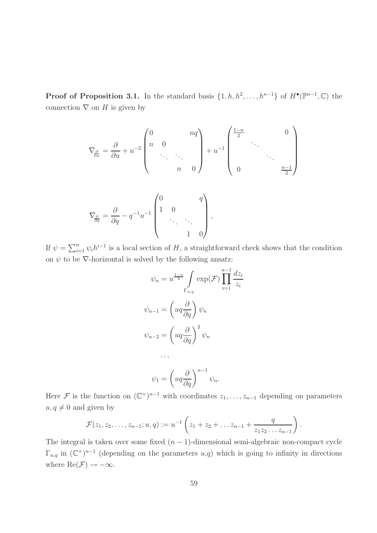**Proof of Proposition 3.1.** In the standard basis  $\{1, h, h^2, \ldots, h^{n-1}\}$  of  $H^{\bullet}(\mathbb{P}^{n-1}, \mathbb{C})$  the connection  $\nabla$  on H is given by

 1−n 0 0 nq 2 . . n 0 . ∂ −2 −1 = ∂u <sup>+</sup> <sup>u</sup> + u ∇<sup>∂</sup> . . . . . . . . ∂u . n 0 n−1 0 2 0 q 1 0 ∂ <sup>−</sup><sup>1</sup>u −1 = ∂q <sup>−</sup> <sup>q</sup> , ∇<sup>∂</sup> . . . . . . ∂q 1 0 

If  $\psi = \sum_{i=1}^n \psi_i h^{i-1}$  is a local section of H, a straightforward check shows that the condition on  $\psi$  to be  $\nabla$ -horizontal is solved by the following ansatz:

$$
\psi_n = u^{\frac{1-n}{2}} \int_{\Gamma_{u,q}} \exp(\mathcal{F}) \prod_{i=1}^{n-1} \frac{dz_i}{z_i}
$$

$$
\psi_{n-1} = \left( uq \frac{\partial}{\partial q} \right) \psi_n
$$

$$
\psi_{n-2} = \left( uq \frac{\partial}{\partial q} \right)^2 \psi_n
$$

$$
\dots
$$

$$
\psi_1 = \left( uq \frac{\partial}{\partial q} \right)^{n-1} \psi_n.
$$

Here F is the function on  $(\mathbb{C}^{\times})^{n-1}$  with coordinates  $z_1, \ldots, z_{n-1}$  depending on parameters  $u, q \neq 0$  and given by

$$
\mathcal{F}(z_1, z_2, \ldots, z_{n-1}; u, q) := u^{-1} \left( z_1 + z_2 + \ldots z_{n-1} + \frac{q}{z_1 z_2 \ldots z_{n-1}} \right).
$$

The integral is taken over some fixed  $(n - 1)$ -dimensional semi-algebraic non-compact cycle  $\Gamma_{u,q}$  in  $(\mathbb{C}^{\times})^{n-1}$  (depending on the parameters  $u,q$ ) which is going to infinity in directions where  $\text{Re}(\mathcal{F}) \to -\infty$ .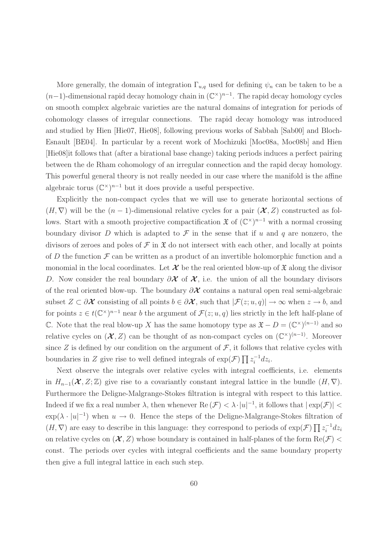More generally, the domain of integration  $\Gamma_{u,q}$  used for defining  $\psi_n$  can be taken to be a  $(n-1)$ -dimensional rapid decay homology chain in  $(\mathbb{C}^\times)^{n-1}$ . The rapid decay homology cycles on smooth complex algebraic varieties are the natural domains of integration for periods of cohomology classes of irregular connections. The rapid decay homology was introduced and studied by Hien [Hie07, Hie08], following previous works of Sabbah [Sab00] and Bloch-Esnault [BE04]. In particular by a recent work of Mochizuki [Moc08a, Moc08b] and Hien [Hie08]it follows that (after a birational base change) taking periods induces a perfect pairing between the de Rham cohomology of an irregular connection and the rapid decay homology. This powerful general theory is not really needed in our case where the manifold is the affine algebraic torus  $(\mathbb{C}^{\times})^{n-1}$  but it does provide a useful perspective.

Explicitly the non-compact cycles that we will use to generate horizontal sections of  $(H, \nabla)$  will be the  $(n-1)$ -dimensional relative cycles for a pair  $(\mathcal{X}, Z)$  constructed as follows. Start with a smooth projective compactification  $\mathfrak{X}$  of  $(\mathbb{C}^{\times})^{n-1}$  with a normal crossing boundary divisor D which is adapted to  $\mathcal F$  in the sense that if u and q are nonzero, the divisors of zeroes and poles of  $\mathcal F$  in  $\mathfrak X$  do not intersect with each other, and locally at points of D the function  $\mathcal F$  can be written as a product of an invertible holomorphic function and a monomial in the local coordinates. Let  $\mathcal X$  be the real oriented blow-up of  $\mathfrak X$  along the divisor D. Now consider the real boundary  $\partial X$  of  $X$ , i.e. the union of all the boundary divisors of the real oriented blow-up. The boundary  $\partial \mathcal{X}$  contains a natural open real semi-algebraic subset  $Z \subset \partial X$  consisting of all points  $b \in \partial X$ , such that  $|\mathcal{F}(z; u, q)| \to \infty$  when  $z \to b$ , and for points  $z \in t(\mathbb{C}^\times)^{n-1}$  near b the argument of  $\mathcal{F}(z; u, q)$  lies strictly in the left half-plane of C. Note that the real blow-up X has the same homotopy type as  $\mathfrak{X} - D = (\mathbb{C}^{\times})^{(n-1)}$  and so relative cycles on  $(X, Z)$  can be thought of as non-compact cycles on  $(\mathbb{C}^{\times})^{(n-1)}$ . Moreover since Z is defined by our condition on the argument of  $\mathcal{F}$ , it follows that relative cycles with boundaries in Z give rise to well defined integrals of  $\exp(\mathcal{F}) \prod z_i^{-1}$  $\int_i^{-1} dz_i$ .

Next observe the integrals over relative cycles with integral coefficients, i.e. elements in  $H_{n-1}(\mathcal{X}, Z; \mathbb{Z})$  give rise to a covariantly constant integral lattice in the bundle  $(H, \nabla)$ . Furthermore the Deligne-Malgrange-Stokes filtration is integral with respect to this lattice. Indeed if we fix a real number  $\lambda$ , then whenever  $\text{Re}(\mathcal{F}) < \lambda \cdot |u|^{-1}$ , it follows that  $|\exp(\mathcal{F})| <$  $\exp(\lambda \cdot |u|^{-1})$  when  $u \to 0$ . Hence the steps of the Deligne-Malgrange-Stokes filtration of  $(H, \nabla)$  are easy to describe in this language: they correspond to periods of  $\exp(\mathcal{F}) \prod z_i^{-1}$  $i^{-1}dz_i$ on relative cycles on  $(\mathcal{X}, Z)$  whose boundary is contained in half-planes of the form  $\text{Re}(\mathcal{F})$  < const. The periods over cycles with integral coefficients and the same boundary property then give a full integral lattice in each such step.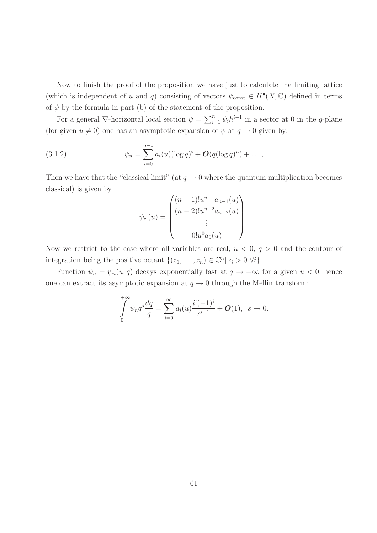Now to finish the proof of the proposition we have just to calculate the limiting lattice (which is independent of u and q) consisting of vectors  $\psi_{\text{const}} \in H^{\bullet}(X, \mathbb{C})$  defined in terms of  $\psi$  by the formula in part (b) of the statement of the proposition.

For a general  $\nabla$ -horizontal local section  $\psi = \sum_{i=1}^n \psi_i h^{i-1}$  in a sector at 0 in the q-plane (for given  $u \neq 0$ ) one has an asymptotic expansion of  $\psi$  at  $q \to 0$  given by:

(3.1.2) 
$$
\psi_n = \sum_{i=0}^{n-1} a_i(u) (\log q)^i + O(q(\log q)^n) + \dots,
$$

Then we have that the "classical limit" (at  $q \to 0$  where the quantum multiplication becomes classical) is given by

$$
\psi_{\text{cl}}(u) = \begin{pmatrix} (n-1)!u^{n-1}a_{n-1}(u) \\ (n-2)!u^{n-2}a_{n-2}(u) \\ \vdots \\ 0!u^0a_0(u) \end{pmatrix}.
$$

Now we restrict to the case where all variables are real,  $u < 0$ ,  $q > 0$  and the contour of integration being the positive octant  $\{(z_1, \ldots, z_n) \in \mathbb{C}^n | z_i > 0 \; \forall i\}.$ 

Function  $\psi_n = \psi_n(u, q)$  decays exponentially fast at  $q \to +\infty$  for a given  $u < 0$ , hence one can extract its asymptotic expansion at  $q \to 0$  through the Mellin transform:

$$
\int_{0}^{+\infty} \psi_n q^s \frac{dq}{q} = \sum_{i=0}^{\infty} a_i(u) \frac{i! (-1)^i}{s^{i+1}} + O(1), \ \ s \to 0.
$$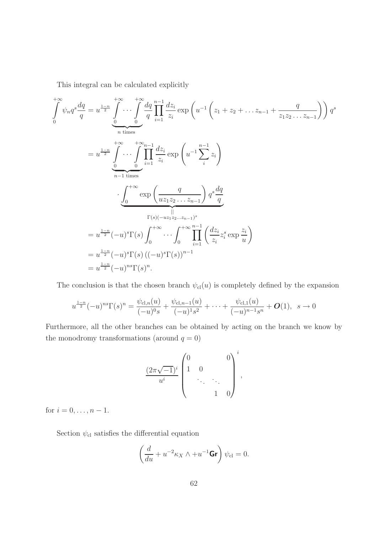This integral can be calculated explicitly

$$
\int_{0}^{+\infty} \psi_{n} q^{s} \frac{dq}{q} = u^{\frac{1-n}{2}} \int_{0}^{+\infty} \cdots \int_{0}^{+\infty} \frac{dq}{q} \prod_{i=1}^{n-1} \frac{dz_{i}}{z_{i}} \exp\left(u^{-1}\left(z_{1} + z_{2} + \dots z_{n-1} + \frac{q}{z_{1}z_{2} \dots z_{n-1}}\right)\right) q^{s}
$$
\n
$$
= u^{\frac{1-n}{2}} \int_{0}^{+\infty} \cdots \int_{0}^{+\infty} \prod_{i=1}^{n-1} \frac{dz_{i}}{z_{i}} \exp\left(u^{-1} \sum_{i}^{n-1} z_{i}\right)
$$
\n
$$
\cdot \int_{0}^{+\infty} \exp\left(\frac{q}{uz_{1}z_{2} \dots z_{n-1}}\right) q^{s} \frac{dq}{q}
$$
\n
$$
\Gamma(s)(-uz_{1}z_{2} \dots z_{n-1})^{s}
$$
\n
$$
= u^{\frac{1-n}{2}}(-u)^{s} \Gamma(s) \int_{0}^{+\infty} \cdots \int_{0}^{+\infty} \prod_{i=1}^{n-1} \left(\frac{dz_{i}}{z_{i}} z_{i}^{s} \exp\frac{z_{i}}{u}\right)
$$
\n
$$
= u^{\frac{1-n}{2}}(-u)^{s} \Gamma(s) \left((-u)^{s} \Gamma(s)\right)^{n-1}
$$
\n
$$
= u^{\frac{1-n}{2}}(-u)^{ns} \Gamma(s)^{n}.
$$

The conclusion is that the chosen branch  $\psi_{\text{cl}}(u)$  is completely defined by the expansion

$$
u^{\frac{1-n}{2}}(-u)^{ns}\Gamma(s)^n = \frac{\psi_{\text{cl},n}(u)}{(-u)^0s} + \frac{\psi_{\text{cl},n-1}(u)}{(-u)^1s^2} + \cdots + \frac{\psi_{\text{cl},1}(u)}{(-u)^{n-1}s^n} + O(1), \ \ s \to 0
$$

Furthermore, all the other branches can be obtained by acting on the branch we know by the monodromy transformations (around  $q=0)$ 

$$
\frac{(2\pi\sqrt{-1})^i}{u^i} \begin{pmatrix} 0 & & & 0 \\ 1 & 0 & & \\ & \ddots & \ddots & \\ & & 1 & 0 \end{pmatrix}^i,
$$

for  $i = 0, ..., n - 1$ .

Section $\psi_{\text{cl}}$  satisfies the differential equation

$$
\left(\frac{d}{du} + u^{-2}\kappa_X \wedge + u^{-1}\mathbf{Gr}\right)\psi_{\text{cl}} = 0.
$$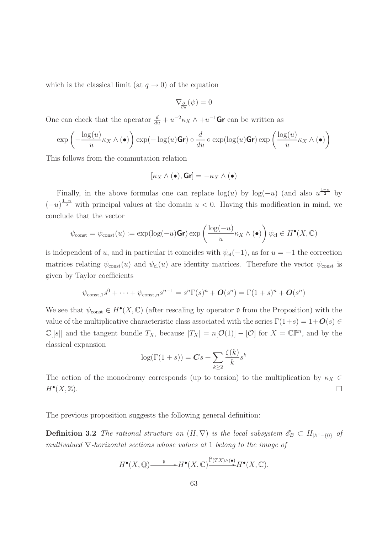which is the classical limit (at  $q \to 0$ ) of the equation

$$
\nabla_{\!\frac{\partial}{\partial u}}(\psi)=0
$$

One can check that the operator  $\frac{d}{du} + u^{-2}\kappa_X \wedge + u^{-1}$ **Gr** can be written as

$$
\exp\left(-\frac{\log(u)}{u}\kappa_X \wedge (\bullet)\right) \exp(-\log(u)\mathsf{Gr}) \circ \frac{d}{du} \circ \exp(\log(u)\mathsf{Gr}) \exp\left(\frac{\log(u)}{u}\kappa_X \wedge (\bullet)\right)
$$

This follows from the commutation relation

$$
[\kappa_X \wedge (\bullet), \mathsf{Gr}] = -\kappa_X \wedge (\bullet)
$$

Finally, in the above formulas one can replace  $log(u)$  by  $log(-u)$  (and also  $u^{\frac{1-n}{2}}$  by  $(-u)^{\frac{1-n}{2}}$  with principal values at the domain  $u < 0$ . Having this modification in mind, we conclude that the vector

$$
\psi_{\text{const}} = \psi_{\text{const}}(u) := \exp(\log(-u)\mathbf{Gr}) \exp\left(\frac{\log(-u)}{u} \kappa_X \wedge (\bullet)\right) \psi_{\text{cl}} \in H^{\bullet}(X, \mathbb{C})
$$

is independent of u, and in particular it coincides with  $\psi_{\text{cl}}(-1)$ , as for  $u = -1$  the correction matrices relating  $\psi_{\text{const}}(u)$  and  $\psi_{\text{cl}}(u)$  are identity matrices. Therefore the vector  $\psi_{\text{const}}$  is given by Taylor coefficients

$$
\psi_{\text{const},1} s^0 + \dots + \psi_{\text{const},n} s^{n-1} = s^n \Gamma(s)^n + O(s^n) = \Gamma(1+s)^n + O(s^n)
$$

We see that  $\psi_{\text{const}} \in H^{\bullet}(X, \mathbb{C})$  (after rescaling by operator  $\mathfrak d$  from the Proposition) with the value of the multiplicative characteristic class associated with the series  $\Gamma(1+s) = 1+O(s) \in$  $\mathbb{C}[[s]]$  and the tangent bundle  $T_X$ , because  $[T_X] = n[\mathcal{O}(1)] - [\mathcal{O}]$  for  $X = \mathbb{C}\mathbb{P}^n$ , and by the classical expansion

$$
\log(\Gamma(1+s)) = Cs + \sum_{k \ge 2} \frac{\zeta(k)}{k} s^k
$$

The action of the monodromy corresponds (up to torsion) to the multiplication by  $\kappa_X \in$  $H^{\bullet}(X,\mathbb{Z}).$  $(X,\mathbb{Z})$ .

The previous proposition suggests the following general definition:

**Definition 3.2** The rational structure on  $(H, \nabla)$  is the local subsystem  $\mathscr{E}_B \subset H_{\vert A^1-\lbrace 0 \rbrace}$  of multivalued  $\nabla$ -horizontal sections whose values at 1 belong to the image of

$$
H^{\bullet}(X,\mathbb{Q}) \longrightarrow H^{\bullet}(X,\mathbb{C}) \xrightarrow{\widehat{\Gamma}(TX) \wedge (\bullet)} H^{\bullet}(X,\mathbb{C}),
$$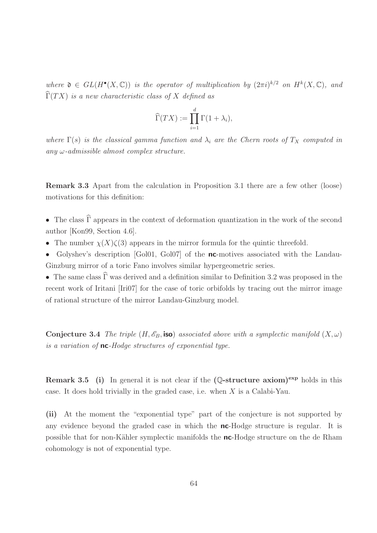where  $\mathfrak{d} \in GL(H^{\bullet}(X,\mathbb{C}))$  is the operator of multiplication by  $(2\pi i)^{k/2}$  on  $H^{k}(X,\mathbb{C})$ , and  $\widehat{\Gamma}(TX)$  is a new characteristic class of X defined as

$$
\widehat{\Gamma}(TX) := \prod_{i=1}^d \Gamma(1 + \lambda_i),
$$

where  $\Gamma(s)$  is the classical gamma function and  $\lambda_i$  are the Chern roots of  $T_X$  computed in any  $\omega$ -admissible almost complex structure.

Remark 3.3 Apart from the calculation in Proposition 3.1 there are a few other (loose) motivations for this definition:

- The class  $\hat{\Gamma}$  appears in the context of deformation quantization in the work of the second author [Kon99, Section 4.6].
- The number  $\chi(X)\zeta(3)$  appears in the mirror formula for the quintic threefold.
- Golyshev's description [Gol01, Gol07] of the **nc**-motives associated with the Landau-Ginzburg mirror of a toric Fano involves similar hypergeometric series.

• The same class  $\widehat{\Gamma}$  was derived and a definition similar to Definition 3.2 was proposed in the recent work of Iritani [Iri07] for the case of toric orbifolds by tracing out the mirror image of rational structure of the mirror Landau-Ginzburg model.

**Conjecture 3.4** The triple  $(H, \mathscr{E}_B$ , iso) associated above with a symplectic manifold  $(X, \omega)$ is a variation of **nc**-Hodge structures of exponential type.

**Remark 3.5** (i) In general it is not clear if the  $(\mathbb{Q}\text{-structure axiom})^{\text{exp}}$  holds in this case. It does hold trivially in the graded case, i.e. when X is a Calabi-Yau.

(ii) At the moment the "exponential type" part of the conjecture is not supported by any evidence beyond the graded case in which the nc-Hodge structure is regular. It is possible that for non-Kähler symplectic manifolds the **nc**-Hodge structure on the de Rham cohomology is not of exponential type.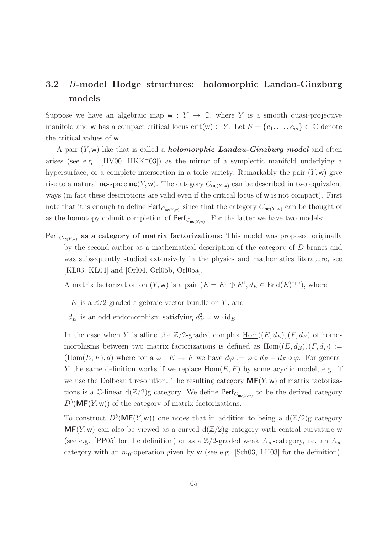# 3.2 B-model Hodge structures: holomorphic Landau-Ginzburg models

Suppose we have an algebraic map  $w : Y \to \mathbb{C}$ , where Y is a smooth quasi-projective manifold and w has a compact critical locus crit(w)  $\subset Y$ . Let  $S = {\bf{c}_1, \ldots, \bf{c}_m} \subset \mathbb{C}$  denote the critical values of w.

A pair  $(Y, w)$  like that is called a **holomorphic Landau-Ginzburg model** and often arises (see e.g.  $[HV00, HKK^+03]$ ) as the mirror of a symplectic manifold underlying a hypersurface, or a complete intersection in a toric variety. Remarkably the pair  $(Y, w)$  give rise to a natural **nc**-space  $nc(Y, w)$ . The category  $C_{nc(Y, w)}$  can be described in two equivalent ways (in fact these descriptions are valid even if the critical locus of w is not compact). First note that it is enough to define  $\mathsf{Perf}_{C_{\mathsf{nc}(Y,w)}}$  since that the category  $C_{\mathsf{nc}(Y,w)}$  can be thought of as the homotopy colimit completion of  $\mathsf{Perf}_{C_{\mathsf{nc}(Y,w)}}$ . For the latter we have two models:

Perf $_{C_{\mathbf{nc}(Y,w)}}$  as a category of matrix factorizations: This model was proposed originally by the second author as a mathematical description of the category of D-branes and was subsequently studied extensively in the physics and mathematics literature, see [KL03, KL04] and [Orl04, Orl05b, Orl05a].

A matrix factorization on  $(Y, w)$  is a pair  $(E = E^0 \oplus E^1, d_E \in \text{End}(E)^{\text{opp}})$ , where

- E is a  $\mathbb{Z}/2$ -graded algebraic vector bundle on Y, and
- $d_E$  is an odd endomorphism satisfying  $d_E^2 = \mathbf{w} \cdot \mathrm{id}_E$ .

In the case when Y is affine the  $\mathbb{Z}/2$ -graded complex  $\underline{Hom}((E, d_E), (F, d_F)$  of homomorphisms between two matrix factorizations is defined as  $\underline{Hom}((E, d_E), (F, d_F) :=$  $(Hom(E, F), d)$  where for a  $\varphi : E \to F$  we have  $d\varphi := \varphi \circ d_E - d_F \circ \varphi$ . For general Y the same definition works if we replace  $Hom(E, F)$  by some acyclic model, e.g. if we use the Dolbeault resolution. The resulting category  $MF(Y, w)$  of matrix factorizations is a C-linear  $d(\mathbb{Z}/2)$ g category. We define  $\mathsf{Perf}_{C_{\mathsf{nc}(Y,w)}}$  to be the derived category  $D^b(\textbf{MF}(Y, w))$  of the category of matrix factorizations.

To construct  $D^b(\text{MF}(Y, w))$  one notes that in addition to being a  $d(\mathbb{Z}/2)$ g category  $MF(Y, w)$  can also be viewed as a curved  $d(Z/2)g$  category with central curvature w (see e.g. [PP05] for the definition) or as a  $\mathbb{Z}/2$ -graded weak  $A_{\infty}$ -category, i.e. an  $A_{\infty}$ category with an  $m_0$ -operation given by w (see e.g. [Sch03, LH03] for the definition).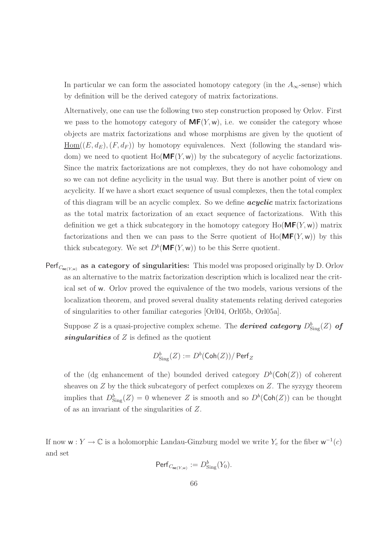In particular we can form the associated homotopy category (in the  $A_{\infty}$ -sense) which by definition will be the derived category of matrix factorizations.

Alternatively, one can use the following two step construction proposed by Orlov. First we pass to the homotopy category of  $MF(Y, w)$ , i.e. we consider the category whose objects are matrix factorizations and whose morphisms are given by the quotient of  $\underline{\text{Hom}}((E, d_E), (F, d_F))$  by homotopy equivalences. Next (following the standard wisdom) we need to quotient  $Ho(MF(Y, w))$  by the subcategory of acyclic factorizations. Since the matrix factorizations are not complexes, they do not have cohomology and so we can not define acyclicity in the usual way. But there is another point of view on acyclicity. If we have a short exact sequence of usual complexes, then the total complex of this diagram will be an acyclic complex. So we define  $acyclic$  matrix factorizations as the total matrix factorization of an exact sequence of factorizations. With this definition we get a thick subcategory in the homotopy category  $Ho(\mathbf{MF}(Y, w))$  matrix factorizations and then we can pass to the Serre quotient of  $Ho(MF(Y, w))$  by this thick subcategory. We set  $D^b(\text{MF}(Y, w))$  to be this Serre quotient.

Perf<sub>C<sub>nc(Y,w)</sub> as a category of singularities: This model was proposed originally by D. Orlov</sub> as an alternative to the matrix factorization description which is localized near the critical set of w. Orlov proved the equivalence of the two models, various versions of the localization theorem, and proved several duality statements relating derived categories of singularities to other familiar categories [Orl04, Orl05b, Orl05a].

Suppose Z is a quasi-projective complex scheme. The **derived category**  $D^b_{\text{Sing}}(Z)$  of singularities of  $Z$  is defined as the quotient

$$
D^b_{\mathrm{Sing}}(Z):=D^b(\mathsf{Coh}(Z))/\operatorname{\mathsf{Perf}}_Z
$$

of the (dg enhancement of the) bounded derived category  $D^b(\mathsf{Coh}(Z))$  of coherent sheaves on  $Z$  by the thick subcategory of perfect complexes on  $Z$ . The syzygy theorem implies that  $D^b_{\text{Sing}}(Z) = 0$  whenever Z is smooth and so  $D^b(\text{Coh}(Z))$  can be thought of as an invariant of the singularities of Z.

If now  $w: Y \to \mathbb{C}$  is a holomorphic Landau-Ginzburg model we write  $Y_c$  for the fiber  $w^{-1}(c)$ and set

$$
\mathsf{Perf}_{C_{\mathsf{nc}(Y,w)}} := D^b_{\mathrm{Sing}}(Y_0).
$$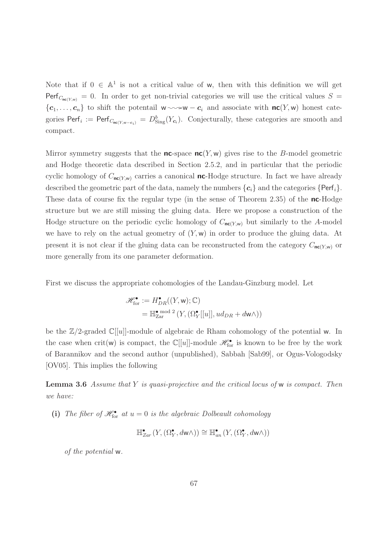Note that if  $0 \in \mathbb{A}^1$  is not a critical value of w, then with this definition we will get Perf<sub>Cnc(Y,w)</sub> = 0. In order to get non-trivial categories we will use the critical values  $S =$  $\{c_1,\ldots,c_n\}$  to shift the potentail  $w \sim w - c_i$  and associate with  $nc(Y, w)$  honest categories  $\text{Perf}_i := \text{Perf}_{C_{\text{nc}(Y,w-c_i)}} = D^b_{\text{Sing}}(Y_{c_i})$ . Conjecturally, these categories are smooth and compact.

Mirror symmetry suggests that the **nc**-space  $nc(Y, w)$  gives rise to the B-model geometric and Hodge theoretic data described in Section 2.5.2, and in particular that the periodic cyclic homology of  $C_{nc(Y,w)}$  carries a canonical **nc**-Hodge structure. In fact we have already described the geometric part of the data, namely the numbers  $\{c_i\}$  and the categories  $\{Perf_i\}$ . These data of course fix the regular type (in the sense of Theorem 2.35) of the  $nc$ -Hodge structure but we are still missing the gluing data. Here we propose a construction of the Hodge structure on the periodic cyclic homology of  $C_{nc(Y,w)}$  but similarly to the A-model we have to rely on the actual geometry of  $(Y, w)$  in order to produce the gluing data. At present it is not clear if the gluing data can be reconstructed from the category  $C_{nc(Y,w)}$  or more generally from its one parameter deformation.

First we discuss the appropriate cohomologies of the Landau-Ginzburg model. Let

$$
\mathscr{H}_{\text{for}}^{\bullet} := H_{DR}^{\bullet}((Y, \mathsf{w}); \mathbb{C})
$$
  
= 
$$
\mathbb{H}_{\text{Zar}}^{\bullet \text{ mod } 2} (Y, (\Omega_Y^{\bullet}[[u]], ud_{DR} + d\mathsf{w}\wedge))
$$

be the  $\mathbb{Z}/2$ -graded  $\mathbb{C}[[u]]$ -module of algebraic de Rham cohomology of the potential w. In the case when  $\text{crit}(w)$  is compact, the  $\mathbb{C}[[u]]$ -module  $\mathscr{H}_{\text{for}}^{\bullet}$  is known to be free by the work of Barannikov and the second author (unpublished), Sabbah [Sab99], or Ogus-Vologodsky [OV05]. This implies the following

**Lemma 3.6** Assume that Y is quasi-projective and the critical locus of w is compact. Then we have:

(i) The fiber of  $\mathscr{H}_{\text{for}}^{\bullet}$  at  $u = 0$  is the algebraic Dolbeault cohomology

$$
\mathbb{H}^{\bullet}_{Zar}(Y, (\Omega^{\bullet}_{Y}, d\mathsf{w}\wedge))\cong \mathbb{H}^{\bullet}_{an}(Y, (\Omega^{\bullet}_{Y}, d\mathsf{w}\wedge))
$$

of the potential w.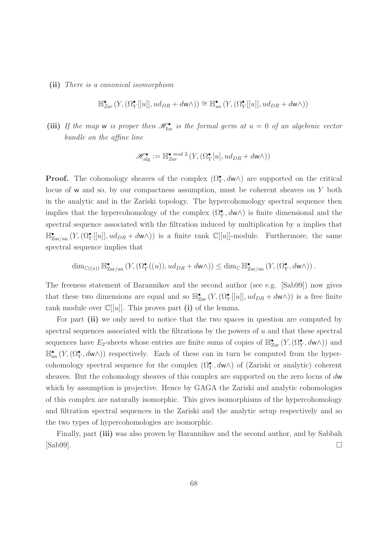(ii) There is a canonical isomorphism

$$
\mathbb{H}^{\bullet}_{Zar}(Y, (\Omega^{\bullet}_{Y}[[u]], ud_{DR} + d\mathsf{w}\wedge)) \cong \mathbb{H}^{\bullet}_{an}(Y, (\Omega^{\bullet}_{Y}[[u]], ud_{DR} + d\mathsf{w}\wedge))
$$

(iii) If the map w is proper then  $\mathscr{H}_{\text{for}}^{\bullet}$  is the formal germ at  $u = 0$  of an algebraic vector bundle on the affine line

$$
\mathscr{H}_\mathrm{alg}^\bullet:=\mathbb{H}_{\rm Zar}^{\bullet\, \bmod 2}\left(Y, (\Omega_Y^\bullet[u], ud_{DR}+d{\sf w}\wedge)\right)
$$

**Proof.** The cohomology sheaves of the complex  $(\Omega_Y^{\bullet}, d\mathbf{w})$  are supported on the critical locus of w and so, by our compactness assumption, must be coherent sheaves on Y both in the analytic and in the Zariski topology. The hypercohomology spectral sequence then implies that the hypercohomology of the complex  $(\Omega_Y^{\bullet}, d\mathsf{w}\wedge)$  is finite dimensional and the spectral sequence associated with the filtration induced by multiplication by  $u$  implies that  $\mathbb{H}^{\bullet}_{\text{Zar}/\text{an}}(Y,(\Omega^{\bullet}_{Y}[[u]],ud_{DR}+d\mathsf{w}\wedge))$  is a finite rank  $\mathbb{C}[[u]]$ -module. Furthermore, the same spectral sequence implies that

$$
\dim_{\mathbb{C}((u))} \mathbb{H}_{\operatorname{Zar}/\operatorname{an}}^{\bullet}(Y, (\Omega^{\bullet}_{Y}((u)), ud_{DR} + d\mathsf{w}\wedge)) \leq \dim_{\mathbb{C}} \mathbb{H}_{\operatorname{Zar}/\operatorname{an}}^{\bullet}(Y, (\Omega^{\bullet}_{Y}, d\mathsf{w}\wedge)).
$$

The freeness statement of Barannikov and the second author (see e.g. [Sab99]) now gives that these two dimensions are equal and so  $\mathbb{H}_{\text{Zar}}^{\bullet}(Y,(\Omega_Y^{\bullet}[[u]],ud_{DR}+d\mathsf{w}\wedge))$  is a free finite rank module over  $\mathbb{C}[[u]]$ . This proves part (i) of the lemma.

For part (ii) we only need to notice that the two spaces in question are computed by spectral sequences associated with the filtrations by the powers of  $u$  and that these spectral sequences have  $E_2$ -sheets whose entries are finite sums of copies of  $\mathbb{H}_{\text{Zar}}^{\bullet}(Y,(\Omega_Y^{\bullet},d\mathsf{w}\wedge))$  and  $\mathbb{H}_{\text{an}}^{\bullet}(Y,(\Omega_Y^{\bullet}, d\mathsf{w}\wedge))$  respectively. Each of these can in turn be computed from the hypercohomology spectral sequence for the complex  $(\Omega_Y^{\bullet}, d\mathsf{w}\wedge)$  of (Zariski or analytic) coherent sheaves. But the cohomology sheaves of this complex are supported on the zero locus of dw which by assumption is projective. Hence by GAGA the Zariski and analytic cohomologies of this complex are naturally isomorphic. This gives isomorphisms of the hypercohomology and filtration spectral sequences in the Zariski and the analytic setup respectively and so the two types of hypercohomologies are isomorphic.

Finally, part (iii) was also proven by Barannikov and the second author, and by Sabbah  $[Sub99]$ .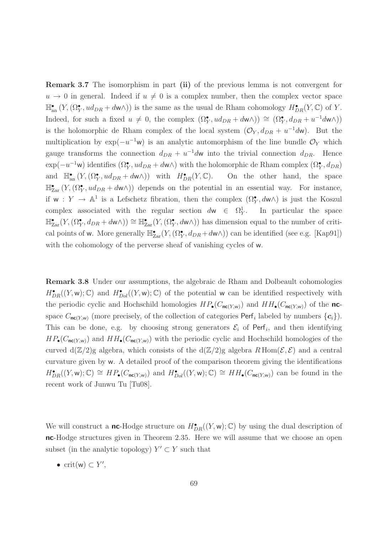Remark 3.7 The isomorphism in part (ii) of the previous lemma is not convergent for  $u \to 0$  in general. Indeed if  $u \neq 0$  is a complex number, then the complex vector space  $\mathbb{H}_{\text{an}}^{\bullet}(Y,(\Omega_Y^{\bullet}, ud_{DR}+d\mathsf{w}\wedge))$  is the same as the usual de Rham cohomology  $H^{\bullet}_{DR}(Y,\mathbb{C})$  of Y. Indeed, for such a fixed  $u \neq 0$ , the complex  $(\Omega_Y^{\bullet}, ud_{DR} + d\mathbf{w}\wedge)) \cong (\Omega_Y^{\bullet}, d_{DR} + u^{-1}d\mathbf{w}\wedge)$ is the holomorphic de Rham complex of the local system  $(\mathcal{O}_Y, d_{DR} + u^{-1}d\mathbf{w})$ . But the multiplication by  $\exp(-u^{-1}w)$  is an analytic automorphism of the line bundle  $\mathcal{O}_Y$  which gauge transforms the connection  $d_{DR} + u^{-1}d\mathbf{w}$  into the trivial connection  $d_{DR}$ . Hence  $\exp(-u^{-1}\mathbf{w})$  identifies  $(\Omega_Y^{\bullet}, ud_{DR} + d\mathbf{w}\wedge)$  with the holomorphic de Rham complex  $(\Omega_Y^{\bullet}, d_{DR})$ and  $\mathbb{H}_{\text{an}}^{\bullet}(Y,(\Omega_Y^{\bullet}, ud_{DR} + d\mathbf{w}\wedge))$  with  $H^{\bullet}_{DR}(Y,\mathbb{C})$ . On the other hand, the space  $\mathbb{H}_{\text{Zar}}^{\bullet}(Y,(\Omega_Y^{\bullet}, ud_{DR}+d\mathsf{w}\wedge))$  depends on the potential in an essential way. For instance, if  $w: Y \to \mathbb{A}^1$  is a Lefschetz fibration, then the complex  $(\Omega_Y^{\bullet}, d\mathsf{w}\wedge)$  is just the Koszul complex associated with the regular section  $d\mathbf{w} \in \Omega^1_Y$ . In particular the space  $\mathbb{H}_{\text{Zar}}^{\bullet}(Y,(\Omega_Y^{\bullet},d_{DR}+d\mathsf{w}\wedge))\cong \mathbb{H}_{\text{Zar}}^{\bullet}(Y,(\Omega_Y^{\bullet},d\mathsf{w}\wedge))$  has dimension equal to the number of critical points of w. More generally  $\mathbb{H}_{\text{Zar}}^{\bullet}(Y,(\Omega_Y^{\bullet},d_{DR}+d\mathsf{w}\wedge))$  can be identified (see e.g. [Kap91]) with the cohomology of the perverse sheaf of vanishing cycles of w.

Remark 3.8 Under our assumptions, the algebraic de Rham and Dolbeault cohomologies  $H_{DR}^{\bullet}((Y, w); \mathbb{C})$  and  $H_{Dol}^{\bullet}((Y, w); \mathbb{C})$  of the potential w can be identified respectively with the periodic cyclic and Hochschild homologies  $HP_{\bullet}(C_{\mathsf{nc}(Y,w)})$  and  $HH_{\bullet}(C_{\mathsf{nc}(Y,w)})$  of the ncspace  $C_{\mathsf{nc}(Y,w)}$  (more precisely, of the collection of categories  $\mathsf{Perf}_i$  labeled by numbers  $\{\mathbf{c}_i\}$ ). This can be done, e.g. by choosing strong generators  $\mathcal{E}_i$  of Perf<sub>i</sub>, and then identifying  $HP_{\bullet}(C_{\text{nc}(Y,w)})$  and  $HH_{\bullet}(C_{\text{nc}(Y,w)})$  with the periodic cyclic and Hochschild homologies of the curved  $d(\mathbb{Z}/2)$ g algebra, which consists of the  $d(\mathbb{Z}/2)$ g algebra  $R$  Hom $(\mathcal{E}, \mathcal{E})$  and a central curvature given by w. A detailed proof of the comparison theorem giving the identifications  $H_{DR}^{\bullet}((Y, w); \mathbb{C}) \cong HP_{\bullet}(C_{\mathsf{nc}(Y, w)})$  and  $H_{Dol}^{\bullet}((Y, w); \mathbb{C}) \cong HH_{\bullet}(C_{\mathsf{nc}(Y, w)})$  can be found in the recent work of Junwu Tu [Tu08].

We will construct a **nc**-Hodge structure on  $H^{\bullet}_{DR}((Y, w); \mathbb{C})$  by using the dual description of nc-Hodge structures given in Theorem 2.35. Here we will assume that we choose an open subset (in the analytic topology)  $Y' \subset Y$  such that

• crit(w)  $\subset Y'$ ,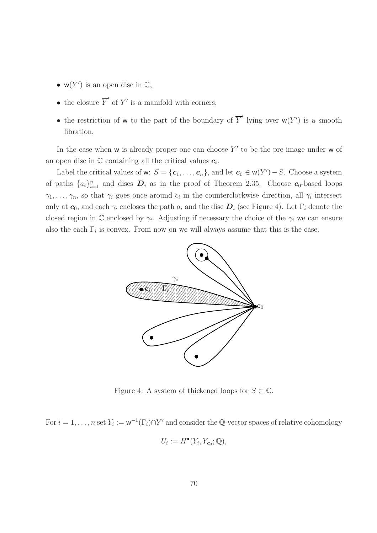- $w(Y')$  is an open disc in  $\mathbb{C},$
- the closure  $\overline{Y}'$  of  $Y'$  is a manifold with corners,
- the restriction of w to the part of the boundary of  $\overline{Y}'$  lying over  $w(Y')$  is a smooth fibration.

In the case when  $w$  is already proper one can choose  $Y'$  to be the pre-image under  $w$  of an open disc in  $\mathbb C$  containing all the critical values  $c_i$ .

Label the critical values of w:  $S = \{c_1, \ldots, c_n\}$ , and let  $c_0 \in w(Y') - S$ . Choose a system of paths  $\{a_i\}_{i=1}^n$  and discs  $D_i$  as in the proof of Theorem 2.35. Choose  $c_0$ -based loops  $\gamma_1, \ldots, \gamma_n$ , so that  $\gamma_i$  goes once around  $c_i$  in the counterclockwise direction, all  $\gamma_i$  intersect only at  $c_0$ , and each  $\gamma_i$  encloses the path  $a_i$  and the disc  $D_i$  (see Figure 4). Let  $\Gamma_i$  denote the closed region in  $\mathbb C$  enclosed by  $\gamma_i$ . Adjusting if necessary the choice of the  $\gamma_i$  we can ensure also the each  $\Gamma_i$  is convex. From now on we will always assume that this is the case.



Figure 4: A system of thickened loops for  $S \subset \mathbb{C}$ .

For  $i = 1, ..., n$  set  $Y_i := \mathsf{w}^{-1}(\Gamma_i) \cap Y'$  and consider the Q-vector spaces of relative cohomology

$$
U_i := H^{\bullet}(Y_i, Y_{c_0}; \mathbb{Q}),
$$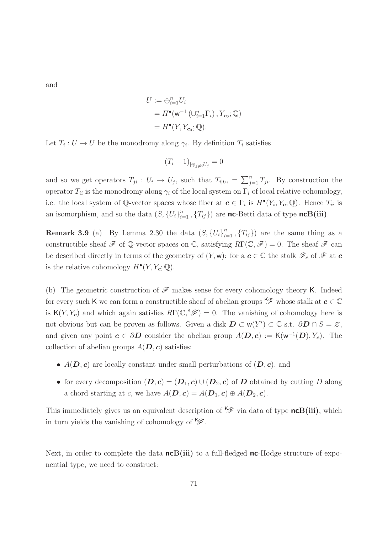and

$$
U := \bigoplus_{i=1}^{n} U_i
$$
  
=  $H^{\bullet}(\mathsf{w}^{-1}(\cup_{i=1}^{n}\Gamma_i), Y_{\mathbf{c}_0}; \mathbb{Q})$   
=  $H^{\bullet}(Y, Y_{\mathbf{c}_0}; \mathbb{Q}).$ 

Let  $T_i: U \to U$  be the monodromy along  $\gamma_i$ . By definition  $T_i$  satisfies

$$
(T_i - 1)_{|\oplus_{j \neq i} U_j} = 0
$$

and so we get operators  $T_{ji}$ :  $U_i \to U_j$ , such that  $T_{i|U_i} = \sum_{j=1}^n T_{ji}$ . By construction the operator  $T_{ii}$  is the monodromy along  $\gamma_i$  of the local system on  $\Gamma_i$  of local relative cohomology, i.e. the local system of Q-vector spaces whose fiber at  $c \in \Gamma_i$  is  $H^{\bullet}(Y_i, Y_c; \mathbb{Q})$ . Hence  $T_{ii}$  is an isomorphism, and so the data  $(S, {U_i}_{i=1}^n, {T_{ij}})$  are **nc**-Betti data of type **ncB(iii)**.

**Remark 3.9** (a) By Lemma 2.30 the data  $(S, {U_i}_{i=1}^n, {T_{ij}})$  are the same thing as a constructible sheaf  $\mathscr F$  of Q-vector spaces on  $\mathbb C$ , satisfying  $R\Gamma(\mathbb C,\mathscr F)=0$ . The sheaf  $\mathscr F$  can be described directly in terms of the geometry of  $(Y, w)$ : for a  $c \in \mathbb{C}$  the stalk  $\mathscr{F}_c$  of  $\mathscr{F}$  at  $c$ is the relative cohomology  $H^{\bullet}(Y, Y_c; \mathbb{Q})$ .

(b) The geometric construction of  $\mathscr F$  makes sense for every cohomology theory K. Indeed for every such K we can form a constructible sheaf of abelian groups  $\mathscr{G}$  whose stalk at  $c \in \mathbb{C}$ is  $K(Y, Y_c)$  and which again satisfies  $R\Gamma(\mathbb{C}, K\mathscr{F})=0$ . The vanishing of cohomology here is not obvious but can be proven as follows. Given a disk  $D \subset w(Y') \subset \mathbb{C}$  s.t.  $\partial D \cap S = \varnothing$ , and given any point  $c \in \partial D$  consider the abelian group  $A(D, c) := \mathsf{K}(\mathsf{w}^{-1}(D), Y_c)$ . The collection of abelian groups  $A(D, c)$  satisfies:

- $A(D, c)$  are locally constant under small perturbations of  $(D, c)$ , and
- for every decomposition  $(D, c) = (D_1, c) \cup (D_2, c)$  of D obtained by cutting D along a chord starting at c, we have  $A(D, c) = A(D_1, c) \oplus A(D_2, c)$ .

This immediately gives us an equivalent description of  $\mathscr{F}$  via data of type ncB(iii), which in turn yields the vanishing of cohomology of  $\mathscr{F}$ .

Next, in order to complete the data  $n \in B(iii)$  to a full-fledged nc-Hodge structure of exponential type, we need to construct: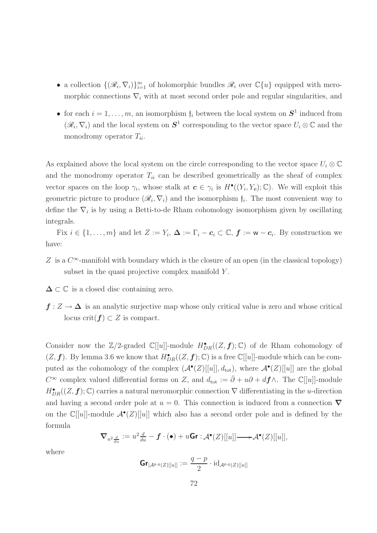- a collection  $\{(\mathcal{R}_i, \nabla_i)\}_{i=1}^m$  of holomorphic bundles  $\mathcal{R}_i$  over  $\mathbb{C}\{u\}$  equipped with meromorphic connections  $\nabla_i$  with at most second order pole and regular singularities, and
- for each  $i = 1, ..., m$ , an isomorphism  $f_i$  between the local system on  $S^1$  induced from  $(\mathscr{R}_i, \nabla_i)$  and the local system on  $\mathbf{S}^1$  corresponding to the vector space  $U_i \otimes \mathbb{C}$  and the monodromy operator  $T_{ii}$ .

As explained above the local system on the circle corresponding to the vector space  $U_i \otimes \mathbb{C}$ and the monodromy operator  $T_{ii}$  can be described geometrically as the sheaf of complex vector spaces on the loop  $\gamma_i$ , whose stalk at  $c \in \gamma_i$  is  $H^{\bullet}((Y_i, Y_c); \mathbb{C})$ . We will exploit this geometric picture to produce  $(\mathcal{R}_i, \nabla_i)$  and the isomorphism  $f_i$ . The most convenient way to define the  $\nabla_i$  is by using a Betti-to-de Rham cohomology isomorphism given by oscillating integrals.

Fix  $i \in \{1, \ldots, m\}$  and let  $Z := Y_i$ ,  $\Delta := \Gamma_i - c_i \subset \mathbb{C}$ ,  $f := w - c_i$ . By construction we have:

- Z is a  $C^{\infty}$ -manifold with boundary which is the closure of an open (in the classical topology) subset in the quasi projective complex manifold Y.
- $\Delta \subset \mathbb{C}$  is a closed disc containing zero.
- $f: Z \to \Delta$  is an analytic surjective map whose only critical value is zero and whose critical locus crit $(f) \subset Z$  is compact.

Consider now the  $\mathbb{Z}/2$ -graded  $\mathbb{C}[[u]]$ -module  $H^{\bullet}_{DR}((Z, \boldsymbol{f}); \mathbb{C})$  of de Rham cohomology of  $(Z, \boldsymbol{f})$ . By lemma 3.6 we know that  $H^{\bullet}_{DR}((Z, \boldsymbol{f}); \mathbb{C})$  is a free  $\mathbb{C}[[u]]$ -module which can be computed as the cohomology of the complex  $(A^{\bullet}(Z)[[u]], d_{\text{tot}})$ , where  $A^{\bullet}(Z)[[u]]$  are the global  $C^{\infty}$  complex valued differential forms on Z, and  $d_{\text{tot}} := \bar{\partial} + u\partial + d\mathbf{f}\wedge$ . The C[[u]]-module  $H_{DR}^{\bullet}((Z,\boldsymbol{f});\mathbb{C})$  carries a natural meromorphic connection  $\nabla$  differentiating in the *u*-direction and having a second order pole at  $u = 0$ . This connection is induced from a connection  $\nabla$ on the  $\mathbb{C}[[u]]$ -module  $\mathcal{A}^{\bullet}(Z)[[u]]$  which also has a second order pole and is defined by the formula

$$
\nabla_{u^2\frac{d}{du}} := u^2\frac{d}{du} - \boldsymbol{f} \cdot (\bullet) + u\mathbf{Gr} : \mathcal{A}^\bullet(Z)[[u]] \longrightarrow \mathcal{A}^\bullet(Z)[[u]],
$$

where

$$
\text{Gr}_{|\mathcal{A}^{p,q}(Z)[[u]]}:=\frac{q-p}{2}\cdot\text{id}_{\mathcal{A}^{p,q}(Z)[[u]]}
$$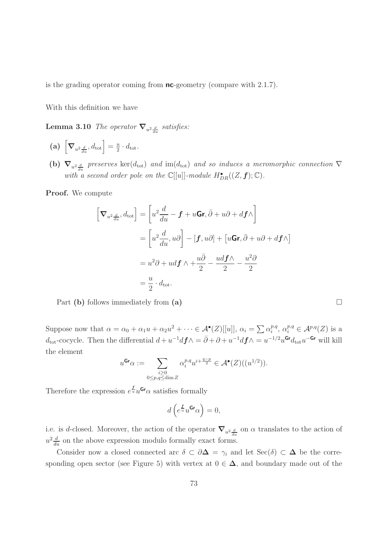is the grading operator coming from  $nc$ -geometry (compare with 2.1.7).

With this definition we have

**Lemma 3.10** The operator  $\nabla_{u^2\frac{d}{du}}$  satisfies:

- (a)  $\left[\nabla_{u^2}\frac{d}{du}, d_{\text{tot}}\right] = \frac{u}{2}$  $rac{u}{2} \cdot d_{\text{tot}}$ .
- (b)  $\nabla_{u^2\frac{d}{du}}$  preserves  $\ker(d_{\text{tot}})$  and  $\text{im}(d_{\text{tot}})$  and so induces a meromorphic connection  $\nabla$ with a second order pole on the  $\mathbb{C}[[u]]$ -module  $H^{\bullet}_{DR}((Z, \boldsymbol{f}); \mathbb{C})$ .

Proof. We compute

$$
\begin{aligned}\n\left[\nabla_{u^2 \frac{d}{du}}, d_{\text{tot}}\right] &= \left[u^2 \frac{d}{du} - f + u\mathbf{G}\mathbf{r}, \bar{\partial} + u\partial + d\mathbf{f}\wedge\right] \\
&= \left[u^2 \frac{d}{du}, u\partial\right] - \left[f, u\partial\right] + \left[u\mathbf{G}\mathbf{r}, \bar{\partial} + u\partial + d\mathbf{f}\wedge\right] \\
&= u^2 \partial + u d\mathbf{f} \wedge + \frac{u\bar{\partial}}{2} - \frac{ud\mathbf{f}\wedge}{2} - \frac{u^2 \partial}{2} \\
&= \frac{u}{2} \cdot d_{\text{tot}}.\n\end{aligned}
$$

Part (b) follows immediately from (a)

Suppose now that  $\alpha = \alpha_0 + \alpha_1 u + \alpha_2 u^2 + \cdots \in \mathcal{A}^\bullet(Z)[[u]], \alpha_i = \sum \alpha_i^{p,q}$  $i^{p,q}, \alpha_i^{p,q} \in \mathcal{A}^{p,q}(Z)$  is a  $d_{\text{tot}}$ -cocycle. Then the differential  $d + u^{-1}d\mathbf{f} \wedge = \bar{\partial} + \partial + u^{-1}d\mathbf{f} \wedge = u^{-1/2}u^{\mathsf{Gr}}d_{\text{tot}}u^{-\mathsf{Gr}}$  will kill the element

$$
u^{\mathbf{Gr}}\alpha := \sum_{\substack{i \geq 0 \\ 0 \leq p, q \leq \dim Z}} \alpha_i^{p,q} u^{i + \frac{q-p}{2}} \in \mathcal{A}^\bullet(Z)((u^{1/2})).
$$

Therefore the expression  $e^{\frac{t}{u}}u^{\mathsf{Gr}}\alpha$  satisfies formally

$$
d\left(e^{\frac{f}{u}}u^{\mathbf{Gr}}\alpha\right)=0,
$$

i.e. is d-closed. Moreover, the action of the operator  $\nabla_{u^2\frac{d}{du}}$  on  $\alpha$  translates to the action of  $u^2 \frac{d}{du}$  on the above expression modulo formally exact forms.

Consider now a closed connected arc  $\delta \subset \partial \Delta = \gamma_i$  and let  $\text{Sec}(\delta) \subset \Delta$  be the corresponding open sector (see Figure 5) with vertex at  $0 \in \Delta$ , and boundary made out of the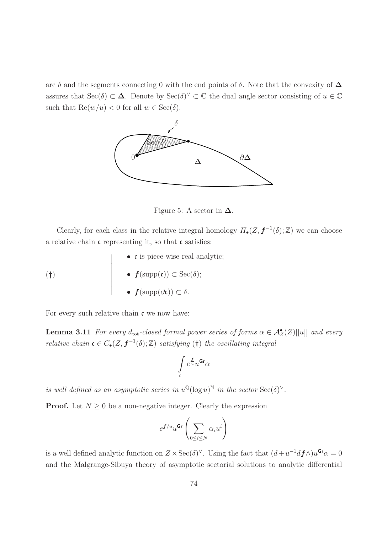arc  $\delta$  and the segments connecting 0 with the end points of  $\delta$ . Note that the convexity of  $\Delta$ assures that  $\operatorname{Sec}(\delta) \subset \Delta$ . Denote by  $\operatorname{Sec}(\delta)^{\vee} \subset \mathbb{C}$  the dual angle sector consisting of  $u \in \mathbb{C}$ such that  $\text{Re}(w/u) < 0$  for all  $w \in \text{Sec}(\delta)$ .



Figure 5: A sector in  $\Delta$ .

Clearly, for each class in the relative integral homology  $H_{\bullet}(Z, \mathbf{f}^{-1}(\delta); \mathbb{Z})$  we can choose a relative chain  $\mathfrak c$  representing it, so that  $\mathfrak c$  satisfies:

\n- $$
\bullet
$$
 **c** is piece-wise real analytic;
\n- $\bullet$   $f(\text{supp}(\mathfrak{c})) \subset \text{Sec}(\delta);$
\n- $\bullet$   $f(\text{supp}(\partial \mathfrak{c})) \subset \delta.$
\n

For every such relative chain  $\mathfrak c$  we now have:

**Lemma 3.11** For every  $d_{\text{tot}}$ -closed formal power series of forms  $\alpha \in \mathcal{A}_{Z}^{\bullet}(Z)[[u]]$  and every relative chain  $\mathfrak{c} \in C_{\bullet}(Z, \mathfrak{f}^{-1}(\delta); \mathbb{Z})$  satisfying  $(\dagger)$  the oscillating integral

$$
\int\limits_{\mathfrak{c}} e^{\frac{f}{u}} u^{\mathbf{Gr}} \alpha
$$

is well defined as an asymptotic series in  $u^{\mathbb{Q}}(\log u)^{\mathbb{N}}$  in the sector  $\text{Sec}(\delta)^{\vee}$ .

**Proof.** Let  $N \geq 0$  be a non-negative integer. Clearly the expression

$$
e^{\pmb{f}/u}u^{\text{Gr}}\left(\sum_{0\leq i\leq N}\alpha_{i}u^{i}\right)
$$

is a well defined analytic function on  $Z \times \text{Sec}(\delta)^{\vee}$ . Using the fact that  $(d+u^{-1}d\mathbf{f})w^{\mathbf{Gr}}\alpha = 0$ and the Malgrange-Sibuya theory of asymptotic sectorial solutions to analytic differential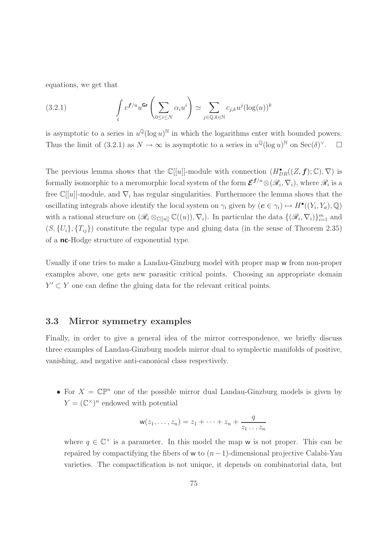equations, we get that

(3.2.1) 
$$
\int_{c} e^{f/u} u^{Gr} \left( \sum_{0 \le i \le N} \alpha_i u^i \right) \simeq \sum_{j \in \mathbb{Q}, k \in \mathbb{N}} c_{j,k} u^j (\log(u))^k
$$

is asymptotic to a series in  $u^{\mathbb{Q}}(\log u)^{\mathbb{N}}$  in which the logarithms enter with bounded powers. Thus the limit of (3.2.1) as  $N \to \infty$  is asymptotic to a series in  $u^{\mathbb{Q}}(\log u)^{\mathbb{N}}$  on  $\text{Sec}(\delta)^{\vee}$  $\Box$ 

The previous lemma shows that the  $\mathbb{C}[[u]]$ -module with connection  $(H^{\bullet}_{DR}((Z, \boldsymbol{f}); \mathbb{C}), \nabla)$  is formally isomorphic to a meromorphic local system of the form  $\mathcal{E}^{f/u}\otimes (\mathscr{R}_i, \nabla_i)$ , where  $\mathscr{R}_i$  is a free  $\mathbb{C}[[u]]$ -module, and  $\nabla_i$  has regular singularities. Furthermore the lemma shows that the oscillating integrals above identify the local system on  $\gamma_i$  given by  $(c \in \gamma_i) \mapsto H^{\bullet}((Y_i, Y_c), \mathbb{Q})$ with a rational structure on  $(\mathscr{R}_i \otimes_{\mathbb{C}[[u]]} \mathbb{C}((u)), \nabla_i)$ . In particular the data  $\{(\mathscr{R}_i, \nabla_i)\}_{i=1}^m$  and  $(S, \{U_i\}, \{T_{ij}\})$  constitute the regular type and gluing data (in the sense of Theorem 2.35) of a nc-Hodge structure of exponential type.

Usually if one tries to make a Landau-Ginzburg model with proper map w from non-proper examples above, one gets new parasitic critical points. Choosing an appropriate domain  $Y' \subset Y$  one can define the gluing data for the relevant critical points.

## 3.3 Mirror symmetry examples

Finally, in order to give a general idea of the mirror correspondence, we briefly discuss three examples of Landau-Ginzburg models mirror dual to symplectic manifolds of positive, vanishing, and negative anti-canonical class respectively.

• For  $X = \mathbb{CP}^n$  one of the possible mirror dual Landau-Ginzburg models is given by  $Y = (\mathbb{C}^\times)^n$  endowed with potential

$$
\mathsf{w}(z_1,\ldots,z_n)=z_1+\cdots+z_n+\frac{q}{z_1\ldots z_n}
$$

where  $q \in \mathbb{C}^\times$  is a parameter. In this model the map w is not proper. This can be repaired by compactifying the fibers of w to  $(n-1)$ -dimensional projective Calabi-Yau varieties. The compactification is not unique, it depends on combinatorial data, but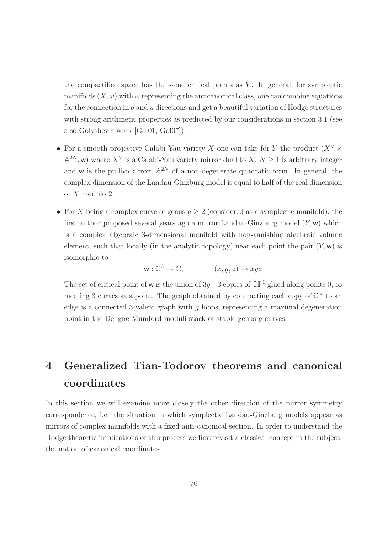the compactified space has the same critical points as  $Y$ . In general, for symplectic manifolds  $(X, \omega)$  with  $\omega$  representing the anticanonical class, one can combine equations for the connection in  $q$  and  $u$  directions and get a beautiful variation of Hodge structures with strong arithmetic properties as predicted by our considerations in section 3.1 (see also Golyshev's work [Gol01, Gol07]).

- For a smooth projective Calabi-Yau variety X one can take for Y the product  $(X^{\vee} \times$  $\mathbb{A}^{2N}$ , w) where  $X^{\vee}$  is a Calabi-Yau variety mirror dual to  $X, N \geq 1$  is arbitrary integer and w is the pullback from  $\mathbb{A}^{2N}$  of a non-degenerate quadratic form. In general, the complex dimension of the Landau-Ginzburg model is equal to half of the real dimension of X modulo 2.
- For X being a complex curve of genus  $q \geq 2$  (considered as a symplectic manifold), the first author proposed several years ago a mirror Landau-Ginzburg model  $(Y, w)$  which is a complex algebraic 3-dimensional manifold with non-vanishing algebraic volume element, such that locally (in the analytic topology) near each point the pair  $(Y, w)$  is isomorphic to

$$
\mathsf{w}: \mathbb{C}^3 \to \mathbb{C}, \qquad (x, y, z) \mapsto xyz
$$

The set of critical point of w is the union of 3g – 3 copies of  $\mathbb{CP}^1$  glued along points 0,  $\infty$ meeting 3 curves at a point. The graph obtained by contracting each copy of  $\mathbb{C}^{\times}$  to an edge is a connected 3-valent graph with  $g$  loops, representing a maximal degeneration point in the Deligne-Mumford moduli stack of stable genus g curves.

# 4 Generalized Tian-Todorov theorems and canonical coordinates

In this section we will examine more closely the other direction of the mirror symmetry correspondence, i.e. the situation in which symplectic Landau-Ginzburg models appear as mirrors of complex manifolds with a fixed anti-canonical section. In order to understand the Hodge theoretic implications of this process we first revisit a classical concept in the subject: the notion of canonical coordinates.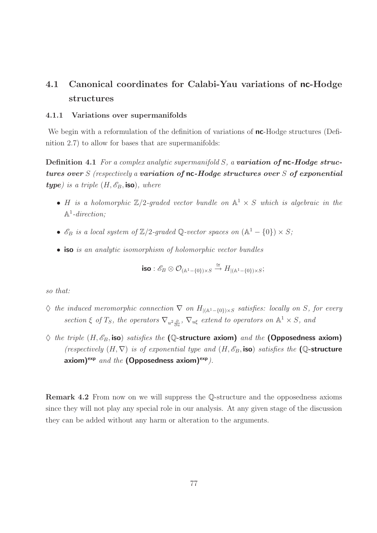## 4.1 Canonical coordinates for Calabi-Yau variations of nc-Hodge structures

## 4.1.1 Variations over supermanifolds

We begin with a reformulation of the definition of variations of **nc**-Hodge structures (Definition 2.7) to allow for bases that are supermanifolds:

**Definition 4.1** For a complex analytic supermanifold  $S$ , a **variation of nc-Hodge struc**tures over  $S$  (respectively a variation of nc-Hodge structures over  $S$  of exponential **type**) is a triple  $(H, \mathcal{E}_B, \text{iso})$ , where

- H is a holomorphic  $\mathbb{Z}/2$ -graded vector bundle on  $\mathbb{A}^1 \times S$  which is algebraic in the  $\mathbb{A}^1$ -direction;
- $\mathscr{E}_B$  is a local system of  $\mathbb{Z}/2$ -graded Q-vector spaces on  $(\mathbb{A}^1 \{0\}) \times S$ ;
- iso is an analytic isomorphism of holomorphic vector bundles

$$
\text{iso}: \mathscr{E}_B \otimes \mathcal{O}_{(\mathbb{A}^1 - \{0\}) \times S} \xrightarrow{\cong} H_{|(\mathbb{A}^1 - \{0\}) \times S};
$$

so that:

- $\Diamond$  the induced meromorphic connection  $\nabla$  on  $H_{|({\mathbb{A}}^1-\{0\})\times S}$  satisfies: locally on S, for every section  $\xi$  of  $T_S$ , the operators  $\nabla_{u^2 \frac{\partial}{\partial u}}$ ,  $\nabla_{u\xi}$  extend to operators on  $\mathbb{A}^1 \times S$ , and
- $\Diamond$  the triple  $(H, \mathscr{E}_B$ , iso) satisfies the (Q-structure axiom) and the (Opposedness axiom) (respectively  $(H, \nabla)$  is of exponential type and  $(H, \mathcal{E}_B$ , iso) satisfies the (Q-structure axiom)<sup>exp</sup> and the (Opposedness axiom)<sup>exp</sup>).

Remark 4.2 From now on we will suppress the Q-structure and the opposedness axioms since they will not play any special role in our analysis. At any given stage of the discussion they can be added without any harm or alteration to the arguments.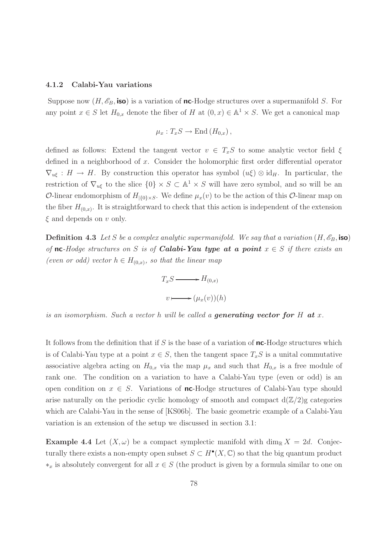#### 4.1.2 Calabi-Yau variations

Suppose now  $(H, \mathscr{E}_B, \text{iso})$  is a variation of nc-Hodge structures over a supermanifold S. For any point  $x \in S$  let  $H_{0,x}$  denote the fiber of H at  $(0, x) \in \mathbb{A}^1 \times S$ . We get a canonical map

$$
\mu_x: T_xS \to \text{End}(H_{0,x}),
$$

defined as follows: Extend the tangent vector  $v \in T_xS$  to some analytic vector field  $\xi$ defined in a neighborhood of x. Consider the holomorphic first order differential operator  $\nabla_{u\xi}: H \to H$ . By construction this operator has symbol  $(u\xi) \otimes id_H$ . In particular, the restriction of  $\nabla_{u\xi}$  to the slice  $\{0\} \times S \subset \mathbb{A}^1 \times S$  will have zero symbol, and so will be an O-linear endomorphism of  $H_{|\{0\}\times S}$ . We define  $\mu_x(v)$  to be the action of this O-linear map on the fiber  $H_{(0,x)}$ . It is straightforward to check that this action is independent of the extension  $\xi$  and depends on v only.

**Definition 4.3** Let S be a complex analytic supermanifold. We say that a variation  $(H, \mathscr{E}_B, \text{iso})$ of nc-Hodge structures on S is of **Calabi-Yau type at a point**  $x \in S$  if there exists an (even or odd) vector  $h \in H_{(0,x)}$ , so that the linear map

$$
T_xS \longrightarrow H_{(0,x)}
$$

$$
v \longmapsto (\mu_x(v))(h)
$$

is an isomorphism. Such a vector h will be called a generating vector for H at x.

It follows from the definition that if  $S$  is the base of a variation of  $nc$ -Hodge structures which is of Calabi-Yau type at a point  $x \in S$ , then the tangent space  $T_xS$  is a unital commutative associative algebra acting on  $H_{0,x}$  via the map  $\mu_x$  and such that  $H_{0,x}$  is a free module of rank one. The condition on a variation to have a Calabi-Yau type (even or odd) is an open condition on  $x \in S$ . Variations of nc-Hodge structures of Calabi-Yau type should arise naturally on the periodic cyclic homology of smooth and compact  $d(\mathbb{Z}/2)g$  categories which are Calabi-Yau in the sense of [KS06b]. The basic geometric example of a Calabi-Yau variation is an extension of the setup we discussed in section 3.1:

**Example 4.4** Let  $(X, \omega)$  be a compact symplectic manifold with dim<sub>R</sub>  $X = 2d$ . Conjecturally there exists a non-empty open subset  $S \subset H^{\bullet}(X, \mathbb{C})$  so that the big quantum product  $*_x$  is absolutely convergent for all  $x \in S$  (the product is given by a formula similar to one on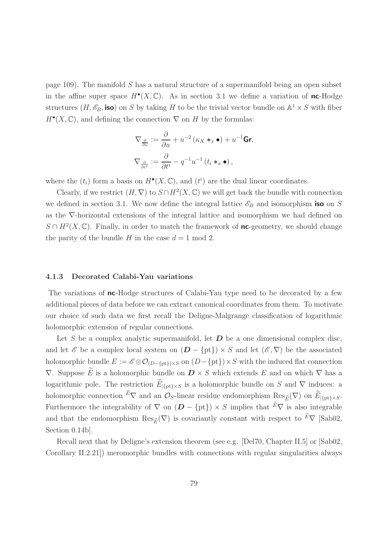page 109). The manifold S has a natural structure of a supermanifold being an open subset in the affine super space  $H^{\bullet}(X,\mathbb{C})$ . As in section 3.1 we define a variation of **nc**-Hodge structures  $(H, \mathscr{E}_B, \text{iso})$  on S by taking H to be the trivial vector bundle on  $\mathbb{A}^1 \times S$  with fiber  $H^{\bullet}(X,\mathbb{C})$ , and defining the connection  $\nabla$  on H by the formulas:

$$
\nabla_{\frac{\partial}{\partial u}} := \frac{\partial}{\partial u} + u^{-2} (\kappa_X *_{x} \bullet) + u^{-1} \mathbf{Gr},
$$
  

$$
\nabla_{\frac{\partial}{\partial t^{i}}} := \frac{\partial}{\partial t^{i}} - q^{-1} u^{-1} (t_i *_{x} \bullet),
$$

where the  $(t_i)$  form a basis on  $H^{\bullet}(X, \mathbb{C})$ , and  $(t^i)$  are the dual linear coordinates.

Clearly, if we restrict  $(H, \nabla)$  to  $S \cap H^2(X, \mathbb{C})$  we will get back the bundle with connection we defined in section 3.1. We now define the integral lattice  $\mathscr{E}_B$  and isomorphism iso on S as the ∇-horizontal extensions of the integral lattice and isomorphism we had defined on  $S \cap H^2(X, \mathbb{C})$ . Finally, in order to match the framework of **nc**-geometry, we should change the parity of the bundle H in the case  $d = 1 \text{ mod } 2$ .

## 4.1.3 Decorated Calabi-Yau variations

The variations of **nc**-Hodge structures of Calabi-Yau type need to be decorated by a few additional pieces of data before we can extract canonical coordinates from them. To motivate our choice of such data we first recall the Deligne-Malgrange classification of logarithmic holomorphic extension of regular connections.

Let S be a complex analytic supermanifold, let  $D$  be a one dimensional complex disc, and let  $\mathscr E$  be a complex local system on  $(D - \{pt\}) \times S$  and let  $(\mathscr E, \nabla)$  be the associated holomorphic bundle  $E := \mathscr{E} \otimes \mathcal{O}_{(D-\{\text{pt}\})\times S}$  on  $(D-\{\text{pt}\})\times S$  with the induced flat connection  $\nabla$ . Suppose E is a holomorphic bundle on  $\mathbf{D} \times S$  which extends E and on which  $\nabla$  has a logarithmic pole. The restriction  $\widetilde{E}_{\vert \{\text{pt}\}\times S}$  is a holomorphic bundle on S and  $\nabla$  induces: a holomorphic connection  $\widetilde{E} \nabla$  and an  $\mathcal{O}_S$ -linear residue endomorphism  $\text{Res}_{\widetilde{E}}(\nabla)$  on  $\widetilde{E}_{|\{\text{pt}\}\times S}$ . Furthermore the integrability of  $\nabla$  on  $(D - \{pt\}) \times S$  implies that  $\widetilde{E} \nabla$  is also integrable and that the endomorphism  $\text{Res}_{\widetilde{E}}(\nabla)$  is covariantly constant with respect to  $\widetilde{E}\nabla$  [Sab02, Section 0.14b].

Recall next that by Deligne's extension theorem (see e.g. [Del70, Chapter II.5] or [Sab02, Corollary II.2.21]) meromorphic bundles with connections with regular singularities always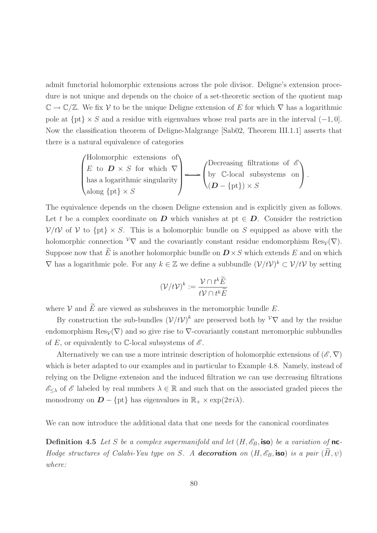admit functorial holomorphic extensions across the pole divisor. Deligne's extension procedure is not unique and depends on the choice of a set-theoretic section of the quotient map  $\mathbb{C} \to \mathbb{C}/\mathbb{Z}$ . We fix V to be the unique Deligne extension of E for which  $\nabla$  has a logarithmic pole at  $\{pt\} \times S$  and a residue with eigenvalues whose real parts are in the interval  $(-1, 0]$ . Now the classification theorem of Deligne-Malgrange [Sab02, Theorem III.1.1] asserts that there is a natural equivalence of categories

\n
$$
\begin{pmatrix}\n \text{Holomorphic extensions of} \\
 E \text{ to } \mathbf{D} \times S \text{ for which } \nabla \\
 \text{has a logarithmic singularity} \\
 \text{along } \{ \text{pt} \} \times S\n \end{pmatrix}\n \longleftrightarrow\n \begin{pmatrix}\n \text{Decreasing filtrations of } \mathcal{E} \\
 \text{by } \mathbb{C}\text{-local subsystems on} \\
 ( \mathbf{D} - \{ \text{pt} \}) \times S\n \end{pmatrix}.
$$
\n

The equivalence depends on the chosen Deligne extension and is explicitly given as follows. Let t be a complex coordinate on D which vanishes at pt  $\in D$ . Consider the restriction  $V/tV$  of V to  $\{pt\} \times S$ . This is a holomorphic bundle on S equipped as above with the holomorphic connection  $\mathcal{V}\nabla$  and the covariantly constant residue endomorphism Res<sub> $\mathcal{V}(\nabla)$ </sub>. Suppose now that  $\widetilde{E}$  is another holomorphic bundle on  $\mathbf{D} \times S$  which extends E and on which  $\nabla$  has a logarithmic pole. For any  $k \in \mathbb{Z}$  we define a subbundle  $(\mathcal{V}/t\mathcal{V})^k \subset \mathcal{V}/t\mathcal{V}$  by setting

$$
\left(\mathcal{V}/t\mathcal{V}\right)^k := \frac{\mathcal{V} \cap t^k \widetilde{E}}{t\mathcal{V} \cap t^k \widetilde{E}}
$$

where  $V$  and  $\widetilde{E}$  are viewed as subsheaves in the meromorphic bundle E.

By construction the sub-bundles  $(\mathcal{V}/t\mathcal{V})^k$  are preserved both by  $\mathcal{V}\nabla$  and by the residue endomorphism  $\text{Res}_{\mathcal{V}}(\nabla)$  and so give rise to  $\nabla$ -covariantly constant meromorphic subbundles of E, or equivalently to  $\mathbb{C}$ -local subsystems of  $\mathscr{E}$ .

Alternatively we can use a more intrinsic description of holomorphic extensions of  $(\mathscr{E}, \nabla)$ which is beter adapted to our examples and in particular to Example 4.8. Namely, instead of relying on the Deligne extension and the induced filtration we can use decreasing filtrations  $\mathscr{E}_{\leq \lambda}$  of  $\mathscr{E}$  labeled by real numbers  $\lambda \in \mathbb{R}$  and such that on the associated graded pieces the monodromy on  $\mathbf{D} - \{\text{pt}\}\$  has eigenvalues in  $\mathbb{R}_+ \times \exp(2\pi i \lambda)$ .

We can now introduce the additional data that one needs for the canonical coordinates

**Definition 4.5** Let S be a complex supermanifold and let  $(H, \mathscr{E}_B$ , iso) be a variation of nc-Hodge structures of Calabi-Yau type on S. A **decoration** on  $(H, \mathscr{E}_B$ , iso) is a pair  $(H, \psi)$ where: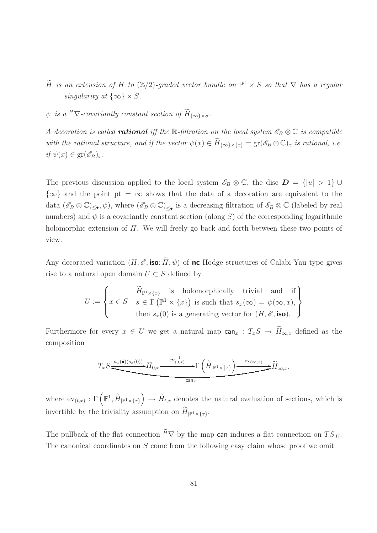- H is an extension of H to  $(\mathbb{Z}/2)$ -graded vector bundle on  $\mathbb{P}^1 \times S$  so that  $\nabla$  has a regular singularity at  $\{\infty\} \times S$ .
- $\psi$  is a  $^{\widetilde{H}}\nabla$ -covariantly constant section of  $\widetilde{H}_{\{\infty\}\times S}$ .

A decoration is called **rational** iff the R-filtration on the local system  $\mathscr{E}_B \otimes \mathbb{C}$  is compatible with the rational structure, and if the vector  $\psi(x) \in \widetilde{H}_{\{\infty\}\times\{x\}} = \text{gr}(\mathscr{E}_B \otimes \mathbb{C})_x$  is rational, i.e. if  $\psi(x) \in \mathrm{gr}(\mathscr{E}_B)_x$ .

The previous discussion applied to the local system  $\mathscr{E}_B \otimes \mathbb{C}$ , the disc  $\mathbf{D} = \{ |u| > 1 \} \cup$  ${\infty}$  and the point pt =  $\infty$  shows that the data of a decoration are equivalent to the data  $(\mathscr{E}_B \otimes \mathbb{C})_{\leq \bullet}, \psi$ , where  $(\mathscr{E}_B \otimes \mathbb{C})_{\leq \bullet}$  is a decreasing filtration of  $\mathscr{E}_B \otimes \mathbb{C}$  (labeled by real numbers) and  $\psi$  is a covariantly constant section (along S) of the corresponding logarithmic holomorphic extension of H. We will freely go back and forth between these two points of view.

Any decorated variation  $(H, \mathscr{E}, \text{iso}; \widetilde{H}, \psi)$  of nc-Hodge structures of Calabi-Yau type gives rise to a natural open domain  $U \subset S$  defined by

$$
U:=\left\{x\in S\;\left|\begin{array}{ll}\widetilde{H}_{\mathbb{P}^1\times\{x\}}&\text{is holomorphically trivial and if}\\s\in\Gamma\left(\mathbb{P}^1\times\{x\}\right)\text{ is such that }s_x(\infty)=\psi(\infty,x),\\ \text{then }s_x(0)\text{ is a generating vector for }(H,\mathscr{E},\text{iso}).\end{array}\right\}
$$

Furthermore for every  $x \in U$  we get a natural map  $\text{can}_x : T_xS \to \widetilde{H}_{\infty,x}$  defined as the composition

$$
T_x S \underbrace{\xrightarrow{\mu_x(\bullet)(s_x(0))} H_{0,x} \xrightarrow{\text{ev}_{(0,x)}^{-1}} \Gamma\left(\widetilde{H}_{|\mathbb{P}^1 \times \{x\}}\right) \xrightarrow{\text{ev}_{(\infty,x)}} \widetilde{H}_{\infty,x}}_{\text{can}_x}.
$$

where  $ev_{(t,x)} : \Gamma\left(\mathbb{P}^1, \widetilde{H}_{|\mathbb{P}^1 \times \{x\}}\right) \to \widetilde{H}_{t,x}$  denotes the natural evaluation of sections, which is invertible by the triviality assumption on  $H_{|\mathbb{P}^1 \times \{x\}}$ .

The pullback of the flat connection  $\tilde{H}\nabla$  by the map can induces a flat connection on  $TS_{|U}$ . The canonical coordinates on S come from the following easy claim whose proof we omit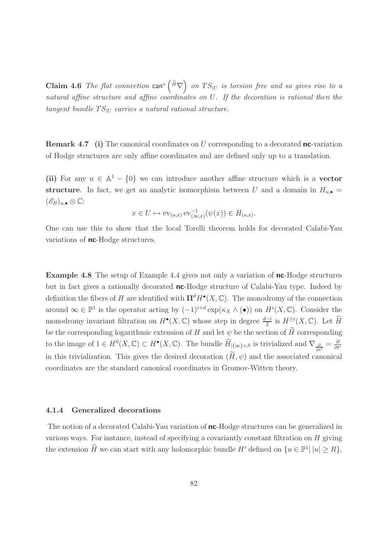**Claim 4.6** The flat connection  $\text{can}^*\left(\tilde{H}\nabla\right)$  on  $TS_{|U}$  is torsion free and so gives rise to a natural affine structure and affine coordinates on U. If the decoration is rational then the tangent bundle  $TS_{\text{U}}$  carries a natural rational structure.

**Remark 4.7** (i) The canonical coordinates on  $U$  corresponding to a decorated **nc**-variation of Hodge structures are only affine coordinates and are defined only up to a translation.

(ii) For any  $u \in \mathbb{A}^1 - \{0\}$  we can introduce another affine structure which is a **vector** structure. In fact, we get an analytic isomorphism between U and a domain in  $H_{u,\bullet}$  =  $(\mathscr{E}_B)_{u,\bullet}\otimes\mathbb{C}$ :

$$
x \in U \mapsto \text{ev}_{(u,x)} \, \text{ev}_{(\infty,x)}^{-1}(\psi(x)) \in H_{(u,x)}.
$$

One can use this to show that the local Torelli theorem holds for decorated Calabi-Yau variations of **nc**-Hodge structures.

Example 4.8 The setup of Example 4.4 gives not only a variation of nc-Hodge structures but in fact gives a rationally decorated nc-Hodge structure of Calabi-Yau type. Indeed by definition the fibers of H are identified with  $\Pi^d H^{\bullet}(X, \mathbb{C})$ . The monodromy of the connection around  $\infty \in \mathbb{P}^1$  is the operator acting by  $(-1)^{i+d} \exp(\kappa_X \wedge \bullet)$  on  $H^i(X, \mathbb{C})$ . Consider the monodromy invariant filtration on  $H^{\bullet}(X, \mathbb{C})$  whose step in degree  $\frac{d-i}{2}$  is  $H^{\geq i}(X, \mathbb{C})$ . Let  $\widetilde{H}$ be the corresponding logarithmic extension of H and let  $\psi$  be the section of  $\widetilde{H}$  corresponding to the image of  $1 \in H^0(X, \mathbb{C}) \subset H^{\bullet}(X, \mathbb{C})$ . The bundle  $\widetilde{H}_{\{\infty\}\times S}$  is trivialized and  $\nabla_{\frac{\partial}{\partial t^i}} = \frac{\partial}{\partial t^i}$ ∂t<sup>i</sup> in this trivialization. This gives the desired decoration  $(H, \psi)$  and the associated canonical coordinates are the standard canonical coordinates in Gromov-Witten theory.

#### 4.1.4 Generalized decorations

The notion of a decorated Calabi-Yau variation of **nc**-Hodge structures can be generalized in various ways. For instance, instead of specifying a covariantly constant filtration on H giving the extension  $H$  we can start with any holomorphic bundle  $H'$  defined on  $\{u \in \mathbb{P}^1 | |u| \ge R\}$ ,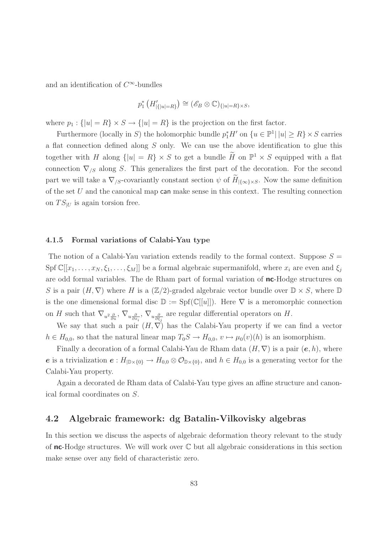and an identification of  $C^{\infty}$ -bundles

$$
p_1^* \left( H'_{|\{|u|=R\}} \right) \cong (\mathscr{E}_B \otimes \mathbb{C})_{\{|u|=R\} \times S},
$$

where  $p_1 : \{|u| = R\} \times S \to \{|u| = R\}$  is the projection on the first factor.

Furthermore (locally in S) the holomorphic bundle  $p_1^* H'$  on  $\{u \in \mathbb{P}^1 | |u| \ge R\} \times S$  carries a flat connection defined along  $S$  only. We can use the above identification to glue this together with H along  $\{|u| = R\} \times S$  to get a bundle H on  $\mathbb{P}^1 \times S$  equipped with a flat connection  $\nabla_{/S}$  along S. This generalizes the first part of the decoration. For the second part we will take a  $\nabla_{/S}$ -covariantly constant section  $\psi$  of  $\widetilde{H}_{|\{\infty\}\times S}$ . Now the same definition of the set  $U$  and the canonical map can make sense in this context. The resulting connection on  $TS_{|U}$  is again torsion free.

## 4.1.5 Formal variations of Calabi-Yau type

The notion of a Calabi-Yau variation extends readily to the formal context. Suppose  $S =$ Spf  $\mathbb{C}[[x_1,\ldots,x_N,\xi_1,\ldots,\xi_M]]$  be a formal algebraic supermanifold, where  $x_i$  are even and  $\xi_i$ are odd formal variables. The de Rham part of formal variation of nc-Hodge structures on S is a pair  $(H, \nabla)$  where H is a  $(\mathbb{Z}/2)$ -graded algebraic vector bundle over  $\mathbb{D} \times S$ , where  $\mathbb{D}$ is the one dimensional formal disc  $\mathbb{D} := \text{Spf}(\mathbb{C}[[u]])$ . Here  $\nabla$  is a meromorphic connection on H such that  $\nabla_{u^2\frac{\partial}{\partial u}}, \nabla_{u\frac{\partial}{\partial x_i}}, \nabla_{u\frac{\partial}{\partial \xi_j}}$  are regular differential operators on H.

We say that such a pair  $(H, \nabla)$  has the Calabi-Yau property if we can find a vector  $h \in H_{0,0}$ , so that the natural linear map  $T_0S \to H_{0,0}$ ,  $v \mapsto \mu_0(v)(h)$  is an isomorphism.

Finally a decoration of a formal Calabi-Yau de Rham data  $(H, \nabla)$  is a pair  $(e, h)$ , where e is a trivialization  $e: H_{\mathbb{D}\times\{0\}} \to H_{0,0} \otimes \mathcal{O}_{\mathbb{D}\times\{0\}}$ , and  $h \in H_{0,0}$  is a generating vector for the Calabi-Yau property.

Again a decorated de Rham data of Calabi-Yau type gives an affine structure and canonical formal coordinates on S.

## 4.2 Algebraic framework: dg Batalin-Vilkovisky algebras

In this section we discuss the aspects of algebraic deformation theory relevant to the study of  $nc$ -Hodge structures. We will work over  $\mathbb C$  but all algebraic considerations in this section make sense over any field of characteristic zero.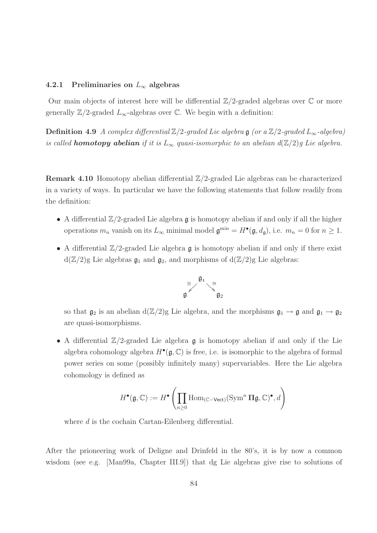## 4.2.1 Preliminaries on  $L_{\infty}$  algebras

Our main objects of interest here will be differential  $\mathbb{Z}/2$ -graded algebras over  $\mathbb C$  or more generally  $\mathbb{Z}/2$ -graded  $L_{\infty}$ -algebras over  $\mathbb{C}$ . We begin with a definition:

**Definition 4.9** A complex differential  $\mathbb{Z}/2$ -graded Lie algebra g (or a  $\mathbb{Z}/2$ -graded L<sub>∞</sub>-algebra) is called **homotopy abelian** if it is  $L_{\infty}$  quasi-isomorphic to an abelian  $d(\mathbb{Z}/2)g$  Lie algebra.

Remark 4.10 Homotopy abelian differential Z/2-graded Lie algebras can be characterized in a variety of ways. In particular we have the following statements that follow readily from the definition:

- A differential  $\mathbb{Z}/2$ -graded Lie algebra g is homotopy abelian if and only if all the higher operations  $m_n$  vanish on its  $L_\infty$  minimal model  $\mathfrak{g}^{\min} = H^{\bullet}(\mathfrak{g}, d_{\mathfrak{g}})$ , i.e.  $m_n = 0$  for  $n \ge 1$ .
- A differential  $\mathbb{Z}/2$ -graded Lie algebra g is homotopy abelian if and only if there exist  $d(\mathbb{Z}/2)$ g Lie algebras  $\mathfrak{g}_1$  and  $\mathfrak{g}_2$ , and morphisms of  $d(\mathbb{Z}/2)$ g Lie algebras:



so that  $\mathfrak{g}_2$  is an abelian  $d(\mathbb{Z}/2)g$  Lie algebra, and the morphisms  $\mathfrak{g}_1 \to \mathfrak{g}$  and  $\mathfrak{g}_1 \to \mathfrak{g}_2$ are quasi-isomorphisms.

• A differential  $\mathbb{Z}/2$ -graded Lie algebra  $\mathfrak g$  is homotopy abelian if and only if the Lie algebra cohomology algebra  $H^{\bullet}(\mathfrak{g}, \mathbb{C})$  is free, i.e. is isomorphic to the algebra of formal power series on some (possibly infinitely many) supervariables. Here the Lie algebra cohomology is defined as

$$
H^{\bullet}(\mathfrak{g}, \mathbb{C}) := H^{\bullet}\left(\prod_{n \geq 0} \mathrm{Hom}_{(\mathbb{C}-\mathsf{Vect})}(\mathrm{Sym}^n \, \Pi \mathfrak{g}, \mathbb{C})^{\bullet}, d\right)
$$

where d is the cochain Cartan-Eilenberg differential.

After the prioneering work of Deligne and Drinfeld in the 80's, it is by now a common wisdom (see e.g. [Man99a, Chapter III.9]) that dg Lie algebras give rise to solutions of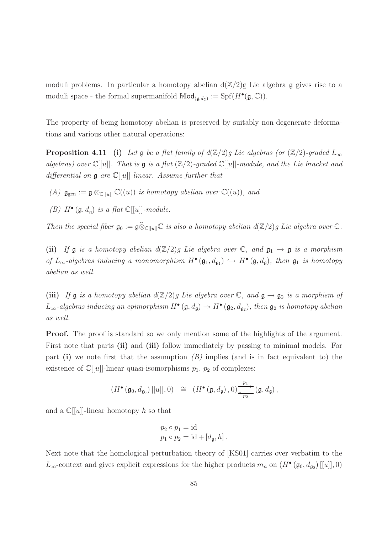moduli problems. In particular a homotopy abelian  $d(\mathbb{Z}/2)$ g Lie algebra g gives rise to a moduli space - the formal supermanifold  $\mathbb{M}od_{(\mathfrak{g},d_{\mathfrak{g}})} := \mathrm{Spf}(H^{\bullet}(\mathfrak{g},\mathbb{C}))$ .

The property of being homotopy abelian is preserved by suitably non-degenerate deformations and various other natural operations:

**Proposition 4.11** (i) Let  $\mathfrak g$  be a flat family of  $d(\mathbb{Z}/2)g$  Lie algebras (or  $(\mathbb{Z}/2)$ -graded  $L_{\infty}$ algebras) over  $\mathbb{C}[[u]]$ . That is  $\mathfrak g$  is a flat  $(\mathbb{Z}/2)$ -graded  $\mathbb{C}[[u]]$ -module, and the Lie bracket and differential on  $\mathfrak g$  are  $\mathbb C[[u]]$ -linear. Assume further that

(A)  $\mathfrak{g}_{gen} := \mathfrak{g} \otimes_{\mathbb{C}[[u]]} \mathbb{C}((u))$  is homotopy abelian over  $\mathbb{C}((u))$ , and

(B)  $H^{\bullet}(\mathfrak{g},d_{\mathfrak{g}})$  is a flat  $\mathbb{C}[[u]]$ -module.

Then the special fiber  $\mathfrak{g}_0 := \mathfrak{g} \widehat{\otimes}_{\mathbb{C}[[u]]} \mathbb{C}$  is also a homotopy abelian  $d(\mathbb{Z}/2)g$  Lie algebra over  $\mathbb{C}$ .

(ii) If  $\mathfrak g$  is a homotopy abelian  $d(\mathbb{Z}/2)g$  Lie algebra over  $\mathbb C$ , and  $\mathfrak g_1 \to \mathfrak g$  is a morphism of  $L_{\infty}$ -algebras inducing a monomorphism  $H^{\bullet}(\mathfrak{g}_1, d_{\mathfrak{g}_1}) \hookrightarrow H^{\bullet}(\mathfrak{g}, d_{\mathfrak{g}})$ , then  $\mathfrak{g}_1$  is homotopy abelian as well.

(iii) If  $\mathfrak g$  is a homotopy abelian  $d(\mathbb{Z}/2)g$  Lie algebra over  $\mathbb C$ , and  $\mathfrak g \to \mathfrak g_2$  is a morphism of  $L_{\infty}$ -algebras inducing an epimorphism  $H^{\bullet}(\mathfrak{g},d_{\mathfrak{g}}) \twoheadrightarrow H^{\bullet}(\mathfrak{g}_2,d_{\mathfrak{g}_2})$ , then  $\mathfrak{g}_2$  is homotopy abelian as well.

**Proof.** The proof is standard so we only mention some of the highlights of the argument. First note that parts (ii) and (iii) follow immediately by passing to minimal models. For part (i) we note first that the assumption  $(B)$  implies (and is in fact equivalent to) the existence of  $\mathbb{C}[[u]]$ -linear quasi-isomorphisms  $p_1$ ,  $p_2$  of complexes:

$$
(H^{\bullet}(\mathfrak{g}_0,d_{\mathfrak{g}_0})\,[[u]],0) \cong (H^{\bullet}(\mathfrak{g},d_{\mathfrak{g}}),0)_{\overbrace{p_2}}^{\overbrace{p_1}}(\mathfrak{g},d_{\mathfrak{g}}),
$$

and a  $\mathbb{C}[[u]]$ -linear homotopy h so that

$$
p_2 \circ p_1 = \mathrm{id}
$$
  

$$
p_1 \circ p_2 = \mathrm{id} + [d_{\mathfrak{g}}, h].
$$

Next note that the homological perturbation theory of [KS01] carries over verbatim to the L<sub>∞</sub>-context and gives explicit expressions for the higher products  $m_n$  on  $(H^{\bullet}(\mathfrak{g}_0, d_{\mathfrak{g}_0})[[u]], 0)$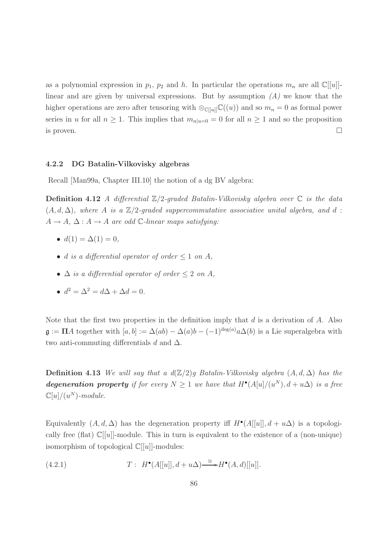as a polynomial expression in  $p_1$ ,  $p_2$  and h. In particular the operations  $m_n$  are all  $\mathbb{C}[u]$ . linear and are given by universal expressions. But by assumption  $(A)$  we know that the higher operations are zero after tensoring with  $\otimes_{\mathbb{C}[[u]]} \mathbb{C}((u))$  and so  $m_n = 0$  as formal power series in u for all  $n \geq 1$ . This implies that  $m_{n|u=0} = 0$  for all  $n \geq 1$  and so the proposition is proven.  $\Box$ 

## 4.2.2 DG Batalin-Vilkovisky algebras

Recall [Man99a, Chapter III.10] the notion of a dg BV algebra:

**Definition 4.12** A differential  $\mathbb{Z}/2$ -graded Batalin-Vilkovisky algebra over  $\mathbb{C}$  is the data  $(A, d, \Delta)$ , where A is a  $\mathbb{Z}/2$ -graded suppercommutative associative unital algebra, and d:  $A \rightarrow A$ ,  $\Delta : A \rightarrow A$  are odd  $\mathbb{C}\text{-}linear$  maps satisfying:

- $d(1) = \Delta(1) = 0$ ,
- d is a differential operator of order  $\leq 1$  on A,
- $\Delta$  is a differential operator of order  $\leq 2$  on A,
- $d^2 = \Delta^2 = d\Delta + \Delta d = 0.$

Note that the first two properties in the definition imply that  $d$  is a derivation of  $A$ . Also  $\mathfrak{g} := \Pi A$  together with  $[a, b] := \Delta(ab) - \Delta(a)b - (-1)^{\deg(a)} a \Delta(b)$  is a Lie superalgebra with two anti-commuting differentials d and  $\Delta$ .

**Definition 4.13** We will say that a  $d(\mathbb{Z}/2)g$  Batalin-Vilkovisky algebra  $(A, d, \Delta)$  has the **degeneration property** if for every  $N \geq 1$  we have that  $H^{\bullet}(A[u]/(u^N), d + u\Delta)$  is a free  $\mathbb{C}[u]/(u^N)$ -module.

Equivalently  $(A, d, \Delta)$  has the degeneration property iff  $H^{\bullet}(A[[u]], d + u\Delta)$  is a topologically free (flat)  $\mathbb{C}[[u]]$ -module. This in turn is equivalent to the existence of a (non-unique) isomorphism of topological  $\mathbb{C}[[u]]$ -modules:

(4.2.1) 
$$
T: H^{\bullet}(A[[u]], d+u\Delta) \xrightarrow{\cong} H^{\bullet}(A, d)[[u]].
$$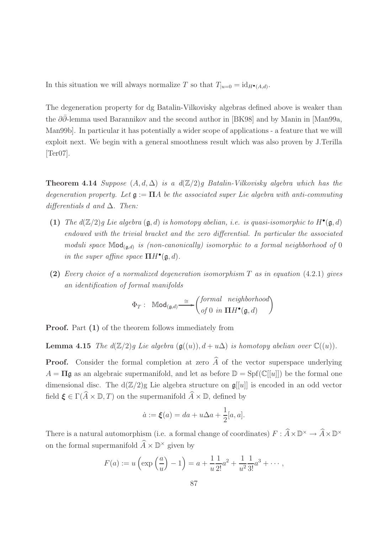In this situation we will always normalize T so that  $T_{|u=0} = id_{H^{\bullet}(A,d)}$ .

The degeneration property for dg Batalin-Vilkovisky algebras defined above is weaker than the  $\partial\bar{\partial}$ -lemma used Barannikov and the second author in [BK98] and by Manin in [Man99a, Man99b]. In particular it has potentially a wider scope of applications - a feature that we will exploit next. We begin with a general smoothness result which was also proven by J.Terilla [Ter07].

**Theorem 4.14** Suppose  $(A, d, \Delta)$  is a  $d(\mathbb{Z}/2)q$  Batalin-Vilkovisky algebra which has the degeneration property. Let  $\mathfrak{g} := \Pi A$  be the associated super Lie algebra with anti-commuting differentials d and  $\Delta$ . Then:

- (1) The  $d(\mathbb{Z}/2)g$  Lie algebra  $(\mathfrak{g},d)$  is homotopy abelian, i.e. is quasi-isomorphic to  $H^{\bullet}(\mathfrak{g},d)$ endowed with the trivial bracket and the zero differential. In particular the associated moduli space  $\mathbb{M}od_{(\mathfrak{g},d)}$  is (non-canonically) isomorphic to a formal neighborhood of 0 in the super affine space  $\Pi H^{\bullet}(\mathfrak{g},d)$ .
- (2) Every choice of a normalized degeneration isomorphism  $T$  as in equation (4.2.1) gives an identification of formal manifolds

$$
\Phi_T: \quad \mathbb{M}\mathsf{od}_{(\mathfrak{g},d)} \stackrel{\cong}{\longrightarrow} \begin{pmatrix} formal \quad neighborhood \\ of \; 0 \; in \; \mathbf{\Pi} H^\bullet(\mathfrak{g},d) \end{pmatrix}
$$

**Proof.** Part  $(1)$  of the theorem follows immediately from

**Lemma 4.15** The  $d(\mathbb{Z}/2)q$  Lie algebra  $(\mathfrak{g}((u)), d + u\Delta)$  is homotopy abelian over  $\mathbb{C}((u))$ .

**Proof.** Consider the formal completion at zero  $\widehat{A}$  of the vector superspace underlying  $A = \Pi \mathfrak{g}$  as an algebraic supermanifold, and let as before  $\mathbb{D} = \text{Spf}(\mathbb{C}[[u]])$  be the formal one dimensional disc. The  $d(\mathbb{Z}/2)$ g Lie algebra structure on  $\mathfrak{g}[[u]]$  is encoded in an odd vector field  $\xi \in \Gamma(\widehat{A} \times \mathbb{D}, T)$  on the supermanifold  $\widehat{A} \times \mathbb{D}$ , defined by

$$
\dot{a} := \xi(a) = da + u\Delta a + \frac{1}{2}[a, a].
$$

There is a natural automorphism (i.e. a formal change of coordinates)  $F: \hat{A} \times \mathbb{D}^{\times} \to \hat{A} \times \mathbb{D}^{\times}$ on the formal supermanifold  $\widetilde{A} \times \mathbb{D}^{\times}$  given by

$$
F(a) := u\left(\exp\left(\frac{a}{u}\right) - 1\right) = a + \frac{1}{u} \frac{1}{2!} a^2 + \frac{1}{u^2} \frac{1}{3!} a^3 + \cdots,
$$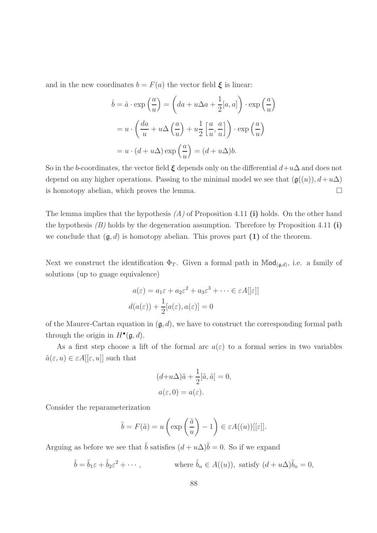and in the new coordinates  $b = F(a)$  the vector field  $\xi$  is linear:

$$
\dot{b} = \dot{a} \cdot \exp\left(\frac{a}{u}\right) = \left(da + u\Delta a + \frac{1}{2}[a, a]\right) \cdot \exp\left(\frac{a}{u}\right)
$$

$$
= u \cdot \left(\frac{da}{u} + u\Delta\left(\frac{a}{u}\right) + u\frac{1}{2}\left[\frac{a}{u}, \frac{a}{u}\right]\right) \cdot \exp\left(\frac{a}{u}\right)
$$

$$
= u \cdot (d + u\Delta) \exp\left(\frac{a}{u}\right) = (d + u\Delta)b.
$$

So in the b-coordinates, the vector field  $\xi$  depends only on the differential  $d+u\Delta$  and does not depend on any higher operations. Passing to the minimal model we see that  $(\mathfrak{g}((u)), d+u\Delta)$ is homotopy abelian, which proves the lemma.  $\square$ 

The lemma implies that the hypothesis  $(A)$  of Proposition 4.11 (i) holds. On the other hand the hypothesis  $(B)$  holds by the degeneration assumption. Therefore by Proposition 4.11 (i) we conclude that  $(\mathfrak{g}, d)$  is homotopy abelian. This proves part (1) of the theorem.

Next we construct the identification  $\Phi_T$ . Given a formal path in Mod<sub>(g,d)</sub>, i.e. a family of solutions (up to guage equivalence)

$$
a(\varepsilon) = a_1\varepsilon + a_2\varepsilon^2 + a_3\varepsilon^3 + \dots \in \varepsilon A[[\varepsilon]]
$$
  

$$
d(a(\varepsilon)) + \frac{1}{2}[a(\varepsilon), a(\varepsilon)] = 0
$$

of the Maurer-Cartan equation in  $(\mathfrak{g}, d)$ , we have to construct the corresponding formal path through the origin in  $H^{\bullet}(\mathfrak{g},d)$ .

As a first step choose a lift of the formal arc  $a(\varepsilon)$  to a formal series in two variables  $\tilde{a}(\varepsilon, u) \in \varepsilon A[[\varepsilon, u]]$  such that

$$
(d+u\Delta)\tilde{a} + \frac{1}{2}[\tilde{a}, \tilde{a}] = 0,
$$
  

$$
a(\varepsilon, 0) = a(\varepsilon).
$$

Consider the reparameterization

$$
\tilde{b} = F(\tilde{a}) = u\left(\exp\left(\frac{\tilde{a}}{u}\right) - 1\right) \in \varepsilon A((u))[[\varepsilon]].
$$

Arguing as before we see that  $\tilde{b}$  satisfies  $(d + u\Delta)\tilde{b} = 0$ . So if we expand

$$
\tilde{b} = \tilde{b}_1 \varepsilon + \tilde{b}_2 \varepsilon^2 + \cdots,
$$
 where  $\tilde{b}_n \in A((u))$ , satisfy  $(d + u\Delta)\tilde{b}_n = 0$ ,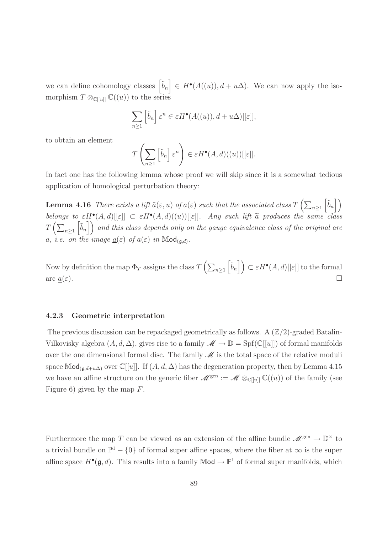we can define cohomology classes  $\left[\tilde{b}_n\right] \in H^{\bullet}(A((u)), d + u\Delta)$ . We can now apply the isomorphism  $T \otimes_{\mathbb{C}[[u]]} \mathbb{C}((u))$  to the series

$$
\sum_{n\geq 1} \left[ \tilde{b}_n \right] \varepsilon^n \in \varepsilon H^{\bullet}(A((u)), d + u\Delta)[[\varepsilon]],
$$

to obtain an element

$$
T\left(\sum_{n\geq 1} \left[\tilde{b}_n\right] \varepsilon^n\right) \in \varepsilon H^{\bullet}(A,d)((u))[[\varepsilon]].
$$

In fact one has the following lemma whose proof we will skip since it is a somewhat tedious application of homological perturbation theory:

**Lemma 4.16** There exists a lift  $\tilde{a}(\varepsilon, u)$  of  $a(\varepsilon)$  such that the associated class  $T\left(\sum_{n\geq 1}\right)$  $\left\lceil \tilde{b}_n \right\rceil$ belongs to  $\epsilon H^{\bullet}(A, d)[[\epsilon]] \subset \epsilon H^{\bullet}(A, d)((u))[[\epsilon]].$  Any such lift  $\tilde{a}$  produces the same class  $T\left(\sum_{n\geq 1}\right)$  $\left[\tilde{b}_n\right]$  and this class depends only on the gauge equivalence class of the original arc a, i.e. on the image  $\underline{a}(\varepsilon)$  of  $a(\varepsilon)$  in  $\mathbb{M}\mathrm{od}_{(\mathfrak{g},d)}$ .

Now by definition the map  $\Phi_T$  assigns the class  $T\left(\sum_{n\geq 1}\right)$  $\left[\tilde{b}_n\right]$   $\subset \varepsilon H^{\bullet}(A, d)[[\varepsilon]]$  to the formal arc  $\underline{a}(\varepsilon)$ .

## 4.2.3 Geometric interpretation

The previous discussion can be repackaged geometrically as follows. A  $(\mathbb{Z}/2)$ -graded Batalin-Vilkovisky algebra  $(A, d, \Delta)$ , gives rise to a family  $\mathscr{M} \to \mathbb{D} = \text{Spf}(\mathbb{C}[[u]])$  of formal manifolds over the one dimensional formal disc. The family  $\mathscr M$  is the total space of the relative moduli space Mod<sub>( $\mathfrak{g},d+u\Delta$ ) over  $\mathbb{C}[[u]]$ . If  $(A, d, \Delta)$  has the degeneration property, then by Lemma 4.15</sub> we have an affine structure on the generic fiber  $\mathscr{M}^{\text{gen}} := \mathscr{M} \otimes_{\mathbb{C}[[u]]} \mathbb{C}((u))$  of the family (see Figure 6) given by the map  $F$ .

Furthermore the map T can be viewed as an extension of the affine bundle  $\mathscr{M}^{\text{gen}} \to \mathbb{D}^{\times}$  to a trivial bundle on  $\mathbb{P}^1 - \{0\}$  of formal super affine spaces, where the fiber at  $\infty$  is the super affine space  $H^{\bullet}(\mathfrak{g},d)$ . This results into a family  $\mathbb{M}$ od  $\to \mathbb{P}^1$  of formal super manifolds, which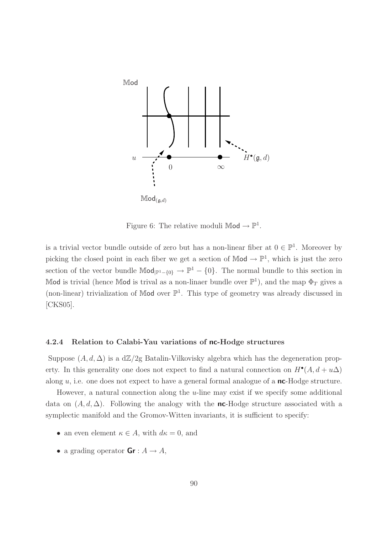

Figure 6: The relative moduli  $\mathbb{M}$ od  $\rightarrow \mathbb{P}^1$ .

is a trivial vector bundle outside of zero but has a non-linear fiber at  $0 \in \mathbb{P}^1$ . Moreover by picking the closed point in each fiber we get a section of  $\mathbb{M}$ od  $\rightarrow \mathbb{P}^1$ , which is just the zero section of the vector bundle  $\mathbb{Mod}_{|\mathbb{P}^1-\{0\}} \to \mathbb{P}^1-\{0\}$ . The normal bundle to this section in Mod is trivial (hence Mod is trival as a non-linaer bundle over  $\mathbb{P}^1$ ), and the map  $\Phi_T$  gives a (non-linear) trivialization of Mod over  $\mathbb{P}^1$ . This type of geometry was already discussed in [CKS05].

## 4.2.4 Relation to Calabi-Yau variations of nc-Hodge structures

Suppose  $(A, d, \Delta)$  is a d $\mathbb{Z}/2$ g Batalin-Vilkovisky algebra which has the degeneration property. In this generality one does not expect to find a natural connection on  $H^{\bullet}(A, d+u\Delta)$ along  $u$ , i.e. one does not expect to have a general formal analogue of a **nc**-Hodge structure.

However, a natural connection along the  $u$ -line may exist if we specify some additional data on  $(A, d, \Delta)$ . Following the analogy with the **nc**-Hodge structure associated with a symplectic manifold and the Gromov-Witten invariants, it is sufficient to specify:

- an even element  $\kappa \in A$ , with  $d\kappa = 0$ , and
- a grading operator  $\mathbf{Gr}: A \to A$ ,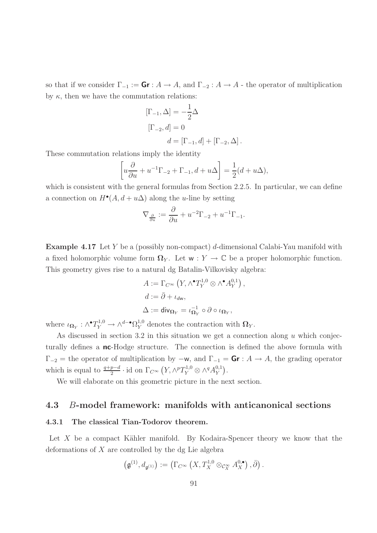so that if we consider  $\Gamma_{-1} := \mathbf{Gr} : A \to A$ , and  $\Gamma_{-2} : A \to A$  - the operator of multiplication by  $\kappa$ , then we have the commutation relations:

$$
[\Gamma_{-1}, \Delta] = -\frac{1}{2}\Delta
$$
  
\n
$$
[\Gamma_{-2}, d] = 0
$$
  
\n
$$
d = [\Gamma_{-1}, d] + [\Gamma_{-2}, \Delta].
$$

These commutation relations imply the identity

$$
\[u\frac{\partial}{\partial u} + u^{-1}\Gamma_{-2} + \Gamma_{-1}, d + u\Delta\] = \frac{1}{2}(d + u\Delta),\]
$$

which is consistent with the general formulas from Section 2.2.5. In particular, we can define a connection on  $H^{\bullet}(A, d + u\Delta)$  along the *u*-line by setting

$$
\nabla_{\frac{\partial}{\partial u}} := \frac{\partial}{\partial u} + u^{-2} \Gamma_{-2} + u^{-1} \Gamma_{-1}.
$$

Example 4.17 Let Y be a (possibly non-compact) d-dimensional Calabi-Yau manifold with a fixed holomorphic volume form  $\Omega_Y$ . Let  $w: Y \to \mathbb{C}$  be a proper holomorphic function. This geometry gives rise to a natural dg Batalin-Vilkovisky algebra:

$$
A := \Gamma_{C^{\infty}} (Y, \wedge^{\bullet} T_Y^{1,0} \otimes \wedge^{\bullet} A_Y^{0,1}),
$$
  

$$
d := \bar{\partial} + \iota_{d\mathbf{w}},
$$
  

$$
\Delta := \text{div}_{\Omega_Y} = \iota_{\Omega_Y}^{-1} \circ \partial \circ \iota_{\Omega_Y},
$$

where  $\iota_{\mathbf{\Omega}_Y} : \wedge^{\bullet} T_Y^{1,0} \to \wedge^{d-\bullet} \Omega_Y^{1,0}$  denotes the contraction with  $\mathbf{\Omega}_Y$ .

As discussed in section 3.2 in this situation we get a connection along  $u$  which conjecturally defines a **nc**-Hodge structure. The connection is defined the above formula with  $\Gamma_{-2}$  = the operator of multiplication by  $-w$ , and  $\Gamma_{-1} = \mathsf{Gr} : A \to A$ , the grading operator which is equal to  $\frac{q+p-d}{2} \cdot$  id on  $\Gamma_{C^{\infty}}(Y, \wedge^p T_Y^{1,0} \otimes \wedge^q A_Y^{0,1})$  $_{Y}^{0,1}$ .

We will elaborate on this geometric picture in the next section.

## 4.3 B-model framework: manifolds with anticanonical sections

## 4.3.1 The classical Tian-Todorov theorem.

Let  $X$  be a compact Kähler manifold. By Kodaira-Spencer theory we know that the deformations of X are controlled by the dg Lie algebra

$$
\left(\mathfrak g^{(1)}, d_{\mathfrak g^{(1)}}\right):=\left(\Gamma_{C^\infty}\left(X,T_X^{1,0}\otimes_{\mathcal C_X^\infty} A_X^{0,\bullet}\right),\bar\partial\right).
$$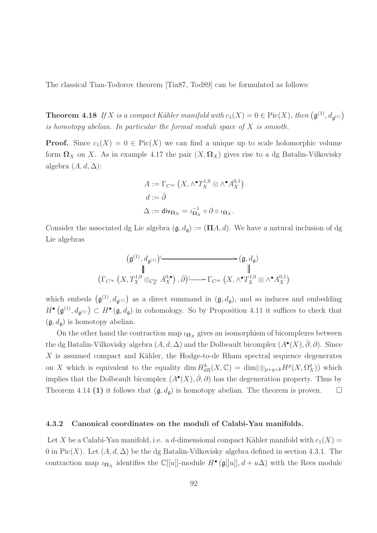The classical Tian-Todorov theorem [Tia87, Tod89] can be formulated as follows:

**Theorem 4.18** If X is a compact Kähler manifold with  $c_1(X) = 0 \in Pic(X)$ , then  $(\mathfrak{g}^{(1)}, d_{\mathfrak{g}^{(1)}})$ is homotopy abelian. In particular the formal moduli space of  $X$  is smooth.

**Proof.** Since  $c_1(X) = 0 \in Pic(X)$  we can find a unique up to scale holomorphic volume form  $\Omega_X$  on X. As in example 4.17 the pair  $(X, \Omega_X)$  gives rise to a dg Batalin-Vilkovisky algebra  $(A, d, \Delta)$ :

$$
A := \Gamma_{C^{\infty}} (X, \wedge^{\bullet} T_X^{1,0} \otimes \wedge^{\bullet} A_X^{0,1})
$$
  

$$
d := \bar{\partial}
$$
  

$$
\Delta := \text{div}_{\Omega_X} = \iota_{\Omega_X}^{-1} \circ \partial \circ \iota_{\Omega_X}.
$$

Consider the associated dg Lie algebra  $(\mathfrak{g}, d_{\mathfrak{g}}) := (\Pi A, d)$ . We have a natural inclusion of dg Lie algebras

$$
\begin{array}{ccc} &\left(\mathfrak g^{(1)},d_{\mathfrak g^{(1)}}\right) &\longrightarrow &\left(\mathfrak g,d_{\mathfrak g}\right)\\ &\parallel & &\parallel &\\ \left(\Gamma_{C^{\infty}}\left(X,T_X^{1,0}\otimes_{\mathcal C^{\infty}_X}A^{0,\bullet}_X\right),\bar\partial\right) &\longrightarrow \Gamma_{C^{\infty}}\left(X,\wedge^{\bullet}T_X^{1,0}\otimes \wedge^{\bullet}A^{0,1}_X\right)\end{array}
$$

which embeds  $(\mathfrak{g}^{(1)}, d_{\mathfrak{g}^{(1)}})$  as a direct summand in  $(\mathfrak{g}, d_{\mathfrak{g}})$ , and so induces and embedding  $H^{\bullet}(\mathfrak{g}^{(1)}, d_{\mathfrak{g}^{(1)}}) \subset H^{\bullet}(\mathfrak{g}, d_{\mathfrak{g}})$  in cohomology. So by Proposition 4.11 it suffices to check that  $(\mathfrak{g}, d_{\mathfrak{g}})$  is homotopy abelian.

On the other hand the contraction map  $\iota_{\Omega_X}$  gives an isomorphism of bicomplexes between the dg Batalin-Vilkovisky algebra  $(A, d, \Delta)$  and the Dolbeault bicomplex  $(A^{\bullet}(X), \bar{\partial}, \partial)$ . Since  $X$  is assumed compact and Kähler, the Hodge-to-de Rham spectral sequence degenerates on X which is equivalent to the equality dim  $H_{dR}^k(X, \mathbb{C}) = \dim(\oplus_{p+q=k} H^p(X, \Omega_X^q))$  which implies that the Dolbeault bicomplex  $(A^{\bullet}(X), \bar{\partial}, \partial)$  has the degeneration property. Thus by Theorem 4.14 (1) it follows that  $(\mathfrak{g}, d_{\mathfrak{g}})$  is homotopy abelian. The theorem is proven.  $\Box$ 

## 4.3.2 Canonical coordinates on the moduli of Calabi-Yau manifolds.

Let X be a Calabi-Yau manifold, i.e. a d-dimensional compact Kähler manifold with  $c_1(X)$  = 0 in Pic(X). Let  $(A, d, \Delta)$  be the dg Batalin-Vilkovisky algebra defined in section 4.3.1. The contraction map  $\iota_{\mathbf{\Omega}_X}$  identifies the  $\mathbb{C}[[u]]$ -module  $H^{\bullet}(\mathfrak{g}[[u]], d + u\Delta)$  with the Rees module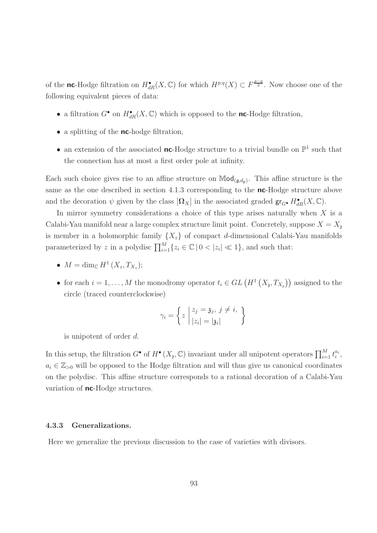of the **nc**-Hodge filtration on  $H_{dR}^{\bullet}(X, \mathbb{C})$  for which  $H^{p,q}(X) \subset F^{\frac{p-q}{2}}$ . Now choose one of the following equivalent pieces of data:

- a filtration  $G^{\bullet}$  on  $H^{\bullet}_{dR}(X,\mathbb{C})$  which is opposed to the **nc**-Hodge filtration,
- a splitting of the **nc**-hodge filtration,
- an extension of the associated **nc**-Hodge structure to a trivial bundle on  $\mathbb{P}^1$  such that the connection has at most a first order pole at infinity.

Each such choice gives rise to an affine structure on  $\mathbb{M}od_{(\mathfrak{g},d_{\mathfrak{g}})}$ . This affine structure is the same as the one described in section 4.1.3 corresponding to the **nc**-Hodge structure above and the decoration  $\psi$  given by the class  $[\Omega_X]$  in the associated graded  $\mathsf{gr}_{G^{\bullet}} H^{\bullet}_{dR}(X,\mathbb{C})$ .

In mirror symmetry considerations a choice of this type arises naturally when X is a Calabi-Yau manifold near a large complex structure limit point. Concretely, suppose  $X = X<sub>z</sub>$ is member in a holomorphic family  $\{X_z\}$  of compact d-dimensional Calabi-Yau manifolds parameterized by z in a polydisc  $\prod_{i=1}^{M} \{z_i \in \mathbb{C} \mid 0 < |z_i| \ll 1\}$ , and such that:

- $M = \dim_{\mathbb{C}} H^1(X_z, T_{X_z});$
- for each  $i = 1, ..., M$  the monodromy operator  $t_i \in GL(H^1(X_3, T_{X_3}))$  assigned to the circle (traced counterclockwise)

$$
\gamma_i = \left\{ z \mid \begin{aligned} z_j &= \mathfrak{z}_j, \, j \neq i, \\ |z_i| &= |\mathfrak{z}_i| \end{aligned} \right\}
$$

is unipotent of order d.

In this setup, the filtration  $G^{\bullet}$  of  $H^{\bullet}(X_{\mathfrak{z}}, \mathbb{C})$  invariant under all unipotent operators  $\prod_{i=1}^{M} t_i^{a_i}$ ,  $a_i \in \mathbb{Z}_{>0}$  will be opposed to the Hodge filtration and will thus give us canonical coordinates on the polydisc. This affine structure corresponds to a rational decoration of a Calabi-Yau variation of **nc**-Hodge structures.

## 4.3.3 Generalizations.

Here we generalize the previous discussion to the case of varieties with divisors.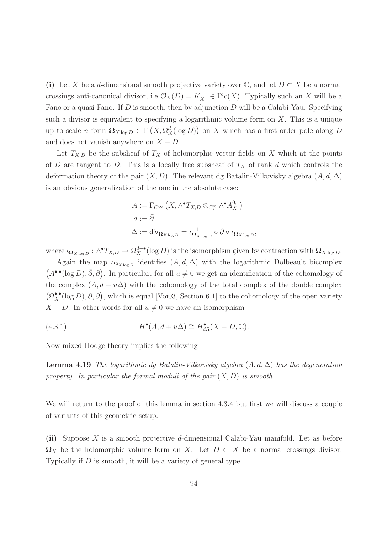(i) Let X be a d-dimensional smooth projective variety over  $\mathbb{C}$ , and let  $D \subset X$  be a normal crossings anti-canonical divisor, i.e  $\mathcal{O}_X(D) = K_X^{-1} \in Pic(X)$ . Typically such an X will be a Fano or a quasi-Fano. If  $D$  is smooth, then by adjunction  $D$  will be a Calabi-Yau. Specifying such a divisor is equivalent to specifying a logarithmic volume form on  $X$ . This is a unique up to scale *n*-form  $\Omega_{X \log D} \in \Gamma\left(X, \Omega_X^d(\log D)\right)$  on X which has a first order pole along D and does not vanish anywhere on  $X - D$ .

Let  $T_{X,D}$  be the subsheaf of  $T_X$  of holomorphic vector fields on X which at the points of D are tangent to D. This is a locally free subsheaf of  $T<sub>X</sub>$  of rank d which controls the deformation theory of the pair  $(X, D)$ . The relevant dg Batalin-Vilkovisky algebra  $(A, d, \Delta)$ is an obvious generalization of the one in the absolute case:

$$
A := \Gamma_{C^{\infty}} (X, \wedge^{\bullet} T_{X,D} \otimes_{\mathcal{C}_X^{\infty}} \wedge^{\bullet} A_X^{0,1})
$$
  

$$
d := \bar{\partial}
$$
  

$$
\Delta := \text{div}_{\Omega_{X \log D}} = \iota_{\Omega_{X \log D}}^{-1} \circ \partial \circ \iota_{\Omega_{X \log D}}
$$

where  $\iota_{\mathbf{\Omega}_{X \log D}} : \wedge^{\bullet} T_{X,D} \to \Omega_X^{d-\bullet}(\log D)$  is the isomorphism given by contraction with  $\mathbf{\Omega}_{X \log D}$ .

,

Again the map  $\iota_{\mathbf{\Omega}_{X \log p}}$  identifies  $(A, d, \Delta)$  with the logarithmic Dolbeault bicomplex  $(A^{\bullet,\bullet}(\log D), \bar{\partial}, \partial)$ . In particular, for all  $u \neq 0$  we get an identification of the cohomology of the complex  $(A, d + u\Delta)$  with the cohomology of the total complex of the double complex  $(\Omega_X^{\bullet,\bullet}(\log D), \bar{\partial}, \partial)$ , which is equal [Voi03, Section 6.1] to the cohomology of the open variety  $X - D$ . In other words for all  $u \neq 0$  we have an isomorphism

(4.3.1) 
$$
H^{\bullet}(A, d + u\Delta) \cong H^{\bullet}_{dR}(X - D, \mathbb{C}).
$$

Now mixed Hodge theory implies the following

**Lemma 4.19** The logarithmic dg Batalin-Vilkovisky algebra  $(A, d, \Delta)$  has the degeneration property. In particular the formal moduli of the pair  $(X, D)$  is smooth.

We will return to the proof of this lemma in section 4.3.4 but first we will discuss a couple of variants of this geometric setup.

(ii) Suppose X is a smooth projective d-dimensional Calabi-Yau manifold. Let as before  $\Omega_X$  be the holomorphic volume form on X. Let  $D \subset X$  be a normal crossings divisor. Typically if D is smooth, it will be a variety of general type.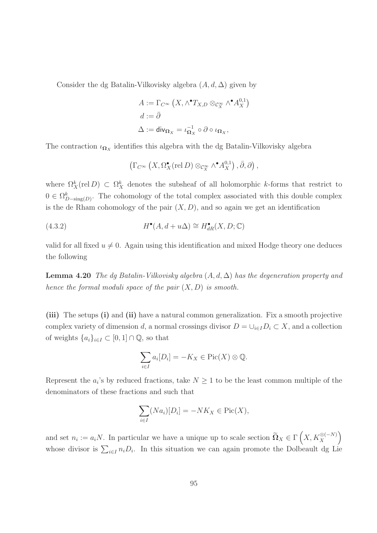Consider the dg Batalin-Vilkovisky algebra  $(A, d, \Delta)$  given by

$$
A := \Gamma_{C^{\infty}} (X, \wedge^{\bullet} T_{X,D} \otimes_{\mathcal{C}_X^{\infty}} \wedge^{\bullet} A_X^{0,1})
$$
  

$$
d := \bar{\partial}
$$
  

$$
\Delta := \text{div}_{\Omega_X} = \iota_{\Omega_X}^{-1} \circ \partial \circ \iota_{\Omega_X},
$$

The contraction  $\iota_{\mathbf{\Omega}_X}$  identifies this algebra with the dg Batalin-Vilkovisky algebra

$$
\left(\Gamma_{C^{\infty}}\left(X,\Omega_X^{\bullet}(\text{rel }D)\otimes_{\mathcal{C}_X^{\infty}}\wedge^{\bullet}A_X^{0,1}\right),\bar{\partial},\partial\right),\right
$$

where  $\Omega_X^k(\text{rel } D) \subset \Omega_X^k$  denotes the subsheaf of all holomorphic k-forms that restrict to  $0 \in \Omega_{D-\text{sing}(D)}^k$ . The cohomology of the total complex associated with this double complex is the de Rham cohomology of the pair  $(X, D)$ , and so again we get an identification

(4.3.2) 
$$
H^{\bullet}(A, d + u\Delta) \cong H^{\bullet}_{dR}(X, D; \mathbb{C})
$$

valid for all fixed  $u \neq 0$ . Again using this identification and mixed Hodge theory one deduces the following

**Lemma 4.20** The dg Batalin-Vilkovisky algebra  $(A, d, \Delta)$  has the degeneration property and hence the formal moduli space of the pair  $(X, D)$  is smooth.

(iii) The setups (i) and (ii) have a natural common generalization. Fix a smooth projective complex variety of dimension d, a normal crossings divisor  $D = \bigcup_{i \in I} D_i \subset X$ , and a collection of weights  $\{a_i\}_{i\in I}\subset [0,1]\cap \mathbb{Q}$ , so that

$$
\sum_{i \in I} a_i [D_i] = -K_X \in \text{Pic}(X) \otimes \mathbb{Q}.
$$

Represent the  $a_i$ 's by reduced fractions, take  $N \geq 1$  to be the least common multiple of the denominators of these fractions and such that

$$
\sum_{i \in I} (Na_i)[D_i] = -NK_X \in \text{Pic}(X),
$$

and set  $n_i := a_i N$ . In particular we have a unique up to scale section  $\widetilde{\Omega}_X \in \Gamma\left(X, K_X^{\otimes(-N)}\right)$  $\overline{ }$ whose divisor is  $\sum_{i\in I} n_i D_i$ . In this situation we can again promote the Dolbeault dg Lie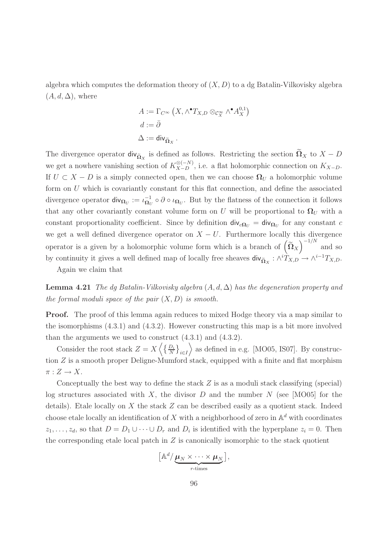algebra which computes the deformation theory of  $(X, D)$  to a dg Batalin-Vilkovisky algebra  $(A, d, \Delta)$ , where

$$
A := \Gamma_{C^{\infty}} (X, \wedge^{\bullet} T_{X,D} \otimes_{\mathcal{C}_X^{\infty}} \wedge^{\bullet} A_X^{0,1})
$$

$$
d := \overline{\partial}
$$

$$
\Delta := \text{div}_{\widetilde{\Omega}_X}.
$$

The divergence operator  $div_{\tilde{\Omega}_X}$  is defined as follows. Restricting the section  $\Omega_X$  to  $X - D$ we get a nowhere vanishing section of  $K_{X-D}^{\otimes(-N)}$ , i.e. a flat holomorphic connection on  $K_{X-D}$ . If  $U \subset X - D$  is a simply connected open, then we can choose  $\Omega_U$  a holomorphic volume form on U which is covariantly constant for this flat connection, and define the associated divergence operator  $\mathsf{div}_{\mathbf{\Omega}_U} := \iota_{\mathbf{\Omega}_U}^{-1}$  $\overline{\mathbf{a}}_U^1 \circ \partial \circ \iota_{\mathbf{a}}_U$ . But by the flatness of the connection it follows that any other covariantly constant volume form on U will be proportional to  $\Omega_U$  with a constant proportionality coefficient. Since by definition  $\mathsf{div}_{c\Omega_U} = \mathsf{div}_{\Omega_U}$  for any constant c we get a well defined divergence operator on  $X - U$ . Furthermore locally this divergence operator is a given by a holomorphic volume form which is a branch of  $\left(\widetilde{\Omega}_X\right)^{-1/N}$  and so by continuity it gives a well defined map of locally free sheaves  $\text{div}_{\tilde{\Omega}_X}: \wedge^i T_{X,D} \to \wedge^{i-1} T_{X,D}.$ 

Again we claim that

**Lemma 4.21** The dg Batalin-Vilkovisky algebra  $(A, d, \Delta)$  has the degeneration property and the formal moduli space of the pair  $(X, D)$  is smooth.

Proof. The proof of this lemma again reduces to mixed Hodge theory via a map similar to the isomorphisms  $(4.3.1)$  and  $(4.3.2)$ . However constructing this map is a bit more involved than the arguments we used to construct (4.3.1) and (4.3.2).

Consider the root stack  $Z = X \left\langle \left\{ \frac{D_i}{N} \right\}_{i \in I} \right\}$  $\rangle$  as defined in e.g. [MO05, IS07]. By construction Z is a smooth proper Deligne-Mumford stack, equipped with a finite and flat morphism  $\pi: Z \to X$ .

Conceptually the best way to define the stack  $Z$  is as a moduli stack classifying (special) log structures associated with X, the divisor D and the number  $N$  (see [MO05] for the details). Etale locally on X the stack  $Z$  can be described easily as a quotient stack. Indeed choose etale locally an identification of X with a neighborhood of zero in  $\mathbb{A}^d$  with coordinates  $z_1, \ldots, z_d$ , so that  $D = D_1 \cup \cdots \cup D_r$  and  $D_i$  is identified with the hyperplane  $z_i = 0$ . Then the corresponding etale local patch in  $Z$  is canonically isomorphic to the stack quotient

$$
\left[\mathbb{A}^d/\underbrace{\boldsymbol{\mu}_N\times\cdots\times\boldsymbol{\mu}_N}_{r\text{-times}}\right],
$$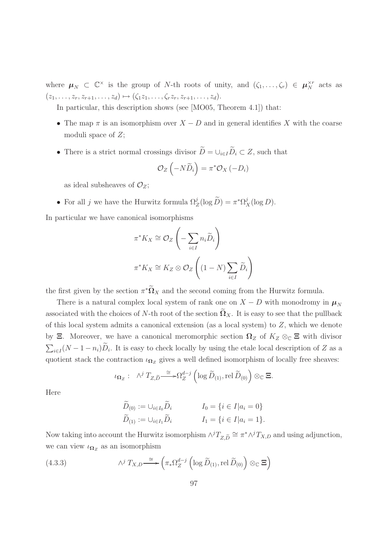where  $\mu_N \subset \mathbb{C}^\times$  is the group of N-th roots of unity, and  $(\zeta_1, \ldots, \zeta_r) \in \mu_N^{\times r}$  acts as  $(z_1, \ldots, z_r, z_{r+1}, \ldots, z_d) \mapsto (\zeta_1 z_1, \ldots, \zeta_r z_r, z_{r+1}, \ldots, z_d).$ 

In particular, this description shows (see [MO05, Theorem 4.1]) that:

- The map  $\pi$  is an isomorphism over  $X D$  and in general identifies X with the coarse moduli space of  $Z$ ;
- There is a strict normal crossings divisor  $\widetilde{D} = \cup_{i \in I} \widetilde{D}_i \subset Z$ , such that

$$
\mathcal{O}_Z\left(-N\widetilde{D}_i\right)=\pi^*\mathcal{O}_X\left(-D_i\right)
$$

as ideal subsheaves of  $\mathcal{O}_Z$ ;

• For all j we have the Hurwitz formula  $\Omega_Z^j(\log \tilde{D}) = \pi^* \Omega_X^j(\log D)$ .

In particular we have canonical isomorphisms

$$
\pi^* K_X \cong \mathcal{O}_Z \left( -\sum_{i \in I} n_i \widetilde{D}_i \right)
$$

$$
\pi^* K_X \cong K_Z \otimes \mathcal{O}_Z \left( (1 - N) \sum_{i \in I} \widetilde{D}_i \right)
$$

the first given by the section  $\pi^*\Omega_X$  and the second coming from the Hurwitz formula.

There is a natural complex local system of rank one on  $X - D$  with monodromy in  $\mu_N$ associated with the choices of N-th root of the section  $\Omega_X$ . It is easy to see that the pullback of this local system admits a canonical extension (as a local system) to Z, which we denote by  $\Xi$ . Moreover, we have a canonical meromorphic section  $\Omega_Z$  of  $K_Z \otimes_{\mathbb{C}} \Xi$  with divisor  $\sum_{i\in I}(N-1-n_i)\widetilde{D}_i$ . It is easy to check locally by using the etale local description of Z as a quotient stack the contraction  $\iota_{\Omega_Z}$  gives a well defined isomorphism of locally free sheaves:

$$
\iota_{\Omega_Z}: \quad \wedge^j T_{Z,\widetilde{D}} \xrightarrow{\cong} \Omega_Z^{d-j} \left( \log \widetilde{D}_{(1)}, \text{rel } \widetilde{D}_{(0)} \right) \otimes_{\mathbb{C}} \Xi.
$$

Here

$$
\widetilde{D}_{(0)} := \bigcup_{i \in I_0} \widetilde{D}_i \qquad \qquad I_0 = \{ i \in I | a_i = 0 \}
$$
\n
$$
\widetilde{D}_{(1)} := \bigcup_{i \in I_1} \widetilde{D}_i \qquad \qquad I_1 = \{ i \in I | a_i = 1 \}.
$$

Now taking into account the Hurwitz isomorphism  $\wedge^{j}T_{Z,\tilde{D}} \cong \pi^* \wedge^{j}T_{X,D}$  and using adjunction, we can view  $\iota_{\Omega_Z}$  as an isomorphism

(4.3.3) 
$$
\wedge^j T_{X,D} \stackrel{\cong}{\longrightarrow} \left(\pi_* \Omega_Z^{d-j} \left(\log \widetilde{D}_{(1)}, \text{rel } \widetilde{D}_{(0)}\right) \otimes_{\mathbb{C}} \Xi\right)
$$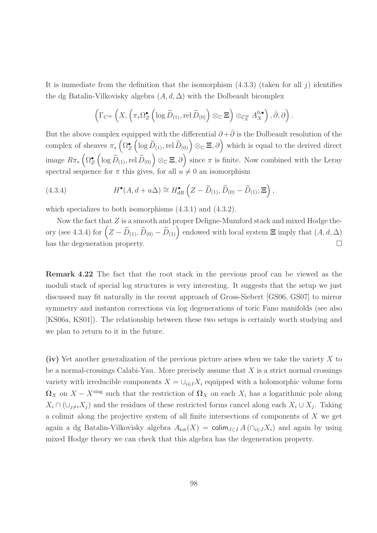It is immediate from the definition that the isomorphism  $(4.3.3)$  (taken for all j) identifies the dg Batalin-Vilkovisky algebra  $(A, d, \Delta)$  with the Dolbeault bicomplex

$$
\left(\Gamma_{C^{\infty}}\left(X,\left(\pi_*\Omega_Z^{\bullet}\left(\log \widetilde{D}_{(1)},\text{rel }\widetilde{D}_{(0)}\right)\otimes_{\mathbb{C}}\Xi\right)\otimes_{\mathcal{C}_X^{\infty}}A_X^{0,\bullet}\right),\bar{\partial},\partial\right).
$$

But the above complex equipped with the differential  $\partial + \overline{\partial}$  is the Dolbeault resolution of the complex of sheaves  $\pi_*\left(\Omega_Z^{\bullet}\right)$  $\left(\log \tilde{D}_{(1)}, \text{rel } \tilde{D}_{(0)}\right) \otimes_{\mathbb{C}} \Xi$ ,  $\partial$  which is equal to the derived direct image  $R\pi_*\left(\Omega_{Z}^{\bullet}\right)$  $\left(\log \widetilde{D}_{(1)},\operatorname{rel} \widetilde{D}_{(0)}\right)\otimes_{\mathbb{C}} \Xi, \partial\right)$  since  $\pi$  is finite. Now combined with the Leray spectral sequence for  $\pi$  this gives, for all  $u \neq 0$  an isomorphism

(4.3.4) 
$$
H^{\bullet}(A, d + u\Delta) \cong H^{\bullet}_{dR} \left( Z - \widetilde{D}_{(1)}, \widetilde{D}_{(0)} - \widetilde{D}_{(1)}; \Xi \right),
$$

which specializes to both isomorphisms  $(4.3.1)$  and  $(4.3.2)$ .

Now the fact that  $Z$  is a smooth and proper Deligne-Mumford stack and mixed Hodge theory (see 4.3.4) for  $(Z - \widetilde{D}_{(1)}, \widetilde{D}_{(0)} - \widetilde{D}_{(1)})$  endowed with local system  $\Xi$  imply that  $(A, d, \Delta)$ has the degeneration property.

Remark 4.22 The fact that the root stack in the previous proof can be viewed as the moduli stack of special log structures is very interesting. It suggests that the setup we just discussed may fit naturally in the recent approach of Gross-Siebert [GS06, GS07] to mirror symmetry and instanton corrections via log degenerations of toric Fano manifolds (see also [KS06a, KS01]). The relationship between these two setups is certainly worth studying and we plan to return to it in the future.

(iv) Yet another generalization of the previous picture arises when we take the variety X to be a normal-crossings Calabi-Yau. More precisely assume that  $X$  is a strict normal crossings variety with irreducible components  $X = \bigcup_{i \in I} X_i$  equipped with a holomorphic volume form  $\Omega_X$  on  $X - X^{\text{sing}}$  such that the restriction of  $\Omega_X$  on each  $X_i$  has a logarithmic pole along  $X_i \cap (\cup_{j \neq i} X_j)$  and the residues of these restricted forms cancel along each  $X_i \cup X_j$ . Taking a colimit along the projective system of all finite intersections of components of X we get again a dg Batalin-Vilkovisky algebra  $A_{\text{tot}}(X) = \text{colim}_{J \subset I} A(\bigcap_{i \in J} X_i)$  and again by using mixed Hodge theory we can check that this algebra has the degeneration property.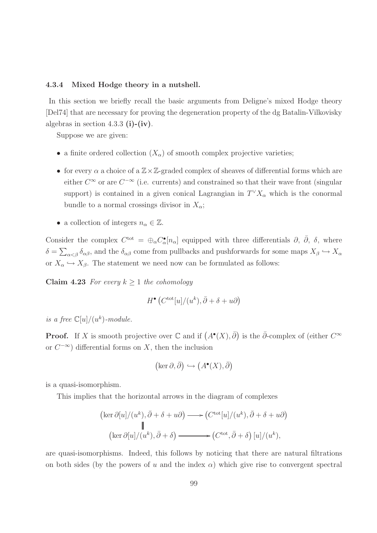## 4.3.4 Mixed Hodge theory in a nutshell.

In this section we briefly recall the basic arguments from Deligne's mixed Hodge theory [Del74] that are necessary for proving the degeneration property of the dg Batalin-Vilkovisky algebras in section 4.3.3 (i)-(iv).

Suppose we are given:

- a finite ordered collection  $(X_{\alpha})$  of smooth complex projective varieties;
- for every  $\alpha$  a choice of a  $\mathbb{Z}\times\mathbb{Z}$ -graded complex of sheaves of differential forms which are either  $C^{\infty}$  or are  $C^{-\infty}$  (i.e. currents) and constrained so that their wave front (singular support) is contained in a given conical Lagrangian in  $T^{\vee} X_{\alpha}$  which is the conormal bundle to a normal crossings divisor in  $X_{\alpha}$ ;
- a collection of integers  $n_{\alpha} \in \mathbb{Z}$ .

Consider the complex  $C^{tot} = \bigoplus_{\alpha} C_{\alpha}^{\bullet}[n_{\alpha}]$  equipped with three differentials  $\partial$ ,  $\bar{\partial}$ ,  $\delta$ , where  $\delta = \sum_{\alpha < \beta} \delta_{\alpha\beta}$ , and the  $\delta_{\alpha\beta}$  come from pullbacks and pushforwards for some maps  $X_{\beta} \hookrightarrow X_{\alpha}$ or  $X_{\alpha} \hookrightarrow X_{\beta}$ . The statement we need now can be formulated as follows:

Claim 4.23 For every  $k \geq 1$  the cohomology

$$
H^{\bullet} (C^{\text{tot}}[u]/(u^k), \bar{\partial} + \delta + u\partial)
$$

is a free  $\mathbb{C}[u]/(u^k)$ -module.

**Proof.** If X is smooth projective over  $\mathbb C$  and if  $(A^{\bullet}(X), \overline{\partial})$  is the  $\overline{\partial}$ -complex of (either  $C^{\infty}$ or  $C^{-\infty}$ ) differential forms on X, then the inclusion

$$
\left(\ker \partial, \bar{\partial}\right) \hookrightarrow \left(A^\bullet(X), \bar{\partial}\right)
$$

is a quasi-isomorphism.

This implies that the horizontal arrows in the diagram of complexes

$$
(\ker \partial[u]/(u^k), \bar{\partial} + \delta + u\partial) \longrightarrow (C^{\text{tot}}[u]/(u^k), \bar{\partial} + \delta + u\partial)
$$
  
 
$$
\parallel
$$
  
 
$$
(\ker \partial[u]/(u^k), \bar{\partial} + \delta) \longrightarrow (C^{\text{tot}}, \bar{\partial} + \delta) [u]/(u^k),
$$

are quasi-isomorphisms. Indeed, this follows by noticing that there are natural filtrations on both sides (by the powers of u and the index  $\alpha$ ) which give rise to convergent spectral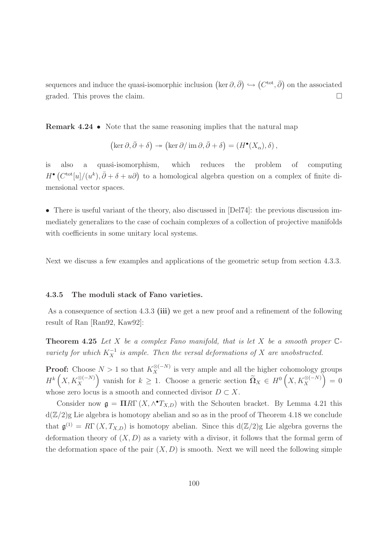sequences and induce the quasi-isomorphic inclusion  $(\ker \partial, \bar{\partial}) \hookrightarrow (C^{\text{tot}}, \bar{\partial})$  on the associated graded. This proves the claim.

Remark 4.24 • Note that the same reasoning implies that the natural map

$$
(\ker \partial, \bar{\partial} + \delta) \twoheadrightarrow (\ker \partial / \operatorname{im} \partial, \bar{\partial} + \delta) = (H^{\bullet}(X_{\alpha}), \delta),
$$

is also a quasi-isomorphism, which reduces the problem of computing  $H^{\bullet}(C^{\text{tot}}[u]/(u^k), \bar{\partial}+\delta+u\partial)$  to a homological algebra question on a complex of finite dimensional vector spaces.

• There is useful variant of the theory, also discussed in [Del74]: the previous discussion immediately generalizes to the case of cochain complexes of a collection of projective manifolds with coefficients in some unitary local systems.

Next we discuss a few examples and applications of the geometric setup from section 4.3.3.

## 4.3.5 The moduli stack of Fano varieties.

As a consequence of section 4.3.3 (iii) we get a new proof and a refinement of the following result of Ran [Ran92, Kaw92]:

**Theorem 4.25** Let X be a complex Fano manifold, that is let X be a smooth proper  $\mathbb{C}$ variety for which  $K_X^{-1}$  is ample. Then the versal deformations of X are unobstructed.

**Proof:** Choose  $N > 1$  so that  $K_X^{\otimes (-N)}$  is very ample and all the higher cohomology groups  $H^k(X, K_X^{\otimes(-N)})$ ) vanish for  $k \geq 1$ . Choose a generic section  $\widetilde{\Omega}_X \in H^0(X, K_X^{\otimes (-N)})$  $= 0$ whose zero locus is a smooth and connected divisor  $D \subset X$ .

Consider now  $\mathfrak{g} = \Pi R \Gamma(X, \wedge^{\bullet} T_{X,D})$  with the Schouten bracket. By Lemma 4.21 this  $d(\mathbb{Z}/2)$ g Lie algebra is homotopy abelian and so as in the proof of Theorem 4.18 we conclude that  $\mathfrak{g}^{(1)} = R\Gamma(X, T_{X,D})$  is homotopy abelian. Since this  $d(\mathbb{Z}/2)$ g Lie algebra governs the deformation theory of  $(X, D)$  as a variety with a divisor, it follows that the formal germ of the deformation space of the pair  $(X, D)$  is smooth. Next we will need the following simple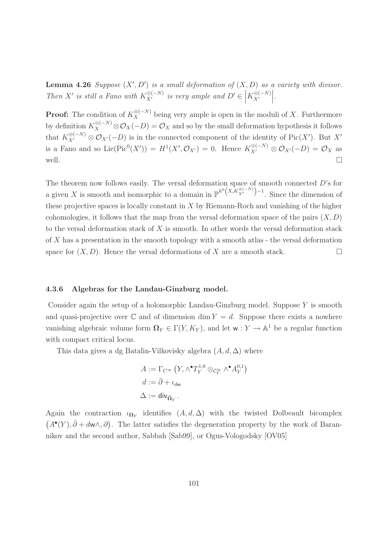**Lemma 4.26** Suppose  $(X', D')$  is a small deformation of  $(X, D)$  as a variety with divisor. Then X' is still a Fano with  $K_{X'}^{\otimes (-N)}$  is very ample and  $D' \in \Big| K_{X'}^{\otimes (-N)}$  $X'$   .

**Proof:** The condition of  $K_X^{\otimes (-N)}$  being very ample is open in the moduli of X. Furthermore by definition  $K_X^{\otimes (-N)} \otimes \mathcal{O}_X(-D) = \mathcal{O}_X$  and so by the small deformation hypothesis it follows that  $K_{X'}^{\otimes (-N)} \otimes \mathcal{O}_{X'}(-D)$  is in the connected component of the identity of Pic $(X')$ . But X' is a Fano and so Lie(Pic<sup>0</sup>(X')) =  $H^1(X', \mathcal{O}_{X'}) = 0$ . Hence  $K_{X'}^{\otimes (-N)} \otimes \mathcal{O}_{X'}(-D) = \mathcal{O}_X$  as well.

The theorem now follows easily. The versal deformation space of smooth connected D's for a given X is smooth and isomorphic to a domain in  $\mathbb{P}^{h^0(X, K_{X'}^{\otimes (-N)})}$  $^{-1}$ . Since the dimension of these projective spaces is locally constant in  $X$  by Riemann-Roch and vanishing of the higher cohomologies, it follows that the map from the versal deformation space of the pairs  $(X, D)$ to the versal deformation stack of  $X$  is smooth. In other words the versal deformation stack of X has a presentation in the smooth topology with a smooth atlas - the versal deformation space for  $(X, D)$ . Hence the versal deformations of X are a smooth stack.

## 4.3.6 Algebras for the Landau-Ginzburg model.

Consider again the setup of a holomorphic Landau-Ginzburg model. Suppose  $Y$  is smooth and quasi-projective over  $\mathbb C$  and of dimension dim  $Y = d$ . Suppose there exists a nowhere vanishing algebraic volume form  $\Omega_Y \in \Gamma(Y, K_Y)$ , and let  $w: Y \to \mathbb{A}^1$  be a regular function with compact critical locus.

This data gives a dg Batalin-Vilkovisky algebra  $(A, d, \Delta)$  where

$$
A := \Gamma_{C^{\infty}} (Y, \wedge^{\bullet} T_Y^{1,0} \otimes_{\mathcal{C}^{\infty}_Y} \wedge^{\bullet} A_Y^{0,1})
$$
  

$$
d := \bar{\partial} + \iota_{d\mathsf{w}}
$$
  

$$
\Delta := \mathsf{div}_{\widetilde{\Omega}_Y}.
$$

Again the contraction  $\iota_{\mathbf{\Omega}_Y}$  identifies  $(A, d, \Delta)$  with the twisted Dolbeault bicomplex  $(A^{\bullet}(Y), \bar{\partial} + d\mathsf{w}\wedge, \partial)$ . The latter satisfies the degeneration property by the work of Barannikov and the second author, Sabbah [Sab99], or Ogus-Vologodsky [OV05]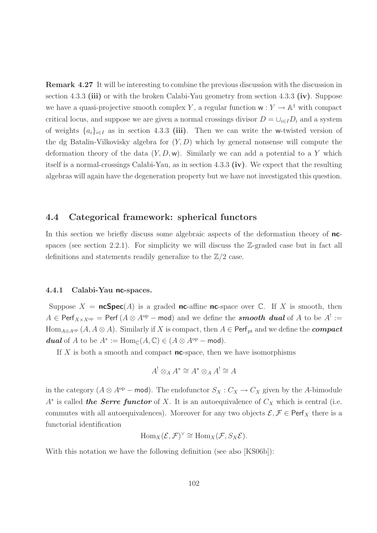Remark 4.27 It will be interesting to combine the previous discussion with the discussion in section 4.3.3 (iii) or with the broken Calabi-Yau geometry from section 4.3.3 (iv). Suppose we have a quasi-projective smooth complex Y, a regular function  $w: Y \to \mathbb{A}^1$  with compact critical locus, and suppose we are given a normal crossings divisor  $D = \bigcup_{i \in I} D_i$  and a system of weights  $\{a_i\}_{i\in I}$  as in section 4.3.3 (iii). Then we can write the w-twisted version of the dg Batalin-Vilkovisky algebra for  $(Y, D)$  which by general nonsense will compute the deformation theory of the data  $(Y, D, w)$ . Similarly we can add a potential to a Y which itself is a normal-crossings Calabi-Yau, as in section 4.3.3 (iv). We expect that the resulting algebras will again have the degeneration property but we have not investigated this question.

## 4.4 Categorical framework: spherical functors

In this section we briefly discuss some algebraic aspects of the deformation theory of ncspaces (see section 2.2.1). For simplicity we will discuss the  $\mathbb{Z}$ -graded case but in fact all definitions and statements readily generalize to the  $\mathbb{Z}/2$  case.

## 4.4.1 Calabi-Yau nc-spaces.

Suppose  $X = \text{ncSpec}(A)$  is a graded nc-affine nc-space over  $\mathbb{C}$ . If X is smooth, then  $A \in \mathsf{Perf}_{X \times X^{\mathrm{op}}} = \mathsf{Perf} (A \otimes A^{\mathrm{op}} - \mathsf{mod})$  and we define the **smooth dual** of A to be  $A^! :=$ Hom<sub>A⊗A<sup>op</sup></sub>  $(A, A \otimes A)$ . Similarly if X is compact, then  $A \in \text{Perf}_{pt}$  and we define the **compact dual** of A to be  $A^* := \text{Hom}_{\mathbb{C}}(A, \mathbb{C}) \in (A \otimes A^{\text{op}} - \text{mod}).$ 

If  $X$  is both a smooth and compact **nc**-space, then we have isomorphisms

$$
A^! \otimes_A A^* \cong A^* \otimes_A A^! \cong A
$$

in the category  $(A \otimes A^{\text{op}} - \text{mod})$ . The endofunctor  $S_X : C_X \to C_X$  given by the A-bimodule  $A^*$  is called the Serre functor of X. It is an autoequivalence of  $C_X$  which is central (i.e. commutes with all autoequivalences). Moreover for any two objects  $\mathcal{E}, \mathcal{F} \in \text{Perf}_X$  there is a functorial identification

$$
\mathrm{Hom}_X(\mathcal{E}, \mathcal{F})^{\vee} \cong \mathrm{Hom}_X(\mathcal{F}, S_X \mathcal{E}).
$$

With this notation we have the following definition (see also [KS06b]):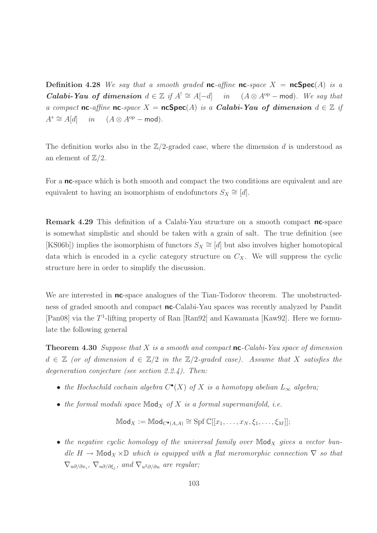**Definition 4.28** We say that a smooth graded **nc**-affine **nc**-space  $X = \mathbf{ncSpec}(A)$  is a **Calabi-Yau of dimension**  $d \in \mathbb{Z}$  if  $A^! \cong A[-d]$  in  $(A \otimes A^{op} - \text{mod})$ . We say that a compact nc-affine nc-space  $X = n cSpec(A)$  is a Calabi-Yau of dimension  $d \in \mathbb{Z}$  if  $A^* \cong A[d]$  in  $(A \otimes A^{op} - \text{mod}).$ 

The definition works also in the  $\mathbb{Z}/2$ -graded case, where the dimension d is understood as an element of  $\mathbb{Z}/2$ .

For a **nc**-space which is both smooth and compact the two conditions are equivalent and are equivalent to having an isomorphism of endofunctors  $S_X \cong [d]$ .

Remark 4.29 This definition of a Calabi-Yau structure on a smooth compact nc-space is somewhat simplistic and should be taken with a grain of salt. The true definition (see  $[KS06b]$ ) implies the isomorphism of functors  $S_X \cong [d]$  but also involves higher homotopical data which is encoded in a cyclic category structure on  $C_X$ . We will suppress the cyclic structure here in order to simplify the discussion.

We are interested in **nc**-space analogues of the Tian-Todorov theorem. The unobstructedness of graded smooth and compact nc-Calabi-Yau spaces was recently analyzed by Pandit [Pan08] via the T<sup>1</sup>-lifting property of Ran [Ran92] and Kawamata [Kaw92]. Here we formulate the following general

**Theorem 4.30** Suppose that X is a smooth and compact  $nc$ -Calabi-Yau space of dimension  $d \in \mathbb{Z}$  (or of dimension  $d \in \mathbb{Z}/2$  in the  $\mathbb{Z}/2$ -graded case). Assume that X satisfies the degeneration conjecture (see section 2.2.4). Then:

- the Hochschild cochain algebra  $C^{\bullet}(X)$  of X is a homotopy abelian  $L_{\infty}$  algebra;
- the formal moduli space  $\mathbb{M}$ od<sub>X</sub> of X is a formal supermanifold, i.e.

$$
\mathbb{M}\mathrm{od}_X := \mathbb{M}\mathrm{od}_{C^{\bullet}(A,A)} \cong \mathrm{Spf}\, \mathbb{C}[[x_1,\ldots,x_N,\xi_1,\ldots,\xi_M]];
$$

• the negative cyclic homology of the universal family over  $\mathbb{M}$ od<sub>X</sub> gives a vector bundle H  $\rightarrow$  Mod<sub>X</sub>  $\times$ D which is equipped with a flat meromorphic connection  $\nabla$  so that  $\nabla_{u\partial/\partial x_i}$ ,  $\nabla_{u\partial/\partial \xi_j}$ , and  $\nabla_{u^2\partial/\partial u}$  are regular;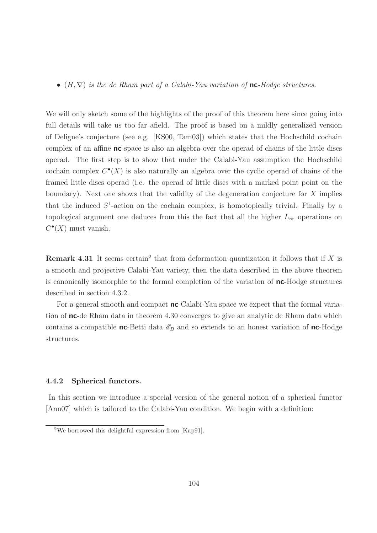•  $(H, \nabla)$  is the de Rham part of a Calabi-Yau variation of **nc**-Hodge structures.

We will only sketch some of the highlights of the proof of this theorem here since going into full details will take us too far afield. The proof is based on a mildly generalized version of Deligne's conjecture (see e.g. [KS00, Tam03]) which states that the Hochschild cochain complex of an affine **nc**-space is also an algebra over the operad of chains of the little discs operad. The first step is to show that under the Calabi-Yau assumption the Hochschild cochain complex  $C^{\bullet}(X)$  is also naturally an algebra over the cyclic operad of chains of the framed little discs operad (i.e. the operad of little discs with a marked point point on the boundary). Next one shows that the validity of the degeneration conjecture for  $X$  implies that the induced  $S^1$ -action on the cochain complex, is homotopically trivial. Finally by a topological argument one deduces from this the fact that all the higher  $L_{\infty}$  operations on  $C^{\bullet}(X)$  must vanish.

**Remark 4.31** It seems certain<sup>2</sup> that from deformation quantization it follows that if  $X$  is a smooth and projective Calabi-Yau variety, then the data described in the above theorem is canonically isomorphic to the formal completion of the variation of nc-Hodge structures described in section 4.3.2.

For a general smooth and compact **nc**-Calabi-Yau space we expect that the formal variation of nc-de Rham data in theorem 4.30 converges to give an analytic de Rham data which contains a compatible **nc**-Betti data  $\mathscr{E}_B$  and so extends to an honest variation of **nc**-Hodge structures.

## 4.4.2 Spherical functors.

In this section we introduce a special version of the general notion of a spherical functor [Ann07] which is tailored to the Calabi-Yau condition. We begin with a definition:

<sup>2</sup>We borrowed this delightful expression from [Kap91].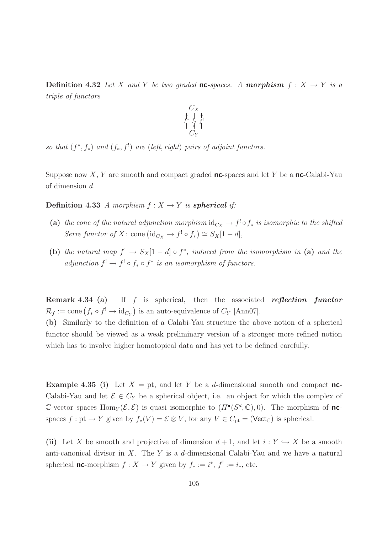**Definition 4.32** Let X and Y be two graded **nc**-spaces. A **morphism**  $f: X \rightarrow Y$  is a triple of functors



so that  $(f^*, f_*)$  and  $(f_*, f')$  are (left, right) pairs of adjoint functors.

Suppose now X, Y are smooth and compact graded **nc**-spaces and let Y be a **nc**-Calabi-Yau of dimension d.

**Definition 4.33** A morphism  $f : X \to Y$  is **spherical** if:

- (a) the cone of the natural adjunction morphism  $\mathrm{id}_{C_X} \to f^! \circ f_*$  is isomorphic to the shifted Serre functor of X: cone  $(\mathrm{id}_{C_X} \to f^! \circ f_*) \cong S_X[1-d],$
- (b) the natural map  $f' \to S_X[1-d] \circ f^*$ , induced from the isomorphism in (a) and the adjunction  $f^! \to f^! \circ f_* \circ f^*$  is an isomorphism of functors.

**Remark 4.34 (a)** If  $f$  is spherical, then the associated reflection functor  $\mathcal{R}_f := \text{cone}\left(f_* \circ f^! \to \text{id}_{C_Y}\right)$  is an auto-equivalence of  $C_Y$  [Ann07].

(b) Similarly to the definition of a Calabi-Yau structure the above notion of a spherical functor should be viewed as a weak preliminary version of a stronger more refined notion which has to involve higher homotopical data and has yet to be defined carefully.

**Example 4.35 (i)** Let  $X = pt$ , and let Y be a d-dimensional smooth and compact **nc**-Calabi-Yau and let  $\mathcal{E} \in C_Y$  be a spherical object, i.e. an object for which the complex of C-vector spaces  $\text{Hom}_Y(\mathcal{E}, \mathcal{E})$  is quasi isomorphic to  $(H^{\bullet}(S^d, \mathbb{C}), 0)$ . The morphism of **nc**spaces  $f: \text{pt} \to Y$  given by  $f_*(V) = \mathcal{E} \otimes V$ , for any  $V \in C_{\text{pt}} = (\text{Vect}_{\mathbb{C}})$  is spherical.

(ii) Let X be smooth and projective of dimension  $d+1$ , and let  $i: Y \hookrightarrow X$  be a smooth anti-canonical divisor in X. The Y is a d-dimensional Calabi-Yau and we have a natural spherical **nc**-morphism  $f: X \to Y$  given by  $f_* := i^*, f^! := i_*,$  etc.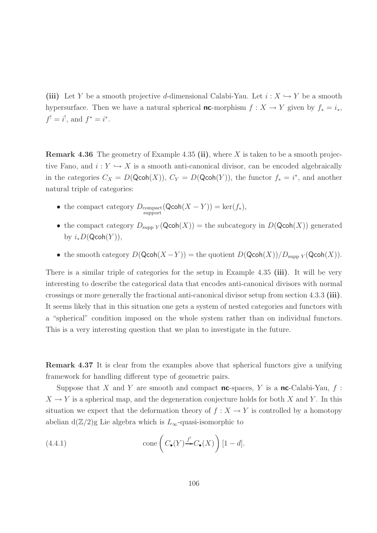(iii) Let Y be a smooth projective d-dimensional Calabi-Yau. Let  $i: X \hookrightarrow Y$  be a smooth hypersurface. Then we have a natural spherical **nc**-morphism  $f : X \to Y$  given by  $f_* = i_*$ ,  $f' = i'$ , and  $f^* = i^*$ .

**Remark 4.36** The geometry of Example 4.35 (ii), where  $X$  is taken to be a smooth projective Fano, and  $i: Y \hookrightarrow X$  is a smooth anti-canonical divisor, can be encoded algebraically in the categories  $C_X = D(Qcoh(X)), C_Y = D(Qcoh(Y)),$  the functor  $f_* = i^*$ , and another natural triple of categories:

- the compact category  $D_{\text{compact}}(\text{Qcoh}(X Y)) = \text{ker}(f_*),$
- the compact category  $D_{\text{supp }Y}(\text{Qcoh}(X)) = \text{the subcategory in }D(\text{Qcoh}(X))$  generated by  $i_*D(\mathsf{Qcoh}(Y)),$
- the smooth category  $D(\mathsf{Qcoh}(X-Y)) = \text{the quotient } D(\mathsf{Qcoh}(X))/D_{\text{supp }Y}(\mathsf{Qcoh}(X)).$

There is a similar triple of categories for the setup in Example 4.35 (iii). It will be very interesting to describe the categorical data that encodes anti-canonical divisors with normal crossings or more generally the fractional anti-canonical divisor setup from section 4.3.3 (iii). It seems likely that in this situation one gets a system of nested categories and functors with a "spherical" condition imposed on the whole system rather than on individual functors. This is a very interesting question that we plan to investigate in the future.

Remark 4.37 It is clear from the examples above that spherical functors give a unifying framework for handling different type of geometric pairs.

Suppose that X and Y are smooth and compact **nc**-spaces, Y is a **nc**-Calabi-Yau,  $f$ :  $X \to Y$  is a spherical map, and the degeneration conjecture holds for both X and Y. In this situation we expect that the deformation theory of  $f : X \to Y$  is controlled by a homotopy abelian d( $\mathbb{Z}/2$ )g Lie algebra which is  $L_{\infty}$ -quasi-isomorphic to

(4.4.1) 
$$
\text{cone}\left(C_{\bullet}(Y) \xrightarrow{f^!} C_{\bullet}(X)\right)[1-d].
$$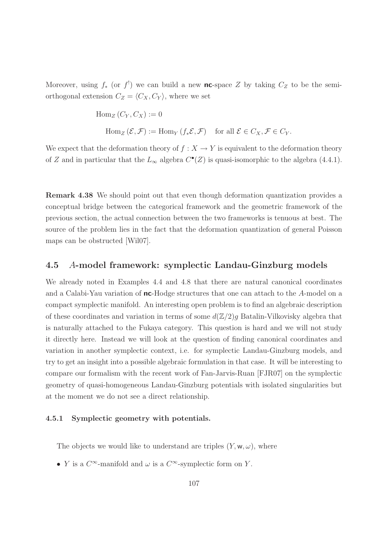Moreover, using  $f_*$  (or  $f'$ ) we can build a new nc-space Z by taking  $C_Z$  to be the semiorthogonal extension  $C_Z = \langle C_X, C_Y \rangle$ , where we set

$$
\text{Hom}_{Z}(C_Y, C_X) := 0
$$
\n
$$
\text{Hom}_{Z}(\mathcal{E}, \mathcal{F}) := \text{Hom}_{Y}(f_*\mathcal{E}, \mathcal{F}) \quad \text{for all } \mathcal{E} \in C_X, \mathcal{F} \in C_Y.
$$

We expect that the deformation theory of  $f : X \to Y$  is equivalent to the deformation theory of Z and in particular that the  $L_{\infty}$  algebra  $C^{\bullet}(Z)$  is quasi-isomorphic to the algebra (4.4.1).

Remark 4.38 We should point out that even though deformation quantization provides a conceptual bridge between the categorical framework and the geometric framework of the previous section, the actual connection between the two frameworks is tenuous at best. The source of the problem lies in the fact that the deformation quantization of general Poisson maps can be obstructed [Wil07].

## 4.5 A-model framework: symplectic Landau-Ginzburg models

We already noted in Examples 4.4 and 4.8 that there are natural canonical coordinates and a Calabi-Yau variation of nc-Hodge structures that one can attach to the A-model on a compact symplectic manifold. An interesting open problem is to find an algebraic description of these coordinates and variation in terms of some  $d(\mathbb{Z}/2)g$  Batalin-Vilkovisky algebra that is naturally attached to the Fukaya category. This question is hard and we will not study it directly here. Instead we will look at the question of finding canonical coordinates and variation in another symplectic context, i.e. for symplectic Landau-Ginzburg models, and try to get an insight into a possible algebraic formulation in that case. It will be interesting to compare our formalism with the recent work of Fan-Jarvis-Ruan [FJR07] on the symplectic geometry of quasi-homogeneous Landau-Ginzburg potentials with isolated singularities but at the moment we do not see a direct relationship.

## 4.5.1 Symplectic geometry with potentials.

The objects we would like to understand are triples  $(Y, w, \omega)$ , where

• *Y* is a  $C^{\infty}$ -manifold and  $\omega$  is a  $C^{\infty}$ -symplectic form on *Y*.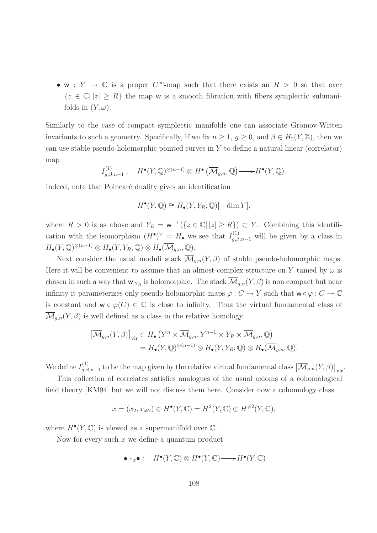• w :  $Y \to \mathbb{C}$  is a proper  $C^{\infty}$ -map such that there exists an  $R > 0$  so that over  ${z \in \mathbb{C} |z| \geq R}$  the map w is a smooth fibration with fibers symplectic submanifolds in  $(Y, \omega)$ .

Similarly to the case of compact symplectic manifolds one can associate Gromov-Witten invariants to such a geometry. Specifically, if we fix  $n \geq 1, g \geq 0$ , and  $\beta \in H_2(Y, \mathbb{Z})$ , then we can use stable pseudo-holomorphic pointed curves in  $Y$  to define a natural linear (correlator) map

$$
I_{g,\beta,n-1}^{(1)}: \quad H^{\bullet}(Y,\mathbb{Q})^{\otimes (n-1)} \otimes H^{\bullet}(\overline{\mathcal{M}}_{g,n},\mathbb{Q}) \longrightarrow H^{\bullet}(Y,\mathbb{Q}).
$$

Indeed, note that Poincaré duality gives an identification

$$
H^{\bullet}(Y, \mathbb{Q}) \cong H_{\bullet}(Y, Y_R; \mathbb{Q})[-\dim Y],
$$

where  $R > 0$  is as above and  $Y_R = \mathbf{w}^{-1} (\{z \in \mathbb{C} \mid |z| \ge R\}) \subset Y$ . Combining this identification with the isomorphism  $(H^{\bullet})^{\vee} = H_{\bullet}$  we see that  $I_{g,\beta,n-1}^{(1)}$  will be given by a class in  $H_{\bullet}(Y, \mathbb{Q})^{\otimes (n-1)} \otimes H_{\bullet}(Y, Y_R; \mathbb{Q}) \otimes H_{\bullet}(\overline{\mathcal{M}}_{g,n}, \mathbb{Q}).$ 

Next consider the usual moduli stack  $\overline{\mathcal{M}}_{q,n}(Y,\beta)$  of stable pseudo-holomorphic maps. Here it will be convenient to assume that an almost-complex structure on Y tamed by  $\omega$  is chosen in such a way that  $w_{|Y_R}$  is holomorphic. The stack  $\overline{\mathcal{M}}_{g,n}(Y, \beta)$  is non compact but near infinity it parameterizes only pseudo-holomorphic maps  $\varphi: C \to Y$  such that  $w \circ \varphi: C \to \mathbb{C}$ is constant and  $w \circ \varphi(C) \in \mathbb{C}$  is close to infinity. Thus the virtual fundamental class of  $\overline{\mathcal{M}}_{q,n}(Y,\beta)$  is well defined as a class in the relative homology

$$
\left[\overline{\mathcal{M}}_{g,n}(Y,\beta)\right]_{\text{vir}} \in H_{\bullet}\left(Y^{n} \times \overline{\mathcal{M}}_{g,n}, Y^{n-1} \times Y_{R} \times \overline{\mathcal{M}}_{g,n}; \mathbb{Q}\right)
$$

$$
= H_{\bullet}(Y,\mathbb{Q})^{\otimes (n-1)} \otimes H_{\bullet}(Y,Y_{R};\mathbb{Q}) \otimes H_{\bullet}(\overline{\mathcal{M}}_{g,n},\mathbb{Q}).
$$

We define  $I_{a,\beta}^{(1)}$  $\left[\overline{\mathcal{M}}_{g,n-1}\right]$  to be the map given by the relative virtual fundamental class  $\left[\overline{\mathcal{M}}_{g,n}(Y,\beta)\right]_{\text{vir}}$ .

This collection of correlates satisfies analogues of the usual axioms of a cohomological field theory [KM94] but we will not discuss them here. Consider now a cohomology class

$$
x = (x_2, x_{\neq 2}) \in H^{\bullet}(Y, \mathbb{C}) = H^2(Y, \mathbb{C}) \oplus H^{\neq 2}(Y, \mathbb{C}),
$$

where  $H^{\bullet}(Y, \mathbb{C})$  is viewed as a supermanifold over  $\mathbb{C}$ .

Now for every such  $x$  we define a quantum product

$$
\bullet *_{x}\bullet : H^{\bullet}(Y,\mathbb{C}) \otimes H^{\bullet}(Y,\mathbb{C}) \longrightarrow H^{\bullet}(Y,\mathbb{C})
$$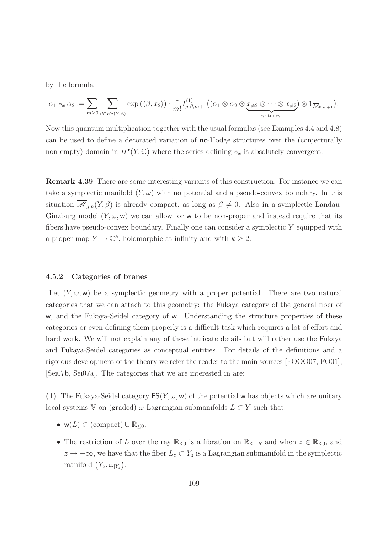by the formula

$$
\alpha_1*_x \alpha_2 := \sum_{m \geq 0} \sum_{\beta \in H_2(Y,\mathbb{Z})} \exp \left( \langle \beta, x_2 \rangle \right) \cdot \frac{1}{m!} I_{g,\beta,m+1}^{(1)} \big( (\alpha_1 \otimes \alpha_2 \otimes \underbrace{x_{\neq 2} \otimes \cdots \otimes x_{\neq 2}}_{m \text{ times}} ) \otimes 1_{\overline{\mathcal{M}}_{0,m+1}} \big).
$$

Now this quantum multiplication together with the usual formulas (see Examples 4.4 and 4.8) can be used to define a decorated variation of nc-Hodge structures over the (conjecturally non-empty) domain in  $H^{\bullet}(Y, \mathbb{C})$  where the series defining  $*_x$  is absolutely convergent.

Remark 4.39 There are some interesting variants of this construction. For instance we can take a symplectic manifold  $(Y, \omega)$  with no potential and a pseudo-convex boundary. In this situation  $\overline{\mathcal{M}}_{g,n}(Y,\beta)$  is already compact, as long as  $\beta \neq 0$ . Also in a symplectic Landau-Ginzburg model  $(Y, \omega, w)$  we can allow for w to be non-proper and instead require that its fibers have pseudo-convex boundary. Finally one can consider a symplectic  $Y$  equipped with a proper map  $Y \to \mathbb{C}^k$ , holomorphic at infinity and with  $k \geq 2$ .

## 4.5.2 Categories of branes

Let  $(Y, \omega, \mathbf{w})$  be a symplectic geometry with a proper potential. There are two natural categories that we can attach to this geometry: the Fukaya category of the general fiber of w, and the Fukaya-Seidel category of w. Understanding the structure properties of these categories or even defining them properly is a difficult task which requires a lot of effort and hard work. We will not explain any of these intricate details but will rather use the Fukaya and Fukaya-Seidel categories as conceptual entities. For details of the definitions and a rigorous development of the theory we refer the reader to the main sources [FOOO07, FO01], [Sei07b, Sei07a]. The categories that we are interested in are:

(1) The Fukaya-Seidel category  $FS(Y, \omega, w)$  of the potential w has objects which are unitary local systems V on (graded)  $\omega$ -Lagrangian submanifolds  $L \subset Y$  such that:

- $w(L) \subset$  (compact)  $\cup \mathbb{R}_{\leq 0}$ ;
- The restriction of L over the ray  $\mathbb{R}_{\leq 0}$  is a fibration on  $\mathbb{R}_{\leq -R}$  and when  $z \in \mathbb{R}_{\leq 0}$ , and  $z \to -\infty$ , we have that the fiber  $L_z \subset Y_z$  is a Lagrangian submanifold in the symplectic manifold  $(Y_z, \omega_{|Y_z})$ .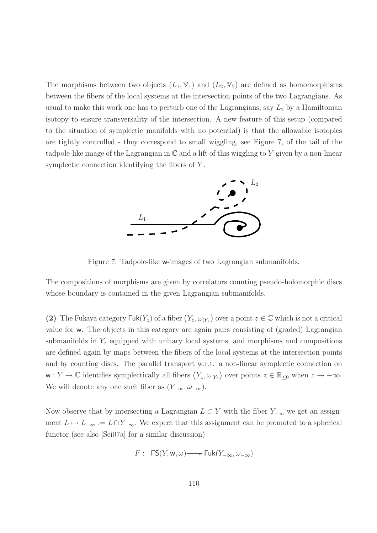The morphisms between two objects  $(L_1, V_1)$  and  $(L_2, V_2)$  are defined as homomorphisms between the fibers of the local systems at the intersection points of the two Lagrangians. As usual to make this work one has to perturb one of the Lagrangians, say  $L_2$  by a Hamiltonian isotopy to ensure transversality of the intersection. A new feature of this setup (compared to the situation of symplectic manifolds with no potential) is that the allowable isotopies are tightly controlled - they correspond to small wiggling, see Figure 7, of the tail of the tadpole-like image of the Lagrangian in  $\mathbb C$  and a lift of this wiggling to Y given by a non-linear symplectic connection identifying the fibers of Y.



Figure 7: Tadpole-like w-images of two Lagrangian submanifolds.

The compositions of morphisms are given by correlators counting pseudo-holomorphic discs whose boundary is contained in the given Lagrangian submanifolds.

(2) The Fukaya category  $\text{Fuk}(Y_z)$  of a fiber  $(Y_z, \omega_{Y_z})$  over a point  $z \in \mathbb{C}$  which is not a critical value for w. The objects in this category are again pairs consisting of (graded) Lagrangian submanifolds in  $Y_z$  equipped with unitary local systems, and morphisms and compositions are defined again by maps between the fibers of the local systems at the intersection points and by counting discs. The parallel transport w.r.t. a non-linear symplectic connection on  $w: Y \to \mathbb{C}$  identifies symplectically all fibers  $(Y_z, \omega_{|Y_z})$  over points  $z \in \mathbb{R}_{\leq 0}$  when  $z \to -\infty$ . We will denote any one such fiber as  $(Y_{-\infty}, \omega_{-\infty})$ .

Now observe that by intersecting a Lagrangian  $L \subset Y$  with the fiber  $Y_{-\infty}$  we get an assignment  $L \mapsto L_{-\infty} := L \cap Y_{-\infty}$ . We expect that this assignment can be promoted to a spherical functor (see also [Sei07a] for a similar discussion)

$$
F: FS(Y, w, \omega) \longrightarrow Fuk(Y_{-\infty}, \omega_{-\infty})
$$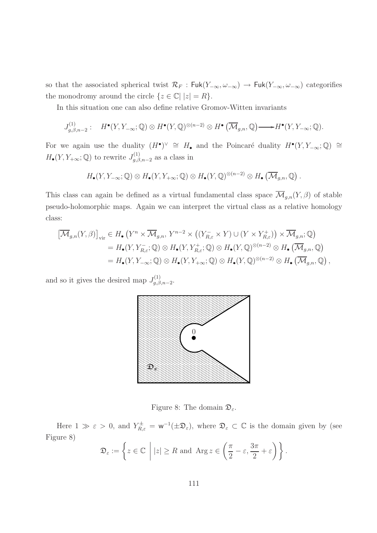so that the associated spherical twist  $\mathcal{R}_F$ : Fuk(Y<sub>-∞</sub>,  $\omega_{-\infty}$ )  $\rightarrow$  Fuk(Y<sub>-∞</sub>,  $\omega_{-\infty}$ ) categorifies the monodromy around the circle  $\{z \in \mathbb{C} \mid |z| = R\}.$ 

In this situation one can also define relative Gromov-Witten invariants

$$
J_{g,\beta,n-2}^{(1)}: H^{\bullet}(Y,Y_{-\infty};\mathbb{Q}) \otimes H^{\bullet}(Y,\mathbb{Q})^{\otimes (n-2)} \otimes H^{\bullet}(\overline{\mathcal{M}}_{g,n},\mathbb{Q}) \longrightarrow H^{\bullet}(Y,Y_{-\infty};\mathbb{Q}).
$$

For we again use the duality  $(H^{\bullet})^{\vee} \cong H_{\bullet}$  and the Poincaré duality  $H^{\bullet}(Y, Y_{-\infty}; \mathbb{Q}) \cong$  $H_{\bullet}(Y, Y_{+\infty}; \mathbb{Q})$  to rewrite  $J_{q,\beta}^{(1)}$  $g^{(1)}_{g,\beta,n-2}$  as a class in

$$
H_{\bullet}(Y, Y_{-\infty}; \mathbb{Q}) \otimes H_{\bullet}(Y, Y_{+\infty}; \mathbb{Q}) \otimes H_{\bullet}(Y, \mathbb{Q})^{\otimes (n-2)} \otimes H_{\bullet}(\overline{\mathcal{M}}_{g,n}, \mathbb{Q}).
$$

This class can again be defined as a virtual fundamental class space  $\overline{\mathcal{M}}_{g,n}(Y,\beta)$  of stable pseudo-holomorphic maps. Again we can interpret the virtual class as a relative homology class:

$$
\begin{aligned}\n\left[\overline{\mathcal{M}}_{g,n}(Y,\beta)\right]_{\text{vir}} &\in H_{\bullet}\left(Y^{n}\times\overline{\mathcal{M}}_{g,n},\,Y^{n-2}\times\left((Y_{R,\varepsilon}^{-}\times Y)\cup(Y\times Y_{R,\varepsilon}^{+})\right)\times\overline{\mathcal{M}}_{g,n};\mathbb{Q}\right) \\
&= H_{\bullet}(Y,Y_{R,\varepsilon}^{-};\mathbb{Q})\otimes H_{\bullet}(Y,Y_{R,\varepsilon}^{+};\mathbb{Q})\otimes H_{\bullet}(Y,\mathbb{Q})^{\otimes(n-2)}\otimes H_{\bullet}\left(\overline{\mathcal{M}}_{g,n},\mathbb{Q}\right) \\
&= H_{\bullet}(Y,Y_{-\infty};\mathbb{Q})\otimes H_{\bullet}(Y,Y_{+\infty};\mathbb{Q})\otimes H_{\bullet}(Y,\mathbb{Q})^{\otimes(n-2)}\otimes H_{\bullet}\left(\overline{\mathcal{M}}_{g,n},\mathbb{Q}\right),\n\end{aligned}
$$

and so it gives the desired map  $J_{a,\beta}^{(1)}$ g,β,n−2 .



Figure 8: The domain  $\mathfrak{D}_{\varepsilon}$ .

Here  $1 \gg \varepsilon > 0$ , and  $Y_{R,\varepsilon}^{\pm} = \mathbf{w}^{-1}(\pm \mathfrak{D}_{\varepsilon})$ , where  $\mathfrak{D}_{\varepsilon} \subset \mathbb{C}$  is the domain given by (see Figure 8)

$$
\mathfrak{D}_{\varepsilon} := \left\{ z \in \mathbb{C} \; \middle| \; |z| \geq R \text{ and } \text{Arg } z \in \left( \frac{\pi}{2} - \varepsilon, \frac{3\pi}{2} + \varepsilon \right) \right\}.
$$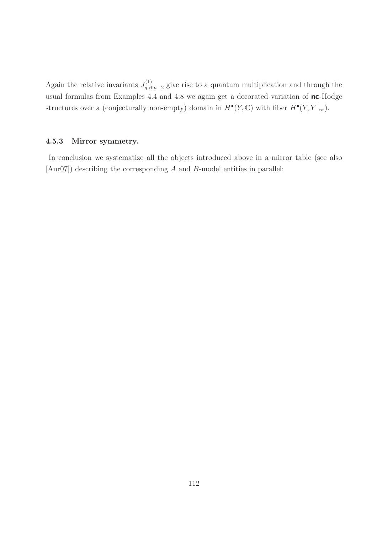Again the relative invariants  $J_{a,\beta}^{(1)}$  $g_{g,\beta,n-2}^{(1)}$  give rise to a quantum multiplication and through the usual formulas from Examples 4.4 and 4.8 we again get a decorated variation of nc-Hodge structures over a (conjecturally non-empty) domain in  $H^{\bullet}(Y, \mathbb{C})$  with fiber  $H^{\bullet}(Y, Y_{-\infty})$ .

## 4.5.3 Mirror symmetry.

In conclusion we systematize all the objects introduced above in a mirror table (see also [Aur07]) describing the corresponding A and B-model entities in parallel: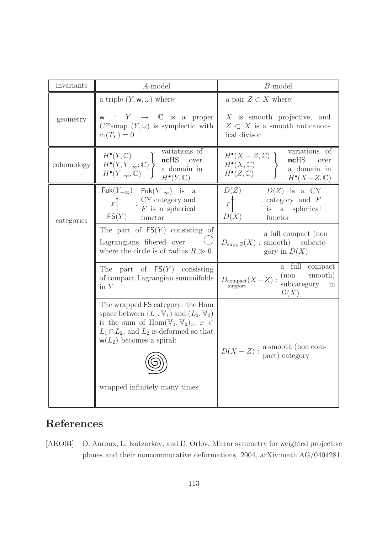| invariants | A-model                                                                                                                                                                                                                                             | $B$ -model                                                                                                                                                                                                                                                                                                                                                                                                                                                                 |
|------------|-----------------------------------------------------------------------------------------------------------------------------------------------------------------------------------------------------------------------------------------------------|----------------------------------------------------------------------------------------------------------------------------------------------------------------------------------------------------------------------------------------------------------------------------------------------------------------------------------------------------------------------------------------------------------------------------------------------------------------------------|
|            | a triple $(Y, w, \omega)$ where:                                                                                                                                                                                                                    | a pair $Z \subset X$ where:                                                                                                                                                                                                                                                                                                                                                                                                                                                |
| geometry   | w : $Y \rightarrow \mathbb{C}$ is a proper<br>$C^{\infty}$ -map $(Y, \omega)$ is symplectic with<br>$c_1(T_Y) = 0$                                                                                                                                  | $X$ is smooth projective, and<br>$Z \subset X$ is a smooth anticanon-<br>ical divisor                                                                                                                                                                                                                                                                                                                                                                                      |
| cohomology | variations of<br>$H^{\bullet}(Y, \mathbb{C})$<br>$H^{\bullet}(Y, Y_{-\infty}; \mathbb{C})$ ncHS over<br>$H^{\bullet}(Y_{-\infty}, \mathbb{C})$ a domain in<br>$H^{\bullet}(Y_{-\infty}, \mathbb{C})$<br>$H^{\bullet}(Y,\mathbb{C})$                 | variations of<br>$\left\{\n \begin{array}{c}\n H^{\bullet}(X - Z, \mathbb{C}) \\  H^{\bullet}(X, \mathbb{C})\n \end{array}\n \right\}\n \left\{\n \begin{array}{c}\n \text{variations} \text{ or } \\  \text{ncHS} \quad \text{over}\n \end{array}\n \right.\n \text{where } H^{\bullet}(X, \mathbb{C})\n \left\{\n \begin{array}{c}\n \text{variations} \text{ or } \\  \text{ncHS} \quad \text{over}\n \end{array}\n \right.\n \right.$<br>$H^{\bullet}(X-Z,\mathbb{C})$ |
| categories | $Fuk(Y_{-\infty})$ $Fuk(Y_{-\infty})$ is a<br>$F \qquad : \begin{array}{c} \text{CY category and} \\ \text{F} \text{ is a spherical} \end{array}$<br>FS(Y)<br>functor                                                                               | $D(Z)$ $D(Z)$ is a CY<br>$F$ : category and F<br>is a spherical<br>D(X)<br>functor                                                                                                                                                                                                                                                                                                                                                                                         |
|            | The part of $FS(Y)$ consisting of<br>Lagrangians fibered over<br>where the circle is of radius $R \gg 0$ .                                                                                                                                          | a full compact (non<br>$D_{\text{supp }Z}(X)$ : smooth) subcate-<br>gory in $D(X)$                                                                                                                                                                                                                                                                                                                                                                                         |
|            | The part of $FS(Y)$ consisting<br>of compact Lagrangian sumanifolds<br>$\operatorname{in} Y$                                                                                                                                                        | a full compact<br>$D_{\substack{\text{compact}\\ \text{support}}}}(X-Z) : \begin{array}{c} \text{(non-smooth)}\\ \text{subcategory} \quad \text{in} \end{array}$<br>D(X)                                                                                                                                                                                                                                                                                                   |
|            | The wrapped FS category: the Hom<br>space between $(L_1, \mathbb{V}_1)$ and $(L_2, \mathbb{V}_2)$<br>is the sum of $\text{Hom}(\mathbb{V}_1,\mathbb{V}_2)_x, x \in$<br>$L_1 \cap L_2$ , and $L_2$ is deformed so that<br>$w(L_2)$ becomes a spiral: |                                                                                                                                                                                                                                                                                                                                                                                                                                                                            |
|            |                                                                                                                                                                                                                                                     | $D(X - Z)$ : a smooth (non com-<br>pact) category                                                                                                                                                                                                                                                                                                                                                                                                                          |
|            | wrapped infinitely many times                                                                                                                                                                                                                       |                                                                                                                                                                                                                                                                                                                                                                                                                                                                            |

## References

[AKO04] D. Auroux, L. Katzarkov, and D. Orlov. Mirror symmetry for weighted projective planes and their noncommutative deformations, 2004, arXiv:math.AG/0404281.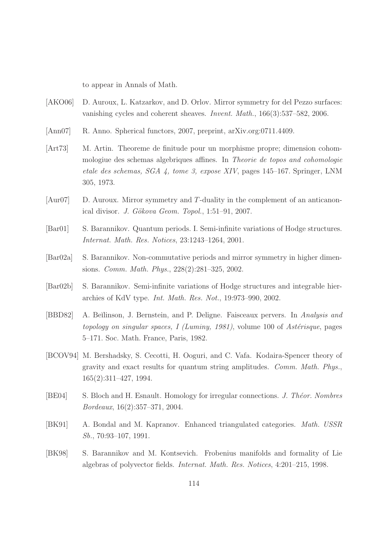to appear in Annals of Math.

- [AKO06] D. Auroux, L. Katzarkov, and D. Orlov. Mirror symmetry for del Pezzo surfaces: vanishing cycles and coherent sheaves. Invent. Math., 166(3):537–582, 2006.
- [Ann07] R. Anno. Spherical functors, 2007, preprint, arXiv.org:0711.4409.
- [Art73] M. Artin. Theoreme de finitude pour un morphisme propre; dimension cohommologiue des schemas algebriques affines. In Theorie de topos and cohomologie etale des schemas, SGA 4, tome 3, expose XIV, pages 145–167. Springer, LNM 305, 1973.
- [Aur07] D. Auroux. Mirror symmetry and T-duality in the complement of an anticanonical divisor. J. Gökova Geom. Topol.,  $1:51-91$ ,  $2007$ .
- [Bar01] S. Barannikov. Quantum periods. I. Semi-infinite variations of Hodge structures. Internat. Math. Res. Notices, 23:1243–1264, 2001.
- [Bar02a] S. Barannikov. Non-commutative periods and mirror symmetry in higher dimensions. Comm. Math. Phys., 228(2):281–325, 2002.
- [Bar02b] S. Barannikov. Semi-infinite variations of Hodge structures and integrable hierarchies of KdV type. Int. Math. Res. Not., 19:973–990, 2002.
- [BBD82] A. Beĭlinson, J. Bernstein, and P. Deligne. Faisceaux pervers. In Analysis and topology on singular spaces, I (Luminy, 1981), volume 100 of Astérisque, pages 5–171. Soc. Math. France, Paris, 1982.
- [BCOV94] M. Bershadsky, S. Cecotti, H. Ooguri, and C. Vafa. Kodaira-Spencer theory of gravity and exact results for quantum string amplitudes. Comm. Math. Phys., 165(2):311–427, 1994.
- [BE04] S. Bloch and H. Esnault. Homology for irregular connections. J. Theor. Nombres Bordeaux, 16(2):357–371, 2004.
- [BK91] A. Bondal and M. Kapranov. Enhanced triangulated categories. Math. USSR Sb., 70:93–107, 1991.
- [BK98] S. Barannikov and M. Kontsevich. Frobenius manifolds and formality of Lie algebras of polyvector fields. Internat. Math. Res. Notices, 4:201–215, 1998.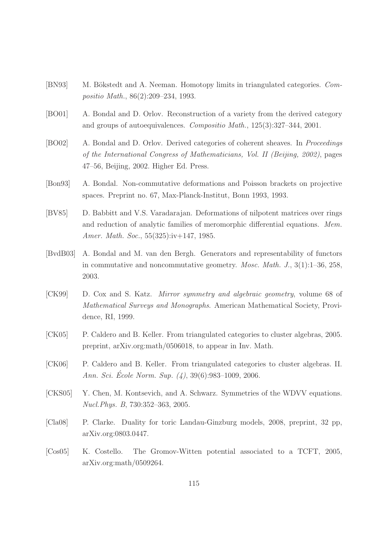- [BN93] M. Bökstedt and A. Neeman. Homotopy limits in triangulated categories. Compositio Math., 86(2):209–234, 1993.
- [BO01] A. Bondal and D. Orlov. Reconstruction of a variety from the derived category and groups of autoequivalences. Compositio Math., 125(3):327–344, 2001.
- [BO02] A. Bondal and D. Orlov. Derived categories of coherent sheaves. In Proceedings of the International Congress of Mathematicians, Vol. II (Beijing, 2002), pages 47–56, Beijing, 2002. Higher Ed. Press.
- [Bon93] A. Bondal. Non-commutative deformations and Poisson brackets on projective spaces. Preprint no. 67, Max-Planck-Institut, Bonn 1993, 1993.
- [BV85] D. Babbitt and V.S. Varadarajan. Deformations of nilpotent matrices over rings and reduction of analytic families of meromorphic differential equations. Mem. Amer. Math. Soc., 55(325):iv+147, 1985.
- [BvdB03] A. Bondal and M. van den Bergh. Generators and representability of functors in commutative and noncommutative geometry. *Mosc. Math. J.*,  $3(1):1-36$ ,  $258$ , 2003.
- [CK99] D. Cox and S. Katz. Mirror symmetry and algebraic geometry, volume 68 of Mathematical Surveys and Monographs. American Mathematical Society, Providence, RI, 1999.
- [CK05] P. Caldero and B. Keller. From triangulated categories to cluster algebras, 2005. preprint, arXiv.org:math/0506018, to appear in Inv. Math.
- [CK06] P. Caldero and B. Keller. From triangulated categories to cluster algebras. II. Ann. Sci. École Norm. Sup.  $(4)$ , 39 $(6)$ :983–1009, 2006.
- [CKS05] Y. Chen, M. Kontsevich, and A. Schwarz. Symmetries of the WDVV equations. Nucl.Phys. B, 730:352–363, 2005.
- [Cla08] P. Clarke. Duality for toric Landau-Ginzburg models, 2008, preprint, 32 pp, arXiv.org:0803.0447.
- [Cos05] K. Costello. The Gromov-Witten potential associated to a TCFT, 2005, arXiv.org:math/0509264.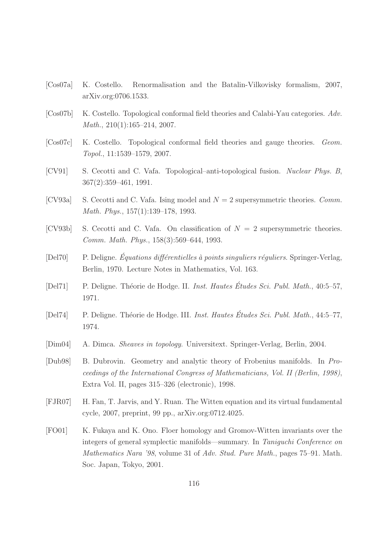- [Cos07a] K. Costello. Renormalisation and the Batalin-Vilkovisky formalism, 2007, arXiv.org:0706.1533.
- [Cos07b] K. Costello. Topological conformal field theories and Calabi-Yau categories. Adv. Math., 210(1):165–214, 2007.
- [Cos07c] K. Costello. Topological conformal field theories and gauge theories. Geom. Topol., 11:1539–1579, 2007.
- [CV91] S. Cecotti and C. Vafa. Topological–anti-topological fusion. Nuclear Phys. B, 367(2):359–461, 1991.
- [CV93a] S. Cecotti and C. Vafa. Ising model and  $N = 2$  supersymmetric theories. Comm. Math. Phys., 157(1):139–178, 1993.
- [CV93b] S. Cecotti and C. Vafa. On classification of  $N = 2$  supersymmetric theories. Comm. Math. Phys., 158(3):569–644, 1993.
- $[De 170]$  P. Deligne. *Équations différentielles à points singuliers réguliers*. Springer-Verlag, Berlin, 1970. Lecture Notes in Mathematics, Vol. 163.
- [Del71] P. Deligne. Théorie de Hodge. II. Inst. Hautes Études Sci. Publ. Math., 40:5–57, 1971.
- [Del74] P. Deligne. Théorie de Hodge. III. Inst. Hautes Études Sci. Publ. Math.,  $44:5-77$ , 1974.
- [Dim04] A. Dimca. Sheaves in topology. Universitext. Springer-Verlag, Berlin, 2004.
- [Dub98] B. Dubrovin. Geometry and analytic theory of Frobenius manifolds. In Proceedings of the International Congress of Mathematicians, Vol. II (Berlin, 1998), Extra Vol. II, pages 315–326 (electronic), 1998.
- [FJR07] H. Fan, T. Jarvis, and Y. Ruan. The Witten equation and its virtual fundamental cycle, 2007, preprint, 99 pp., arXiv.org:0712.4025.
- [FO01] K. Fukaya and K. Ono. Floer homology and Gromov-Witten invariants over the integers of general symplectic manifolds—summary. In Taniguchi Conference on Mathematics Nara '98, volume 31 of Adv. Stud. Pure Math., pages 75–91. Math. Soc. Japan, Tokyo, 2001.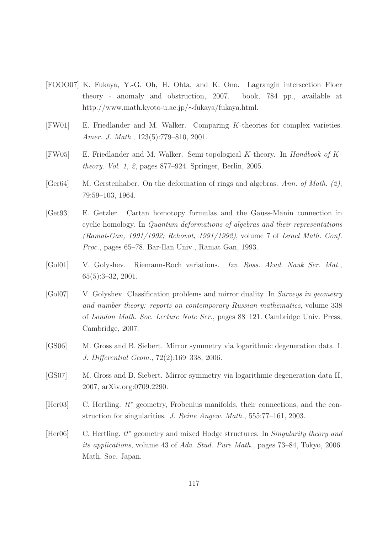- [FOOO07] K. Fukaya, Y.-G. Oh, H. Ohta, and K. Ono. Lagrangin intersection Floer theory - anomaly and obstruction, 2007. book, 784 pp., available at http://www.math.kyoto-u.ac.jp/∼fukaya/fukaya.html.
- [FW01] E. Friedlander and M. Walker. Comparing K-theories for complex varieties. Amer. J. Math., 123(5):779–810, 2001.
- [FW05] E. Friedlander and M. Walker. Semi-topological K-theory. In Handbook of Ktheory. Vol. 1, 2, pages 877–924. Springer, Berlin, 2005.
- [Ger64] M. Gerstenhaber. On the deformation of rings and algebras. Ann. of Math. (2), 79:59–103, 1964.
- [Get93] E. Getzler. Cartan homotopy formulas and the Gauss-Manin connection in cyclic homology. In Quantum deformations of algebras and their representations (Ramat-Gan, 1991/1992; Rehovot, 1991/1992), volume 7 of Israel Math. Conf. Proc., pages 65–78. Bar-Ilan Univ., Ramat Gan, 1993.
- [Gol01] V. Golyshev. Riemann-Roch variations. Izv. Ross. Akad. Nauk Ser. Mat., 65(5):3–32, 2001.
- [Gol07] V. Golyshev. Classification problems and mirror duality. In Surveys in geometry and number theory: reports on contemporary Russian mathematics, volume 338 of London Math. Soc. Lecture Note Ser., pages 88–121. Cambridge Univ. Press, Cambridge, 2007.
- [GS06] M. Gross and B. Siebert. Mirror symmetry via logarithmic degeneration data. I. J. Differential Geom., 72(2):169–338, 2006.
- [GS07] M. Gross and B. Siebert. Mirror symmetry via logarithmic degeneration data II, 2007, arXiv.org:0709.2290.
- [Her03] C. Hertling.  $tt^*$  geometry, Frobenius manifolds, their connections, and the construction for singularities. J. Reine Angew. Math., 555:77–161, 2003.
- [Her06] C. Hertling. tt<sup>∗</sup> geometry and mixed Hodge structures. In Singularity theory and its applications, volume 43 of Adv. Stud. Pure Math., pages 73–84, Tokyo, 2006. Math. Soc. Japan.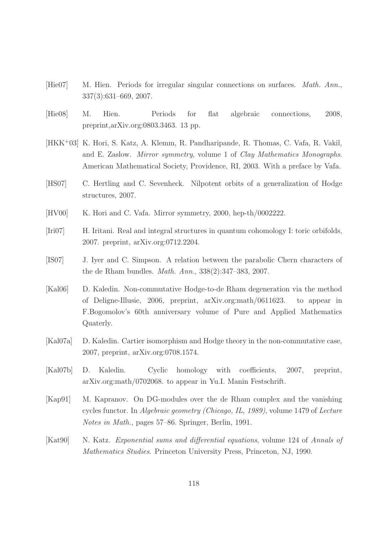- [Hie07] M. Hien. Periods for irregular singular connections on surfaces. Math. Ann., 337(3):631–669, 2007.
- [Hie08] M. Hien. Periods for flat algebraic connections, 2008, preprint,arXiv.org:0803.3463. 13 pp.
- [HKK<sup>+</sup>03] K. Hori, S. Katz, A. Klemm, R. Pandharipande, R. Thomas, C. Vafa, R. Vakil, and E. Zaslow. Mirror symmetry, volume 1 of Clay Mathematics Monographs. American Mathematical Society, Providence, RI, 2003. With a preface by Vafa.
- [HS07] C. Hertling and C. Sevenheck. Nilpotent orbits of a generalization of Hodge structures, 2007.
- [HV00] K. Hori and C. Vafa. Mirror symmetry, 2000, hep-th/0002222.
- [Iri07] H. Iritani. Real and integral structures in quantum cohomology I: toric orbifolds, 2007. preprint, arXiv.org:0712.2204.
- [IS07] J. Iyer and C. Simpson. A relation between the parabolic Chern characters of the de Rham bundles. Math. Ann., 338(2):347–383, 2007.
- [Kal06] D. Kaledin. Non-commutative Hodge-to-de Rham degeneration via the method of Deligne-Illusie, 2006, preprint, arXiv.org:math/0611623. to appear in F.Bogomolov's 60th anniversary volume of Pure and Applied Mathematics Quaterly.
- [Kal07a] D. Kaledin. Cartier isomorphism and Hodge theory in the non-commutative case, 2007, preprint, arXiv.org:0708.1574.
- [Kal07b] D. Kaledin. Cyclic homology with coefficients, 2007, preprint, arXiv.org:math/0702068. to appear in Yu.I. Manin Festschrift.
- [Kap91] M. Kapranov. On DG-modules over the de Rham complex and the vanishing cycles functor. In Algebraic geometry (Chicago, IL, 1989), volume 1479 of Lecture Notes in Math., pages 57–86. Springer, Berlin, 1991.
- [Kat90] N. Katz. Exponential sums and differential equations, volume 124 of Annals of Mathematics Studies. Princeton University Press, Princeton, NJ, 1990.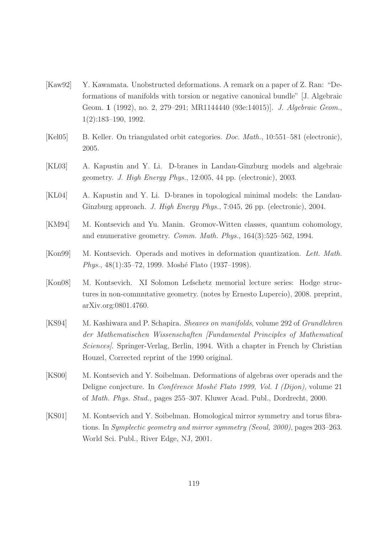- [Kaw92] Y. Kawamata. Unobstructed deformations. A remark on a paper of Z. Ran: "Deformations of manifolds with torsion or negative canonical bundle" [J. Algebraic Geom. 1 (1992), no. 2, 279–291; MR1144440 (93e:14015)]. J. Algebraic Geom., 1(2):183–190, 1992.
- [Kel05] B. Keller. On triangulated orbit categories. Doc. Math., 10:551–581 (electronic), 2005.
- [KL03] A. Kapustin and Y. Li. D-branes in Landau-Ginzburg models and algebraic geometry. J. High Energy Phys., 12:005, 44 pp. (electronic), 2003.
- [KL04] A. Kapustin and Y. Li. D-branes in topological minimal models: the Landau-Ginzburg approach. J. High Energy Phys., 7:045, 26 pp. (electronic), 2004.
- [KM94] M. Kontsevich and Yu. Manin. Gromov-Witten classes, quantum cohomology, and enumerative geometry. Comm. Math. Phys., 164(3):525–562, 1994.
- [Kon99] M. Kontsevich. Operads and motives in deformation quantization. Lett. Math. Phys.,  $48(1):35-72$ , 1999. Moshé Flato (1937–1998).
- [Kon08] M. Kontsevich. XI Solomon Lefschetz memorial lecture series: Hodge structures in non-commutative geometry. (notes by Ernesto Lupercio), 2008. preprint, arXiv.org:0801.4760.
- [KS94] M. Kashiwara and P. Schapira. Sheaves on manifolds, volume 292 of Grundlehren der Mathematischen Wissenschaften [Fundamental Principles of Mathematical Sciences]. Springer-Verlag, Berlin, 1994. With a chapter in French by Christian Houzel, Corrected reprint of the 1990 original.
- [KS00] M. Kontsevich and Y. Soibelman. Deformations of algebras over operads and the Deligne conjecture. In *Conférence Moshé Flato 1999, Vol. I (Dijon)*, volume 21 of Math. Phys. Stud., pages 255–307. Kluwer Acad. Publ., Dordrecht, 2000.
- [KS01] M. Kontsevich and Y. Soibelman. Homological mirror symmetry and torus fibrations. In Symplectic geometry and mirror symmetry (Seoul, 2000), pages 203–263. World Sci. Publ., River Edge, NJ, 2001.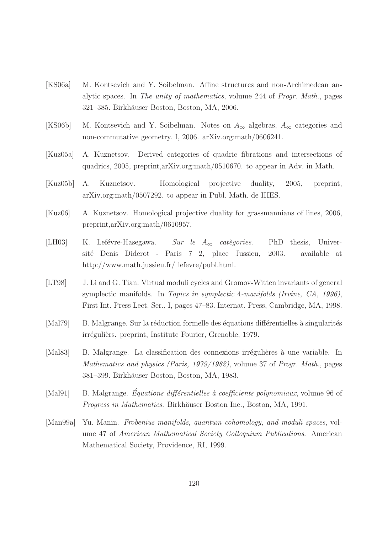- [KS06a] M. Kontsevich and Y. Soibelman. Affine structures and non-Archimedean analytic spaces. In The unity of mathematics, volume 244 of Progr. Math., pages 321–385. Birkh¨auser Boston, Boston, MA, 2006.
- [KS06b] M. Kontsevich and Y. Soibelman. Notes on  $A_{\infty}$  algebras,  $A_{\infty}$  categories and non-commutative geometry. I, 2006. arXiv.org:math/0606241.
- [Kuz05a] A. Kuznetsov. Derived categories of quadric fibrations and intersections of quadrics, 2005, preprint,arXiv.org:math/0510670. to appear in Adv. in Math.
- [Kuz05b] A. Kuznetsov. Homological projective duality, 2005, preprint, arXiv.org:math/0507292. to appear in Publ. Math. de IHES.
- [Kuz06] A. Kuznetsov. Homological projective duality for grassmannians of lines, 2006, preprint,arXiv.org:math/0610957.
- [LH03] K. Lefévre-Hasegawa. Sur le  $A_{\infty}$  catègories. PhD thesis, Université Denis Diderot - Paris 7 2, place Jussieu, 2003. available at http://www.math.jussieu.fr/ lefevre/publ.html.
- [LT98] J. Li and G. Tian. Virtual moduli cycles and Gromov-Witten invariants of general symplectic manifolds. In Topics in symplectic 4-manifolds (Irvine, CA, 1996), First Int. Press Lect. Ser., I, pages 47–83. Internat. Press, Cambridge, MA, 1998.
- [Mal79] B. Malgrange. Sur la réduction formelle des équations différentielles à singularités irrégulièrs. preprint, Institute Fourier, Grenoble, 1979.
- [Mal83] B. Malgrange. La classification des connexions irrégulières à une variable. In Mathematics and physics (Paris, 1979/1982), volume 37 of Progr. Math., pages 381–399. Birkh¨auser Boston, Boston, MA, 1983.
- [Mal91] B. Malgrange. *Équations différentielles à coefficients polynomiaux*, volume 96 of Progress in Mathematics. Birkhäuser Boston Inc., Boston, MA, 1991.
- [Man99a] Yu. Manin. Frobenius manifolds, quantum cohomology, and moduli spaces, volume 47 of American Mathematical Society Colloquium Publications. American Mathematical Society, Providence, RI, 1999.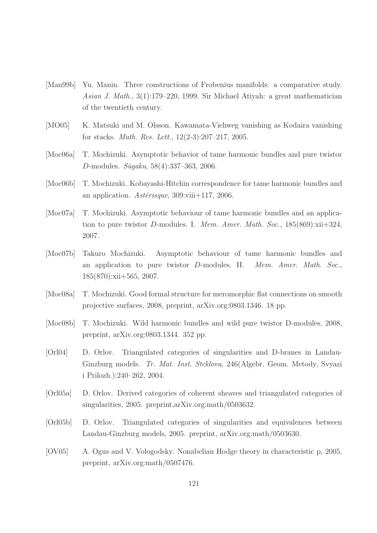- [Man99b] Yu. Manin. Three constructions of Frobenius manifolds: a comparative study. Asian J. Math., 3(1):179–220, 1999. Sir Michael Atiyah: a great mathematician of the twentieth century.
- [MO05] K. Matsuki and M. Olsson. Kawamata-Viehweg vanishing as Kodaira vanishing for stacks. Math. Res. Lett., 12(2-3):207–217, 2005.
- [Moc06a] T. Mochizuki. Asymptotic behavior of tame harmonic bundles and pure twistor D-modules.  $Sūgaku, 58(4):337-363, 2006$ .
- [Moc06b] T. Mochizuki. Kobayashi-Hitchin correspondence for tame harmonic bundles and an application.  $Ast\acute{e}risque$ , 309:viii+117, 2006.
- [Moc07a] T. Mochizuki. Asymptotic behaviour of tame harmonic bundles and an application to pure twistor D-modules. I. Mem. Amer. Math. Soc., 185(869):xii+324, 2007.
- [Moc07b] Takuro Mochizuki. Asymptotic behaviour of tame harmonic bundles and an application to pure twistor D-modules. II. Mem. Amer. Math. Soc., 185(870):xii+565, 2007.
- [Moc08a] T. Mochizuki. Good formal structure for meromorphic flat connections on smooth projective surfaces, 2008, preprint, arXiv.org:0803.1346. 18 pp.
- [Moc08b] T. Mochizuki. Wild harmonic bundles and wild pure twistor D-modules, 2008, preprint, arXiv.org:0803.1344. 352 pp.
- [Orl04] D. Orlov. Triangulated categories of singularities and D-branes in Landau-Ginzburg models. Tr. Mat. Inst. Steklova, 246(Algebr. Geom. Metody, Svyazi i Prilozh.):240–262, 2004.
- [Orl05a] D. Orlov. Derived categories of coherent sheaves and triangulated categories of singularities, 2005. preprint,arXiv.org:math/0503632.
- [Orl05b] D. Orlov. Triangulated categories of singularities and equivalences between Landau-Ginzburg models, 2005. preprint, arXiv.org:math/0503630.
- [OV05] A. Ogus and V. Vologodsky. Nonabelian Hodge theory in characteristic p, 2005, preprint, arXiv.org:math/0507476.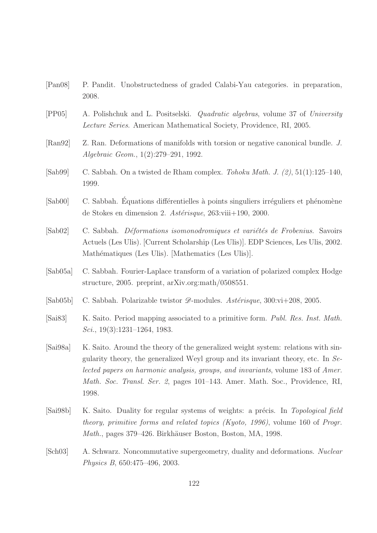- [Pan08] P. Pandit. Unobstructedness of graded Calabi-Yau categories. in preparation, 2008.
- [PP05] A. Polishchuk and L. Positselski. Quadratic algebras, volume 37 of University Lecture Series. American Mathematical Society, Providence, RI, 2005.
- [Ran92] Z. Ran. Deformations of manifolds with torsion or negative canonical bundle. J. Algebraic Geom., 1(2):279–291, 1992.
- [Sab99] C. Sabbah. On a twisted de Rham complex. Tohoku Math. J. (2), 51(1):125–140, 1999.
- [Sab00] C. Sabbah. Équations différentielles à points singuliers irréguliers et phénomène de Stokes en dimension 2.  $Ast\acute{e}risque$ , 263:viii+190, 2000.
- $[Sab02]$  C. Sabbah. *Déformations isomonodromiques et variétés de Frobenius*. Savoirs Actuels (Les Ulis). [Current Scholarship (Les Ulis)]. EDP Sciences, Les Ulis, 2002. Mathématiques (Les Ulis). [Mathematics (Les Ulis)].
- [Sab05a] C. Sabbah. Fourier-Laplace transform of a variation of polarized complex Hodge structure, 2005. preprint, arXiv.org:math/0508551.
- [Sab05b] C. Sabbah. Polarizable twistor  $\mathscr{D}$ -modules. Astérisque, 300:vi+208, 2005.
- [Sai83] K. Saito. Period mapping associated to a primitive form. Publ. Res. Inst. Math. Sci., 19(3):1231–1264, 1983.
- [Sai98a] K. Saito. Around the theory of the generalized weight system: relations with singularity theory, the generalized Weyl group and its invariant theory, etc. In Selected papers on harmonic analysis, groups, and invariants, volume 183 of Amer. Math. Soc. Transl. Ser. 2, pages 101–143. Amer. Math. Soc., Providence, RI, 1998.
- [Sai98b] K. Saito. Duality for regular systems of weights: a précis. In Topological field theory, primitive forms and related topics (Kyoto, 1996), volume 160 of Progr. Math., pages 379–426. Birkhäuser Boston, Boston, MA, 1998.
- [Sch03] A. Schwarz. Noncommutative supergeometry, duality and deformations. Nuclear Physics B, 650:475–496, 2003.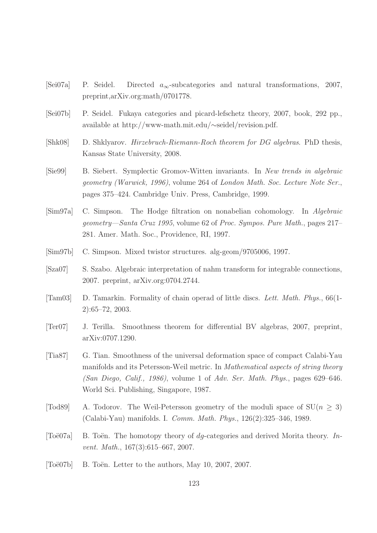- [Sei07a] P. Seidel. Directed  $a_{\infty}$ -subcategories and natural transformations, 2007, preprint,arXiv.org:math/0701778.
- [Sei07b] P. Seidel. Fukaya categories and picard-lefschetz theory, 2007, book, 292 pp., available at http://www-math.mit.edu/∼seidel/revision.pdf.
- [Shk08] D. Shklyarov. Hirzebruch-Riemann-Roch theorem for DG algebras. PhD thesis, Kansas State University, 2008.
- [Sie99] B. Siebert. Symplectic Gromov-Witten invariants. In New trends in algebraic geometry (Warwick, 1996), volume 264 of London Math. Soc. Lecture Note Ser., pages 375–424. Cambridge Univ. Press, Cambridge, 1999.
- [Sim97a] C. Simpson. The Hodge filtration on nonabelian cohomology. In Algebraic geometry—Santa Cruz 1995, volume 62 of Proc. Sympos. Pure Math., pages 217– 281. Amer. Math. Soc., Providence, RI, 1997.
- [Sim97b] C. Simpson. Mixed twistor structures. alg-geom/9705006, 1997.
- [Sza07] S. Szabo. Algebraic interpretation of nahm transform for integrable connections, 2007. preprint, arXiv.org:0704.2744.
- [Tam03] D. Tamarkin. Formality of chain operad of little discs. Lett. Math. Phys., 66(1- 2):65–72, 2003.
- [Ter07] J. Terilla. Smoothness theorem for differential BV algebras, 2007, preprint, arXiv:0707.1290.
- [Tia87] G. Tian. Smoothness of the universal deformation space of compact Calabi-Yau manifolds and its Petersson-Weil metric. In Mathematical aspects of string theory  $(San Dieqo, Calif., 1986)$ , volume 1 of Adv. Ser. Math. Phys., pages 629–646. World Sci. Publishing, Singapore, 1987.
- [Tod89] A. Todorov. The Weil-Petersson geometry of the moduli space of  $SU(n > 3)$ ] (Calabi-Yau) manifolds. I. Comm. Math. Phys., 126(2):325–346, 1989.
- [Toë07a] B. Toën. The homotopy theory of  $dq$ -categories and derived Morita theory. Invent. Math., 167(3):615–667, 2007.
- [Toë07b] B. Toën. Letter to the authors, May 10, 2007, 2007.